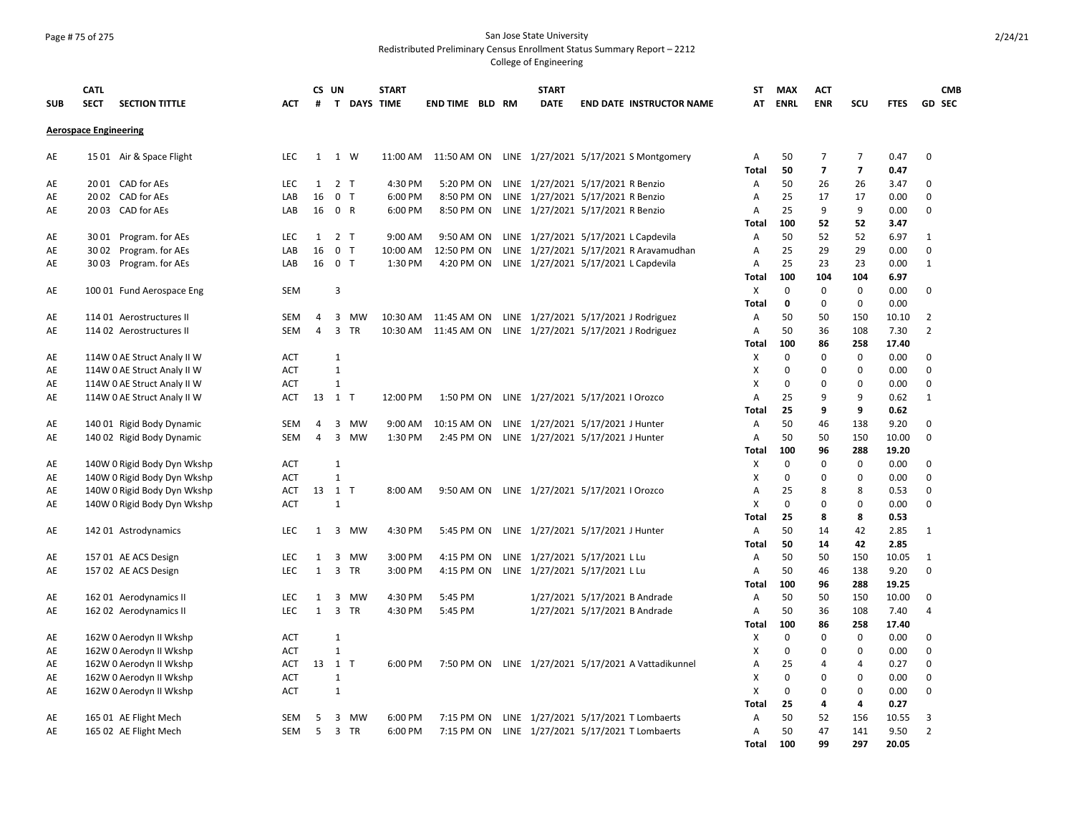### Page # 75 of 275 San Jose State University Redistributed Preliminary Census Enrollment Status Summary Report – 2212

|            | <b>CATL</b>                  |                                                    |                   |                | CS UN                   |             | <b>START</b> |                        |  | <b>START</b> |                                                                                           | <b>ST</b>         | <b>MAX</b>  | <b>ACT</b>              |                         |               | <b>CMB</b>       |
|------------|------------------------------|----------------------------------------------------|-------------------|----------------|-------------------------|-------------|--------------|------------------------|--|--------------|-------------------------------------------------------------------------------------------|-------------------|-------------|-------------------------|-------------------------|---------------|------------------|
| <b>SUB</b> | <b>SECT</b>                  | <b>SECTION TITTLE</b>                              | <b>ACT</b>        | #              |                         | T DAYS TIME |              | <b>END TIME BLD RM</b> |  | <b>DATE</b>  | <b>END DATE INSTRUCTOR NAME</b>                                                           | AT                | <b>ENRL</b> | <b>ENR</b>              | SCU                     | <b>FTES</b>   | <b>GD SEC</b>    |
|            | <b>Aerospace Engineering</b> |                                                    |                   |                |                         |             |              |                        |  |              |                                                                                           |                   |             |                         |                         |               |                  |
|            |                              |                                                    |                   |                |                         |             |              |                        |  |              |                                                                                           |                   |             |                         |                         |               |                  |
| AE         |                              | 15 01 Air & Space Flight                           | <b>LEC</b>        | 1              | 1 W                     |             | 11:00 AM     |                        |  |              | 11:50 AM ON LINE 1/27/2021 5/17/2021 S Montgomery                                         | Α                 | 50          | $\overline{7}$          | $\overline{7}$          | 0.47          | $\mathbf 0$      |
|            |                              |                                                    |                   |                |                         |             |              |                        |  |              |                                                                                           | <b>Total</b>      | 50          | $\overline{\mathbf{z}}$ | $\overline{\mathbf{z}}$ | 0.47          |                  |
| AE         |                              | 20 01 CAD for AEs                                  | <b>LEC</b>        |                | $1 \quad 2 \quad T$     |             | 4:30 PM      |                        |  |              | 5:20 PM ON LINE 1/27/2021 5/17/2021 R Benzio                                              | Α                 | 50          | 26                      | 26                      | 3.47          | 0                |
| AE         |                              | 20 02 CAD for AEs                                  | LAB               | 16             | 0 <sub>T</sub>          |             | 6:00 PM      | 8:50 PM ON             |  |              | LINE 1/27/2021 5/17/2021 R Benzio                                                         | A                 | 25          | 17                      | 17                      | 0.00          | $\Omega$         |
| AE         |                              | 20 03 CAD for AEs                                  | LAB               | 16             | 0 R                     |             | 6:00 PM      |                        |  |              | 8:50 PM ON LINE 1/27/2021 5/17/2021 R Benzio                                              | А                 | 25          | 9                       | 9                       | 0.00          | 0                |
|            |                              |                                                    |                   |                | $1 \quad 2 \quad T$     |             | 9:00 AM      |                        |  |              |                                                                                           | <b>Total</b>      | 100<br>50   | 52<br>52                | 52<br>52                | 3.47<br>6.97  |                  |
| AE<br>AE   |                              | 3001 Program. for AEs<br>30 02 Program. for AEs    | <b>LEC</b><br>LAB | 16             | $\mathbf 0$             | T           | 10:00 AM     | 12:50 PM ON            |  |              | 9:50 AM ON LINE 1/27/2021 5/17/2021 L Capdevila<br>LINE 1/27/2021 5/17/2021 R Aravamudhan | A<br>Α            | 25          | 29                      | 29                      | 0.00          | 1<br>$\mathbf 0$ |
| AE         |                              | 3003 Program. for AEs                              | LAB               |                | 16 0 T                  |             | 1:30 PM      |                        |  |              | 4:20 PM ON LINE 1/27/2021 5/17/2021 L Capdevila                                           | $\overline{A}$    | 25          | 23                      | 23                      | 0.00          | $\mathbf{1}$     |
|            |                              |                                                    |                   |                |                         |             |              |                        |  |              |                                                                                           | <b>Total</b>      | 100         | 104                     | 104                     | 6.97          |                  |
| AE         |                              | 100 01 Fund Aerospace Eng                          | <b>SEM</b>        |                | 3                       |             |              |                        |  |              |                                                                                           | X                 | $\Omega$    | $\Omega$                | $\Omega$                | 0.00          | $\Omega$         |
|            |                              |                                                    |                   |                |                         |             |              |                        |  |              |                                                                                           | <b>Total</b>      | 0           | $\mathbf 0$             | $\mathbf 0$             | 0.00          |                  |
| AE         |                              | 114 01 Aerostructures II                           | <b>SEM</b>        | 4              | 3                       | <b>MW</b>   | 10:30 AM     | 11:45 AM ON            |  |              | LINE 1/27/2021 5/17/2021 J Rodriguez                                                      | A                 | 50          | 50                      | 150                     | 10.10         | $\overline{2}$   |
| AE         |                              | 114 02 Aerostructures II                           | <b>SEM</b>        | $\overline{4}$ | $\overline{3}$          | <b>TR</b>   | 10:30 AM     | 11:45 AM ON            |  |              | LINE 1/27/2021 5/17/2021 J Rodriguez                                                      | $\overline{A}$    | 50          | 36                      | 108                     | 7.30          | $\overline{2}$   |
|            |                              |                                                    |                   |                |                         |             |              |                        |  |              |                                                                                           | Total             | 100         | 86                      | 258                     | 17.40         |                  |
| AE         |                              | 114W 0 AE Struct Analy II W                        | <b>ACT</b>        |                | $\mathbf{1}$            |             |              |                        |  |              |                                                                                           | X                 | $\Omega$    | $\Omega$                | $\Omega$                | 0.00          | $\Omega$         |
| AE         |                              | 114W 0 AE Struct Analy II W                        | <b>ACT</b>        |                | $\mathbf{1}$            |             |              |                        |  |              |                                                                                           | X                 | $\Omega$    | O                       | $\Omega$                | 0.00          | $\Omega$         |
| AE         |                              | 114W 0 AE Struct Analy II W                        | ACT               |                | $\mathbf{1}$            |             |              |                        |  |              |                                                                                           | X                 | 0           | 0                       | $\mathbf 0$             | 0.00          | $\mathbf 0$      |
| AE         |                              | 114W 0 AE Struct Analy II W                        | <b>ACT</b>        |                | 13 1 T                  |             | 12:00 PM     |                        |  |              | 1:50 PM ON LINE 1/27/2021 5/17/2021   Orozco                                              | A                 | 25          | 9                       | 9                       | 0.62          | $\mathbf{1}$     |
|            |                              |                                                    |                   |                |                         |             |              |                        |  |              |                                                                                           | <b>Total</b>      | 25          | 9                       | 9                       | 0.62          |                  |
| AE         |                              | 140 01 Rigid Body Dynamic                          | <b>SEM</b>        | 4              | 3                       | MW          | 9:00 AM      | 10:15 AM ON            |  |              | LINE 1/27/2021 5/17/2021 J Hunter                                                         | Α                 | 50          | 46                      | 138                     | 9.20          | 0                |
| AE         |                              | 140 02 Rigid Body Dynamic                          | <b>SEM</b>        | $\overline{4}$ | $\overline{3}$          | MW          | 1:30 PM      | 2:45 PM ON             |  |              | LINE 1/27/2021 5/17/2021 J Hunter                                                         | A                 | 50          | 50                      | 150                     | 10.00         | 0                |
|            |                              |                                                    |                   |                |                         |             |              |                        |  |              |                                                                                           | Total             | 100         | 96                      | 288                     | 19.20         |                  |
| AE         |                              | 140W 0 Rigid Body Dyn Wkshp                        | <b>ACT</b>        |                | $\mathbf{1}$            |             |              |                        |  |              |                                                                                           | X                 | $\mathbf 0$ | 0                       | $\mathbf 0$             | 0.00          | 0                |
| AE         |                              | 140W 0 Rigid Body Dyn Wkshp                        | <b>ACT</b>        |                | $\mathbf{1}$            |             |              |                        |  |              |                                                                                           | X                 | 0           | 0                       | $\mathbf 0$             | 0.00          | 0                |
| AE         |                              | 140W 0 Rigid Body Dyn Wkshp                        | <b>ACT</b>        |                | 13 1 T                  |             | 8:00 AM      |                        |  |              | 9:50 AM ON LINE 1/27/2021 5/17/2021   Orozco                                              | A                 | 25          | 8                       | 8                       | 0.53          | 0                |
| AE         |                              | 140W 0 Rigid Body Dyn Wkshp                        | <b>ACT</b>        |                | $\mathbf 1$             |             |              |                        |  |              |                                                                                           | X                 | $\Omega$    | 0                       | 0                       | 0.00          | $\Omega$         |
|            |                              |                                                    |                   |                |                         |             |              |                        |  |              |                                                                                           | Total             | 25          | 8                       | 8                       | 0.53          |                  |
| AE         |                              | 142 01 Astrodynamics                               | <b>LEC</b>        | 1              |                         | 3 MW        | 4:30 PM      | 5:45 PM ON             |  |              | LINE 1/27/2021 5/17/2021 J Hunter                                                         | Α                 | 50          | 14                      | 42                      | 2.85          | $\mathbf{1}$     |
|            |                              |                                                    |                   |                |                         |             |              |                        |  |              |                                                                                           | <b>Total</b>      | 50          | 14                      | 42                      | 2.85          |                  |
| AE         |                              | 157 01 AE ACS Design                               | LEC               | 1              | 3                       | мw          | 3:00 PM      | 4:15 PM ON             |  |              | LINE 1/27/2021 5/17/2021 L Lu                                                             | А                 | 50          | 50                      | 150                     | 10.05         | $\mathbf{1}$     |
| AE         |                              | 157 02 AE ACS Design                               | <b>LEC</b>        | $\mathbf{1}$   | $\overline{3}$          | <b>TR</b>   | 3:00 PM      |                        |  |              | 4:15 PM ON LINE 1/27/2021 5/17/2021 L Lu                                                  | A                 | 50          | 46                      | 138                     | 9.20          | 0                |
|            |                              |                                                    |                   |                |                         |             |              |                        |  |              |                                                                                           | Total             | 100         | 96                      | 288                     | 19.25         |                  |
| AE         |                              | 162 01 Aerodynamics II                             | LEC               | 1              | 3                       | MW          | 4:30 PM      | 5:45 PM                |  |              | 1/27/2021 5/17/2021 B Andrade                                                             | А                 | 50          | 50                      | 150                     | 10.00         | 0                |
| AE         |                              | 162 02 Aerodynamics II                             | <b>LEC</b>        | $\mathbf{1}$   |                         | 3 TR        | 4:30 PM      | 5:45 PM                |  |              | 1/27/2021 5/17/2021 B Andrade                                                             | Α<br><b>Total</b> | 50<br>100   | 36<br>86                | 108<br>258              | 7.40<br>17.40 | 4                |
|            |                              |                                                    | ACT               |                | $\mathbf{1}$            |             |              |                        |  |              |                                                                                           | X                 | $\mathbf 0$ | 0                       | 0                       | 0.00          | 0                |
| AE<br>AE   |                              | 162W 0 Aerodyn II Wkshp<br>162W 0 Aerodyn II Wkshp | <b>ACT</b>        |                | $\mathbf{1}$            |             |              |                        |  |              |                                                                                           | X                 | 0           | 0                       | 0                       | 0.00          | 0                |
| AE         |                              | 162W 0 Aerodyn II Wkshp                            | <b>ACT</b>        |                | 13 1 T                  |             | 6:00 PM      |                        |  |              | 7:50 PM ON LINE 1/27/2021 5/17/2021 A Vattadikunnel                                       | A                 | 25          | $\overline{a}$          | 4                       | 0.27          | 0                |
| AE         |                              | 162W 0 Aerodyn II Wkshp                            | <b>ACT</b>        |                | $\mathbf 1$             |             |              |                        |  |              |                                                                                           | X                 | 0           | 0                       | 0                       | 0.00          | 0                |
| AE         |                              | 162W 0 Aerodyn II Wkshp                            | <b>ACT</b>        |                | $\mathbf{1}$            |             |              |                        |  |              |                                                                                           | X                 | 0           | 0                       | 0                       | 0.00          | 0                |
|            |                              |                                                    |                   |                |                         |             |              |                        |  |              |                                                                                           | <b>Total</b>      | 25          | 4                       | 4                       | 0.27          |                  |
| AE         |                              | 165 01 AE Flight Mech                              | SEM               | 5              | 3                       | MW          | 6:00 PM      | 7:15 PM ON             |  |              | LINE 1/27/2021 5/17/2021 T Lombaerts                                                      | Α                 | 50          | 52                      | 156                     | 10.55         | 3                |
| AE         |                              | 165 02 AE Flight Mech                              | SEM               | 5              | $\overline{\mathbf{3}}$ | TR          | 6:00 PM      | 7:15 PM ON             |  |              | LINE 1/27/2021 5/17/2021 T Lombaerts                                                      | Α                 | 50          | 47                      | 141                     | 9.50          | $\overline{2}$   |
|            |                              |                                                    |                   |                |                         |             |              |                        |  |              |                                                                                           | <b>Total</b>      | 100         | 99                      | 297                     | 20.05         |                  |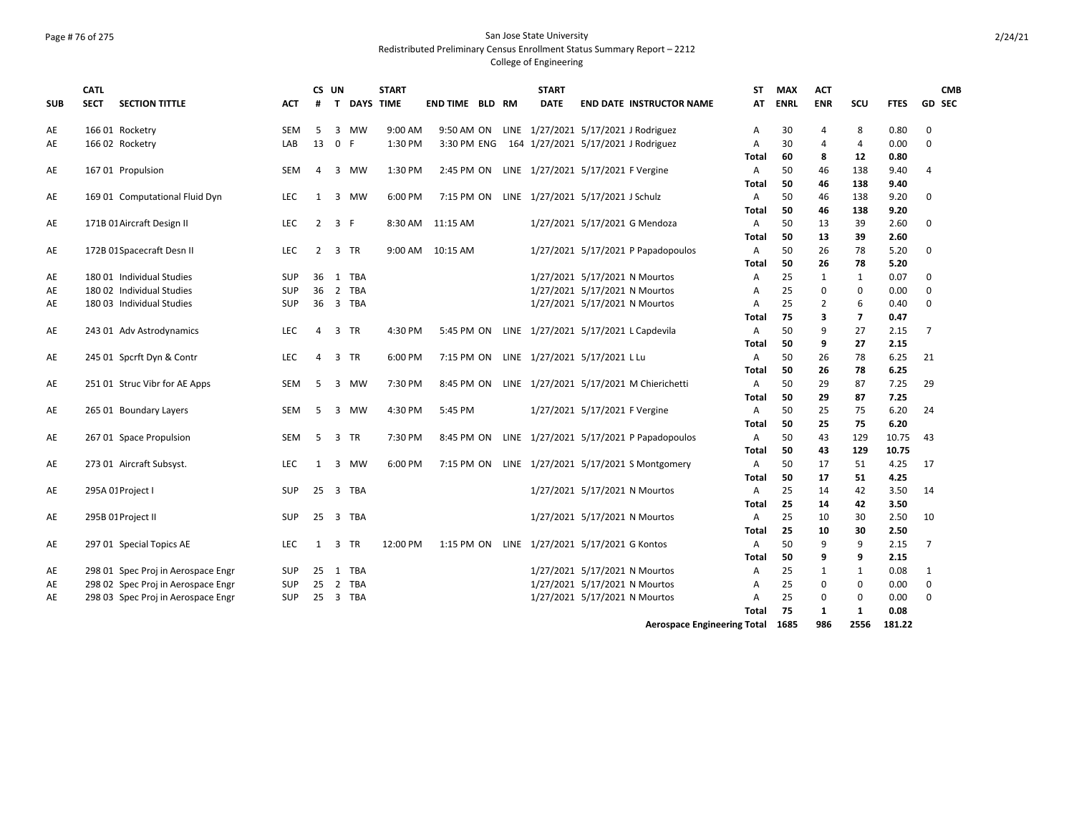# Page # 76 of 275 San Jose State University Redistributed Preliminary Census Enrollment Status Summary Report – 2212

|            | <b>CATL</b> |                                    |            | CS UN          |                                | <b>START</b>     |                        |  | <b>START</b> |                                              | <b>ST</b>    | <b>MAX</b>  | <b>ACT</b>     |                |             |                | <b>CMB</b> |
|------------|-------------|------------------------------------|------------|----------------|--------------------------------|------------------|------------------------|--|--------------|----------------------------------------------|--------------|-------------|----------------|----------------|-------------|----------------|------------|
| <b>SUB</b> | <b>SECT</b> | <b>SECTION TITTLE</b>              | ACT        | #              | T.                             | <b>DAYS TIME</b> | <b>END TIME BLD RM</b> |  | <b>DATE</b>  | <b>END DATE INSTRUCTOR NAME</b>              | AT           | <b>ENRL</b> | <b>ENR</b>     | SCU            | <b>FTES</b> | <b>GD SEC</b>  |            |
| AE         |             | 166 01 Rocketry                    | <b>SEM</b> | 5              | <b>MW</b><br>3                 | 9:00 AM          | 9:50 AM ON             |  |              | LINE 1/27/2021 5/17/2021 J Rodriguez         | A            | 30          | 4              | 8              | 0.80        | 0              |            |
| AE         |             | 166 02 Rocketry                    | LAB        | 13             | $\mathbf 0$<br>F               | 1:30 PM          | 3:30 PM ENG            |  |              | 164 1/27/2021 5/17/2021 J Rodriguez          | Α            | 30          | $\overline{a}$ | 4              | 0.00        | $\Omega$       |            |
|            |             |                                    |            |                |                                |                  |                        |  |              |                                              | <b>Total</b> | 60          | 8              | 12             | 0.80        |                |            |
| AE         |             | 16701 Propulsion                   | <b>SEM</b> | 4              | 3<br>MW                        | 1:30 PM          | 2:45 PM ON             |  |              | LINE 1/27/2021 5/17/2021 F Vergine           | A            | 50          | 46             | 138            | 9.40        | $\overline{4}$ |            |
|            |             |                                    |            |                |                                |                  |                        |  |              |                                              | <b>Total</b> | 50          | 46             | 138            | 9.40        |                |            |
| AE         |             | 169 01 Computational Fluid Dyn     | <b>LEC</b> | $\mathbf{1}$   | $\overline{3}$<br><b>MW</b>    | 6:00 PM          | 7:15 PM ON             |  |              | LINE 1/27/2021 5/17/2021 J Schulz            | A            | 50          | 46             | 138            | 9.20        | $\mathbf 0$    |            |
|            |             |                                    |            |                |                                |                  |                        |  |              |                                              | Total        | 50          | 46             | 138            | 9.20        |                |            |
| AE         |             | 171B 01 Aircraft Design II         | <b>LEC</b> |                | $2 \quad 3 \quad F$            |                  | 8:30 AM 11:15 AM       |  |              | 1/27/2021 5/17/2021 G Mendoza                | A            | 50          | 13             | 39             | 2.60        | 0              |            |
|            |             |                                    |            |                |                                |                  |                        |  |              |                                              | <b>Total</b> | 50          | 13             | 39             | 2.60        |                |            |
| AE         |             | 172B 01 Spacecraft Desn II         | LEC        | $\overline{2}$ | 3<br><b>TR</b>                 | 9:00 AM          | 10:15 AM               |  |              | 1/27/2021 5/17/2021 P Papadopoulos           | Α            | 50          | 26             | 78             | 5.20        | $\mathbf 0$    |            |
|            |             |                                    |            |                |                                |                  |                        |  |              |                                              | <b>Total</b> | 50          | 26             | 78             | 5.20        |                |            |
| AE         |             | 180 01 Individual Studies          | <b>SUP</b> | 36             | <b>TBA</b><br>1                |                  |                        |  |              | 1/27/2021 5/17/2021 N Mourtos                | A            | 25          | $\mathbf{1}$   | 1              | 0.07        | 0              |            |
| AE         |             | 180 02 Individual Studies          | <b>SUP</b> | 36             | 2 TBA                          |                  |                        |  |              | 1/27/2021 5/17/2021 N Mourtos                | A            | 25          | $\Omega$       | 0              | 0.00        | $\Omega$       |            |
| AE         |             | 180 03 Individual Studies          | <b>SUP</b> |                | 36 3 TBA                       |                  |                        |  |              | 1/27/2021 5/17/2021 N Mourtos                | A            | 25          | 2              | 6              | 0.40        | 0              |            |
|            |             |                                    |            |                |                                |                  |                        |  |              |                                              | <b>Total</b> | 75          | 3              | $\overline{7}$ | 0.47        |                |            |
| AE         |             | 243 01 Adv Astrodynamics           | <b>LEC</b> | 4              | 3<br><b>TR</b>                 | 4:30 PM          | 5:45 PM ON             |  |              | LINE 1/27/2021 5/17/2021 L Capdevila         | Α            | 50          | 9              | 27             | 2.15        | $\overline{7}$ |            |
|            |             |                                    |            |                |                                |                  |                        |  |              |                                              | <b>Total</b> | 50          | 9              | 27             | 2.15        |                |            |
| AE         |             | 245 01 Spcrft Dyn & Contr          | <b>LEC</b> | $\overline{a}$ | 3<br><b>TR</b>                 | 6:00 PM          | 7:15 PM ON             |  |              | LINE 1/27/2021 5/17/2021 L Lu                | A            | 50          | 26             | 78             | 6.25        | 21             |            |
|            |             |                                    |            |                |                                |                  |                        |  |              |                                              | <b>Total</b> | 50          | 26             | 78             | 6.25        |                |            |
| AE         |             | 251 01 Struc Vibr for AE Apps      | <b>SEM</b> | 5              | 3<br>MW                        | 7:30 PM          | 8:45 PM ON             |  |              | LINE 1/27/2021 5/17/2021 M Chierichetti      | $\mathsf{A}$ | 50          | 29             | 87             | 7.25        | 29             |            |
|            |             |                                    |            |                |                                |                  |                        |  |              |                                              | <b>Total</b> | 50          | 29             | 87             | 7.25        |                |            |
| AE         |             | 265 01 Boundary Layers             | <b>SEM</b> | 5              | 3<br><b>MW</b>                 | 4:30 PM          | 5:45 PM                |  |              | 1/27/2021 5/17/2021 F Vergine                | $\mathsf{A}$ | 50          | 25             | 75             | 6.20        | 24             |            |
|            |             |                                    |            |                |                                |                  |                        |  |              |                                              | <b>Total</b> | 50          | 25             | 75             | 6.20        |                |            |
| AE         |             | 267 01 Space Propulsion            | <b>SEM</b> | 5              | 3<br><b>TR</b>                 | 7:30 PM          | 8:45 PM ON             |  |              | LINE 1/27/2021 5/17/2021 P Papadopoulos      | $\mathsf{A}$ | 50          | 43             | 129            | 10.75       | 43             |            |
|            |             |                                    |            |                |                                |                  |                        |  |              |                                              | <b>Total</b> | 50          | 43             | 129            | 10.75       |                |            |
| AE         |             | 273 01 Aircraft Subsyst.           | <b>LEC</b> | $\mathbf{1}$   | MW<br>3                        | 6:00 PM          | 7:15 PM ON             |  |              | LINE 1/27/2021 5/17/2021 S Montgomery        | Α            | 50          | 17             | 51             | 4.25        | 17             |            |
|            |             |                                    |            |                |                                |                  |                        |  |              |                                              | <b>Total</b> | 50          | 17             | 51             | 4.25        |                |            |
| AE         |             | 295A 01 Project I                  | <b>SUP</b> | 25             | $\overline{3}$<br>TBA          |                  |                        |  |              | 1/27/2021 5/17/2021 N Mourtos                | A            | 25          | 14             | 42             | 3.50        | 14             |            |
|            |             |                                    |            |                |                                |                  |                        |  |              |                                              | Total        | 25          | 14             | 42             | 3.50        |                |            |
| AE         |             | 295B 01 Project II                 | <b>SUP</b> | 25             | $\overline{\mathbf{3}}$<br>TBA |                  |                        |  |              | 1/27/2021 5/17/2021 N Mourtos                | $\mathsf{A}$ | 25          | 10             | 30             | 2.50        | 10             |            |
|            |             |                                    |            |                |                                |                  |                        |  |              |                                              | <b>Total</b> | 25          | 10             | 30             | 2.50        |                |            |
| AE         |             | 297 01 Special Topics AE           | <b>LEC</b> | $\mathbf{1}$   | <b>TR</b><br>3                 | 12:00 PM         |                        |  |              | 1:15 PM ON LINE 1/27/2021 5/17/2021 G Kontos | A            | 50          | 9              | 9              | 2.15        | $\overline{7}$ |            |
|            |             |                                    |            |                |                                |                  |                        |  |              |                                              | Total        | 50          | 9              | 9              | 2.15        |                |            |
| AE         |             | 298 01 Spec Proj in Aerospace Engr | <b>SUP</b> | 25             | TBA<br>$\overline{1}$          |                  |                        |  |              | 1/27/2021 5/17/2021 N Mourtos                | A            | 25          | $\mathbf{1}$   | $\mathbf{1}$   | 0.08        | 1              |            |
| AE         |             | 298 02 Spec Proj in Aerospace Engr | <b>SUP</b> | 25             | <b>TBA</b><br>2                |                  |                        |  |              | 1/27/2021 5/17/2021 N Mourtos                | A            | 25          | $\Omega$       | $\mathbf 0$    | 0.00        | $\mathbf 0$    |            |
| AE         |             | 298 03 Spec Proj in Aerospace Engr | <b>SUP</b> |                | 25 3 TBA                       |                  |                        |  |              | 1/27/2021 5/17/2021 N Mourtos                | A            | 25          | $\Omega$       | 0              | 0.00        | 0              |            |
|            |             |                                    |            |                |                                |                  |                        |  |              |                                              | Total        | 75          | $\mathbf{1}$   | $\mathbf{1}$   | 0.08        |                |            |
|            |             |                                    |            |                |                                |                  |                        |  |              | <b>Aerospace Engineering Total</b>           |              | 1685        | 986            | 2556           | 181.22      |                |            |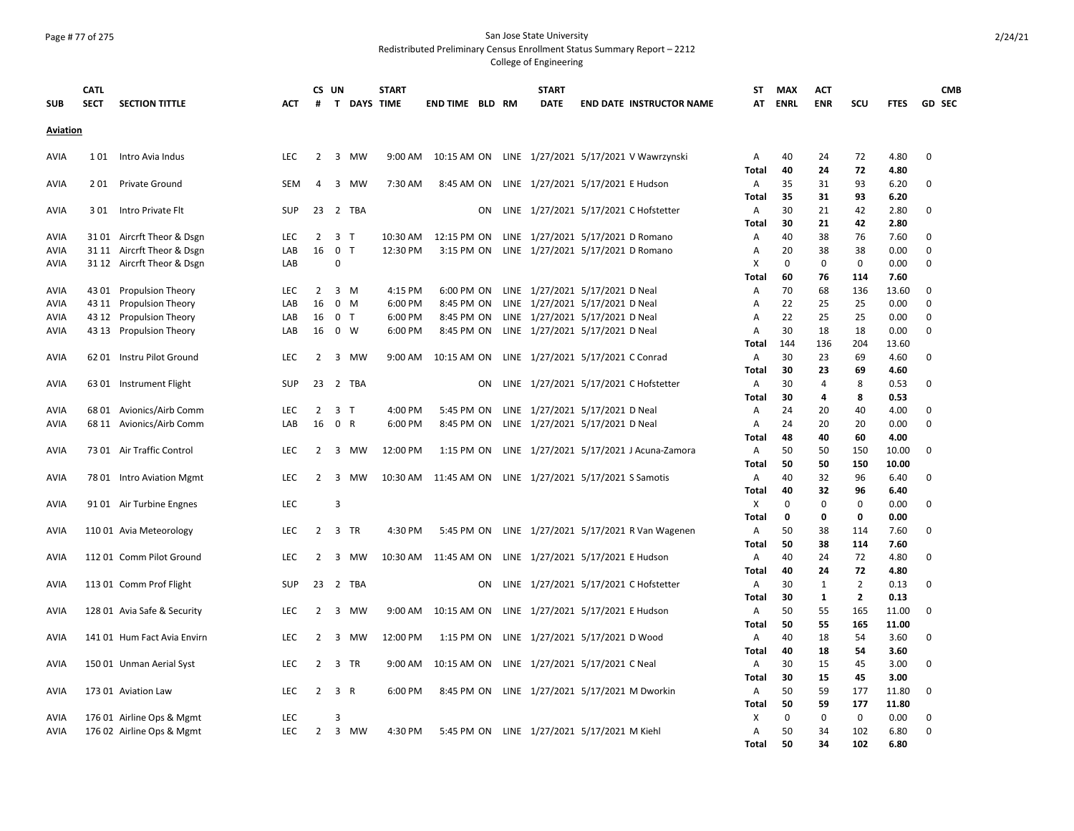#### Page # 77 of 275 San Jose State University Redistributed Preliminary Census Enrollment Status Summary Report – 2212

| <b>SUB</b>      | <b>CATL</b><br><b>SECT</b> | <b>SECTION TITTLE</b>                              | <b>ACT</b>        | #              | CS UN          | T DAYS TIME    | <b>START</b>       | <b>END TIME BLD RM</b>                                  |    | <b>START</b><br><b>DATE</b>                                                   | <b>END DATE INSTRUCTOR NAME</b>                    | <b>ST</b><br>AT     | <b>MAX</b><br><b>ENRL</b> | <b>ACT</b><br><b>ENR</b> | <b>SCU</b>                       | <b>FTES</b>    |             | <b>CMB</b><br><b>GD SEC</b> |
|-----------------|----------------------------|----------------------------------------------------|-------------------|----------------|----------------|----------------|--------------------|---------------------------------------------------------|----|-------------------------------------------------------------------------------|----------------------------------------------------|---------------------|---------------------------|--------------------------|----------------------------------|----------------|-------------|-----------------------------|
| <b>Aviation</b> |                            |                                                    |                   |                |                |                |                    |                                                         |    |                                                                               |                                                    |                     |                           |                          |                                  |                |             |                             |
| <b>AVIA</b>     | 101                        | Intro Avia Indus                                   | <b>LEC</b>        | 2              |                | 3 MW           | 9:00 AM            |                                                         |    |                                                                               | 10:15 AM ON LINE 1/27/2021 5/17/2021 V Wawrzynski  | A                   | 40                        | 24                       | 72                               | 4.80           | 0           |                             |
| AVIA            | 201                        | <b>Private Ground</b>                              | <b>SEM</b>        | 4              |                | 3 MW           | 7:30 AM            |                                                         |    | 8:45 AM ON LINE 1/27/2021 5/17/2021 E Hudson                                  |                                                    | Total<br>A          | 40<br>35                  | 24<br>31                 | 72<br>93                         | 4.80<br>6.20   | 0           |                             |
|                 |                            |                                                    |                   |                |                |                |                    |                                                         |    |                                                                               |                                                    | Total               | 35                        | 31                       | 93                               | 6.20           |             |                             |
| <b>AVIA</b>     | 301                        | Intro Private Flt                                  | <b>SUP</b>        | 23             |                | 2 TBA          |                    |                                                         | ON |                                                                               | LINE 1/27/2021 5/17/2021 C Hofstetter              | A                   | 30                        | 21                       | 42                               | 2.80           | 0           |                             |
|                 |                            |                                                    |                   |                |                |                |                    |                                                         |    |                                                                               |                                                    | Total               | 30                        | 21                       | 42                               | 2.80           |             |                             |
| <b>AVIA</b>     |                            | 3101 Aircrft Theor & Dsgn                          | <b>LEC</b>        | 2              | 3 <sub>1</sub> |                | 10:30 AM           | 12:15 PM ON                                             |    | LINE 1/27/2021 5/17/2021 D Romano                                             |                                                    | A                   | 40                        | 38                       | 76                               | 7.60           | 0           |                             |
| AVIA            |                            | 31 11 Aircrft Theor & Dsgn                         | LAB               | 16             | $\mathbf 0$    | T              | 12:30 PM           | 3:15 PM ON                                              |    | LINE 1/27/2021 5/17/2021 D Romano                                             |                                                    | Α                   | 20                        | 38                       | 38                               | 0.00           | 0           |                             |
| AVIA            |                            | 31 12 Aircrft Theor & Dsgn                         | LAB               |                | $\Omega$       |                |                    |                                                         |    |                                                                               |                                                    | Х                   | 0                         | 0                        | 0                                | 0.00           | 0           |                             |
|                 |                            |                                                    |                   |                |                |                |                    |                                                         |    |                                                                               |                                                    | Total               | 60                        | 76                       | 114                              | 7.60           | $\mathbf 0$ |                             |
| AVIA<br>AVIA    |                            | 43 01 Propulsion Theory<br>43 11 Propulsion Theory | <b>LEC</b><br>LAB | 2<br>16        | 0              | 3 M<br>M       | 4:15 PM<br>6:00 PM | 8:45 PM ON                                              |    | 6:00 PM ON LINE 1/27/2021 5/17/2021 D Neal<br>LINE 1/27/2021 5/17/2021 D Neal |                                                    | A                   | 70<br>22                  | 68<br>25                 | 136<br>25                        | 13.60<br>0.00  | $\mathbf 0$ |                             |
| AVIA            |                            | 43 12 Propulsion Theory                            | LAB               | 16             | $\mathbf{0}$   | T              | 6:00 PM            | 8:45 PM ON                                              |    | LINE 1/27/2021 5/17/2021 D Neal                                               |                                                    | A<br>$\overline{A}$ | 22                        | 25                       | 25                               | 0.00           | $\mathbf 0$ |                             |
| AVIA            |                            | 43 13 Propulsion Theory                            | LAB               | 16             | $\mathbf 0$    | W              | 6:00 PM            |                                                         |    | 8:45 PM ON LINE 1/27/2021 5/17/2021 D Neal                                    |                                                    | A                   | 30                        | 18                       | 18                               | 0.00           | $\mathbf 0$ |                             |
|                 |                            |                                                    |                   |                |                |                |                    |                                                         |    |                                                                               |                                                    | Total               | 144                       | 136                      | 204                              | 13.60          |             |                             |
| AVIA            |                            | 62 01 Instru Pilot Ground                          | <b>LEC</b>        | 2              |                | 3 MW           | 9:00 AM            |                                                         |    | 10:15 AM ON LINE 1/27/2021 5/17/2021 C Conrad                                 |                                                    | A                   | 30                        | 23                       | 69                               | 4.60           | 0           |                             |
|                 |                            |                                                    |                   |                |                |                |                    |                                                         |    |                                                                               |                                                    | Total               | 30                        | 23                       | 69                               | 4.60           |             |                             |
| AVIA            |                            | 63 01 Instrument Flight                            | <b>SUP</b>        | 23             |                | 2 TBA          |                    |                                                         | ON |                                                                               | LINE 1/27/2021 5/17/2021 C Hofstetter              | A                   | 30                        | 4                        | 8                                | 0.53           | 0           |                             |
|                 |                            |                                                    |                   |                |                |                |                    |                                                         |    |                                                                               |                                                    | Total               | 30                        | 4                        | 8                                | 0.53           |             |                             |
| AVIA            |                            | 68 01 Avionics/Airb Comm                           | <b>LEC</b>        | 2              |                | 3 <sub>T</sub> | 4:00 PM            | 5:45 PM ON                                              |    | LINE 1/27/2021 5/17/2021 D Neal                                               |                                                    | A                   | 24                        | 20                       | 40                               | 4.00           | 0           |                             |
| AVIA            |                            | 68 11 Avionics/Airb Comm                           | LAB               | 16             | $\mathbf{0}$   | $\mathsf{R}$   | 6:00 PM            |                                                         |    | 8:45 PM ON LINE 1/27/2021 5/17/2021 D Neal                                    |                                                    | A                   | 24                        | 20                       | 20                               | 0.00           | $\Omega$    |                             |
|                 |                            |                                                    |                   |                |                |                |                    |                                                         |    |                                                                               |                                                    | Total               | 48                        | 40                       | 60                               | 4.00           |             |                             |
| AVIA            |                            | 73 01 Air Traffic Control                          | <b>LEC</b>        | 2              |                | 3 MW           | 12:00 PM           |                                                         |    |                                                                               | 1:15 PM ON LINE 1/27/2021 5/17/2021 J Acuna-Zamora | A<br>Total          | 50<br>50                  | 50<br>50                 | 150<br>150                       | 10.00<br>10.00 | 0           |                             |
| AVIA            |                            | 78 01 Intro Aviation Mgmt                          | <b>LEC</b>        | 2              |                | 3 MW           |                    | 10:30 AM 11:45 AM ON LINE 1/27/2021 5/17/2021 S Samotis |    |                                                                               |                                                    | A                   | 40                        | 32                       | 96                               | 6.40           | 0           |                             |
|                 |                            |                                                    |                   |                |                |                |                    |                                                         |    |                                                                               |                                                    | <b>Total</b>        | 40                        | 32                       | 96                               | 6.40           |             |                             |
| AVIA            |                            | 91 01 Air Turbine Engnes                           | <b>LEC</b>        |                | $\overline{3}$ |                |                    |                                                         |    |                                                                               |                                                    | х                   | $\Omega$                  | $\Omega$                 | $\Omega$                         | 0.00           | $\Omega$    |                             |
|                 |                            |                                                    |                   |                |                |                |                    |                                                         |    |                                                                               |                                                    | Total               | 0                         | 0                        | 0                                | 0.00           |             |                             |
| AVIA            |                            | 110 01 Avia Meteorology                            | <b>LEC</b>        |                | 2 3 TR         |                | 4:30 PM            |                                                         |    |                                                                               | 5:45 PM ON LINE 1/27/2021 5/17/2021 R Van Wagenen  | A                   | 50                        | 38                       | 114                              | 7.60           | 0           |                             |
|                 |                            |                                                    |                   |                |                |                |                    |                                                         |    |                                                                               |                                                    | Total               | 50                        | 38                       | 114                              | 7.60           |             |                             |
| AVIA            |                            | 11201 Comm Pilot Ground                            | <b>LEC</b>        | 2              |                | 3 MW           | 10:30 AM           | 11:45 AM ON LINE 1/27/2021 5/17/2021 E Hudson           |    |                                                                               |                                                    | A                   | 40                        | 24                       | 72                               | 4.80           | 0           |                             |
|                 |                            |                                                    |                   |                |                |                |                    |                                                         |    |                                                                               |                                                    | <b>Total</b>        | 40                        | 24                       | 72                               | 4.80           |             |                             |
| AVIA            |                            | 113 01 Comm Prof Flight                            | <b>SUP</b>        |                |                | 23 2 TBA       |                    |                                                         | ON |                                                                               | LINE 1/27/2021 5/17/2021 C Hofstetter              | A                   | 30<br>30                  | 1<br>$\mathbf{1}$        | $\overline{2}$<br>$\overline{2}$ | 0.13<br>0.13   | 0           |                             |
| AVIA            |                            | 128 01 Avia Safe & Security                        | LEC               | 2              |                | 3 MW           | 9:00 AM            |                                                         |    | 10:15 AM ON LINE 1/27/2021 5/17/2021 E Hudson                                 |                                                    | Total<br>A          | 50                        | 55                       | 165                              | 11.00          | 0           |                             |
|                 |                            |                                                    |                   |                |                |                |                    |                                                         |    |                                                                               |                                                    | Total               | 50                        | 55                       | 165                              | 11.00          |             |                             |
| AVIA            |                            | 141 01 Hum Fact Avia Envirn                        | <b>LEC</b>        | 2              | 3              | MW             | 12:00 PM           | 1:15 PM ON                                              |    | LINE 1/27/2021 5/17/2021 D Wood                                               |                                                    | A                   | 40                        | 18                       | 54                               | 3.60           | 0           |                             |
|                 |                            |                                                    |                   |                |                |                |                    |                                                         |    |                                                                               |                                                    | Total               | 40                        | 18                       | 54                               | 3.60           |             |                             |
| AVIA            |                            | 150 01 Unman Aerial Syst                           | LEC               | 2              |                | 3 TR           | 9:00 AM            |                                                         |    | 10:15 AM ON LINE 1/27/2021 5/17/2021 C Neal                                   |                                                    | A                   | 30                        | 15                       | 45                               | 3.00           | 0           |                             |
|                 |                            |                                                    |                   |                |                |                |                    |                                                         |    |                                                                               |                                                    | Total               | 30                        | 15                       | 45                               | 3.00           |             |                             |
| AVIA            |                            | 173 01 Aviation Law                                | LEC               | 2              |                | 3 R            | 6:00 PM            |                                                         |    |                                                                               | 8:45 PM ON LINE 1/27/2021 5/17/2021 M Dworkin      | A                   | 50                        | 59                       | 177                              | 11.80          | 0           |                             |
|                 |                            |                                                    |                   |                |                |                |                    |                                                         |    |                                                                               |                                                    | Total               | 50                        | 59                       | 177                              | 11.80          |             |                             |
| AVIA            |                            | 176 01 Airline Ops & Mgmt                          | LEC               |                | 3              |                |                    |                                                         |    |                                                                               |                                                    | X                   | 0                         | 0                        | 0                                | 0.00           | 0           |                             |
| AVIA            |                            | 176 02 Airline Ops & Mgmt                          | <b>LEC</b>        | $\overline{2}$ |                | 3 MW           | 4:30 PM            |                                                         |    | 5:45 PM ON LINE 1/27/2021 5/17/2021 M Kiehl                                   |                                                    | Α                   | 50<br>50                  | 34<br>34                 | 102<br>102                       | 6.80<br>6.80   | $\mathbf 0$ |                             |
|                 |                            |                                                    |                   |                |                |                |                    |                                                         |    |                                                                               |                                                    | Total               |                           |                          |                                  |                |             |                             |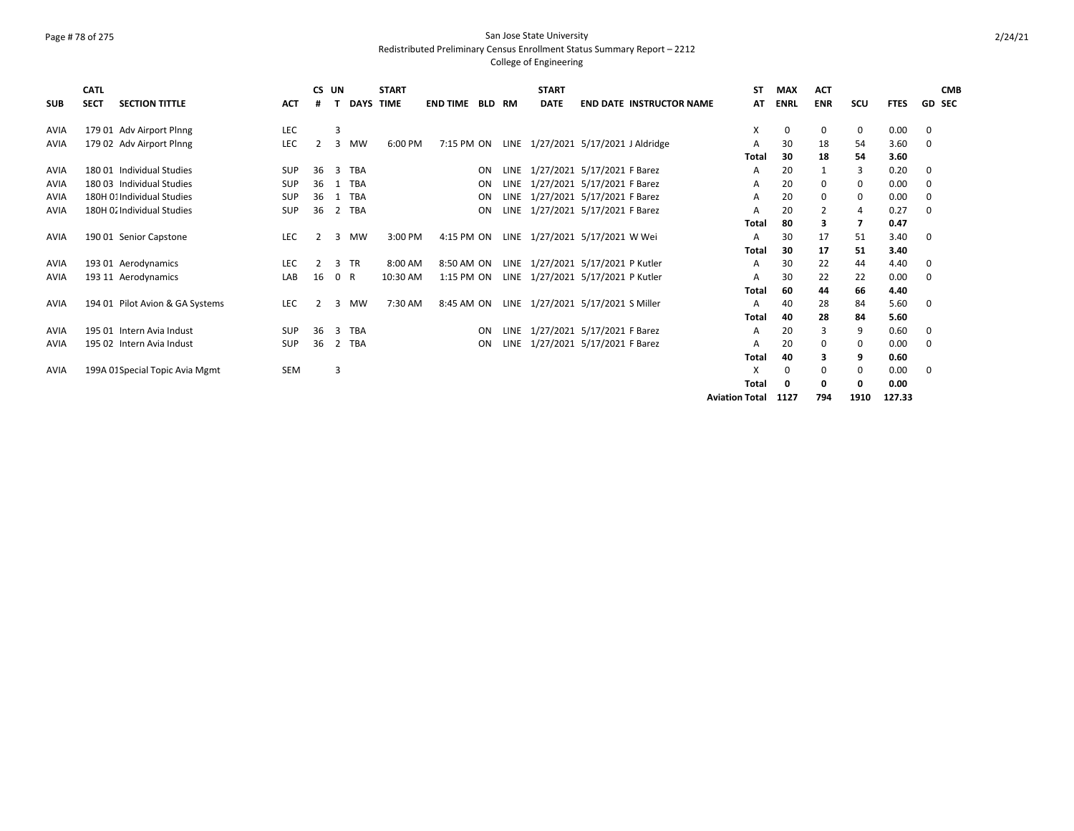### Page # 78 of 275 San Jose State University Redistributed Preliminary Census Enrollment Status Summary Report – 2212

|             | <b>CATL</b> |                                 |            |    | CS UN      |                  | <b>START</b> |                 |               |      | <b>START</b> |                                     | <b>ST</b>             | <b>MAX</b>  | <b>ACT</b> |                |             |   | <b>CMB</b>    |
|-------------|-------------|---------------------------------|------------|----|------------|------------------|--------------|-----------------|---------------|------|--------------|-------------------------------------|-----------------------|-------------|------------|----------------|-------------|---|---------------|
| <b>SUB</b>  | <b>SECT</b> | <b>SECTION TITTLE</b>           | <b>ACT</b> |    |            | <b>DAYS TIME</b> |              | <b>END TIME</b> | <b>BLD RM</b> |      | <b>DATE</b>  | <b>END DATE INSTRUCTOR NAME</b>     | AT                    | <b>ENRL</b> | <b>ENR</b> | scu            | <b>FTES</b> |   | <b>GD SEC</b> |
| AVIA        |             | 179 01 Adv Airport Plnng        | LEC        |    | 3          |                  |              |                 |               |      |              |                                     | X                     | 0           | 0          | 0              | 0.00        | 0 |               |
| <b>AVIA</b> |             | 179 02 Adv Airport Plnng        | LEC        |    | 3          | <b>MW</b>        | 6:00 PM      | 7:15 PM ON      |               |      |              | LINE 1/27/2021 5/17/2021 J Aldridge | Α                     | 30          | 18         | 54             | 3.60        | 0 |               |
|             |             |                                 |            |    |            |                  |              |                 |               |      |              |                                     | <b>Total</b>          | 30          | 18         | 54             | 3.60        |   |               |
| AVIA        |             | 180 01 Individual Studies       | <b>SUP</b> | 36 | 3          | <b>TBA</b>       |              |                 | ON            |      |              | LINE 1/27/2021 5/17/2021 F Barez    | A                     | 20          |            | 3              | 0.20        | 0 |               |
| AVIA        |             | 180 03 Individual Studies       | <b>SUP</b> | 36 |            | <b>TBA</b>       |              |                 | ON            |      |              | LINE 1/27/2021 5/17/2021 F Barez    | Α                     | 20          | 0          | 0              | 0.00        | 0 |               |
| <b>AVIA</b> |             | 180H 01 Individual Studies      | <b>SUP</b> | 36 |            | <b>TBA</b>       |              |                 | ON            |      |              | LINE 1/27/2021 5/17/2021 F Barez    | Α                     | 20          | 0          | 0              | 0.00        | 0 |               |
| <b>AVIA</b> |             | 180H O. Individual Studies      | SUP        | 36 |            | 2 TBA            |              |                 | ON            | LINE |              | 1/27/2021 5/17/2021 F Barez         | A                     | 20          | 2          | 4              | 0.27        | 0 |               |
|             |             |                                 |            |    |            |                  |              |                 |               |      |              |                                     | <b>Total</b>          | 80          | 3          | $\overline{7}$ | 0.47        |   |               |
| <b>AVIA</b> |             | 190 01 Senior Capstone          | <b>LEC</b> | 2  | 3          | <b>MW</b>        | 3:00 PM      | 4:15 PM ON      |               |      |              | LINE 1/27/2021 5/17/2021 W Wei      | A                     | 30          | 17         | 51             | 3.40        | 0 |               |
|             |             |                                 |            |    |            |                  |              |                 |               |      |              |                                     | Total                 | 30          | 17         | 51             | 3.40        |   |               |
| AVIA        |             | 193 01 Aerodynamics             | LEC        | 2  | 3          | <b>TR</b>        | 8:00 AM      | 8:50 AM ON      |               |      |              | LINE 1/27/2021 5/17/2021 P Kutler   | Α                     | 30          | 22         | 44             | 4.40        | 0 |               |
| <b>AVIA</b> |             | 193 11 Aerodynamics             | LAB        | 16 | $^{\circ}$ | R                | 10:30 AM     | 1:15 PM ON      |               |      |              | LINE 1/27/2021 5/17/2021 P Kutler   | A                     | 30          | 22         | 22             | 0.00        | 0 |               |
|             |             |                                 |            |    |            |                  |              |                 |               |      |              |                                     | <b>Total</b>          | 60          | 44         | 66             | 4.40        |   |               |
| <b>AVIA</b> |             | 194 01 Pilot Avion & GA Systems | <b>LEC</b> | 2  | 3          | <b>MW</b>        | 7:30 AM      | 8:45 AM ON      |               |      |              | LINE 1/27/2021 5/17/2021 S Miller   | Α                     | 40          | 28         | 84             | 5.60        | 0 |               |
|             |             |                                 |            |    |            |                  |              |                 |               |      |              |                                     | <b>Total</b>          | 40          | 28         | 84             | 5.60        |   |               |
| AVIA        |             | 195 01 Intern Avia Indust       | <b>SUP</b> | 36 | 3          | <b>TBA</b>       |              |                 | ON            |      |              | LINE 1/27/2021 5/17/2021 F Barez    | Α                     | 20          | 3          | 9              | 0.60        | 0 |               |
| <b>AVIA</b> |             | 195 02 Intern Avia Indust       | <b>SUP</b> | 36 | 2          | <b>TBA</b>       |              |                 | ON            | LINE |              | 1/27/2021 5/17/2021 F Barez         | A                     | 20          | 0          | 0              | 0.00        | 0 |               |
|             |             |                                 |            |    |            |                  |              |                 |               |      |              |                                     | <b>Total</b>          | 40          | 3          | 9              | 0.60        |   |               |
| <b>AVIA</b> |             | 199A 01 Special Topic Avia Mgmt | SEM        |    | 3          |                  |              |                 |               |      |              |                                     | X                     | 0           | 0          | 0              | 0.00        | 0 |               |
|             |             |                                 |            |    |            |                  |              |                 |               |      |              |                                     | <b>Total</b>          | 0           | 0          | 0              | 0.00        |   |               |
|             |             |                                 |            |    |            |                  |              |                 |               |      |              |                                     | <b>Aviation Total</b> | 1127        | 794        | 1910           | 127.33      |   |               |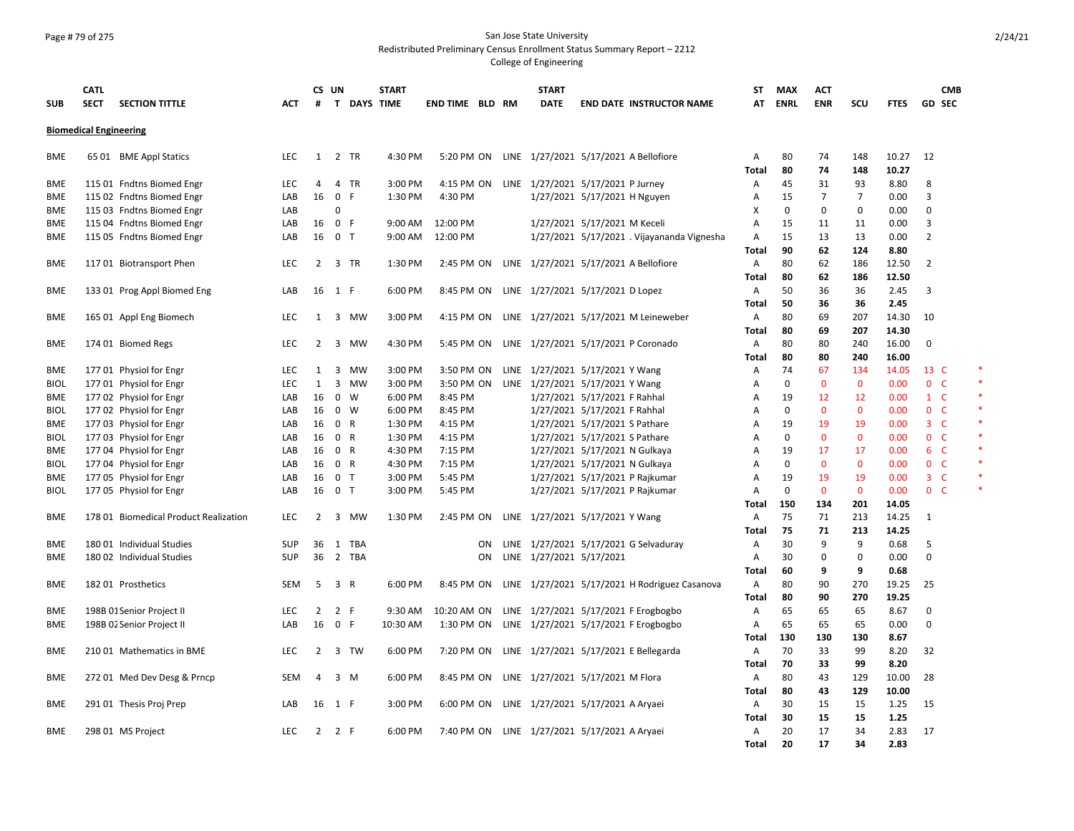#### Page # 79 of 275 San Jose State University Redistributed Preliminary Census Enrollment Status Summary Report – 2212

|             | <b>CATL</b>                           |            |                | CS UN          |             | <b>START</b> |                                                  | <b>START</b>                      |                               |                                                          | ST           | <b>MAX</b>  | <b>ACT</b>     |                |             | <b>CMB</b>     |        |
|-------------|---------------------------------------|------------|----------------|----------------|-------------|--------------|--------------------------------------------------|-----------------------------------|-------------------------------|----------------------------------------------------------|--------------|-------------|----------------|----------------|-------------|----------------|--------|
| <b>SUB</b>  | <b>SECTION TITTLE</b><br><b>SECT</b>  | АСТ        | #              |                | T DAYS TIME |              | END TIME BLD RM                                  | <b>DATE</b>                       |                               | <b>END DATE INSTRUCTOR NAME</b>                          | AT           | <b>ENRL</b> | <b>ENR</b>     | scu            | <b>FTES</b> | GD SEC         |        |
|             | <b>Biomedical Engineering</b>         |            |                |                |             |              |                                                  |                                   |                               |                                                          |              |             |                |                |             |                |        |
| <b>BME</b>  | 65 01 BME Appl Statics                | <b>LEC</b> | 1              |                | 2 TR        | 4:30 PM      | 5:20 PM ON LINE 1/27/2021 5/17/2021 A Bellofiore |                                   |                               |                                                          | A            | 80          | 74             | 148            | 10.27       | 12             |        |
|             |                                       |            |                |                |             |              |                                                  |                                   |                               |                                                          | <b>Total</b> | 80          | 74             | 148            | 10.27       |                |        |
| BME         | 115 01 Fndtns Biomed Engr             | <b>LEC</b> | 4              |                | 4 TR        | 3:00 PM      | 4:15 PM ON LINE 1/27/2021 5/17/2021 P Jurney     |                                   |                               |                                                          | A            | 45          | 31             | 93             | 8.80        | 8              |        |
| <b>BME</b>  | 115 02 Fndtns Biomed Engr             | LAB        | 16             | 0 F            |             | 1:30 PM      | 4:30 PM                                          |                                   | 1/27/2021 5/17/2021 H Nguyen  |                                                          | A            | 15          | $\overline{7}$ | $\overline{7}$ | 0.00        | 3              |        |
| <b>BME</b>  | 115 03 Fndtns Biomed Engr             | LAB        |                | 0              |             |              |                                                  |                                   |                               |                                                          | Х            | $\mathbf 0$ | $\mathbf 0$    | 0              | 0.00        | 0              |        |
| BME         | 115 04 Fndtns Biomed Engr             | LAB        | 16             | 0 F            |             | 9:00 AM      | 12:00 PM                                         |                                   | 1/27/2021 5/17/2021 M Keceli  |                                                          | Α            | 15          | 11             | 11             | 0.00        | 3              |        |
| BME         | 115 05 Fndtns Biomed Engr             | LAB        | 16             | 0 <sub>T</sub> |             | 9:00 AM      | 12:00 PM                                         |                                   |                               | 1/27/2021 5/17/2021 . Vijayananda Vignesha               | $\mathsf{A}$ | 15          | 13             | 13             | 0.00        | $\overline{2}$ |        |
|             |                                       |            |                |                |             |              |                                                  |                                   |                               |                                                          | Total        | 90          | 62             | 124            | 8.80        |                |        |
| <b>BME</b>  | 117 01 Biotransport Phen              | <b>LEC</b> | 2              |                | 3 TR        | 1:30 PM      |                                                  |                                   |                               | 2:45 PM ON LINE 1/27/2021 5/17/2021 A Bellofiore         | A            | 80          | 62             | 186            | 12.50       | $\overline{2}$ |        |
|             |                                       |            |                |                |             |              |                                                  |                                   |                               |                                                          | <b>Total</b> | 80          | 62             | 186            | 12.50       |                |        |
| BME         | 133 01 Prog Appl Biomed Eng           | LAB        | 16 1 F         |                |             | 6:00 PM      | 8:45 PM ON LINE 1/27/2021 5/17/2021 D Lopez      |                                   |                               |                                                          | A            | 50          | 36             | 36             | 2.45        | 3              |        |
|             |                                       |            |                |                |             |              |                                                  |                                   |                               |                                                          | <b>Total</b> | 50          | 36             | 36             | 2.45        |                |        |
| <b>BME</b>  | 165 01 Appl Eng Biomech               | <b>LEC</b> | 1              |                | 3 MW        | 3:00 PM      |                                                  |                                   |                               | 4:15 PM ON LINE 1/27/2021 5/17/2021 M Leineweber         | Α            | 80          | 69             | 207            | 14.30       | 10             |        |
|             |                                       |            |                |                |             |              |                                                  |                                   |                               |                                                          | Total        | 80          | 69             | 207            | 14.30       |                |        |
| <b>BME</b>  | 174 01 Biomed Regs                    | <b>LEC</b> | $\overline{2}$ |                | 3 MW        | 4:30 PM      |                                                  |                                   |                               | 5:45 PM ON LINE 1/27/2021 5/17/2021 P Coronado           | A            | 80          | 80             | 240            | 16.00       | 0              |        |
|             |                                       |            |                |                |             |              |                                                  |                                   |                               |                                                          | Total        | 80          | 80             | 240            | 16.00       |                |        |
| <b>BME</b>  | 177 01 Physiol for Engr               | <b>LEC</b> | 1              |                | 3 MW        | 3:00 PM      | 3:50 PM ON                                       | LINE 1/27/2021 5/17/2021 Y Wang   |                               |                                                          | A            | 74          | 67             | 134            | 14.05       | 13 C           | *      |
| <b>BIOL</b> | 177 01 Physiol for Engr               | <b>LEC</b> | $\mathbf{1}$   |                | 3 MW        | 3:00 PM      | 3:50 PM ON LINE 1/27/2021 5/17/2021 Y Wang       |                                   |                               |                                                          | A            | $\mathbf 0$ | $\mathbf 0$    | $\mathbf 0$    | 0.00        | 0 <sup>o</sup> | $\ast$ |
| <b>BME</b>  | 177 02 Physiol for Engr               | LAB        | 16             |                | 0 W         | 6:00 PM      | 8:45 PM                                          |                                   | 1/27/2021 5/17/2021 F Rahhal  |                                                          | A            | 19          | 12             | 12             | 0.00        | $1 \quad C$    | $\ast$ |
| <b>BIOL</b> | 177 02 Physiol for Engr               | LAB        | 16             | 0 W            |             | 6:00 PM      | 8:45 PM                                          |                                   | 1/27/2021 5/17/2021 F Rahhal  |                                                          | $\mathsf{A}$ | $\Omega$    | $\Omega$       | $\mathbf{0}$   | 0.00        | 0 <sub>c</sub> | $\ast$ |
| <b>BME</b>  | 177 03 Physiol for Engr               | LAB        | 16             | 0 R            |             | 1:30 PM      | 4:15 PM                                          |                                   | 1/27/2021 5/17/2021 S Pathare |                                                          | A            | 19          | 19             | 19             | 0.00        | 3 <sup>°</sup> | $\ast$ |
| <b>BIOL</b> | 177 03 Physiol for Engr               | LAB        | 16             | 0 R            |             | 1:30 PM      | 4:15 PM                                          |                                   | 1/27/2021 5/17/2021 S Pathare |                                                          | $\mathsf{A}$ | $\Omega$    | $\mathbf 0$    | $\mathbf{0}$   | 0.00        | 0 <sub>c</sub> |        |
|             |                                       |            |                |                |             |              |                                                  |                                   |                               |                                                          |              |             |                |                |             | $6-$           |        |
| BME         | 177 04 Physiol for Engr               | LAB        | 16             | 0 R            |             | 4:30 PM      | 7:15 PM                                          |                                   |                               | 1/27/2021 5/17/2021 N Gulkaya                            | A            | 19          | 17             | 17             | 0.00        |                |        |
| <b>BIOL</b> | 177 04 Physiol for Engr               | LAB        | 16             | 0 R            |             | 4:30 PM      | 7:15 PM                                          |                                   |                               | 1/27/2021 5/17/2021 N Gulkaya                            | $\mathsf{A}$ | 0           | $\mathbf{0}$   | $\mathbf{0}$   | 0.00        | 0 <sub>c</sub> |        |
| <b>BME</b>  | 177 05 Physiol for Engr               | LAB        | 16             | 0 <sub>T</sub> |             | 3:00 PM      | 5:45 PM                                          |                                   |                               | 1/27/2021 5/17/2021 P Rajkumar                           | $\mathsf{A}$ | 19          | 19             | 19             | 0.00        | 3 <sup>°</sup> |        |
| <b>BIOL</b> | 177 05 Physiol for Engr               | LAB        | 16             | 0 <sub>T</sub> |             | 3:00 PM      | 5:45 PM                                          |                                   |                               | 1/27/2021 5/17/2021 P Rajkumar                           | A            | $\mathbf 0$ | $\mathbf 0$    | $\mathbf{0}$   | 0.00        | 0 <sup>o</sup> |        |
|             |                                       |            |                |                |             |              |                                                  |                                   |                               |                                                          | Total        | 150         | 134            | 201            | 14.05       |                |        |
| BME         | 178 01 Biomedical Product Realization | <b>LEC</b> | 2              |                | 3 MW        | 1:30 PM      | 2:45 PM ON                                       | LINE 1/27/2021 5/17/2021 Y Wang   |                               |                                                          | Α            | 75          | 71             | 213            | 14.25       | 1              |        |
|             |                                       |            |                |                |             |              |                                                  |                                   |                               |                                                          | Total        | 75          | 71             | 213            | 14.25       |                |        |
| BME         | 180 01 Individual Studies             | <b>SUP</b> | 36             | 1              | TBA         |              | <b>ON</b>                                        |                                   |                               | LINE 1/27/2021 5/17/2021 G Selvaduray                    | A            | 30          | 9              | 9              | 0.68        | 5              |        |
| <b>BME</b>  | 180 02 Individual Studies             | <b>SUP</b> | 36             |                | 2 TBA       |              | ON                                               | LINE 1/27/2021 5/17/2021          |                               |                                                          | A            | 30          | $\mathbf 0$    | 0              | 0.00        | 0              |        |
|             |                                       |            |                |                |             |              |                                                  |                                   |                               |                                                          | Total        | 60          | 9              | 9              | 0.68        |                |        |
| <b>BME</b>  | 18201 Prosthetics                     | <b>SEM</b> | -5             | 3 R            |             | 6:00 PM      |                                                  |                                   |                               | 8:45 PM ON LINE 1/27/2021 5/17/2021 H Rodriguez Casanova | Α            | 80          | 90             | 270            | 19.25       | 25             |        |
|             |                                       |            |                |                |             |              |                                                  |                                   |                               |                                                          | Total        | 80          | 90             | 270            | 19.25       |                |        |
| BME         | 198B 01 Senior Project II             | <b>LEC</b> | 2              | 2 F            |             | 9:30 AM      | 10:20 AM ON                                      |                                   |                               | LINE 1/27/2021 5/17/2021 F Erogbogbo                     | A            | 65          | 65             | 65             | 8.67        | 0              |        |
| BME         | 198B 02 Senior Project II             | LAB        | 16             | 0 F            |             | 10:30 AM     | 1:30 PM ON                                       |                                   |                               | LINE 1/27/2021 5/17/2021 F Erogbogbo                     | Α            | 65          | 65             | 65             | 0.00        | 0              |        |
|             |                                       |            |                |                |             |              |                                                  |                                   |                               |                                                          | Total        | 130         | 130            | 130            | 8.67        |                |        |
| BME         | 210 01 Mathematics in BME             | <b>LEC</b> | 2              |                | 3 TW        | 6:00 PM      | 7:20 PM ON                                       |                                   |                               | LINE 1/27/2021 5/17/2021 E Bellegarda                    | A            | 70          | 33             | 99             | 8.20        | 32             |        |
|             |                                       |            |                |                |             |              |                                                  |                                   |                               |                                                          | <b>Total</b> | 70          | 33             | 99             | 8.20        |                |        |
| BME         | 272 01 Med Dev Desg & Prncp           | <b>SEM</b> | $\overline{4}$ |                | 3 M         | 6:00 PM      | 8:45 PM ON                                       | LINE 1/27/2021 5/17/2021 M Flora  |                               |                                                          | A            | 80          | 43             | 129            | 10.00       | 28             |        |
|             |                                       |            |                |                |             |              |                                                  |                                   |                               |                                                          | <b>Total</b> | 80          | 43             | 129            | 10.00       |                |        |
| BME         | 291 01 Thesis Proj Prep               | LAB        | 16             | 1 F            |             | 3:00 PM      | 6:00 PM ON                                       | LINE 1/27/2021 5/17/2021 A Aryaei |                               |                                                          | A            | 30          | 15             | 15             | 1.25        | 15             |        |
|             |                                       |            |                |                |             |              |                                                  |                                   |                               |                                                          | Total        | 30          | 15             | 15             | 1.25        |                |        |
| <b>BME</b>  | 298 01 MS Project                     | <b>LEC</b> | 2              | 2 F            |             | 6:00 PM      | 7:40 PM ON LINE 1/27/2021 5/17/2021 A Aryaei     |                                   |                               |                                                          | A            | 20          | 17             | 34             | 2.83        | 17             |        |
|             |                                       |            |                |                |             |              |                                                  |                                   |                               |                                                          |              |             |                |                |             |                |        |
|             |                                       |            |                |                |             |              |                                                  |                                   |                               |                                                          | <b>Total</b> | 20          | 17             | 34             | 2.83        |                |        |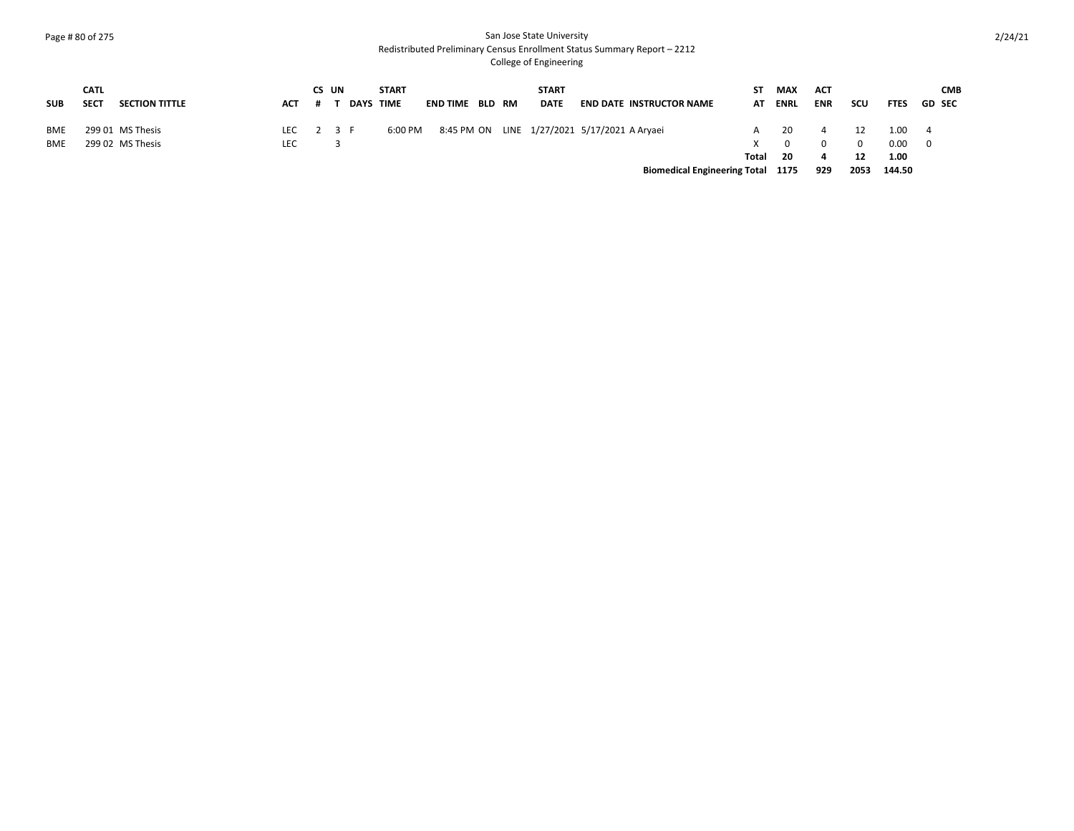#### Page # 80 of 275 San Jose State University Redistributed Preliminary Census Enrollment Status Summary Report – 2212

|            | <b>CATL</b> |                       |            | CS UN |                  | <b>START</b> |                 |  | <b>START</b> |                                              | ST.   | <b>MAX</b>  | <b>ACT</b> |          |             | <b>CMB</b>    |
|------------|-------------|-----------------------|------------|-------|------------------|--------------|-----------------|--|--------------|----------------------------------------------|-------|-------------|------------|----------|-------------|---------------|
| SUB        | <b>SECT</b> | <b>SECTION TITTLE</b> | <b>ACT</b> |       | <b>DAYS TIME</b> |              | END TIME BLD RM |  | <b>DATE</b>  | <b>END DATE INSTRUCTOR NAME</b>              | AT    | <b>ENRL</b> | <b>ENR</b> | scu      | <b>FTES</b> | <b>GD SEC</b> |
|            |             |                       |            |       |                  |              |                 |  |              |                                              |       |             |            |          |             |               |
| <b>BME</b> |             | 299 01 MS Thesis      | LEC        |       | 2 3 F            | 6:00 PM      |                 |  |              | 8:45 PM ON LINE 1/27/2021 5/17/2021 A Aryaei |       | 20          |            | 12       | 1.00 4      |               |
| <b>BME</b> |             | 299 02 MS Thesis      | LEC        |       |                  |              |                 |  |              |                                              |       |             |            | $\Omega$ | 0.00 0      |               |
|            |             |                       |            |       |                  |              |                 |  |              |                                              | Total | - 20        |            | 12       | 1.00        |               |
|            |             |                       |            |       |                  |              |                 |  |              | <b>Biomedical Engineering Total 1175</b>     |       |             | 929        | 2053     | 144.50      |               |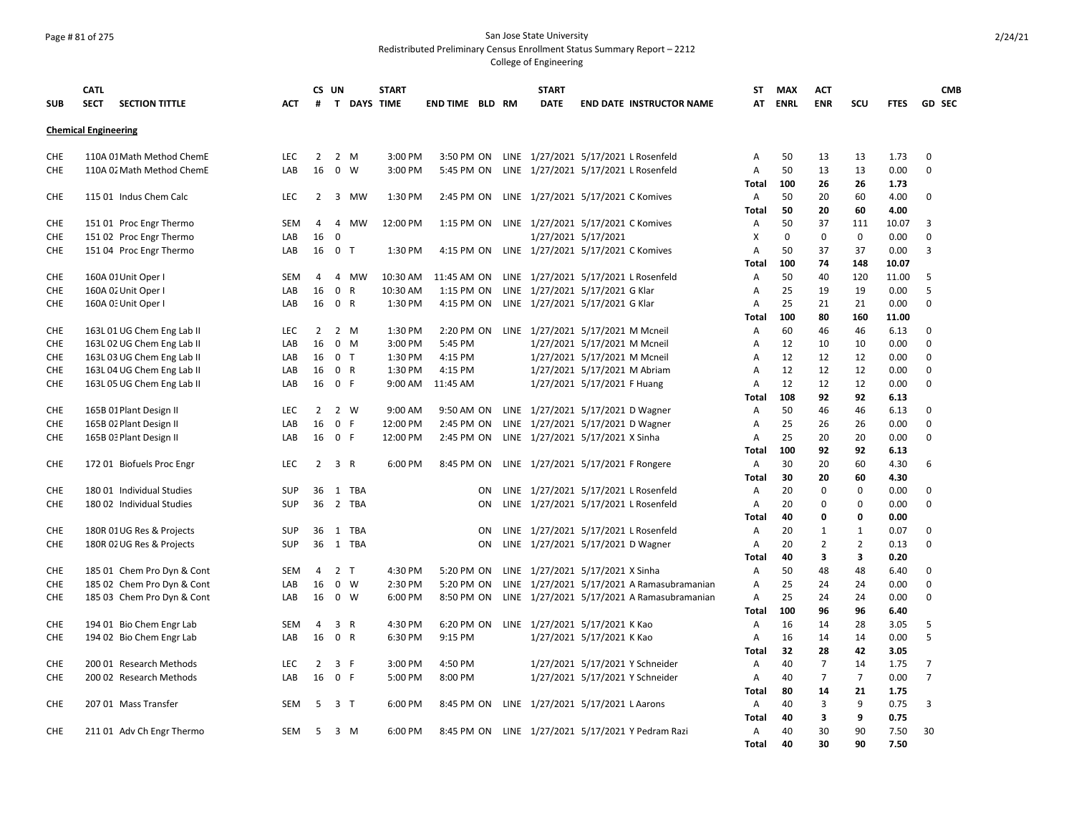### Page # 81 of 275 San Jose State University Redistributed Preliminary Census Enrollment Status Summary Report – 2212

|            | <b>CATL</b>                 |                            |            |                | CS UN                         |                           | <b>START</b>        |                          |    | <b>START</b>                                 |                     |                                                   | ST             | <b>MAX</b>  | <b>ACT</b>                       |                      |              |                                  | <b>CMB</b>    |
|------------|-----------------------------|----------------------------|------------|----------------|-------------------------------|---------------------------|---------------------|--------------------------|----|----------------------------------------------|---------------------|---------------------------------------------------|----------------|-------------|----------------------------------|----------------------|--------------|----------------------------------|---------------|
| <b>SUB</b> | <b>SECT</b>                 | <b>SECTION TITTLE</b>      | <b>ACT</b> | #              |                               |                           | <b>T DAYS TIME</b>  | <b>END TIME BLD RM</b>   |    | <b>DATE</b>                                  |                     | <b>END DATE INSTRUCTOR NAME</b>                   | AT             | <b>ENRL</b> | <b>ENR</b>                       | SCU                  | <b>FTES</b>  |                                  | <b>GD SEC</b> |
|            | <b>Chemical Engineering</b> |                            |            |                |                               |                           |                     |                          |    |                                              |                     |                                                   |                |             |                                  |                      |              |                                  |               |
| <b>CHE</b> |                             | 110A 01 Math Method ChemE  | <b>LEC</b> | 2              | 2 M                           |                           | 3:00 PM             | 3:50 PM ON               |    |                                              |                     | LINE 1/27/2021 5/17/2021 L Rosenfeld              | A              | 50          | 13                               | 13                   | 1.73         | 0                                |               |
| CHE        |                             | 110A 02 Math Method ChemE  | LAB        | 16             | $\mathbf 0$                   | W                         | 3:00 PM             | 5:45 PM ON               |    |                                              |                     | LINE 1/27/2021 5/17/2021 L Rosenfeld              | Α              | 50          | 13                               | 13                   | 0.00         | $\mathbf 0$                      |               |
|            |                             |                            |            |                |                               |                           |                     |                          |    |                                              |                     |                                                   | Total          | 100         | 26                               | 26                   | 1.73         |                                  |               |
| <b>CHE</b> |                             | 115 01 Indus Chem Calc     | <b>LEC</b> | $\overline{2}$ | $\overline{3}$                | MW                        | 1:30 PM             | 2:45 PM ON               |    | LINE 1/27/2021 5/17/2021 C Komives           |                     |                                                   | $\overline{A}$ | 50          | 20                               | 60                   | 4.00         | $\Omega$                         |               |
|            |                             |                            |            |                |                               |                           |                     |                          |    |                                              |                     |                                                   | Total          | 50          | 20                               | 60                   | 4.00         |                                  |               |
| CHE        |                             | 151 01 Proc Engr Thermo    | <b>SEM</b> | 4              | 4                             | <b>MW</b>                 | 12:00 PM            | 1:15 PM ON               |    | LINE 1/27/2021 5/17/2021 C Komives           |                     |                                                   | Α              | 50          | 37                               | 111                  | 10.07        | 3                                |               |
| <b>CHE</b> |                             | 151 02 Proc Engr Thermo    | LAB        | 16             | $\mathbf 0$                   |                           |                     |                          |    |                                              | 1/27/2021 5/17/2021 |                                                   | X              | $\mathbf 0$ | $\mathbf 0$                      | 0                    | 0.00         | $\mathbf 0$                      |               |
| CHE        |                             | 151 04 Proc Engr Thermo    | LAB        |                | 16 0 T                        |                           | 1:30 PM             | 4:15 PM ON               |    | LINE 1/27/2021 5/17/2021 C Komives           |                     |                                                   | A              | 50          | 37                               | 37                   | 0.00         | 3                                |               |
|            |                             |                            |            |                |                               |                           |                     |                          |    |                                              |                     |                                                   | Total          | 100         | 74                               | 148                  | 10.07        |                                  |               |
| CHE        |                             | 160A 01 Unit Oper I        | <b>SEM</b> | 4              | 4<br>$\mathbf 0$              | <b>MW</b><br>$\mathsf{R}$ | 10:30 AM            | 11:45 AM ON              |    |                                              |                     | LINE 1/27/2021 5/17/2021 L Rosenfeld              | Α              | 50<br>25    | 40<br>19                         | 120                  | 11.00        | 5<br>5                           |               |
| <b>CHE</b> |                             | 160A 02 Unit Oper I        | LAB        | 16             | 16 0 R                        |                           | 10:30 AM<br>1:30 PM | 1:15 PM ON<br>4:15 PM ON |    | LINE 1/27/2021 5/17/2021 G Klar              |                     |                                                   | A<br>A         | 25          | 21                               | 19                   | 0.00<br>0.00 | $\mathbf 0$                      |               |
| <b>CHE</b> |                             | 160A 0: Unit Oper I        | LAB        |                |                               |                           |                     |                          |    | LINE 1/27/2021 5/17/2021 G Klar              |                     |                                                   | Total          | 100         | 80                               | 21<br>160            | 11.00        |                                  |               |
| <b>CHE</b> |                             | 163L 01 UG Chem Eng Lab II | <b>LEC</b> | $\overline{2}$ | 2                             | M                         | 1:30 PM             |                          |    | 2:20 PM ON LINE 1/27/2021 5/17/2021 M Mcneil |                     |                                                   | A              | 60          | 46                               | 46                   | 6.13         | $\Omega$                         |               |
| CHE        |                             | 163L 02 UG Chem Eng Lab II | LAB        | 16             | $\mathbf 0$                   | M                         | 3:00 PM             | 5:45 PM                  |    | 1/27/2021 5/17/2021 M Mcneil                 |                     |                                                   | A              | 12          | 10                               | 10                   | 0.00         | $\Omega$                         |               |
| CHE        |                             | 163L 03 UG Chem Eng Lab II | LAB        | 16             | 0 <sub>T</sub>                |                           | 1:30 PM             | 4:15 PM                  |    | 1/27/2021 5/17/2021 M Mcneil                 |                     |                                                   | A              | 12          | 12                               | 12                   | 0.00         | $\Omega$                         |               |
| <b>CHE</b> |                             | 163L 04 UG Chem Eng Lab II | LAB        | 16             | 0 R                           |                           | 1:30 PM             | 4:15 PM                  |    | 1/27/2021 5/17/2021 M Abriam                 |                     |                                                   | A              | 12          | 12                               | 12                   | 0.00         | $\mathbf 0$                      |               |
| <b>CHE</b> |                             | 163L 05 UG Chem Eng Lab II | LAB        | 16             | 0 F                           |                           | 9:00 AM             | 11:45 AM                 |    | 1/27/2021 5/17/2021 F Huang                  |                     |                                                   | A              | 12          | 12                               | 12                   | 0.00         | $\Omega$                         |               |
|            |                             |                            |            |                |                               |                           |                     |                          |    |                                              |                     |                                                   | <b>Total</b>   | 108         | 92                               | 92                   | 6.13         |                                  |               |
| CHE        |                             | 165B 01 Plant Design II    | <b>LEC</b> | 2              | 2 W                           |                           | 9:00 AM             | 9:50 AM ON               |    | LINE 1/27/2021 5/17/2021 D Wagner            |                     |                                                   | A              | 50          | 46                               | 46                   | 6.13         | $\Omega$                         |               |
| <b>CHE</b> |                             | 165B 02 Plant Design II    | LAB        | 16             | $\mathbf 0$<br>F              |                           | 12:00 PM            | 2:45 PM ON               |    | LINE 1/27/2021 5/17/2021 D Wagner            |                     |                                                   | A              | 25          | 26                               | 26                   | 0.00         | $\Omega$                         |               |
| <b>CHE</b> |                             | 165B 03 Plant Design II    | LAB        | 16             | 0 F                           |                           | 12:00 PM            | 2:45 PM ON               |    | LINE 1/27/2021 5/17/2021 X Sinha             |                     |                                                   | A              | 25          | 20                               | 20                   | 0.00         | $\mathbf 0$                      |               |
|            |                             |                            |            |                |                               |                           |                     |                          |    |                                              |                     |                                                   | Total          | 100         | 92                               | 92                   | 6.13         |                                  |               |
| <b>CHE</b> |                             | 172 01 Biofuels Proc Engr  | LEC        | 2              | $\overline{3}$                | $\mathsf{R}$              | 6:00 PM             | 8:45 PM ON               |    | LINE 1/27/2021 5/17/2021 F Rongere           |                     |                                                   | $\overline{A}$ | 30          | 20                               | 60                   | 4.30         | 6                                |               |
|            |                             |                            |            |                |                               |                           |                     |                          |    |                                              |                     |                                                   | Total          | 30          | 20                               | 60                   | 4.30         |                                  |               |
| CHE        |                             | 180 01 Individual Studies  | <b>SUP</b> | 36             | 1                             | TBA                       |                     |                          | ON |                                              |                     | LINE 1/27/2021 5/17/2021 L Rosenfeld              | A              | 20          | $\Omega$                         | $\mathbf 0$          | 0.00         | $\mathbf 0$                      |               |
| CHE        |                             | 180 02 Individual Studies  | <b>SUP</b> | 36             | 2 TBA                         |                           |                     |                          | ON |                                              |                     | LINE 1/27/2021 5/17/2021 L Rosenfeld              | A              | 20          | $\mathbf 0$                      | $\mathbf 0$          | 0.00         | $\mathbf 0$                      |               |
|            |                             |                            |            |                |                               |                           |                     |                          |    |                                              |                     |                                                   | Total          | 40          | 0                                | 0                    | 0.00         |                                  |               |
| <b>CHE</b> |                             | 180R 01 UG Res & Projects  | <b>SUP</b> | 36             | 1 TBA                         |                           |                     |                          | ON |                                              |                     | LINE 1/27/2021 5/17/2021 L Rosenfeld              | Α              | 20          | 1                                | $\mathbf{1}$         | 0.07         | $\Omega$                         |               |
| <b>CHE</b> |                             | 180R 02 UG Res & Projects  | <b>SUP</b> | 36             | 1 TBA                         |                           |                     |                          | ON | LINE 1/27/2021 5/17/2021 D Wagner            |                     |                                                   | A              | 20          | $\overline{2}$                   | $\overline{2}$       | 0.13         | 0                                |               |
|            |                             |                            |            |                |                               |                           |                     |                          |    |                                              |                     |                                                   | Total          | 40          | 3                                | 3                    | 0.20         |                                  |               |
| CHE        |                             | 185 01 Chem Pro Dyn & Cont | SEM        | 4              | 2 <sub>T</sub>                |                           | 4:30 PM             | 5:20 PM ON               |    | LINE 1/27/2021 5/17/2021 X Sinha             |                     |                                                   | Α              | 50          | 48                               | 48                   | 6.40         | $\mathbf 0$                      |               |
| <b>CHE</b> |                             | 185 02 Chem Pro Dyn & Cont | LAB        | 16             | $\mathbf 0$                   | W                         | 2:30 PM             | 5:20 PM ON               |    |                                              |                     | LINE 1/27/2021 5/17/2021 A Ramasubramanian        | A              | 25          | 24                               | 24                   | 0.00         | $\mathbf 0$                      |               |
| <b>CHE</b> |                             | 185 03 Chem Pro Dyn & Cont | LAB        | 16             | $\mathsf{o}$                  | W                         | 6:00 PM             | 8:50 PM ON               |    |                                              |                     | LINE 1/27/2021 5/17/2021 A Ramasubramanian        | Α              | 25          | 24                               | 24                   | 0.00         | $\mathbf 0$                      |               |
|            |                             |                            |            |                |                               |                           |                     |                          |    |                                              |                     |                                                   | Total          | 100         | 96                               | 96                   | 6.40         |                                  |               |
| <b>CHE</b> |                             | 194 01 Bio Chem Engr Lab   | <b>SEM</b> | 4              | 3                             | $\mathsf{R}$              | 4:30 PM             |                          |    | 6:20 PM ON LINE 1/27/2021 5/17/2021 K Kao    |                     |                                                   | Α              | 16          | 14                               | 28                   | 3.05         | 5                                |               |
| CHE        |                             | 194 02 Bio Chem Engr Lab   | LAB        | 16             | $\mathbf{0}$                  | $\mathsf{R}$              | 6:30 PM             | 9:15 PM                  |    | 1/27/2021 5/17/2021 K Kao                    |                     |                                                   | Α              | 16          | 14                               | 14                   | 0.00         | 5                                |               |
|            |                             |                            |            |                |                               |                           |                     |                          |    |                                              |                     |                                                   | <b>Total</b>   | 32          | 28                               | 42                   | 3.05         |                                  |               |
| <b>CHE</b> |                             | 200 01 Research Methods    | LEC        | 2              | $\overline{3}$<br>$\mathbf 0$ | F                         | 3:00 PM             | 4:50 PM                  |    |                                              |                     | 1/27/2021 5/17/2021 Y Schneider                   | Α              | 40          | $\overline{7}$<br>$\overline{7}$ | 14<br>$\overline{7}$ | 1.75         | $\overline{7}$<br>$\overline{7}$ |               |
| CHE        |                             | 200 02 Research Methods    | LAB        | 16             |                               | -F                        | 5:00 PM             | 8:00 PM                  |    |                                              |                     | 1/27/2021 5/17/2021 Y Schneider                   | Α              | 40          |                                  |                      | 0.00         |                                  |               |
|            |                             | 207 01 Mass Transfer       | <b>SEM</b> | 5              | $\overline{3}$                | $\top$                    | 6:00 PM             |                          |    | LINE 1/27/2021 5/17/2021 L Aarons            |                     |                                                   | <b>Total</b>   | 80<br>40    | 14<br>3                          | 21<br>9              | 1.75<br>0.75 | 3                                |               |
| CHE        |                             |                            |            |                |                               |                           |                     | 8:45 PM ON               |    |                                              |                     |                                                   | Α<br>Total     | 40          | 3                                | 9                    | 0.75         |                                  |               |
| <b>CHE</b> |                             | 211 01 Adv Ch Engr Thermo  | SEM        | 5              | 3 M                           |                           | $6:00$ PM           |                          |    |                                              |                     | 8:45 PM ON LINE 1/27/2021 5/17/2021 Y Pedram Razi | Α              | 40          | 30                               | 90                   | 7.50         | 30                               |               |
|            |                             |                            |            |                |                               |                           |                     |                          |    |                                              |                     |                                                   | Total          | 40          | 30                               | 90                   | 7.50         |                                  |               |
|            |                             |                            |            |                |                               |                           |                     |                          |    |                                              |                     |                                                   |                |             |                                  |                      |              |                                  |               |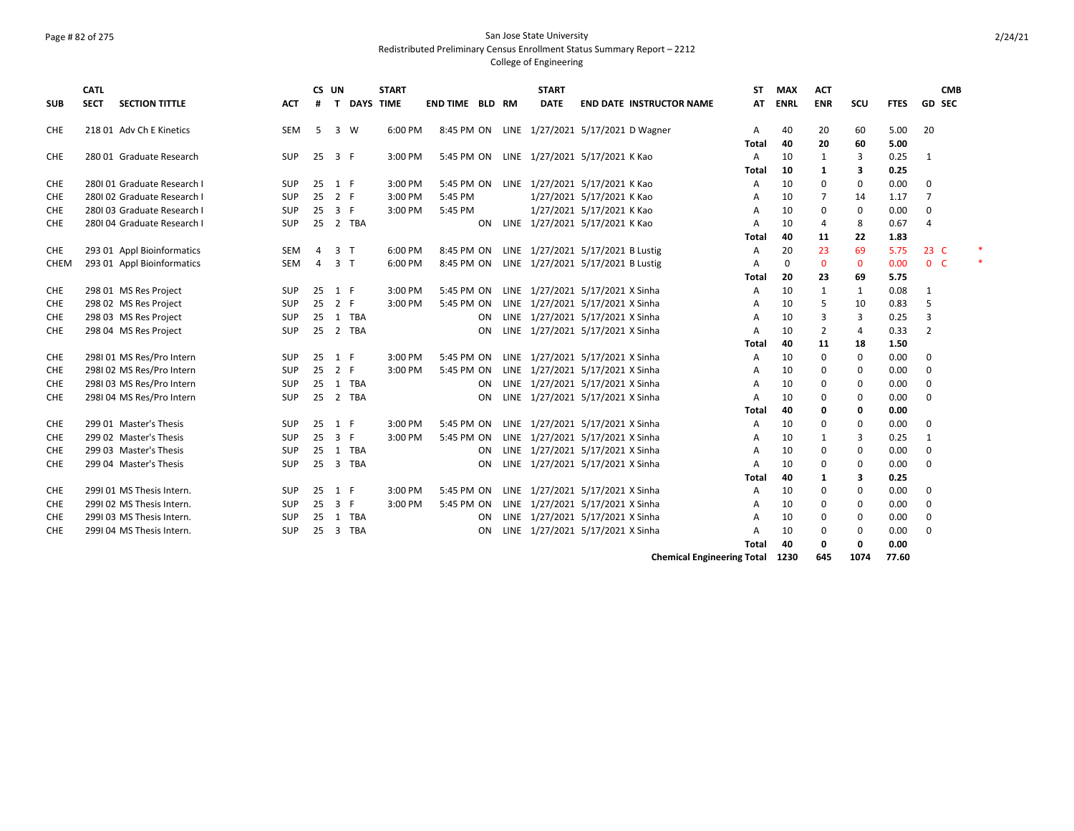### Page # 82 of 275 San Jose State University Redistributed Preliminary Census Enrollment Status Summary Report – 2212

### College of Engineering

|            | <b>CATL</b> |                            |            |    | CS UN                   |                  | <b>START</b> |                        |    | <b>START</b> |                                                  | <b>ST</b>      | <b>MAX</b>   | <b>ACT</b>     |             |             | <b>CMB</b>     |  |
|------------|-------------|----------------------------|------------|----|-------------------------|------------------|--------------|------------------------|----|--------------|--------------------------------------------------|----------------|--------------|----------------|-------------|-------------|----------------|--|
| <b>SUB</b> | <b>SECT</b> | <b>SECTION TITTLE</b>      | <b>ACT</b> | #  | T.                      | <b>DAYS TIME</b> |              | <b>END TIME BLD RM</b> |    | <b>DATE</b>  | <b>END DATE INSTRUCTOR NAME</b>                  | <b>AT</b>      | <b>ENRL</b>  | <b>ENR</b>     | SCU         | <b>FTES</b> | GD SEC         |  |
| CHE        |             | 218 01 Adv Ch E Kinetics   | <b>SEM</b> | 5  | 3 W                     |                  | 6:00 PM      | 8:45 PM ON             |    |              | LINE 1/27/2021 5/17/2021 D Wagner                | A              | 40           | 20             | 60          | 5.00        | 20             |  |
|            |             |                            |            |    |                         |                  |              |                        |    |              |                                                  | <b>Total</b>   | 40           | 20             | 60          | 5.00        |                |  |
| CHE        |             | 280 01 Graduate Research   | SUP        | 25 | 3 F                     |                  | 3:00 PM      | 5:45 PM ON             |    |              | LINE 1/27/2021 5/17/2021 K Kao                   | A              | 10           | $\mathbf{1}$   | 3           | 0.25        | $\mathbf{1}$   |  |
|            |             |                            |            |    |                         |                  |              |                        |    |              |                                                  | <b>Total</b>   | 10           | $\mathbf{1}$   | 3           | 0.25        |                |  |
| <b>CHE</b> |             | 280101 Graduate Research I | <b>SUP</b> | 25 | 1 F                     |                  | 3:00 PM      | 5:45 PM ON             |    |              | LINE 1/27/2021 5/17/2021 K Kao                   | $\overline{A}$ | 10           | 0              | 0           | 0.00        | 0              |  |
| <b>CHE</b> |             | 280102 Graduate Research I | SUP        | 25 | 2 F                     |                  | 3:00 PM      | 5:45 PM                |    |              | 1/27/2021 5/17/2021 K Kao                        | A              | 10           | $\overline{7}$ | 14          | 1.17        | $\overline{7}$ |  |
| CHE        |             | 280103 Graduate Research I | SUP        | 25 | 3 F                     |                  | 3:00 PM      | 5:45 PM                |    |              | 1/27/2021 5/17/2021 K Kao                        | $\overline{A}$ | 10           | $\mathbf 0$    | 0           | 0.00        | 0              |  |
| CHE        |             | 280104 Graduate Research I | <b>SUP</b> | 25 |                         | 2 TBA            |              |                        | ON |              | LINE 1/27/2021 5/17/2021 K Kao                   | $\overline{A}$ | 10           | $\overline{4}$ | 8           | 0.67        | $\overline{4}$ |  |
|            |             |                            |            |    |                         |                  |              |                        |    |              |                                                  | <b>Total</b>   | 40           | 11             | 22          | 1.83        |                |  |
| CHE        |             | 293 01 Appl Bioinformatics | <b>SEM</b> | 4  | 3 <sub>T</sub>          |                  | 6:00 PM      | 8:45 PM ON             |    |              | LINE 1/27/2021 5/17/2021 B Lustig                | A              | 20           | 23             | 69          | 5.75        | 23 C           |  |
| CHEM       |             | 293 01 Appl Bioinformatics | SEM        | 4  | 3 <sub>7</sub>          |                  | 6:00 PM      | 8:45 PM ON             |    |              | LINE 1/27/2021 5/17/2021 B Lustig                | $\overline{A}$ | $\mathbf{0}$ | $\mathbf 0$    | $\mathbf 0$ | 0.00        | 0 <sup>o</sup> |  |
|            |             |                            |            |    |                         |                  |              |                        |    |              |                                                  | <b>Total</b>   | 20           | 23             | 69          | 5.75        |                |  |
| <b>CHE</b> |             | 298 01 MS Res Project      | <b>SUP</b> | 25 | 1 F                     |                  | 3:00 PM      | 5:45 PM ON             |    |              | LINE 1/27/2021 5/17/2021 X Sinha                 | A              | 10           | $\mathbf{1}$   | 1           | 0.08        | $\mathbf{1}$   |  |
| <b>CHE</b> |             | 298 02 MS Res Project      | SUP        | 25 | 2 F                     |                  | 3:00 PM      | 5:45 PM ON             |    |              | LINE 1/27/2021 5/17/2021 X Sinha                 | A              | 10           | 5              | 10          | 0.83        | 5              |  |
| <b>CHE</b> |             | 298 03 MS Res Project      | <b>SUP</b> | 25 |                         | 1 TBA            |              |                        | ON |              | LINE 1/27/2021 5/17/2021 X Sinha                 | A              | 10           | 3              | 3           | 0.25        | 3              |  |
| CHE        |             | 298 04 MS Res Project      | SUP        |    |                         | 25 2 TBA         |              |                        | ON |              | LINE 1/27/2021 5/17/2021 X Sinha                 | A              | 10           | $\overline{2}$ | 4           | 0.33        | $\overline{2}$ |  |
|            |             |                            |            |    |                         |                  |              |                        |    |              |                                                  | Total          | 40           | 11             | 18          | 1.50        |                |  |
| CHE        |             | 298101 MS Res/Pro Intern   | <b>SUP</b> | 25 | 1 F                     |                  | 3:00 PM      | 5:45 PM ON             |    |              | LINE 1/27/2021 5/17/2021 X Sinha                 | A              | 10           | $\mathbf 0$    | 0           | 0.00        | 0              |  |
| CHE        |             | 298102 MS Res/Pro Intern   | SUP        | 25 | 2 F                     |                  | 3:00 PM      | 5:45 PM ON             |    |              | LINE 1/27/2021 5/17/2021 X Sinha                 | A              | 10           | 0              | 0           | 0.00        | 0              |  |
| CHE        |             | 298103 MS Res/Pro Intern   | SUP        | 25 |                         | 1 TBA            |              |                        | ON |              | LINE 1/27/2021 5/17/2021 X Sinha                 | Α              | 10           | 0              | 0           | 0.00        | 0              |  |
| <b>CHE</b> |             | 298104 MS Res/Pro Intern   | <b>SUP</b> | 25 |                         | 2 TBA            |              |                        | ON |              | LINE 1/27/2021 5/17/2021 X Sinha                 | $\overline{A}$ | 10           | $\Omega$       | 0           | 0.00        | 0              |  |
|            |             |                            |            |    |                         |                  |              |                        |    |              |                                                  | <b>Total</b>   | 40           | 0              | 0           | 0.00        |                |  |
| <b>CHE</b> |             | 299 01 Master's Thesis     | <b>SUP</b> | 25 | 1 F                     |                  | 3:00 PM      | 5:45 PM ON             |    |              | LINE 1/27/2021 5/17/2021 X Sinha                 | A              | 10           | 0              | 0           | 0.00        | $\mathbf 0$    |  |
| <b>CHE</b> |             | 299 02 Master's Thesis     | <b>SUP</b> | 25 | $\overline{3}$          | -F               | 3:00 PM      | 5:45 PM ON             |    |              | LINE 1/27/2021 5/17/2021 X Sinha                 | A              | 10           | 1              | 3           | 0.25        | $\mathbf{1}$   |  |
| CHE        |             | 299 03 Master's Thesis     | SUP        |    |                         | 25 1 TBA         |              |                        | ON |              | LINE 1/27/2021 5/17/2021 X Sinha                 | A              | 10           | $\mathbf 0$    | 0           | 0.00        | 0              |  |
| CHE        |             | 299 04 Master's Thesis     | <b>SUP</b> | 25 |                         | 3 TBA            |              |                        | ON |              | LINE 1/27/2021 5/17/2021 X Sinha                 | $\overline{A}$ | 10           | 0              | 0           | 0.00        | 0              |  |
|            |             |                            |            |    |                         |                  |              |                        |    |              |                                                  | <b>Total</b>   | 40           | 1              | 3           | 0.25        |                |  |
| CHE        |             | 299101 MS Thesis Intern.   | <b>SUP</b> | 25 | 1 F                     |                  | 3:00 PM      | 5:45 PM ON             |    |              | LINE 1/27/2021 5/17/2021 X Sinha                 | A              | 10           | 0              | 0           | 0.00        | 0              |  |
| CHE        |             | 2991 02 MS Thesis Intern.  | SUP        | 25 | 3 F                     |                  | 3:00 PM      | 5:45 PM ON             |    |              | LINE 1/27/2021 5/17/2021 X Sinha                 | A              | 10           | 0              | 0           | 0.00        | 0              |  |
| CHE        |             | 299103 MS Thesis Intern.   | <b>SUP</b> | 25 | 1                       | <b>TBA</b>       |              |                        | ON |              | LINE 1/27/2021 5/17/2021 X Sinha                 | A              | 10           | 0              | 0           | 0.00        | 0              |  |
| CHE        |             | 299104 MS Thesis Intern.   | <b>SUP</b> | 25 | $\overline{\mathbf{3}}$ | TBA              |              |                        | ON |              | LINE 1/27/2021 5/17/2021 X Sinha                 | A              | 10           | 0              | 0           | 0.00        | 0              |  |
|            |             |                            |            |    |                         |                  |              |                        |    |              |                                                  | Total          | 40           | 0              | 0           | 0.00        |                |  |
|            |             |                            |            |    |                         |                  |              |                        |    |              | $\sim$ $\sim$ $\sim$ $\sim$ $\sim$ $\sim$ $\sim$ |                |              |                |             |             |                |  |

**Chemical Engineering Total 1230 645 1074 77.60**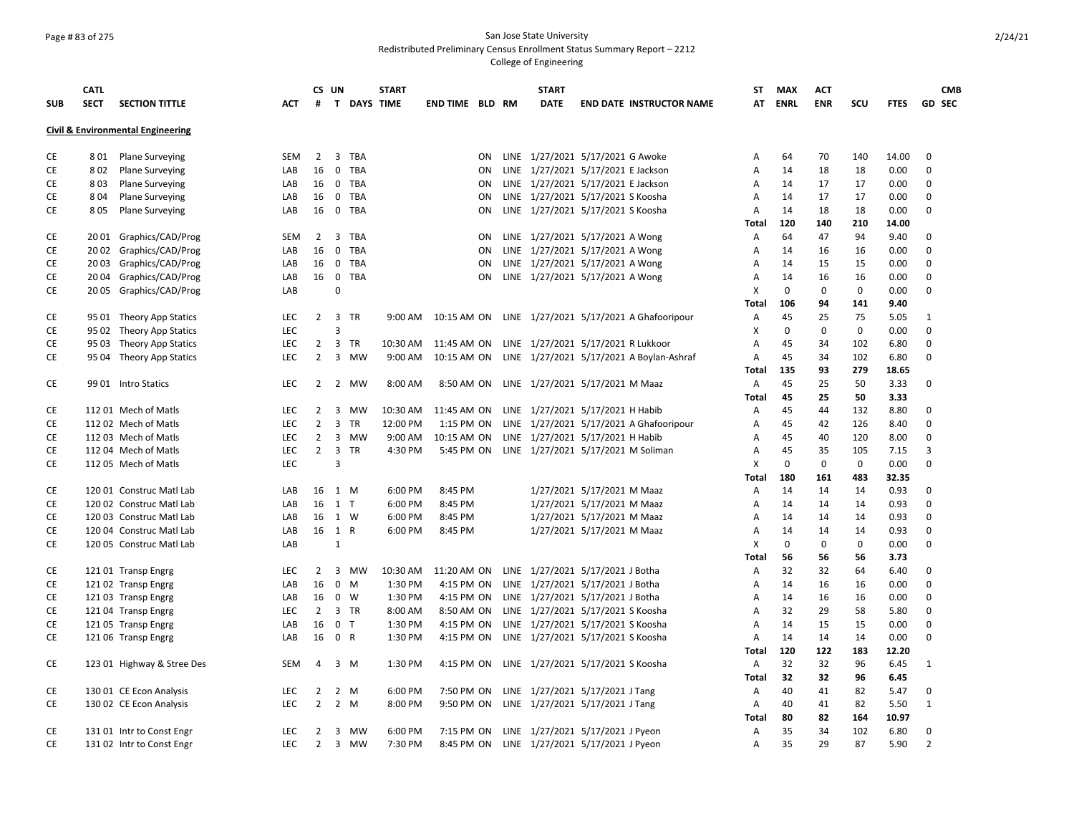### Page # 83 of 275 San Jose State University Redistributed Preliminary Census Enrollment Status Summary Report – 2212

|            | <b>CATL</b> |                                              |            |                | CS UN                         |            | <b>START</b>       |                 |           | <b>START</b> |                                                                   | ST                | <b>MAX</b>  | <b>ACT</b>  |           |               |                | <b>CMB</b>    |
|------------|-------------|----------------------------------------------|------------|----------------|-------------------------------|------------|--------------------|-----------------|-----------|--------------|-------------------------------------------------------------------|-------------------|-------------|-------------|-----------|---------------|----------------|---------------|
| <b>SUB</b> | <b>SECT</b> | <b>SECTION TITTLE</b>                        | <b>ACT</b> | #              |                               |            | <b>T DAYS TIME</b> | END TIME BLD RM |           | <b>DATE</b>  | <b>END DATE INSTRUCTOR NAME</b>                                   | AT                | <b>ENRL</b> | <b>ENR</b>  | SCU       | <b>FTES</b>   |                | <b>GD SEC</b> |
|            |             | <b>Civil &amp; Environmental Engineering</b> |            |                |                               |            |                    |                 |           |              |                                                                   |                   |             |             |           |               |                |               |
|            |             |                                              |            |                |                               |            |                    |                 |           |              |                                                                   |                   |             |             |           |               |                |               |
| СE         | 8 0 1       | <b>Plane Surveying</b>                       | SEM        | 2              | 3 TBA                         |            |                    |                 | ON        |              | LINE 1/27/2021 5/17/2021 G Awoke                                  | A                 | 64          | 70          | 140       | 14.00         | 0              |               |
| CE         | 802         | <b>Plane Surveying</b>                       | LAB        | 16             | $\mathsf 0$                   | <b>TBA</b> |                    |                 | ON        |              | LINE 1/27/2021 5/17/2021 E Jackson                                | A                 | 14          | 18          | 18        | 0.00          | 0              |               |
| <b>CE</b>  | 803         | <b>Plane Surveying</b>                       | LAB        | 16             | $\mathbf 0$                   | <b>TBA</b> |                    |                 | ON        |              | LINE 1/27/2021 5/17/2021 E Jackson                                | A                 | 14          | 17          | 17        | 0.00          | 0              |               |
| <b>CE</b>  | 804         | <b>Plane Surveying</b>                       | LAB        | 16             | $\mathbf 0$                   | <b>TBA</b> |                    |                 | <b>ON</b> |              | LINE 1/27/2021 5/17/2021 S Koosha                                 | A                 | 14          | 17          | 17        | 0.00          | $\mathbf 0$    |               |
| CE         | 805         | <b>Plane Surveying</b>                       | LAB        | 16             | 0 TBA                         |            |                    |                 | ON        |              | LINE 1/27/2021 5/17/2021 S Koosha                                 | A                 | 14          | 18          | 18        | 0.00          | $\mathbf 0$    |               |
|            |             |                                              |            |                |                               |            |                    |                 |           |              |                                                                   | Total             | 120         | 140         | 210       | 14.00         |                |               |
| <b>CE</b>  |             | 2001 Graphics/CAD/Prog                       | SEM        | 2              | $\overline{3}$                | <b>TBA</b> |                    |                 | ON        |              | LINE 1/27/2021 5/17/2021 A Wong                                   | A                 | 64          | 47          | 94        | 9.40          | 0              |               |
| CE         | 20 02       | Graphics/CAD/Prog                            | LAB        | 16             | $\mathsf 0$                   | <b>TBA</b> |                    |                 | ON        |              | LINE 1/27/2021 5/17/2021 A Wong                                   | A                 | 14          | 16          | 16        | 0.00          | $\mathbf 0$    |               |
| CE         | 2003        | Graphics/CAD/Prog                            | LAB        | 16             | $\mathbf 0$                   | TBA        |                    |                 | <b>ON</b> |              | LINE 1/27/2021 5/17/2021 A Wong                                   | A                 | 14          | 15          | 15        | 0.00          | 0              |               |
| CE         | 2004        | Graphics/CAD/Prog                            | LAB        | 16             | $\mathbf 0$                   | <b>TBA</b> |                    |                 | ON        |              | LINE 1/27/2021 5/17/2021 A Wong                                   | $\overline{A}$    | 14          | 16          | 16        | 0.00          | 0              |               |
| CE         |             | 20 05 Graphics/CAD/Prog                      | LAB        |                | 0                             |            |                    |                 |           |              |                                                                   | X                 | 0           | 0           | 0         | 0.00          | $\mathbf 0$    |               |
|            |             |                                              |            |                |                               |            |                    |                 |           |              |                                                                   | Total             | 106         | 94          | 141       | 9.40          |                |               |
| CE         |             | 95 01 Theory App Statics                     | LEC        | $\overline{2}$ | 3 TR                          |            |                    |                 |           |              | 9:00 AM  10:15 AM  ON  LINE  1/27/2021  5/17/2021  A Ghafooripour | A                 | 45          | 25          | 75        | 5.05          | $\mathbf{1}$   |               |
| CE         |             | 95 02 Theory App Statics                     | LEC        |                | 3                             |            |                    |                 |           |              |                                                                   | X                 | 0           | $\mathbf 0$ | 0         | 0.00          | $\mathbf 0$    |               |
| СE         |             | 95 03 Theory App Statics                     | LEC        | $2^{\circ}$    | $\overline{\mathbf{3}}$<br>TR |            | 10:30 AM           | 11:45 AM ON     |           |              | LINE 1/27/2021 5/17/2021 R Lukkoor                                | $\overline{A}$    | 45          | 34          | 102       | 6.80          | 0              |               |
| CE         |             | 95 04 Theory App Statics                     | <b>LEC</b> | $\overline{2}$ | $\overline{\mathbf{3}}$       | MW         | 9:00 AM            | 10:15 AM ON     |           |              | LINE 1/27/2021 5/17/2021 A Boylan-Ashraf                          | $\overline{A}$    | 45          | 34          | 102       | 6.80          | 0              |               |
|            |             |                                              |            |                |                               |            |                    |                 |           |              |                                                                   | <b>Total</b>      | 135         | 93          | 279       | 18.65         |                |               |
| CE         |             | 99 01 Intro Statics                          | LEC        | $\overline{2}$ | $\overline{2}$                | MW         | 8:00 AM            | 8:50 AM ON      |           |              | LINE 1/27/2021 5/17/2021 M Maaz                                   | Α                 | 45          | 25          | 50        | 3.33          | 0              |               |
|            |             |                                              |            |                |                               |            |                    |                 |           |              |                                                                   | <b>Total</b>      | 45          | 25          | 50        | 3.33          |                |               |
| CE         |             | 11201 Mech of Matls                          | LEC        | 2              | $\overline{3}$                | <b>MW</b>  | 10:30 AM           | 11:45 AM ON     |           |              | LINE 1/27/2021 5/17/2021 H Habib                                  | Α                 | 45          | 44          | 132       | 8.80          | $\mathbf 0$    |               |
| CE         |             | 112 02 Mech of Matls                         | LEC        | $\overline{2}$ | $\overline{3}$                | TR         | 12:00 PM           | 1:15 PM ON      |           |              | LINE 1/27/2021 5/17/2021 A Ghafooripour                           | $\overline{A}$    | 45          | 42          | 126       | 8.40          | 0              |               |
| CE         |             | 112 03 Mech of Matls                         | <b>LEC</b> | 2              | $\overline{3}$                | MW         | 9:00 AM            | 10:15 AM ON     |           |              |                                                                   | $\overline{A}$    | 45          | 40          | 120       | 8.00          | 0              |               |
|            |             |                                              |            | $\overline{2}$ | $\overline{\mathbf{3}}$<br>TR |            |                    |                 |           |              | LINE 1/27/2021 5/17/2021 H Habib                                  | A                 | 45          | 35          | 105       |               | 3              |               |
| CE         |             | 112 04 Mech of Matls                         | LEC        |                |                               |            | 4:30 PM            |                 |           |              | 5:45 PM ON LINE 1/27/2021 5/17/2021 M Soliman                     |                   |             |             |           | 7.15          |                |               |
| CE         |             | 11205 Mech of Matls                          | <b>LEC</b> |                | 3                             |            |                    |                 |           |              |                                                                   | x                 | $\mathbf 0$ | $\mathbf 0$ | 0         | 0.00          | 0              |               |
| CE         |             | 120 01 Construc Matl Lab                     | LAB        | 16             | 1 M                           |            | 6:00 PM            | 8:45 PM         |           |              | 1/27/2021 5/17/2021 M Maaz                                        | <b>Total</b><br>A | 180<br>14   | 161<br>14   | 483<br>14 | 32.35<br>0.93 | 0              |               |
| CE         |             | 120 02 Construc Matl Lab                     | LAB        | 16             | 1 T                           |            | 6:00 PM            | 8:45 PM         |           |              | 1/27/2021 5/17/2021 M Maaz                                        | A                 | 14          | 14          | 14        | 0.93          | 0              |               |
|            |             |                                              |            |                |                               |            |                    |                 |           |              |                                                                   | $\overline{A}$    | 14          | 14          |           |               | 0              |               |
| CE         |             | 120 03 Construc Matl Lab                     | LAB        |                | 16 1 W                        |            | 6:00 PM            | 8:45 PM         |           |              | 1/27/2021 5/17/2021 M Maaz                                        |                   |             |             | 14        | 0.93          |                |               |
| CE         |             | 120 04 Construc Matl Lab                     | LAB        |                | 16 1 R                        |            | 6:00 PM            | 8:45 PM         |           |              | 1/27/2021 5/17/2021 M Maaz                                        | A                 | 14          | 14          | 14        | 0.93          | $\mathbf 0$    |               |
| CE         |             | 120 05 Construc Matl Lab                     | LAB        |                | 1                             |            |                    |                 |           |              |                                                                   | X                 | $\mathbf 0$ | 0           | 0         | 0.00          | 0              |               |
|            |             |                                              |            |                |                               |            |                    |                 |           |              |                                                                   | Total             | 56          | 56          | 56        | 3.73          |                |               |
| CE         |             | 12101 Transp Engrg                           | <b>LEC</b> | 2              | $\overline{\mathbf{3}}$       | MW         | 10:30 AM           | 11:20 AM ON     |           |              | LINE 1/27/2021 5/17/2021 J Botha                                  | Α                 | 32          | 32          | 64        | 6.40          | 0              |               |
| CE         |             | 12102 Transp Engrg                           | LAB        | 16             | 0<br>M                        |            | 1:30 PM            | 4:15 PM ON      |           |              | LINE 1/27/2021 5/17/2021 J Botha                                  | A                 | 14          | 16          | 16        | 0.00          | 0              |               |
| CE         |             | 12103 Transp Engrg                           | LAB        | 16             | $\mathbf 0$<br>- W            |            | 1:30 PM            | 4:15 PM ON      |           |              | LINE 1/27/2021 5/17/2021 J Botha                                  | $\overline{A}$    | 14          | 16          | 16        | 0.00          | 0              |               |
| CE         |             | 121 04 Transp Engrg                          | LEC        | $\overline{2}$ | 3 TR                          |            | 8:00 AM            | 8:50 AM ON      |           |              | LINE 1/27/2021 5/17/2021 S Koosha                                 | $\overline{A}$    | 32          | 29          | 58        | 5.80          | $\mathbf 0$    |               |
| СE         |             | 12105 Transp Engrg                           | LAB        | 16             | $\mathbf 0$<br>$\top$         |            | 1:30 PM            | 4:15 PM ON      |           |              | LINE 1/27/2021 5/17/2021 S Koosha                                 | A                 | 14          | 15          | 15        | 0.00          | 0              |               |
| CE         |             | 121 06 Transp Engrg                          | LAB        | 16             | 0 R                           |            | 1:30 PM            | 4:15 PM ON      |           |              | LINE 1/27/2021 5/17/2021 S Koosha                                 | A                 | 14          | 14          | 14        | 0.00          | $\Omega$       |               |
|            |             |                                              |            |                |                               |            |                    |                 |           |              |                                                                   | <b>Total</b>      | 120         | 122         | 183       | 12.20         |                |               |
| CE         |             | 123 01 Highway & Stree Des                   | SEM        | 4              | 3 M                           |            | 1:30 PM            |                 |           |              | 4:15 PM ON LINE 1/27/2021 5/17/2021 S Koosha                      | A                 | 32          | 32          | 96        | 6.45          | 1              |               |
|            |             |                                              |            |                |                               |            |                    |                 |           |              |                                                                   | Total             | 32          | 32          | 96        | 6.45          |                |               |
| CE         |             | 130 01 CE Econ Analysis                      | <b>LEC</b> | 2              | $\overline{2}$<br>M           |            | 6:00 PM            | 7:50 PM ON      |           |              | LINE 1/27/2021 5/17/2021 J Tang                                   | Α                 | 40          | 41          | 82        | 5.47          | 0              |               |
| СE         |             | 130 02 CE Econ Analysis                      | LEC        | 2              | $\overline{2}$<br>M           |            | 8:00 PM            | 9:50 PM ON      |           |              | LINE 1/27/2021 5/17/2021 J Tang                                   | A                 | 40          | 41          | 82        | 5.50          | 1              |               |
|            |             |                                              |            |                |                               |            |                    |                 |           |              |                                                                   | Total             | 80          | 82          | 164       | 10.97         |                |               |
| CE         |             | 131 01 Intr to Const Engr                    | LEC        | 2              | $\overline{\mathbf{3}}$       | MW         | 6:00 PM            | 7:15 PM ON      |           |              | LINE 1/27/2021 5/17/2021 J Pyeon                                  | Α                 | 35          | 34          | 102       | 6.80          | 0              |               |
| <b>CE</b>  |             | 13102 Intr to Const Engr                     | <b>LEC</b> | $\overline{2}$ | $\overline{3}$                | MW         | 7:30 PM            | 8:45 PM ON      |           |              | LINE 1/27/2021 5/17/2021 J Pyeon                                  | A                 | 35          | 29          | 87        | 5.90          | $\overline{2}$ |               |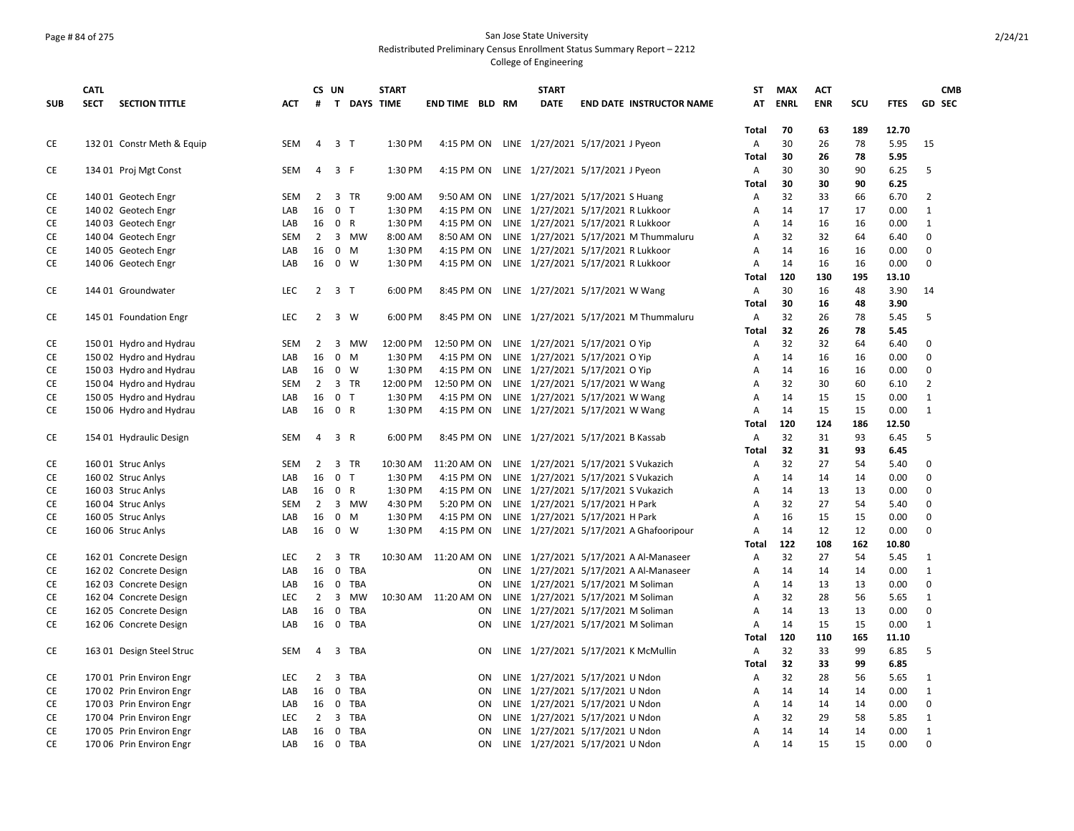### Page # 84 of 275 San Jose State University Redistributed Preliminary Census Enrollment Status Summary Report – 2212

|            | <b>CATL</b> |                            |            | CS UN          |                         |              | <b>START</b> |                        |           | <b>START</b> |                                                                          | ST           | <b>MAX</b>  | <b>ACT</b> |           |               | <b>CMB</b>     |
|------------|-------------|----------------------------|------------|----------------|-------------------------|--------------|--------------|------------------------|-----------|--------------|--------------------------------------------------------------------------|--------------|-------------|------------|-----------|---------------|----------------|
| <b>SUB</b> | <b>SECT</b> | <b>SECTION TITTLE</b>      | <b>ACT</b> | #              |                         | T DAYS TIME  |              | <b>END TIME BLD RM</b> |           | <b>DATE</b>  | <b>END DATE INSTRUCTOR NAME</b>                                          | AT           | <b>ENRL</b> | <b>ENR</b> | SCU       | <b>FTES</b>   | <b>GD SEC</b>  |
|            |             |                            |            |                |                         |              |              |                        |           |              |                                                                          |              |             |            |           |               |                |
| CE         |             | 132 01 Constr Meth & Equip | <b>SEM</b> | 4              | 3 <sub>1</sub>          |              | 1:30 PM      | 4:15 PM ON             |           |              | LINE 1/27/2021 5/17/2021 J Pyeon                                         | Total<br>A   | 70<br>30    | 63<br>26   | 189<br>78 | 12.70<br>5.95 | 15             |
|            |             |                            |            |                |                         |              |              |                        |           |              |                                                                          | <b>Total</b> | 30          | 26         | 78        | 5.95          |                |
| CE         |             | 134 01 Proj Mgt Const      | SEM        | 4              | 3 F                     |              | 1:30 PM      | 4:15 PM ON             |           |              | LINE 1/27/2021 5/17/2021 J Pyeon                                         | Α            | 30          | 30         | 90        | 6.25          | 5              |
|            |             |                            |            |                |                         |              |              |                        |           |              |                                                                          | Total        | 30          | 30         | 90        | 6.25          |                |
| CE         |             | 140 01 Geotech Engr        | SEM        | $\overline{2}$ | 3 TR                    |              | 9:00 AM      | 9:50 AM ON             |           |              | LINE 1/27/2021 5/17/2021 S Huang                                         | Α            | 32          | 33         | 66        | 6.70          | $\overline{2}$ |
| CE         |             | 140 02 Geotech Engr        | LAB        | 16             | 0 <sub>T</sub>          |              | 1:30 PM      | 4:15 PM ON             |           |              | LINE 1/27/2021 5/17/2021 R Lukkoor                                       | Α            | 14          | 17         | 17        | 0.00          | $\mathbf{1}$   |
| CE         |             | 140 03 Geotech Engr        | LAB        | 16             | 0 R                     |              | 1:30 PM      | 4:15 PM ON             |           |              | LINE 1/27/2021 5/17/2021 R Lukkoor                                       | A            | 14          | 16         | 16        | 0.00          | $\mathbf{1}$   |
| CE         |             | 140 04 Geotech Engr        | SEM        | $\overline{2}$ |                         | 3 MW         | 8:00 AM      | 8:50 AM ON             |           |              | LINE 1/27/2021 5/17/2021 M Thummaluru                                    | Α            | 32          | 32         | 64        | 6.40          | 0              |
| CE         |             |                            |            | 16             | $0 \quad M$             |              | 1:30 PM      | 4:15 PM ON             |           |              |                                                                          | A            | 14          | 16         | 16        | 0.00          | 0              |
| CE         |             | 140 05 Geotech Engr        | LAB<br>LAB | 16             | 0 W                     |              | 1:30 PM      | 4:15 PM ON             |           |              | LINE 1/27/2021 5/17/2021 R Lukkoor<br>LINE 1/27/2021 5/17/2021 R Lukkoor | A            | 14          | 16         | 16        | 0.00          | 0              |
|            |             | 140 06 Geotech Engr        |            |                |                         |              |              |                        |           |              |                                                                          | <b>Total</b> | 120         | 130        | 195       | 13.10         |                |
| CE         |             | 144 01 Groundwater         | LEC        |                | $2 \quad 3 \quad T$     |              | 6:00 PM      | 8:45 PM ON             |           |              | LINE 1/27/2021 5/17/2021 W Wang                                          | Α            | 30          | 16         | 48        | 3.90          | 14             |
|            |             |                            |            |                |                         |              |              |                        |           |              |                                                                          | <b>Total</b> | 30          | 16         | 48        | 3.90          |                |
|            |             |                            |            |                |                         |              |              |                        |           |              |                                                                          |              |             |            |           |               |                |
| CE         |             | 145 01 Foundation Engr     | LEC        | $\overline{2}$ | 3 W                     |              | 6:00 PM      | 8:45 PM ON             |           |              | LINE 1/27/2021 5/17/2021 M Thummaluru                                    | Α            | 32<br>32    | 26         | 78<br>78  | 5.45          | 5              |
|            |             |                            |            |                |                         |              |              |                        |           |              |                                                                          | <b>Total</b> | 32          | 26<br>32   |           | 5.45<br>6.40  |                |
| CE         |             | 150 01 Hydro and Hydrau    | SEM        | $\overline{2}$ | $\mathbf 0$             | 3 MW         | 12:00 PM     | 12:50 PM ON            |           |              | LINE 1/27/2021 5/17/2021 O Yip                                           | A            |             |            | 64        |               | 0<br>0         |
| CE         |             | 150 02 Hydro and Hydrau    | LAB        | 16             |                         | M            | 1:30 PM      | 4:15 PM ON             |           |              | LINE 1/27/2021 5/17/2021 O Yip                                           | Α            | 14          | 16         | 16        | 0.00          |                |
| CE         |             | 150 03 Hydro and Hydrau    | LAB        | 16             | $0 \quad W$             |              | 1:30 PM      | 4:15 PM ON             |           |              | LINE 1/27/2021 5/17/2021 O Yip                                           | A            | 14          | 16         | 16        | 0.00          | 0              |
| CE         |             | 150 04 Hydro and Hydrau    | <b>SEM</b> | $\overline{2}$ | 3 TR                    |              | 12:00 PM     | 12:50 PM ON            |           |              | LINE 1/27/2021 5/17/2021 W Wang                                          | A            | 32          | 30         | 60        | 6.10          | $\overline{2}$ |
| CE         |             | 150 05 Hydro and Hydrau    | LAB        | 16             | 0 <sub>T</sub>          |              | 1:30 PM      | 4:15 PM ON             |           |              | LINE 1/27/2021 5/17/2021 W Wang                                          | A            | 14          | 15         | 15        | 0.00          | $\mathbf 1$    |
| CE         |             | 150 06 Hydro and Hydrau    | LAB        | 16             | 0 R                     |              | 1:30 PM      | 4:15 PM ON             |           |              | LINE 1/27/2021 5/17/2021 W Wang                                          | A            | 14          | 15         | 15        | 0.00          | $\mathbf{1}$   |
|            |             |                            |            |                |                         |              |              |                        |           |              |                                                                          | <b>Total</b> | 120         | 124        | 186       | 12.50         |                |
| CE         |             | 154 01 Hydraulic Design    | SEM        | 4              | $\overline{\mathbf{3}}$ | $\mathsf{R}$ | 6:00 PM      | 8:45 PM ON             |           |              | LINE 1/27/2021 5/17/2021 B Kassab                                        | А            | 32          | 31         | 93        | 6.45          | 5              |
|            |             |                            |            |                |                         |              |              |                        |           |              |                                                                          | Total        | 32          | 31         | 93        | 6.45          |                |
| CE         |             | 160 01 Struc Anlys         | SEM        | 2              | $\overline{3}$          | <b>TR</b>    | 10:30 AM     | 11:20 AM ON            |           |              | LINE 1/27/2021 5/17/2021 S Vukazich                                      | A            | 32          | 27         | 54        | 5.40          | 0              |
| CE         |             | 160 02 Struc Anlys         | LAB        | 16             | $\mathbf 0$             | $\top$       | 1:30 PM      | 4:15 PM ON             |           |              | LINE 1/27/2021 5/17/2021 S Vukazich                                      | A            | 14          | 14         | 14        | 0.00          | 0              |
| CE         |             | 160 03 Struc Anlys         | LAB        | 16             | $\mathsf 0$             | $\mathsf{R}$ | 1:30 PM      | 4:15 PM ON             |           |              | LINE 1/27/2021 5/17/2021 S Vukazich                                      | A            | 14          | 13         | 13        | 0.00          | 0              |
| <b>CE</b>  |             | 160 04 Struc Anlys         | <b>SEM</b> | $\overline{2}$ |                         | 3 MW         | 4:30 PM      | 5:20 PM ON             |           |              | LINE 1/27/2021 5/17/2021 H Park                                          | A            | 32          | 27         | 54        | 5.40          | 0              |
| CE         |             | 160 05 Struc Anlys         | LAB        | 16             | $\mathsf{o}$            | M            | 1:30 PM      | 4:15 PM ON             |           |              | LINE 1/27/2021 5/17/2021 H Park                                          | A            | 16          | 15         | 15        | 0.00          | 0              |
| <b>CE</b>  |             | 160 06 Struc Anlys         | LAB        | 16             | 0 W                     |              | 1:30 PM      |                        |           |              | 4:15 PM ON LINE 1/27/2021 5/17/2021 A Ghafooripour                       | A            | 14          | 12         | 12        | 0.00          | 0              |
|            |             |                            |            |                |                         |              |              |                        |           |              |                                                                          | <b>Total</b> | 122         | 108        | 162       | 10.80         |                |
| CE         |             | 162 01 Concrete Design     | LEC        | 2              | 3 TR                    |              |              | 10:30 AM 11:20 AM ON   |           |              | LINE 1/27/2021 5/17/2021 A Al-Manaseer                                   | Α            | 32          | 27         | 54        | 5.45          | $\mathbf{1}$   |
| CE         |             | 162 02 Concrete Design     | LAB        | 16             | $\mathbf 0$             | <b>TBA</b>   |              |                        | ON        |              | LINE 1/27/2021 5/17/2021 A Al-Manaseer                                   | A            | 14          | 14         | 14        | 0.00          | $\mathbf{1}$   |
| CE         |             | 162 03 Concrete Design     | LAB        | 16             | $\mathbf 0$             | <b>TBA</b>   |              |                        | ON        |              | LINE 1/27/2021 5/17/2021 M Soliman                                       | A            | 14          | 13         | 13        | 0.00          | 0              |
| CE         |             | 162 04 Concrete Design     | <b>LEC</b> | $\overline{2}$ | $\overline{3}$          | <b>MW</b>    | 10:30 AM     | 11:20 AM ON            |           |              | LINE 1/27/2021 5/17/2021 M Soliman                                       | Α            | 32          | 28         | 56        | 5.65          | $\mathbf 1$    |
| CE         |             | 162 05 Concrete Design     | LAB        | 16             | $\mathsf 0$             | <b>TBA</b>   |              |                        | ON        |              | LINE 1/27/2021 5/17/2021 M Soliman                                       | Α            | 14          | 13         | 13        | 0.00          | 0              |
| CE         |             | 162 06 Concrete Design     | LAB        | 16             | $\mathsf{o}$            | TBA          |              |                        | <b>ON</b> |              | LINE 1/27/2021 5/17/2021 M Soliman                                       | Α            | 14          | 15         | 15        | 0.00          | $\mathbf{1}$   |
|            |             |                            |            |                |                         |              |              |                        |           |              |                                                                          | <b>Total</b> | 120         | 110        | 165       | 11.10         |                |
| CE         |             | 163 01 Design Steel Struc  | SEM        | 4              | 3                       | <b>TBA</b>   |              |                        | ON        |              | LINE 1/27/2021 5/17/2021 K McMullin                                      | Α            | 32          | 33         | 99        | 6.85          | 5              |
|            |             |                            |            |                |                         |              |              |                        |           |              |                                                                          | <b>Total</b> | 32          | 33         | 99        | 6.85          |                |
| CE         |             | 170 01 Prin Environ Engr   | LEC        | 2              | $\overline{3}$          | <b>TBA</b>   |              |                        | ON        |              | LINE 1/27/2021 5/17/2021 U Ndon                                          | Α            | 32          | 28         | 56        | 5.65          | $\mathbf{1}$   |
| CE         |             | 170 02 Prin Environ Engr   | LAB        | 16             | $\mathsf 0$             | <b>TBA</b>   |              |                        | <b>ON</b> |              | LINE 1/27/2021 5/17/2021 U Ndon                                          | A            | 14          | 14         | 14        | 0.00          | $\mathbf{1}$   |
| CE         |             | 170 03 Prin Environ Engr   | LAB        | 16             | $\mathbf 0$             | <b>TBA</b>   |              |                        | <b>ON</b> |              | LINE 1/27/2021 5/17/2021 U Ndon                                          | A            | 14          | 14         | 14        | 0.00          | 0              |
| CE         |             | 170 04 Prin Environ Engr   | <b>LEC</b> | 2              | $\overline{3}$          | TBA          |              |                        | ON        |              | LINE 1/27/2021 5/17/2021 U Ndon                                          | Α            | 32          | 29         | 58        | 5.85          | $\mathbf{1}$   |
| CE         |             | 170 05 Prin Environ Engr   | LAB        | 16             | $\mathbf 0$             | TBA          |              |                        | <b>ON</b> |              | LINE 1/27/2021 5/17/2021 U Ndon                                          | Α            | 14          | 14         | 14        | 0.00          | $\mathbf 1$    |
| <b>CE</b>  |             | 170 06 Prin Environ Engr   | LAB        | 16             | $\mathbf 0$             | TBA          |              |                        | ON        |              | LINE 1/27/2021 5/17/2021 U Ndon                                          | A            | 14          | 15         | 15        | 0.00          | $\Omega$       |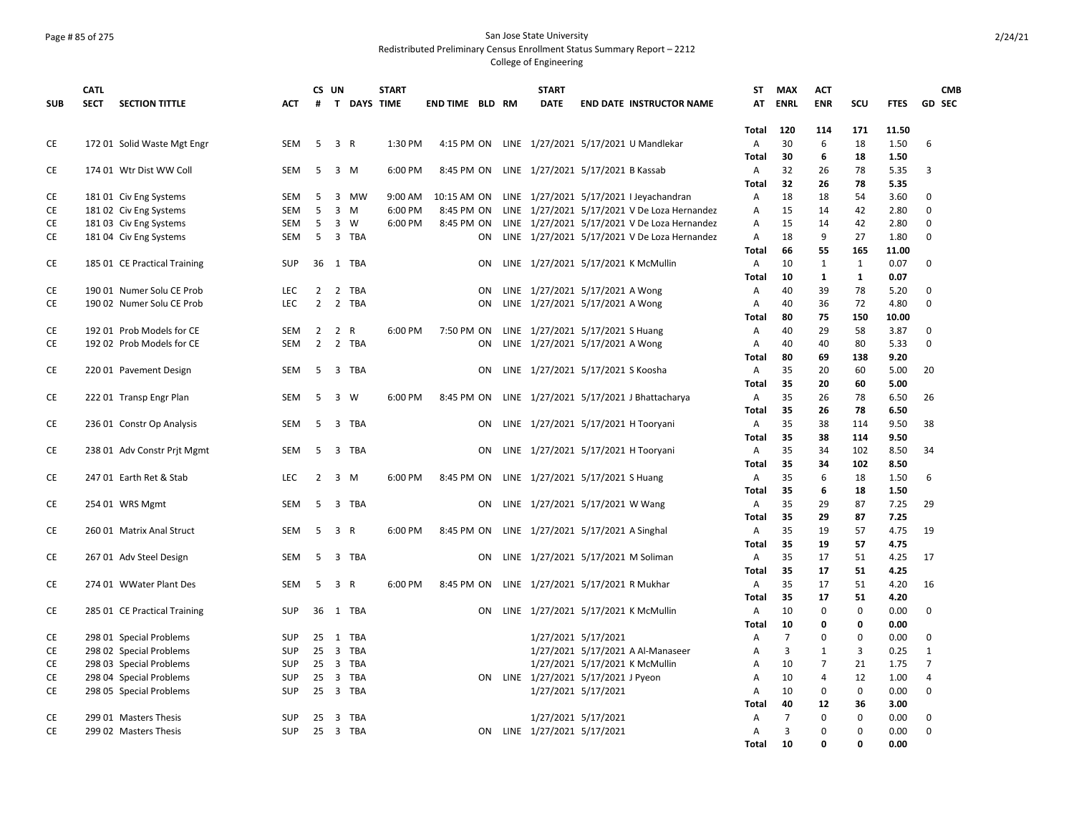### Page # 85 of 275 San Jose State University Redistributed Preliminary Census Enrollment Status Summary Report – 2212

|            | <b>CATL</b> |                              |            | CS UN          |                              |           | <b>START</b> |                        |    | <b>START</b>                                  |                     |                                                    | <b>ST</b>      | <b>MAX</b>     | <b>ACT</b>     |              |             |                | <b>CMB</b> |
|------------|-------------|------------------------------|------------|----------------|------------------------------|-----------|--------------|------------------------|----|-----------------------------------------------|---------------------|----------------------------------------------------|----------------|----------------|----------------|--------------|-------------|----------------|------------|
| <b>SUB</b> | <b>SECT</b> | <b>SECTION TITTLE</b>        | <b>ACT</b> | #              |                              |           | T DAYS TIME  | <b>END TIME BLD RM</b> |    | <b>DATE</b>                                   |                     | <b>END DATE INSTRUCTOR NAME</b>                    | AT             | <b>ENRL</b>    | <b>ENR</b>     | SCU          | <b>FTES</b> | <b>GD SEC</b>  |            |
|            |             |                              |            |                |                              |           |              |                        |    |                                               |                     |                                                    |                |                |                |              |             |                |            |
|            |             |                              |            |                |                              |           |              |                        |    |                                               |                     |                                                    | Total          | 120            | 114            | 171          | 11.50       |                |            |
| CE         |             | 172 01 Solid Waste Mgt Engr  | <b>SEM</b> | 5              | 3 R                          |           | 1:30 PM      | 4:15 PM ON             |    |                                               |                     | LINE 1/27/2021 5/17/2021 U Mandlekar               | A              | 30             | 6              | 18           | 1.50        | 6              |            |
|            |             |                              |            |                |                              |           |              |                        |    |                                               |                     |                                                    | <b>Total</b>   | 30             | 6              | 18           | 1.50        |                |            |
| CE         |             | 174 01 Wtr Dist WW Coll      | SEM        | 5              | $\overline{\mathbf{3}}$<br>M |           | 6:00 PM      | 8:45 PM ON             |    | LINE 1/27/2021 5/17/2021 B Kassab             |                     |                                                    | A              | 32             | 26             | 78           | 5.35        | 3              |            |
|            |             |                              |            |                |                              |           |              |                        |    |                                               |                     |                                                    | <b>Total</b>   | 32             | 26             | 78           | 5.35        |                |            |
| CE         |             | 18101 Civ Eng Systems        | SEM        | 5              | $\overline{3}$               | <b>MW</b> | 9:00 AM      | 10:15 AM ON            |    |                                               |                     | LINE 1/27/2021 5/17/2021 I Jeyachandran            | Α              | 18             | 18             | 54           | 3.60        | $\mathbf 0$    |            |
| CE         |             | 18102 Civ Eng Systems        | SEM        | 5              | $\overline{3}$<br>M          |           | 6:00 PM      | 8:45 PM ON             |    |                                               |                     | LINE 1/27/2021 5/17/2021 V De Loza Hernandez       | A              | 15             | 14             | 42           | 2.80        | $\Omega$       |            |
| CE         |             | 18103 Civ Eng Systems        | SEM        | 5              | 3<br>W                       |           | 6:00 PM      | 8:45 PM ON             |    |                                               |                     | LINE 1/27/2021 5/17/2021 V De Loza Hernandez       | A              | 15             | 14             | 42           | 2.80        | $\Omega$       |            |
| CE         |             | 181 04 Civ Eng Systems       | SEM        | 5              | 3 TBA                        |           |              |                        | ON |                                               |                     | LINE 1/27/2021 5/17/2021 V De Loza Hernandez       | Α              | 18             | 9              | 27           | 1.80        | $\mathbf 0$    |            |
|            |             |                              |            |                |                              |           |              |                        |    |                                               |                     |                                                    | Total          | 66             | 55             | 165          | 11.00       |                |            |
| CE         |             | 185 01 CE Practical Training | <b>SUP</b> |                | 36 1 TBA                     |           |              |                        | ON |                                               |                     | LINE 1/27/2021 5/17/2021 K McMullin                | $\overline{A}$ | 10             | $\mathbf{1}$   | 1            | 0.07        | $\Omega$       |            |
|            |             |                              |            |                |                              |           |              |                        |    |                                               |                     |                                                    | <b>Total</b>   | 10             | $\mathbf{1}$   | $\mathbf{1}$ | 0.07        |                |            |
| CE         |             | 190 01 Numer Solu CE Prob    | <b>LEC</b> |                | 2 2 TBA                      |           |              |                        | ON | LINE 1/27/2021 5/17/2021 A Wong               |                     |                                                    | Α              | 40             | 39             | 78           | 5.20        | $\Omega$       |            |
| <b>CE</b>  |             | 190 02 Numer Solu CE Prob    | <b>LEC</b> | $\overline{2}$ | 2 TBA                        |           |              |                        | ON | LINE 1/27/2021 5/17/2021 A Wong               |                     |                                                    | A              | 40             | 36             | 72           | 4.80        | $\Omega$       |            |
|            |             |                              |            |                |                              |           |              |                        |    |                                               |                     |                                                    | Total          | 80             | 75             | 150          | 10.00       |                |            |
| CE         |             | 192 01 Prob Models for CE    | <b>SEM</b> | $\overline{2}$ | 2<br>$\mathsf{R}$            |           | 6:00 PM      | 7:50 PM ON             |    | LINE 1/27/2021 5/17/2021 S Huang              |                     |                                                    | $\overline{A}$ | 40             | 29             | 58           | 3.87        | 0              |            |
| <b>CE</b>  |             | 192 02 Prob Models for CE    | <b>SEM</b> |                | 2 2 TBA                      |           |              |                        | ON | LINE 1/27/2021 5/17/2021 A Wong               |                     |                                                    | $\overline{A}$ | 40             | 40             | 80           | 5.33        | $\Omega$       |            |
|            |             |                              |            |                |                              |           |              |                        |    |                                               |                     |                                                    | <b>Total</b>   | 80             | 69             | 138          | 9.20        |                |            |
| CE         |             | 220 01 Pavement Design       | SEM        | -5             | 3 TBA                        |           |              |                        | ON | LINE 1/27/2021 5/17/2021 S Koosha             |                     |                                                    | A              | 35             | 20             | 60           | 5.00        | 20             |            |
|            |             |                              |            |                |                              |           |              |                        |    |                                               |                     |                                                    | <b>Total</b>   | 35             | 20             | 60           | 5.00        |                |            |
| CE         |             | 222 01 Transp Engr Plan      | SEM        | -5             | 3 W                          |           | 6:00 PM      |                        |    |                                               |                     | 8:45 PM ON LINE 1/27/2021 5/17/2021 J Bhattacharya | A              | 35             | 26             | 78           | 6.50        | 26             |            |
|            |             |                              |            |                |                              |           |              |                        |    |                                               |                     |                                                    | <b>Total</b>   | 35             | 26             | 78           | 6.50        |                |            |
| CE         |             | 236 01 Constr Op Analysis    | <b>SEM</b> | - 5            | 3 TBA                        |           |              |                        | ON |                                               |                     | LINE 1/27/2021 5/17/2021 H Tooryani                | A              | 35             | 38             | 114          | 9.50        | 38             |            |
|            |             |                              |            |                |                              |           |              |                        |    |                                               |                     |                                                    | Total          | 35             | 38             | 114          | 9.50        |                |            |
| <b>CE</b>  |             | 238 01 Adv Constr Prit Mgmt  | SEM        | -5             | 3 TBA                        |           |              |                        | ON |                                               |                     | LINE 1/27/2021 5/17/2021 H Tooryani                | A              | 35             | 34             | 102          | 8.50        | 34             |            |
|            |             |                              |            |                |                              |           |              |                        |    |                                               |                     |                                                    | <b>Total</b>   | 35             | 34             | 102          | 8.50        |                |            |
| CE         |             | 247 01 Earth Ret & Stab      | <b>LEC</b> |                | $2 \quad 3 \quad M$          |           | 6:00 PM      |                        |    | 8:45 PM ON LINE 1/27/2021 5/17/2021 S Huang   |                     |                                                    | A              | 35             | 6              | 18           | 1.50        | 6              |            |
|            |             |                              |            |                |                              |           |              |                        |    |                                               |                     |                                                    | <b>Total</b>   | 35             | 6              | 18           | 1.50        |                |            |
| CE         |             | 254 01 WRS Mgmt              | SEM        |                | 5 3 TBA                      |           |              |                        | ON | LINE 1/27/2021 5/17/2021 W Wang               |                     |                                                    | $\overline{A}$ | 35             | 29             | 87           | 7.25        | 29             |            |
|            |             |                              |            |                |                              |           |              |                        |    |                                               |                     |                                                    | Total          | 35             | 29             | 87           | 7.25        |                |            |
| CE         |             | 260 01 Matrix Anal Struct    | SEM        |                | 5 3 R                        |           | 6:00 PM      |                        |    | 8:45 PM ON LINE 1/27/2021 5/17/2021 A Singhal |                     |                                                    | A              | 35             | 19             | 57           | 4.75        | 19             |            |
|            |             |                              |            |                |                              |           |              |                        |    |                                               |                     |                                                    | <b>Total</b>   | 35             | 19             | 57           | 4.75        |                |            |
| CE         |             | 267 01 Adv Steel Design      | SEM        |                | 5 3 TBA                      |           |              |                        | ON |                                               |                     | LINE 1/27/2021 5/17/2021 M Soliman                 | A              | 35             | 17             | 51           | 4.25        | 17             |            |
|            |             |                              |            |                |                              |           |              |                        |    |                                               |                     |                                                    | Total          | 35             | 17             | 51           | 4.25        |                |            |
| CE         |             | 274 01 WWater Plant Des      | <b>SEM</b> | -5             | 3 R                          |           | 6:00 PM      | 8:45 PM ON             |    | LINE 1/27/2021 5/17/2021 R Mukhar             |                     |                                                    | $\overline{A}$ | 35             | 17             | 51           | 4.20        | 16             |            |
|            |             |                              |            |                |                              |           |              |                        |    |                                               |                     |                                                    | <b>Total</b>   | 35             | 17             | 51           | 4.20        |                |            |
| CE         |             | 285 01 CE Practical Training | <b>SUP</b> |                | 36 1 TBA                     |           |              |                        | ON |                                               |                     | LINE 1/27/2021 5/17/2021 K McMullin                | A              | 10             | $\mathbf 0$    | 0            | 0.00        | 0              |            |
|            |             |                              |            |                |                              |           |              |                        |    |                                               |                     |                                                    | <b>Total</b>   | 10             | 0              | 0            | 0.00        |                |            |
| CE         |             | 298 01 Special Problems      | <b>SUP</b> |                | 25 1 TBA                     |           |              |                        |    |                                               | 1/27/2021 5/17/2021 |                                                    | Α              | $\overline{7}$ | $\Omega$       | $\mathbf 0$  | 0.00        | $\Omega$       |            |
| CE         |             | 298 02 Special Problems      | <b>SUP</b> | $25 \quad 3$   |                              | TBA       |              |                        |    |                                               |                     | 1/27/2021 5/17/2021 A Al-Manaseer                  | A              | $\overline{3}$ | $\mathbf{1}$   | 3            | 0.25        | $\mathbf{1}$   |            |
| CE         |             | 298 03 Special Problems      | <b>SUP</b> |                | 25 3 TBA                     |           |              |                        |    |                                               |                     | 1/27/2021 5/17/2021 K McMullin                     | A              | 10             | $\overline{7}$ | 21           | 1.75        | $\overline{7}$ |            |
| CE         |             | 298 04 Special Problems      | <b>SUP</b> | 25             | 3 TBA                        |           |              |                        |    | ON LINE 1/27/2021 5/17/2021 J Pyeon           |                     |                                                    | Α              | 10             | $\overline{4}$ | 12           | 1.00        | $\overline{4}$ |            |
| CE         |             | 298 05 Special Problems      | <b>SUP</b> |                | 25 3 TBA                     |           |              |                        |    |                                               | 1/27/2021 5/17/2021 |                                                    | A              | 10             | $\mathbf 0$    | 0            | 0.00        | $\mathbf 0$    |            |
|            |             |                              |            |                |                              |           |              |                        |    |                                               |                     |                                                    | Total          | 40             | 12             | 36           | 3.00        |                |            |
| CE         |             | 299 01 Masters Thesis        | <b>SUP</b> | 25             | $\overline{\mathbf{3}}$      | TBA       |              |                        |    |                                               | 1/27/2021 5/17/2021 |                                                    | Α              | $\overline{7}$ | $\Omega$       | 0            | 0.00        | $\mathbf 0$    |            |
| CE         |             | 299 02 Masters Thesis        | <b>SUP</b> |                | 25 3 TBA                     |           |              |                        |    | ON LINE 1/27/2021 5/17/2021                   |                     |                                                    | Α              | $\overline{3}$ | 0              | $\Omega$     | 0.00        | 0              |            |
|            |             |                              |            |                |                              |           |              |                        |    |                                               |                     |                                                    | <b>Total</b>   | 10             | $\Omega$       | 0            | 0.00        |                |            |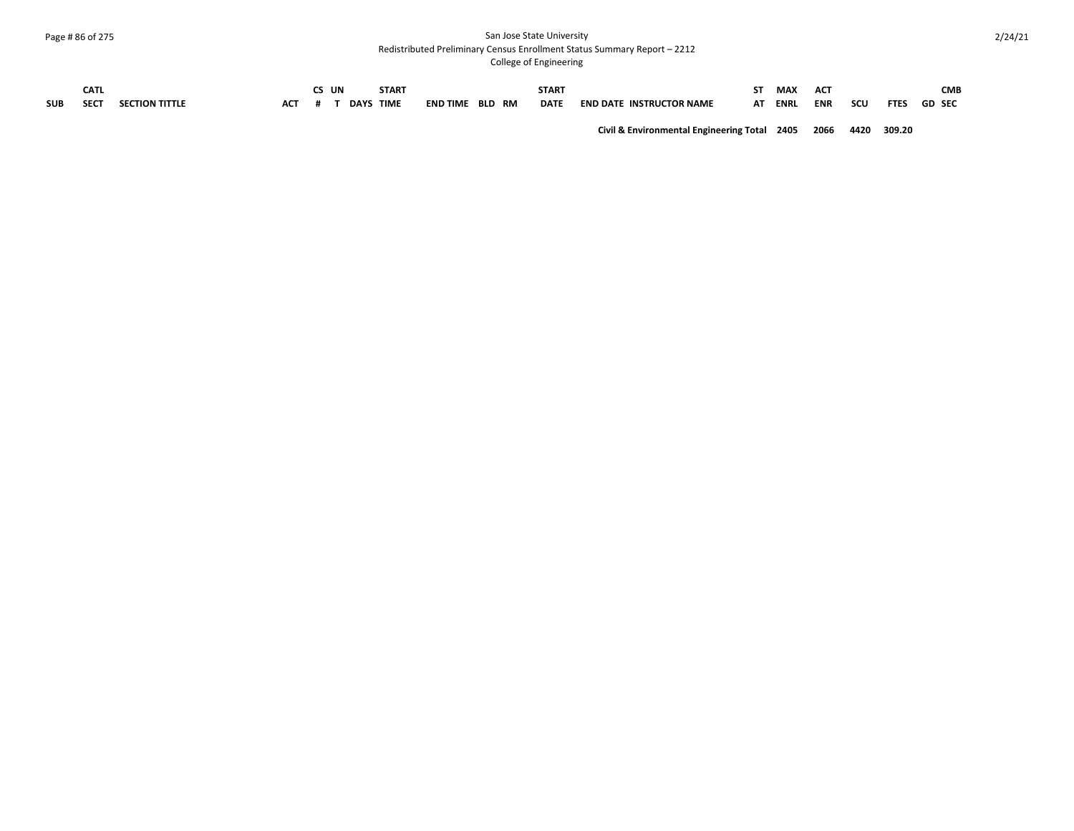#### Page # 86 of 275 San Jose State University Redistributed Preliminary Census Enrollment Status Summary Report – 2212

College of Engineering

|            | <b>CATL</b> |                       |            | UN | <b>START</b>     |                 |               | <b>START</b> |                                 |    | <b>MAX</b>  | AC <sub>7</sub> |     |             | <b>CMB</b>    |
|------------|-------------|-----------------------|------------|----|------------------|-----------------|---------------|--------------|---------------------------------|----|-------------|-----------------|-----|-------------|---------------|
| <b>SUB</b> | <b>SECT</b> | <b>SECTION TITTLE</b> | <b>ACT</b> |    | <b>DAYS TIME</b> | <b>END TIME</b> | <b>BLD RM</b> | <b>DATE</b>  | <b>END DATE INSTRUCTOR NAME</b> | AT | <b>ENRL</b> | <b>ENR</b>      | scu | <b>FTES</b> | <b>GD SEC</b> |

**Civil & Environmental Engineering Total 2405 2066 4420 309.20**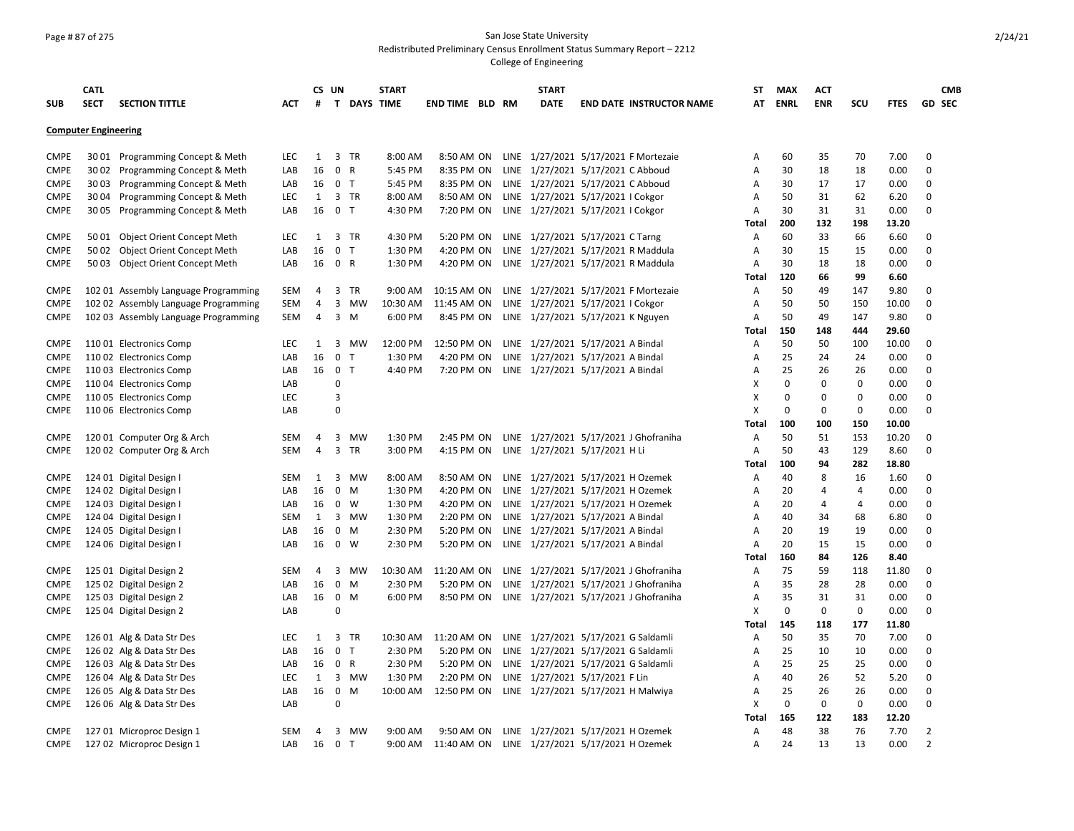### Page # 87 of 275 San Jose State University Redistributed Preliminary Census Enrollment Status Summary Report – 2212

|             | <b>CATL</b>                 |                                      |            |              | CS UN                   |                    | <b>START</b> |                 |  | <b>START</b>                                  |                                       | <b>ST</b> | <b>MAX</b>  | <b>ACT</b> |     |             | <b>CMB</b>     |
|-------------|-----------------------------|--------------------------------------|------------|--------------|-------------------------|--------------------|--------------|-----------------|--|-----------------------------------------------|---------------------------------------|-----------|-------------|------------|-----|-------------|----------------|
| <b>SUB</b>  | <b>SECT</b>                 | <b>SECTION TITTLE</b>                | <b>ACT</b> | #            |                         | <b>T DAYS TIME</b> |              | END TIME BLD RM |  | <b>DATE</b>                                   | <b>END DATE INSTRUCTOR NAME</b>       | AT        | <b>ENRL</b> | <b>ENR</b> | scu | <b>FTES</b> | <b>GD SEC</b>  |
|             |                             |                                      |            |              |                         |                    |              |                 |  |                                               |                                       |           |             |            |     |             |                |
|             | <b>Computer Engineering</b> |                                      |            |              |                         |                    |              |                 |  |                                               |                                       |           |             |            |     |             |                |
| <b>CMPE</b> |                             | 3001 Programming Concept & Meth      | LEC        | 1            |                         | 3 TR               | 8:00 AM      | 8:50 AM ON      |  |                                               | LINE 1/27/2021 5/17/2021 F Mortezaie  | Α         | 60          | 35         | 70  | 7.00        | 0              |
| CMPE        |                             | 30 02 Programming Concept & Meth     | LAB        | 16           | $\mathbf 0$             | $\mathsf{R}$       | 5:45 PM      | 8:35 PM ON      |  | LINE 1/27/2021 5/17/2021 C Abboud             |                                       | A         | 30          | 18         | 18  | 0.00        | 0              |
| <b>CMPE</b> | 3003                        | Programming Concept & Meth           | LAB        | 16           | 0 <sub>T</sub>          |                    | 5:45 PM      | 8:35 PM ON      |  | LINE 1/27/2021 5/17/2021 C Abboud             |                                       | Α         | 30          | 17         | 17  | 0.00        | 0              |
| <b>CMPE</b> | 3004                        | Programming Concept & Meth           | LEC        | 1            |                         | 3 TR               | 8:00 AM      | 8:50 AM ON      |  | LINE 1/27/2021 5/17/2021 I Cokgor             |                                       | A         | 50          | 31         | 62  | 6.20        | 0              |
| <b>CMPE</b> |                             | 30 05 Programming Concept & Meth     | LAB        | 16           | 0 <sub>T</sub>          |                    | 4:30 PM      | 7:20 PM ON      |  | LINE 1/27/2021 5/17/2021 I Cokgor             |                                       | A         | 30          | 31         | 31  | 0.00        | $\Omega$       |
|             |                             |                                      |            |              |                         |                    |              |                 |  |                                               |                                       | Total     | 200         | 132        | 198 | 13.20       |                |
| <b>CMPE</b> |                             | 50 01 Object Orient Concept Meth     | <b>LEC</b> | 1            |                         | 3 TR               | 4:30 PM      | 5:20 PM ON      |  | LINE 1/27/2021 5/17/2021 C Tarng              |                                       | A         | 60          | 33         | 66  | 6.60        | $\Omega$       |
| <b>CMPE</b> |                             | 50 02 Object Orient Concept Meth     | LAB        | 16           | 0                       | T                  | 1:30 PM      | 4:20 PM ON      |  | LINE 1/27/2021 5/17/2021 R Maddula            |                                       | A         | 30          | 15         | 15  | 0.00        | 0              |
| <b>CMPE</b> |                             | 50 03 Object Orient Concept Meth     | LAB        | 16           | 0 R                     |                    | 1:30 PM      | 4:20 PM ON      |  | LINE 1/27/2021 5/17/2021 R Maddula            |                                       | A         | 30          | 18         | 18  | 0.00        | 0              |
|             |                             |                                      |            |              |                         |                    |              |                 |  |                                               |                                       | Total     | 120         | 66         | 99  | 6.60        |                |
| CMPE        |                             | 102 01 Assembly Language Programming | SEM        | 4            | 3                       | TR                 | 9:00 AM      | 10:15 AM ON     |  |                                               | LINE 1/27/2021 5/17/2021 F Mortezaie  | A         | 50          | 49         | 147 | 9.80        | 0              |
| <b>CMPE</b> |                             | 102 02 Assembly Language Programming | <b>SEM</b> | 4            | 3                       | MW                 | 10:30 AM     | 11:45 AM ON     |  | LINE 1/27/2021 5/17/2021 I Cokgor             |                                       | A         | 50          | 50         | 150 | 10.00       | 0              |
| CMPE        |                             | 102 03 Assembly Language Programming | SEM        | 4            | 3                       | M                  | 6:00 PM      | 8:45 PM ON      |  | LINE 1/27/2021 5/17/2021 K Nguyen             |                                       | Α         | 50          | 49         | 147 | 9.80        | 0              |
|             |                             |                                      |            |              |                         |                    |              |                 |  |                                               |                                       | Total     | 150         | 148        | 444 | 29.60       |                |
| <b>CMPE</b> |                             | 110 01 Electronics Comp              | LEC        | 1            | $\overline{\mathbf{3}}$ | MW                 | 12:00 PM     | 12:50 PM ON     |  | LINE 1/27/2021 5/17/2021 A Bindal             |                                       | Α         | 50          | 50         | 100 | 10.00       | 0              |
| <b>CMPE</b> |                             | 11002 Electronics Comp               | LAB        | 16           | 0                       | $\mathsf{T}$       | 1:30 PM      | 4:20 PM ON      |  | LINE 1/27/2021 5/17/2021 A Bindal             |                                       | Α         | 25          | 24         | 24  | 0.00        | 0              |
| <b>CMPE</b> |                             | 110 03 Electronics Comp              | LAB        | 16           | $\mathbf 0$             | T                  | 4:40 PM      | 7:20 PM ON      |  | LINE 1/27/2021 5/17/2021 A Bindal             |                                       | A         | 25          | 26         | 26  | 0.00        | 0              |
| CMPE        |                             | 110 04 Electronics Comp              | LAB        |              | 0                       |                    |              |                 |  |                                               |                                       | X         | 0           | 0          | 0   | 0.00        | 0              |
| <b>CMPE</b> |                             | 110 05 Electronics Comp              | LEC        |              | 3                       |                    |              |                 |  |                                               |                                       | X         | 0           | 0          | 0   | 0.00        | 0              |
| <b>CMPE</b> |                             | 110 06 Electronics Comp              | LAB        |              | 0                       |                    |              |                 |  |                                               |                                       | X         | 0           | 0          | 0   | 0.00        | 0              |
|             |                             |                                      |            |              |                         |                    |              |                 |  |                                               |                                       | Total     | 100         | 100        | 150 | 10.00       |                |
| <b>CMPE</b> |                             | 120 01 Computer Org & Arch           | SEM        | 4            | 3                       | MW                 | 1:30 PM      | 2:45 PM ON      |  |                                               | LINE 1/27/2021 5/17/2021 J Ghofraniha | Α         | 50          | 51         | 153 | 10.20       | 0              |
| <b>CMPE</b> |                             | 120 02 Computer Org & Arch           | SEM        | 4            | 3                       | <b>TR</b>          | 3:00 PM      | 4:15 PM ON      |  | LINE 1/27/2021 5/17/2021 H Li                 |                                       | Α         | 50          | 43         | 129 | 8.60        | 0              |
|             |                             |                                      |            |              |                         |                    |              |                 |  |                                               |                                       | Total     | 100         | 94         | 282 | 18.80       |                |
| <b>CMPE</b> |                             | 124 01 Digital Design I              | <b>SEM</b> | $\mathbf{1}$ | 3                       | MW                 | 8:00 AM      | 8:50 AM ON      |  | LINE 1/27/2021 5/17/2021 H Ozemek             |                                       | Α         | 40          | 8          | 16  | 1.60        | 0              |
| CMPE        |                             | 124 02 Digital Design I              | LAB        | 16           | 0                       | M                  | 1:30 PM      | 4:20 PM ON      |  | LINE 1/27/2021 5/17/2021 H Ozemek             |                                       | A         | 20          | 4          | 4   | 0.00        | 0              |
| <b>CMPE</b> |                             | 124 03 Digital Design I              | LAB        | 16           | 0                       | W                  | 1:30 PM      | 4:20 PM ON      |  | LINE 1/27/2021 5/17/2021 H Ozemek             |                                       | A         | 20          | 4          | 4   | 0.00        | 0              |
| CMPE        |                             | 124 04 Digital Design I              | SEM        | 1            |                         | 3 MW               | 1:30 PM      | 2:20 PM ON      |  | LINE 1/27/2021 5/17/2021 A Bindal             |                                       | A         | 40          | 34         | 68  | 6.80        | 0              |
| <b>CMPE</b> |                             | 124 05 Digital Design I              | LAB        | 16           | 0                       | M                  | 2:30 PM      | 5:20 PM ON      |  | LINE 1/27/2021 5/17/2021 A Bindal             |                                       | A         | 20          | 19         | 19  | 0.00        | 0              |
| <b>CMPE</b> |                             | 124 06 Digital Design I              | LAB        | 16           | 0                       | W                  | 2:30 PM      | 5:20 PM ON      |  | LINE 1/27/2021 5/17/2021 A Bindal             |                                       | A         | 20          | 15         | 15  | 0.00        | 0              |
|             |                             |                                      |            |              |                         |                    |              |                 |  |                                               |                                       | Total     | 160         | 84         | 126 | 8.40        |                |
| <b>CMPE</b> |                             | 125 01 Digital Design 2              | SEM        | 4            | 3                       | MW                 | 10:30 AM     | 11:20 AM ON     |  |                                               | LINE 1/27/2021 5/17/2021 J Ghofraniha | Α         | 75          | 59         | 118 | 11.80       | 0              |
| <b>CMPE</b> |                             | 125 02 Digital Design 2              | LAB        | 16           | 0                       | M                  | 2:30 PM      | 5:20 PM ON      |  |                                               | LINE 1/27/2021 5/17/2021 J Ghofraniha | A         | 35          | 28         | 28  | 0.00        | 0              |
| <b>CMPE</b> |                             | 125 03 Digital Design 2              | LAB        | 16           | $\mathbf 0$             | M                  | 6:00 PM      | 8:50 PM ON      |  |                                               | LINE 1/27/2021 5/17/2021 J Ghofraniha | Α         | 35          | 31         | 31  | 0.00        | 0              |
| <b>CMPE</b> |                             | 125 04 Digital Design 2              | LAB        |              | $\pmb{0}$               |                    |              |                 |  |                                               |                                       | X         | $\mathbf 0$ | 0          | 0   | 0.00        | 0              |
|             |                             |                                      |            |              |                         |                    |              |                 |  |                                               |                                       | Total     | 145         | 118        | 177 | 11.80       |                |
| <b>CMPE</b> |                             | 126 01 Alg & Data Str Des            | LEC        | 1            | 3                       | TR                 | 10:30 AM     | 11:20 AM ON     |  | LINE 1/27/2021 5/17/2021 G Saldamli           |                                       | Α         | 50          | 35         | 70  | 7.00        | $\Omega$       |
| <b>CMPE</b> |                             | 126 02 Alg & Data Str Des            | LAB        | 16           | $\mathbf 0$             | $\mathsf{T}$       | 2:30 PM      | 5:20 PM ON      |  | LINE 1/27/2021 5/17/2021 G Saldamli           |                                       | Α         | 25          | 10         | 10  | 0.00        | 0              |
| <b>CMPE</b> |                             | 126 03 Alg & Data Str Des            | LAB        | 16           | 0 R                     |                    | 2:30 PM      | 5:20 PM ON      |  | LINE 1/27/2021 5/17/2021 G Saldamli           |                                       | A         | 25          | 25         | 25  | 0.00        | 0              |
| <b>CMPE</b> |                             | 126 04 Alg & Data Str Des            | LEC        | 1            |                         | 3 MW               | 1:30 PM      | 2:20 PM ON      |  | LINE 1/27/2021 5/17/2021 F Lin                |                                       | А         | 40          | 26         | 52  | 5.20        | 0              |
| <b>CMPE</b> |                             | 126 05 Alg & Data Str Des            | LAB        | 16           | $\mathbf 0$             | M                  | 10:00 AM     | 12:50 PM ON     |  | LINE 1/27/2021 5/17/2021 H Malwiya            |                                       | A         | 25          | 26         | 26  | 0.00        | 0              |
| <b>CMPE</b> |                             | 126 06 Alg & Data Str Des            | LAB        |              | 0                       |                    |              |                 |  |                                               |                                       | x         | 0           | 0          | 0   | 0.00        | 0              |
|             |                             |                                      |            |              |                         |                    |              |                 |  |                                               |                                       | Total     | 165         | 122        | 183 | 12.20       |                |
| <b>CMPE</b> |                             | 127 01 Microproc Design 1            | <b>SEM</b> | 4            |                         | 3 MW               | 9:00 AM      | 9:50 AM ON      |  | LINE 1/27/2021 5/17/2021 H Ozemek             |                                       | Α         | 48          | 38         | 76  | 7.70        | 2              |
| <b>CMPE</b> |                             | 127 02 Microproc Design 1            | LAB        | 16           | 0 <sub>T</sub>          |                    | 9:00 AM      |                 |  | 11:40 AM ON LINE 1/27/2021 5/17/2021 H Ozemek |                                       | Α         | 24          | 13         | 13  | 0.00        | $\overline{2}$ |
|             |                             |                                      |            |              |                         |                    |              |                 |  |                                               |                                       |           |             |            |     |             |                |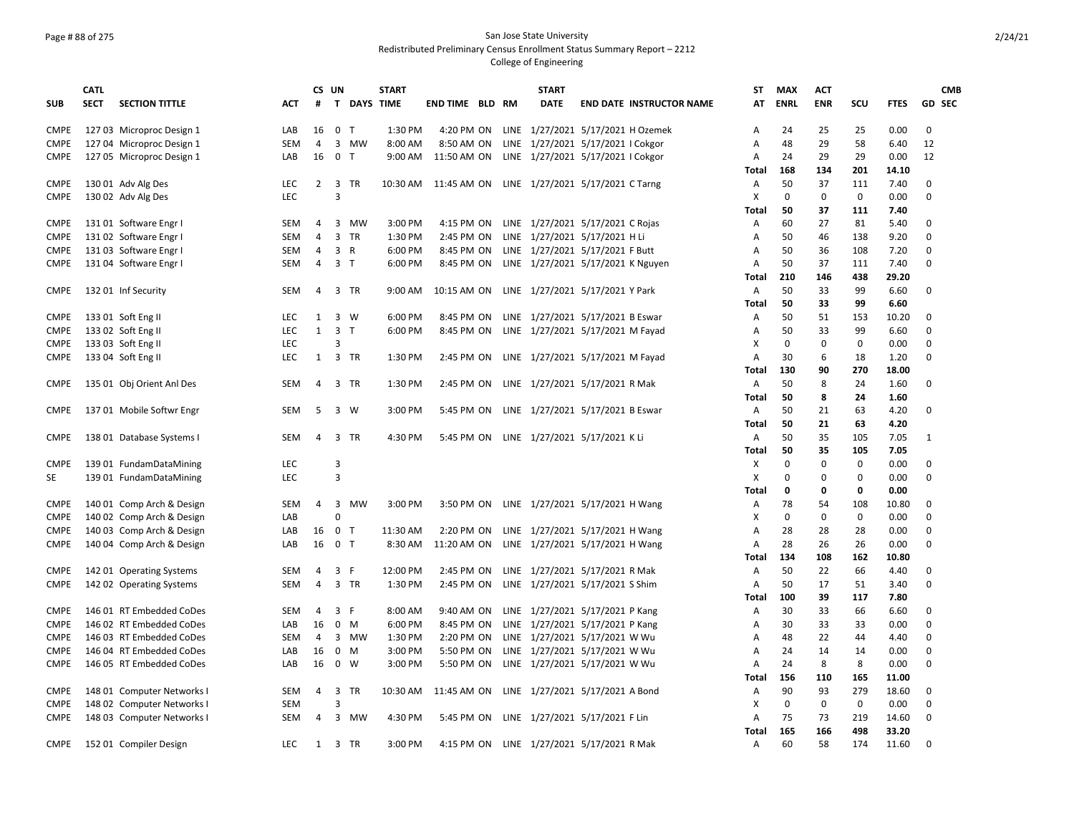## Page # 88 of 275 San Jose State University Redistributed Preliminary Census Enrollment Status Summary Report – 2212

|             | <b>CATL</b> |                            |            |    | CS UN          |                  | <b>START</b> |                        |  | <b>START</b>                                 |                                 | ST           | <b>MAX</b>  | <b>ACT</b>  |             |             | <b>CMB</b> |
|-------------|-------------|----------------------------|------------|----|----------------|------------------|--------------|------------------------|--|----------------------------------------------|---------------------------------|--------------|-------------|-------------|-------------|-------------|------------|
| <b>SUB</b>  | <b>SECT</b> | <b>SECTION TITTLE</b>      | ACT        | #  | T              | <b>DAYS TIME</b> |              | <b>END TIME BLD RM</b> |  | <b>DATE</b>                                  | <b>END DATE INSTRUCTOR NAME</b> | AT           | <b>ENRL</b> | <b>ENR</b>  | scu         | <b>FTES</b> | GD SEC     |
| <b>CMPE</b> |             | 127 03 Microproc Design 1  | LAB        | 16 | $\mathbf 0$    | $\mathsf{T}$     | 1:30 PM      | 4:20 PM ON             |  | LINE 1/27/2021 5/17/2021 H Ozemek            |                                 | A            | 24          | 25          | 25          | 0.00        | 0          |
| <b>CMPE</b> |             | 127 04 Microproc Design 1  | SEM        | 4  | 3              | MW               | 8:00 AM      | 8:50 AM ON             |  | LINE 1/27/2021 5/17/2021 I Cokgor            |                                 | Α            | 48          | 29          | 58          | 6.40        | 12         |
| <b>CMPE</b> |             | 127 05 Microproc Design 1  | LAB        | 16 | $\mathbf 0$    | $\mathsf{T}$     | 9:00 AM      | 11:50 AM ON            |  | LINE 1/27/2021 5/17/2021 I Cokgor            |                                 | A            | 24          | 29          | 29          | 0.00        | 12         |
|             |             |                            |            |    |                |                  |              |                        |  |                                              |                                 | <b>Total</b> | 168         | 134         | 201         | 14.10       |            |
| <b>CMPE</b> |             | 130 01 Adv Alg Des         | LEC        | 2  | 3 TR           |                  | 10:30 AM     |                        |  | 11:45 AM ON LINE 1/27/2021 5/17/2021 C Tarng |                                 | Α            | 50          | 37          | 111         | 7.40        | 0          |
| <b>CMPE</b> |             | 130 02 Adv Alg Des         | <b>LEC</b> |    | 3              |                  |              |                        |  |                                              |                                 | x            | 0           | $\Omega$    | 0           | 0.00        | $\Omega$   |
|             |             |                            |            |    |                |                  |              |                        |  |                                              |                                 | <b>Total</b> | 50          | 37          | 111         | 7.40        |            |
| CMPE        |             | 13101 Software Engr I      | SEM        | 4  | 3              | MW               | 3:00 PM      | 4:15 PM ON             |  | LINE 1/27/2021 5/17/2021 C Rojas             |                                 | Α            | 60          | 27          | 81          | 5.40        | 0          |
| <b>CMPE</b> |             | 131 02 Software Engr I     | <b>SEM</b> | 4  | 3 TR           |                  | 1:30 PM      | 2:45 PM ON             |  | LINE 1/27/2021 5/17/2021 H Li                |                                 | Α            | 50          | 46          | 138         | 9.20        | $\Omega$   |
| <b>CMPE</b> |             | 13103 Software Engr I      | SEM        | 4  | 3              | R                | 6:00 PM      | 8:45 PM ON             |  | LINE 1/27/2021 5/17/2021 F Butt              |                                 | Α            | 50          | 36          | 108         | 7.20        | 0          |
| CMPE        |             | 131 04 Software Engr I     | SEM        | 4  | 3 <sub>T</sub> |                  | 6:00 PM      | 8:45 PM ON             |  | LINE 1/27/2021 5/17/2021 K Nguyen            |                                 | Α            | 50          | 37          | 111         | 7.40        | 0          |
|             |             |                            |            |    |                |                  |              |                        |  |                                              |                                 | Total        | 210         | 146         | 438         | 29.20       |            |
| <b>CMPE</b> |             | 132 01 Inf Security        | SEM        | 4  | 3 TR           |                  | 9:00 AM      | 10:15 AM ON            |  | LINE 1/27/2021 5/17/2021 Y Park              |                                 | A            | 50          | 33          | 99          | 6.60        | $\Omega$   |
|             |             |                            |            |    |                |                  |              |                        |  |                                              |                                 | Total        | 50          | 33          | 99          | 6.60        |            |
| <b>CMPE</b> |             | 133 01 Soft Eng II         | <b>LEC</b> | 1  | $\overline{3}$ | W                | 6:00 PM      | 8:45 PM ON             |  | LINE 1/27/2021 5/17/2021 B Eswar             |                                 | Α            | 50          | 51          | 153         | 10.20       | 0          |
| <b>CMPE</b> |             | 133 02 Soft Eng II         | <b>LEC</b> | 1  | $\overline{3}$ | T                | 6:00 PM      | 8:45 PM ON             |  | LINE 1/27/2021 5/17/2021 M Fayad             |                                 | A            | 50          | 33          | 99          | 6.60        | $\Omega$   |
| CMPE        |             | 133 03 Soft Eng II         | LEC        |    | 3              |                  |              |                        |  |                                              |                                 | X            | 0           | $\mathbf 0$ | $\mathbf 0$ | 0.00        | 0          |
| CMPE        |             | 133 04 Soft Eng II         | <b>LEC</b> | 1  | 3 TR           |                  | 1:30 PM      | 2:45 PM ON             |  | LINE 1/27/2021 5/17/2021 M Fayad             |                                 | A            | 30          | 6           | 18          | 1.20        | $\Omega$   |
|             |             |                            |            |    |                |                  |              |                        |  |                                              |                                 | Total        | 130         | 90          | 270         | 18.00       |            |
| <b>CMPE</b> |             | 135 01 Obj Orient Anl Des  | SEM        | 4  | 3              | TR               | 1:30 PM      | 2:45 PM ON             |  | LINE 1/27/2021 5/17/2021 R Mak               |                                 | Α            | 50          | 8           | 24          | 1.60        | 0          |
|             |             |                            |            |    |                |                  |              |                        |  |                                              |                                 | Total        | 50          | 8           | 24          | 1.60        |            |
| <b>CMPE</b> |             | 137 01 Mobile Softwr Engr  | SEM        | -5 | 3              | W                | 3:00 PM      | 5:45 PM ON             |  | LINE 1/27/2021 5/17/2021 B Eswar             |                                 | $\mathsf{A}$ | 50          | 21          | 63          | 4.20        | 0          |
|             |             |                            |            |    |                |                  |              |                        |  |                                              |                                 | <b>Total</b> | 50          | 21          | 63          | 4.20        |            |
| <b>CMPE</b> |             | 138 01 Database Systems I  | <b>SEM</b> | 4  | 3              | TR               | 4:30 PM      | 5:45 PM ON             |  | LINE 1/27/2021 5/17/2021 K Li                |                                 | Α            | 50          | 35          | 105         | 7.05        | 1          |
|             |             |                            |            |    |                |                  |              |                        |  |                                              |                                 | Total        | 50          | 35          | 105         | 7.05        |            |
| <b>CMPE</b> |             | 139 01 FundamDataMining    | <b>LEC</b> |    | 3              |                  |              |                        |  |                                              |                                 | Х            | 0           | $\Omega$    | 0           | 0.00        | 0          |
| SE          |             | 139 01 FundamDataMining    | <b>LEC</b> |    | 3              |                  |              |                        |  |                                              |                                 | X            | 0           | 0           | 0           | 0.00        | 0          |
|             |             |                            |            |    |                |                  |              |                        |  |                                              |                                 | Total        | 0           | 0           | 0           | 0.00        |            |
| <b>CMPE</b> |             | 140 01 Comp Arch & Design  | SEM        | 4  | 3              | MW               | 3:00 PM      | 3:50 PM ON             |  | LINE 1/27/2021 5/17/2021 H Wang              |                                 | A            | 78          | 54          | 108         | 10.80       | $\Omega$   |
| CMPE        |             | 140 02 Comp Arch & Design  | LAB        |    | 0              |                  |              |                        |  |                                              |                                 | X            | 0           | 0           | 0           | 0.00        | $\Omega$   |
| <b>CMPE</b> |             | 140 03 Comp Arch & Design  | LAB        | 16 | $\mathbf 0$    | $\mathsf{T}$     | 11:30 AM     | 2:20 PM ON             |  | LINE 1/27/2021 5/17/2021 H Wang              |                                 | A            | 28          | 28          | 28          | 0.00        | 0          |
| <b>CMPE</b> |             | 140 04 Comp Arch & Design  | LAB        | 16 | 0              | $\top$           | 8:30 AM      | 11:20 AM ON            |  | LINE 1/27/2021 5/17/2021 H Wang              |                                 | Α            | 28          | 26          | 26          | 0.00        | O          |
|             |             |                            |            |    |                |                  |              |                        |  |                                              |                                 | Total        | 134         | 108         | 162         | 10.80       |            |
| <b>CMPE</b> |             | 142 01 Operating Systems   | <b>SEM</b> | 4  | 3              | -F               | 12:00 PM     | 2:45 PM ON             |  | LINE 1/27/2021 5/17/2021 R Mak               |                                 | A            | 50          | 22          | 66          | 4.40        | 0          |
| <b>CMPE</b> |             | 142 02 Operating Systems   | SEM        | 4  | $\overline{3}$ | <b>TR</b>        | 1:30 PM      | 2:45 PM ON             |  | LINE 1/27/2021 5/17/2021 S Shim              |                                 | A            | 50          | 17          | 51          | 3.40        | 0          |
|             |             |                            |            |    |                |                  |              |                        |  |                                              |                                 | Total        | 100         | 39          | 117         | 7.80        |            |
| <b>CMPE</b> |             | 146 01 RT Embedded CoDes   | SEM        | 4  | $\overline{3}$ | -F               | 8:00 AM      | 9:40 AM ON             |  | LINE 1/27/2021 5/17/2021 P Kang              |                                 | A            | 30          | 33          | 66          | 6.60        | 0          |
| <b>CMPE</b> |             | 146 02 RT Embedded CoDes   | LAB        | 16 | 0              | M                | 6:00 PM      | 8:45 PM ON             |  | LINE 1/27/2021 5/17/2021 P Kang              |                                 | A            | 30          | 33          | 33          | 0.00        | 0          |
| <b>CMPE</b> |             | 146 03 RT Embedded CoDes   | SEM        | 4  | 3              | MW               | 1:30 PM      | 2:20 PM ON             |  | LINE 1/27/2021 5/17/2021 W Wu                |                                 | Α            | 48          | 22          | 44          | 4.40        | 0          |
| <b>CMPE</b> |             | 146 04 RT Embedded CoDes   | LAB        | 16 | 0              | M                | 3:00 PM      | 5:50 PM ON             |  | LINE 1/27/2021 5/17/2021 W Wu                |                                 | Α            | 24          | 14          | 14          | 0.00        | 0          |
| <b>CMPE</b> |             | 146 05 RT Embedded CoDes   | LAB        | 16 | 0              | W                | 3:00 PM      | 5:50 PM ON             |  | LINE 1/27/2021 5/17/2021 W Wu                |                                 | A            | 24          | 8           | 8           | 0.00        | 0          |
|             |             |                            |            |    |                |                  |              |                        |  |                                              |                                 | Total        | 156         | 110         | 165         | 11.00       |            |
| <b>CMPE</b> |             | 148 01 Computer Networks I | SEM        | 4  | 3              | TR               | 10:30 AM     | 11:45 AM ON            |  | LINE 1/27/2021 5/17/2021 A Bond              |                                 | A            | 90          | 93          | 279         | 18.60       | 0          |
| <b>CMPE</b> |             | 148 02 Computer Networks I | SEM        |    | 3              |                  |              |                        |  |                                              |                                 | X            | 0           | 0           | 0           | 0.00        | 0          |
| <b>CMPE</b> |             | 148 03 Computer Networks I | SEM        | 4  | $\overline{3}$ | MW               | 4:30 PM      | 5:45 PM ON             |  | LINE 1/27/2021 5/17/2021 F Lin               |                                 | А            | 75          | 73          | 219         | 14.60       | 0          |
|             |             |                            |            |    |                |                  |              |                        |  |                                              |                                 | Total        | 165         | 166         | 498         | 33.20       |            |
| <b>CMPE</b> |             | 15201 Compiler Design      | <b>LEC</b> | 1  | 3              | <b>TR</b>        | 3:00 PM      | 4:15 PM ON             |  | LINE 1/27/2021 5/17/2021 R Mak               |                                 | A            | 60          | 58          | 174         | 11.60       | 0          |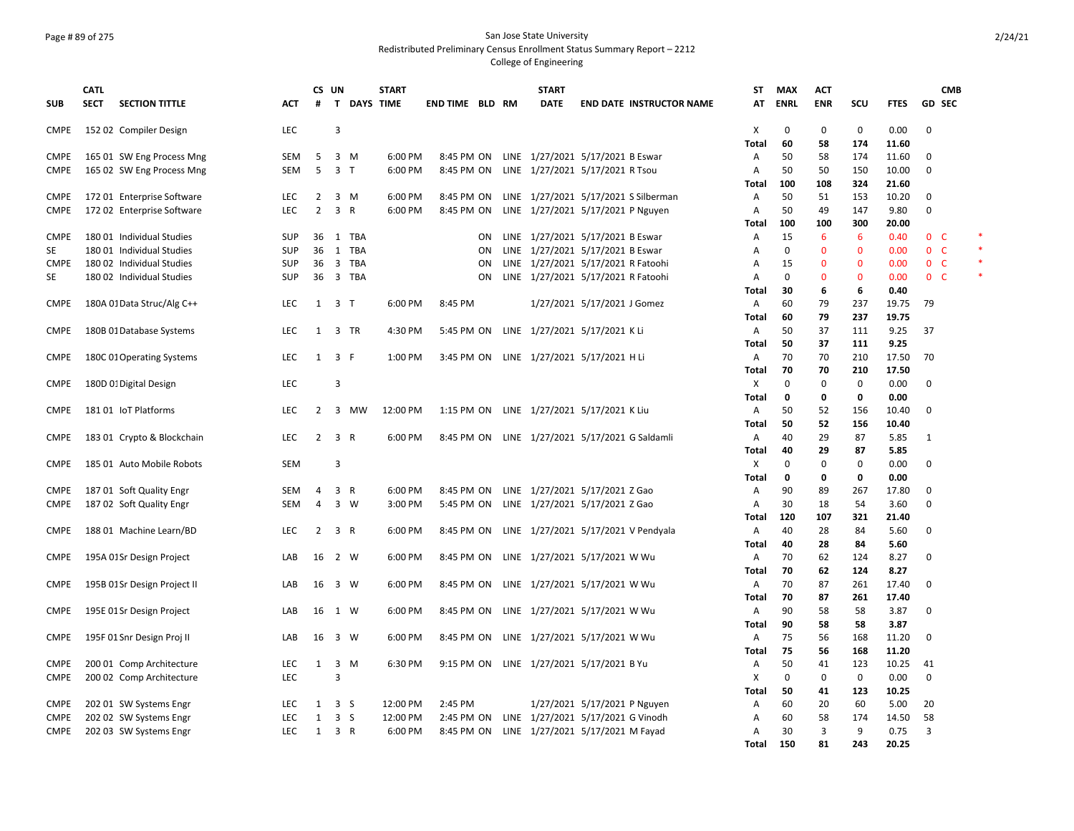### Page # 89 of 275 San Jose State University Redistributed Preliminary Census Enrollment Status Summary Report – 2212

|             | <b>CATL</b> |                             |            | CS UN          |                         |                    | <b>START</b> |                        |    |      | <b>START</b>                                |                              |                                                | <b>ST</b>    | <b>MAX</b>  | <b>ACT</b>     |              |              |                | <b>CMB</b> |  |
|-------------|-------------|-----------------------------|------------|----------------|-------------------------|--------------------|--------------|------------------------|----|------|---------------------------------------------|------------------------------|------------------------------------------------|--------------|-------------|----------------|--------------|--------------|----------------|------------|--|
| <b>SUB</b>  | <b>SECT</b> | <b>SECTION TITTLE</b>       | ACT        | #              |                         | <b>T DAYS TIME</b> |              | <b>END TIME BLD RM</b> |    |      | <b>DATE</b>                                 |                              | <b>END DATE INSTRUCTOR NAME</b>                | AT           | <b>ENRL</b> | <b>ENR</b>     | scu          | <b>FTES</b>  | <b>GD SEC</b>  |            |  |
| <b>CMPE</b> |             | 152 02 Compiler Design      | LEC        |                | 3                       |                    |              |                        |    |      |                                             |                              |                                                | X            | 0           | 0              | 0            | 0.00         | 0              |            |  |
|             |             |                             |            |                |                         |                    |              |                        |    |      |                                             |                              |                                                | Total        | 60          | 58             | 174          | 11.60        |                |            |  |
| <b>CMPE</b> |             | 165 01 SW Eng Process Mng   | <b>SEM</b> | 5              | $\overline{3}$          | M                  | 6:00 PM      | 8:45 PM ON             |    |      | LINE 1/27/2021 5/17/2021 B Eswar            |                              |                                                | Α            | 50          | 58             | 174          | 11.60        | 0              |            |  |
| <b>CMPE</b> |             | 165 02 SW Eng Process Mng   | <b>SEM</b> | 5              | 3 T                     |                    | 6:00 PM      | 8:45 PM ON             |    |      | LINE 1/27/2021 5/17/2021 R Tsou             |                              |                                                | A            | 50          | 50             | 150          | 10.00        | 0              |            |  |
|             |             |                             |            |                |                         |                    |              |                        |    |      |                                             |                              |                                                | Total        | 100         | 108            | 324          | 21.60        |                |            |  |
| <b>CMPE</b> |             | 172 01 Enterprise Software  | <b>LEC</b> | $\overline{2}$ | 3 M                     |                    | 6:00 PM      | 8:45 PM ON             |    |      |                                             |                              | LINE 1/27/2021 5/17/2021 S Silberman           | A            | 50          | 51             | 153          | 10.20        | 0              |            |  |
| <b>CMPE</b> |             | 172 02 Enterprise Software  | LEC.       | $\overline{2}$ | 3 R                     |                    | 6:00 PM      | 8:45 PM ON             |    |      | LINE 1/27/2021 5/17/2021 P Nguyen           |                              |                                                | A            | 50          | 49             | 147          | 9.80         | 0              |            |  |
|             |             |                             |            |                |                         |                    |              |                        |    |      |                                             |                              |                                                | Total        | 100         | 100            | 300          | 20.00        |                |            |  |
| <b>CMPE</b> |             | 180 01 Individual Studies   | <b>SUP</b> | 36             |                         | 1 TBA              |              |                        | ON |      | LINE 1/27/2021 5/17/2021 B Eswar            |                              |                                                | Α            | 15          | 6              | 6            | 0.40         | 0 <sup>o</sup> |            |  |
| SE          |             | 180 01 Individual Studies   | <b>SUP</b> | 36             | 1                       | <b>TBA</b>         |              |                        | ON | LINE | 1/27/2021 5/17/2021 B Eswar                 |                              |                                                | A            | 0           | $\mathbf 0$    | $\mathbf 0$  | 0.00         | 0 <sup>o</sup> |            |  |
| <b>CMPE</b> |             | 180 02 Individual Studies   | <b>SUP</b> | 36             | $\overline{3}$          | <b>TBA</b>         |              |                        | ON |      | LINE 1/27/2021 5/17/2021 R Fatoohi          |                              |                                                | A            | 15          | $\mathbf{0}$   | $\Omega$     | 0.00         | 0 <sup>o</sup> |            |  |
| <b>SE</b>   |             | 180 02 Individual Studies   | <b>SUP</b> | 36             | $\overline{3}$          | TBA                |              |                        | ON |      | LINE 1/27/2021 5/17/2021 R Fatoohi          |                              |                                                | A            | $\Omega$    | $\mathbf 0$    | $\mathbf{0}$ | 0.00         | 0 <sup>o</sup> |            |  |
|             |             |                             |            |                |                         |                    |              |                        |    |      |                                             |                              |                                                | Total        | 30          | 6              | 6            | 0.40         |                |            |  |
| <b>CMPE</b> |             | 180A 01 Data Struc/Alg C++  | <b>LEC</b> | 1              | 3 T                     |                    | 6:00 PM      | 8:45 PM                |    |      | 1/27/2021 5/17/2021 J Gomez                 |                              |                                                | $\mathsf{A}$ | 60          | 79             | 237          | 19.75        | 79             |            |  |
|             |             |                             |            |                |                         |                    |              |                        |    |      |                                             |                              |                                                | Total        | 60          | 79             | 237          | 19.75        |                |            |  |
| CMPE        |             | 180B 01 Database Systems    | <b>LEC</b> | 1              |                         | 3 TR               | 4:30 PM      | 5:45 PM ON             |    |      | LINE 1/27/2021 5/17/2021 K Li               |                              |                                                | Α            | 50          | 37             | 111          | 9.25         | 37             |            |  |
|             |             |                             |            |                |                         |                    |              |                        |    |      |                                             |                              |                                                | Total        | 50          | 37             | 111          | 9.25         |                |            |  |
| <b>CMPE</b> |             | 180C 01 Operating Systems   | <b>LEC</b> | 1              | 3 F                     |                    | 1:00 PM      | 3:45 PM ON             |    |      | LINE 1/27/2021 5/17/2021 H Li               |                              |                                                | $\mathsf{A}$ | 70          | 70             | 210          | 17.50        | 70             |            |  |
|             |             |                             |            |                |                         |                    |              |                        |    |      |                                             |                              |                                                | Total        | 70          | 70             | 210          | 17.50        |                |            |  |
| CMPE        |             | 180D 0: Digital Design      | <b>LEC</b> |                | 3                       |                    |              |                        |    |      |                                             |                              |                                                | X            | 0           | 0              | 0            | 0.00         | 0              |            |  |
|             |             |                             |            |                |                         |                    |              |                        |    |      |                                             |                              |                                                | Total        | 0           | 0              | 0            | 0.00         |                |            |  |
| CMPE        |             | 181 01 IoT Platforms        | <b>LEC</b> | 2              | 3                       | мw                 | 12:00 PM     | 1:15 PM ON             |    |      | LINE 1/27/2021 5/17/2021 K Liu              |                              |                                                | A            | 50          | 52             | 156          | 10.40        | 0              |            |  |
|             |             |                             |            |                |                         |                    |              |                        |    |      |                                             |                              |                                                | Total        | 50          | 52             | 156          | 10.40        |                |            |  |
| <b>CMPE</b> |             | 183 01 Crypto & Blockchain  | <b>LEC</b> | $\overline{2}$ | 3 R                     |                    | 6:00 PM      | 8:45 PM ON             |    |      | LINE 1/27/2021 5/17/2021 G Saldamli         |                              |                                                | Α            | 40          | 29             | 87           | 5.85         | 1              |            |  |
|             |             |                             |            |                |                         |                    |              |                        |    |      |                                             |                              |                                                | Total        | 40          | 29             | 87           | 5.85         |                |            |  |
| CMPE        |             | 185 01 Auto Mobile Robots   | <b>SEM</b> |                | 3                       |                    |              |                        |    |      |                                             |                              |                                                | X            | 0           | 0              | $\mathbf 0$  | 0.00         | 0              |            |  |
|             |             |                             |            |                |                         |                    |              |                        |    |      |                                             |                              |                                                | Total        | 0           | 0              | 0            | 0.00         |                |            |  |
| CMPE        |             | 187 01 Soft Quality Engr    | <b>SEM</b> | 4              | 3 R                     |                    | 6:00 PM      | 8:45 PM ON             |    |      | LINE 1/27/2021 5/17/2021 Z Gao              |                              |                                                | Α            | 90          | 89             | 267          | 17.80        | 0              |            |  |
| <b>CMPE</b> |             | 187 02 Soft Quality Engr    | <b>SEM</b> | $\overline{4}$ | 3 W                     |                    | 3:00 PM      |                        |    |      | 5:45 PM ON LINE 1/27/2021 5/17/2021 Z Gao   |                              |                                                | Α            | 30          | 18             | 54           | 3.60         | 0              |            |  |
|             |             |                             |            |                |                         |                    |              |                        |    |      |                                             |                              |                                                | Total        | 120         | 107            | 321          | 21.40        |                |            |  |
| <b>CMPE</b> |             | 188 01 Machine Learn/BD     | <b>LEC</b> | $\overline{2}$ | 3 R                     |                    | 6:00 PM      |                        |    |      |                                             |                              | 8:45 PM ON LINE 1/27/2021 5/17/2021 V Pendyala | A            | 40<br>40    | 28             | 84           | 5.60         | 0              |            |  |
| <b>CMPE</b> |             |                             | LAB        | 16             | 2 W                     |                    | 6:00 PM      |                        |    |      |                                             |                              |                                                | Total<br>A   | 70          | 28<br>62       | 84<br>124    | 5.60<br>8.27 | 0              |            |  |
|             |             | 195A 01Sr Design Project    |            |                |                         |                    |              |                        |    |      | 8:45 PM ON LINE 1/27/2021 5/17/2021 W Wu    |                              |                                                | Total        | 70          | 62             | 124          | 8.27         |                |            |  |
| <b>CMPE</b> |             | 195B 01Sr Design Project II | LAB        | 16             | 3 W                     |                    | 6:00 PM      |                        |    |      | 8:45 PM ON LINE 1/27/2021 5/17/2021 W Wu    |                              |                                                | A            | 70          | 87             | 261          | 17.40        | 0              |            |  |
|             |             |                             |            |                |                         |                    |              |                        |    |      |                                             |                              |                                                | <b>Total</b> | 70          | 87             | 261          | 17.40        |                |            |  |
| <b>CMPE</b> |             | 195E 01 Sr Design Project   | LAB        | 16             | 1 W                     |                    | 6:00 PM      |                        |    |      | 8:45 PM ON LINE 1/27/2021 5/17/2021 W Wu    |                              |                                                | A            | 90          | 58             | 58           | 3.87         | 0              |            |  |
|             |             |                             |            |                |                         |                    |              |                        |    |      |                                             |                              |                                                | Total        | 90          | 58             | 58           | 3.87         |                |            |  |
| <b>CMPE</b> |             | 195F 01 Snr Design Proj II  | LAB        | 16             | 3 W                     |                    | 6:00 PM      |                        |    |      | 8:45 PM ON LINE 1/27/2021 5/17/2021 W Wu    |                              |                                                | A            | 75          | 56             | 168          | 11.20        | 0              |            |  |
|             |             |                             |            |                |                         |                    |              |                        |    |      |                                             |                              |                                                | <b>Total</b> | 75          | 56             | 168          | 11.20        |                |            |  |
| <b>CMPE</b> |             | 200 01 Comp Architecture    | <b>LEC</b> | 1              | $\overline{\mathbf{3}}$ | M                  | 6:30 PM      |                        |    |      | 9:15 PM ON LINE 1/27/2021 5/17/2021 B Yu    |                              |                                                | Α            | 50          | 41             | 123          | 10.25        | 41             |            |  |
| <b>CMPE</b> |             | 200 02 Comp Architecture    | <b>LEC</b> |                | 3                       |                    |              |                        |    |      |                                             |                              |                                                | Χ            | $\Omega$    | 0              | 0            | 0.00         | 0              |            |  |
|             |             |                             |            |                |                         |                    |              |                        |    |      |                                             |                              |                                                | Total        | 50          | 41             | 123          | 10.25        |                |            |  |
| <b>CMPE</b> |             | 202 01 SW Systems Engr      | LEC.       | 1              | 3 <sub>5</sub>          |                    | 12:00 PM     | 2:45 PM                |    |      |                                             | 1/27/2021 5/17/2021 P Nguyen |                                                | Α            | 60          | 20             | 60           | 5.00         | 20             |            |  |
| <b>CMPE</b> |             | 202 02 SW Systems Engr      | <b>LEC</b> | 1              | 3 <sub>5</sub>          |                    | 12:00 PM     | 2:45 PM ON             |    |      | LINE 1/27/2021 5/17/2021 G Vinodh           |                              |                                                | A            | 60          | 58             | 174          | 14.50        | 58             |            |  |
| <b>CMPE</b> |             | 202 03 SW Systems Engr      | <b>LEC</b> | $\mathbf{1}$   | 3 R                     |                    | 6:00 PM      |                        |    |      | 8:45 PM ON LINE 1/27/2021 5/17/2021 M Fayad |                              |                                                | Α            | 30          | $\overline{3}$ | 9            | 0.75         | 3              |            |  |
|             |             |                             |            |                |                         |                    |              |                        |    |      |                                             |                              |                                                | Total        | 150         | 81             | 243          | 20.25        |                |            |  |
|             |             |                             |            |                |                         |                    |              |                        |    |      |                                             |                              |                                                |              |             |                |              |              |                |            |  |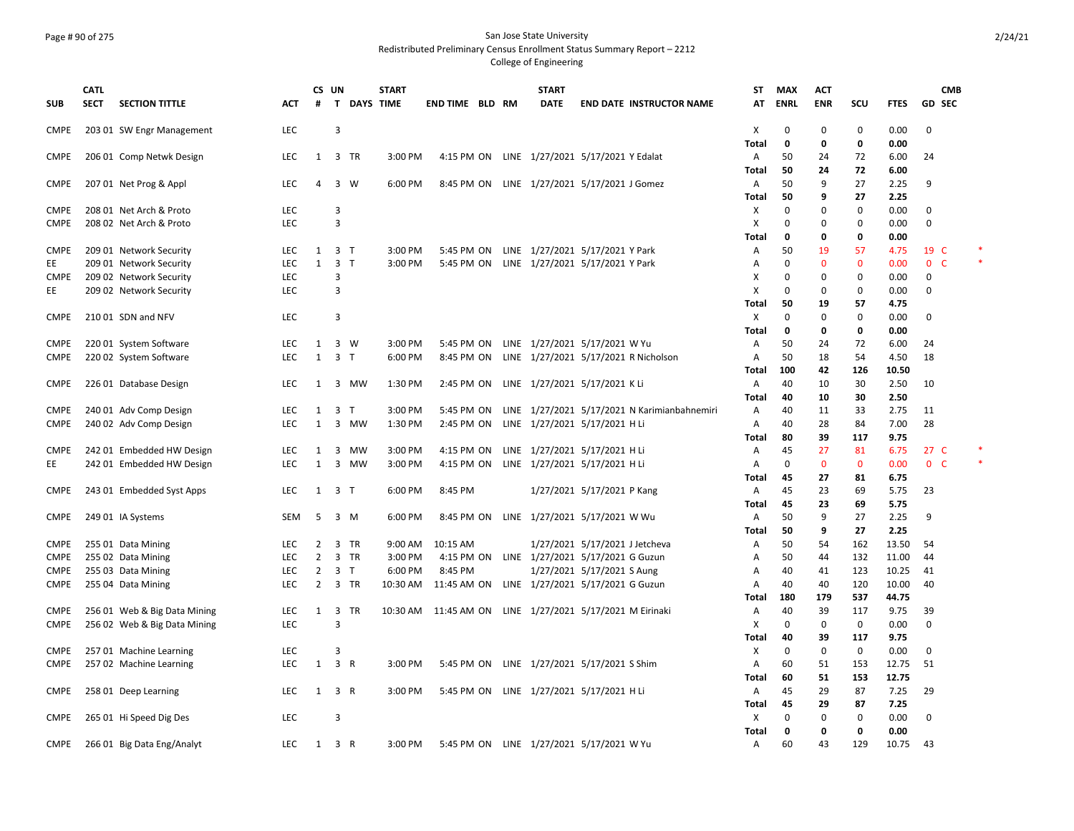### Page # 90 of 275 San Jose State University Redistributed Preliminary Census Enrollment Status Summary Report – 2212

|             | <b>CATL</b> |                              |            | CS UN          |                |                    | <b>START</b> |                                                             |  | <b>START</b>                                 |                                |                                              | <b>ST</b>    | <b>MAX</b>   | <b>ACT</b>  |              |             |                          | <b>CMB</b> |
|-------------|-------------|------------------------------|------------|----------------|----------------|--------------------|--------------|-------------------------------------------------------------|--|----------------------------------------------|--------------------------------|----------------------------------------------|--------------|--------------|-------------|--------------|-------------|--------------------------|------------|
| <b>SUB</b>  | <b>SECT</b> | <b>SECTION TITTLE</b>        | <b>ACT</b> | #              |                | <b>T DAYS TIME</b> |              | <b>END TIME BLD RM</b>                                      |  | <b>DATE</b>                                  |                                | <b>END DATE INSTRUCTOR NAME</b>              | AT           | <b>ENRL</b>  | <b>ENR</b>  | scu          | <b>FTES</b> | <b>GD SEC</b>            |            |
| <b>CMPE</b> |             | 203 01 SW Engr Management    | <b>LEC</b> |                | 3              |                    |              |                                                             |  |                                              |                                |                                              | Х            | 0            | 0           | 0            | 0.00        | 0                        |            |
|             |             |                              |            |                |                |                    |              |                                                             |  |                                              |                                |                                              | <b>Total</b> | 0            | 0           | 0            | 0.00        |                          |            |
| <b>CMPE</b> |             | 206 01 Comp Netwk Design     | <b>LEC</b> | 1              |                | 3 TR               | 3:00 PM      |                                                             |  | 4:15 PM ON LINE 1/27/2021 5/17/2021 Y Edalat |                                |                                              | A            | 50           | 24          | 72           | 6.00        | 24                       |            |
|             |             |                              |            |                |                |                    |              |                                                             |  |                                              |                                |                                              | Total        | 50           | 24          | 72           | 6.00        |                          |            |
| <b>CMPE</b> |             | 207 01 Net Prog & Appl       | <b>LEC</b> | 4              | 3 W            |                    | 6:00 PM      |                                                             |  | 8:45 PM ON LINE 1/27/2021 5/17/2021 J Gomez  |                                |                                              | A            | 50           | 9           | 27           | 2.25        | 9                        |            |
|             |             |                              |            |                |                |                    |              |                                                             |  |                                              |                                |                                              | Total        | 50           | q           | 27           | 2.25        |                          |            |
| <b>CMPE</b> |             | 208 01 Net Arch & Proto      | <b>LEC</b> |                | 3              |                    |              |                                                             |  |                                              |                                |                                              | Х            | 0            | $\Omega$    | $\Omega$     | 0.00        | 0                        |            |
| <b>CMPE</b> |             | 208 02 Net Arch & Proto      | <b>LEC</b> |                | 3              |                    |              |                                                             |  |                                              |                                |                                              | X            | $\Omega$     | $\Omega$    | 0            | 0.00        | 0                        |            |
|             |             |                              |            |                |                |                    |              |                                                             |  |                                              |                                |                                              | Total        | 0            | 0           | 0            | 0.00        |                          |            |
| <b>CMPE</b> |             | 209 01 Network Security      | <b>LEC</b> | 1              | 3 T            |                    | 3:00 PM      | 5:45 PM ON                                                  |  | LINE 1/27/2021 5/17/2021 Y Park              |                                |                                              | A            | 50           | 19          | 57           | 4.75        | 19 C                     | *          |
| EE.         |             | 209 01 Network Security      | <b>LEC</b> | $\mathbf{1}$   | 3 <sub>1</sub> |                    | 3:00 PM      | 5:45 PM ON                                                  |  | LINE 1/27/2021 5/17/2021 Y Park              |                                |                                              | A            | 0            | $\Omega$    | $\mathbf{0}$ | 0.00        | $\mathbf{0}$<br><b>C</b> |            |
| <b>CMPE</b> |             | 209 02 Network Security      | LEC        |                | 3              |                    |              |                                                             |  |                                              |                                |                                              | X            | $\Omega$     | $\Omega$    | 0            | 0.00        | 0                        |            |
| EE          |             | 209 02 Network Security      | <b>LEC</b> |                | 3              |                    |              |                                                             |  |                                              |                                |                                              | X            | 0            | $\Omega$    | 0            | 0.00        | 0                        |            |
|             |             |                              |            |                |                |                    |              |                                                             |  |                                              |                                |                                              | Total        | 50           | 19          | 57           | 4.75        |                          |            |
| CMPE        |             | 210 01 SDN and NFV           | LEC        |                | 3              |                    |              |                                                             |  |                                              |                                |                                              | Х            | $\mathbf 0$  | $\Omega$    | 0            | 0.00        | 0                        |            |
|             |             |                              |            |                |                |                    |              |                                                             |  |                                              |                                |                                              | Total        | 0            | 0           | 0            | 0.00        |                          |            |
| <b>CMPE</b> |             | 220 01 System Software       | LEC        | 1              | 3 W            |                    | 3:00 PM      | 5:45 PM ON                                                  |  | LINE 1/27/2021 5/17/2021 W Yu                |                                |                                              | Α            | 50           | 24          | 72           | 6.00        | 24                       |            |
| CMPE        |             | 220 02 System Software       | LEC        | 1              | 3 <sub>1</sub> |                    | 6:00 PM      | 8:45 PM ON                                                  |  |                                              |                                | LINE 1/27/2021 5/17/2021 R Nicholson         | A            | 50           | 18          | 54           | 4.50        | 18                       |            |
|             |             |                              |            |                |                |                    |              |                                                             |  |                                              |                                |                                              | Total        | 100          | 42          | 126          | 10.50       |                          |            |
| <b>CMPE</b> |             | 226 01 Database Design       | <b>LEC</b> | 1              | 3              | MW                 | 1:30 PM      | 2:45 PM ON                                                  |  | LINE 1/27/2021 5/17/2021 K Li                |                                |                                              | A            | 40           | 10          | 30           | 2.50        | 10                       |            |
|             |             |                              |            |                |                |                    |              |                                                             |  |                                              |                                |                                              | Total        | 40           | 10          | 30           | 2.50        |                          |            |
| <b>CMPE</b> |             | 240 01 Adv Comp Design       | LEC        | 1              | 3              | $\top$             | 3:00 PM      | 5:45 PM ON                                                  |  |                                              |                                | LINE 1/27/2021 5/17/2021 N Karimianbahnemiri | A            | 40           | 11          | 33           | 2.75        | 11                       |            |
| <b>CMPE</b> |             | 240 02 Adv Comp Design       | LEC        | $\mathbf{1}$   |                | 3 MW               | 1:30 PM      | 2:45 PM ON                                                  |  | LINE 1/27/2021 5/17/2021 H Li                |                                |                                              | A            | 40           | 28          | 84           | 7.00        | 28                       |            |
|             |             |                              |            |                |                |                    |              |                                                             |  |                                              |                                |                                              | Total        | 80           | 39          | 117          | 9.75        |                          |            |
| <b>CMPE</b> |             | 242 01 Embedded HW Design    | LEC        | 1              |                | 3 MW               | 3:00 PM      | 4:15 PM ON                                                  |  | LINE 1/27/2021 5/17/2021 H Li                |                                |                                              | A            | 45           | 27          | 81           | 6.75        | 27 C                     |            |
| EE          |             | 242 01 Embedded HW Design    | LEC        | $\mathbf{1}$   | 3              | <b>MW</b>          | 3:00 PM      | 4:15 PM ON                                                  |  | LINE 1/27/2021 5/17/2021 H Li                |                                |                                              | A            | $\mathbf 0$  | $\mathbf 0$ | 0            | 0.00        | 0 <sub>c</sub>           | $\ast$     |
|             |             |                              |            |                |                |                    |              |                                                             |  |                                              |                                |                                              | Total        | 45           | 27          | 81           | 6.75        |                          |            |
| <b>CMPE</b> |             | 243 01 Embedded Syst Apps    | <b>LEC</b> | 1              | 3 <sub>T</sub> |                    | 6:00 PM      | 8:45 PM                                                     |  |                                              | 1/27/2021 5/17/2021 P Kang     |                                              | A            | 45           | 23          | 69           | 5.75        | 23                       |            |
|             |             |                              |            |                |                |                    |              |                                                             |  |                                              |                                |                                              | <b>Total</b> | 45           | 23          | 69           | 5.75        |                          |            |
| <b>CMPE</b> |             | 249 01 IA Systems            | SEM        | 5              | 3 M            |                    | 6:00 PM      | 8:45 PM ON                                                  |  | LINE 1/27/2021 5/17/2021 W Wu                |                                |                                              | A            | 50           | 9           | 27           | 2.25        | 9                        |            |
|             |             |                              |            |                |                |                    |              |                                                             |  |                                              |                                |                                              | <b>Total</b> | 50           | 9           | 27           | 2.25        |                          |            |
| <b>CMPE</b> |             | 255 01 Data Mining           | LEC        | 2              |                | 3 TR               | 9:00 AM      | 10:15 AM                                                    |  |                                              | 1/27/2021 5/17/2021 J Jetcheva |                                              | Α            | 50           | 54          | 162          | 13.50       | 54                       |            |
| <b>CMPE</b> |             | 255 02 Data Mining           | <b>LEC</b> | 2              |                | 3 TR               | 3:00 PM      |                                                             |  | 4:15 PM ON LINE 1/27/2021 5/17/2021 G Guzun  |                                |                                              | A            | 50           | 44          | 132          | 11.00       | 44                       |            |
| <b>CMPE</b> |             | 255 03 Data Mining           | LEC        | $\overline{2}$ | 3 <sub>T</sub> |                    | 6:00 PM      | 8:45 PM                                                     |  |                                              | 1/27/2021 5/17/2021 S Aung     |                                              | Α            | 40           | 41          | 123          | 10.25       | 41                       |            |
| <b>CMPE</b> |             | 255 04 Data Mining           | LEC        | $\overline{2}$ |                | 3 TR               |              | 10:30 AM  11:45 AM ON  LINE  1/27/2021  5/17/2021  G  Guzun |  |                                              |                                |                                              | A            | 40           | 40          | 120          | 10.00       | 40                       |            |
|             |             |                              |            |                |                |                    |              |                                                             |  |                                              |                                |                                              | Total        | 180          | 179         | 537          | 44.75       |                          |            |
| <b>CMPE</b> |             | 256 01 Web & Big Data Mining | <b>LEC</b> | $\mathbf{1}$   | 3              | <b>TR</b>          |              | 10:30 AM 11:45 AM ON LINE 1/27/2021 5/17/2021 M Eirinaki    |  |                                              |                                |                                              | A            | 40           | 39          | 117          | 9.75        | 39                       |            |
| <b>CMPE</b> |             | 256 02 Web & Big Data Mining | <b>LEC</b> |                | 3              |                    |              |                                                             |  |                                              |                                |                                              | X            | $\mathbf 0$  | 0           | 0            | 0.00        | 0                        |            |
|             |             |                              |            |                |                |                    |              |                                                             |  |                                              |                                |                                              | Total        | 40           | 39          | 117          | 9.75        |                          |            |
| <b>CMPE</b> |             | 257 01 Machine Learning      | <b>LEC</b> |                | 3              |                    |              |                                                             |  |                                              |                                |                                              | X            | $\Omega$     | 0           | 0            | 0.00        | 0                        |            |
| <b>CMPE</b> |             | 257 02 Machine Learning      | LEC        | 1              | 3 R            |                    | 3:00 PM      |                                                             |  | 5:45 PM ON LINE 1/27/2021 5/17/2021 S Shim   |                                |                                              | A            | 60           | 51          | 153          | 12.75       | 51                       |            |
|             |             |                              |            |                |                |                    |              |                                                             |  |                                              |                                |                                              | Total        | 60           | 51          | 153          | 12.75       |                          |            |
| <b>CMPE</b> |             | 258 01 Deep Learning         | LEC        | $\mathbf{1}$   | 3 R            |                    | 3:00 PM      |                                                             |  | 5:45 PM ON LINE 1/27/2021 5/17/2021 H Li     |                                |                                              | A            | 45           | 29          | 87           | 7.25        | 29                       |            |
|             |             |                              |            |                |                |                    |              |                                                             |  |                                              |                                |                                              | Total        | 45           | 29          | 87           | 7.25        |                          |            |
| <b>CMPE</b> |             | 265 01 Hi Speed Dig Des      | <b>LEC</b> |                | 3              |                    |              |                                                             |  |                                              |                                |                                              | X            | $\Omega$     | $\Omega$    | 0            | 0.00        | 0                        |            |
|             |             |                              |            |                |                |                    |              |                                                             |  |                                              |                                |                                              | Total        | $\mathbf{0}$ | $\Omega$    | 0            | 0.00        |                          |            |
| <b>CMPE</b> |             | 266 01 Big Data Eng/Analyt   | <b>LEC</b> |                | 1 3 R          |                    | 3:00 PM      |                                                             |  | 5:45 PM ON LINE 1/27/2021 5/17/2021 W Yu     |                                |                                              | $\mathsf{A}$ | 60           | 43          | 129          | 10.75       | 43                       |            |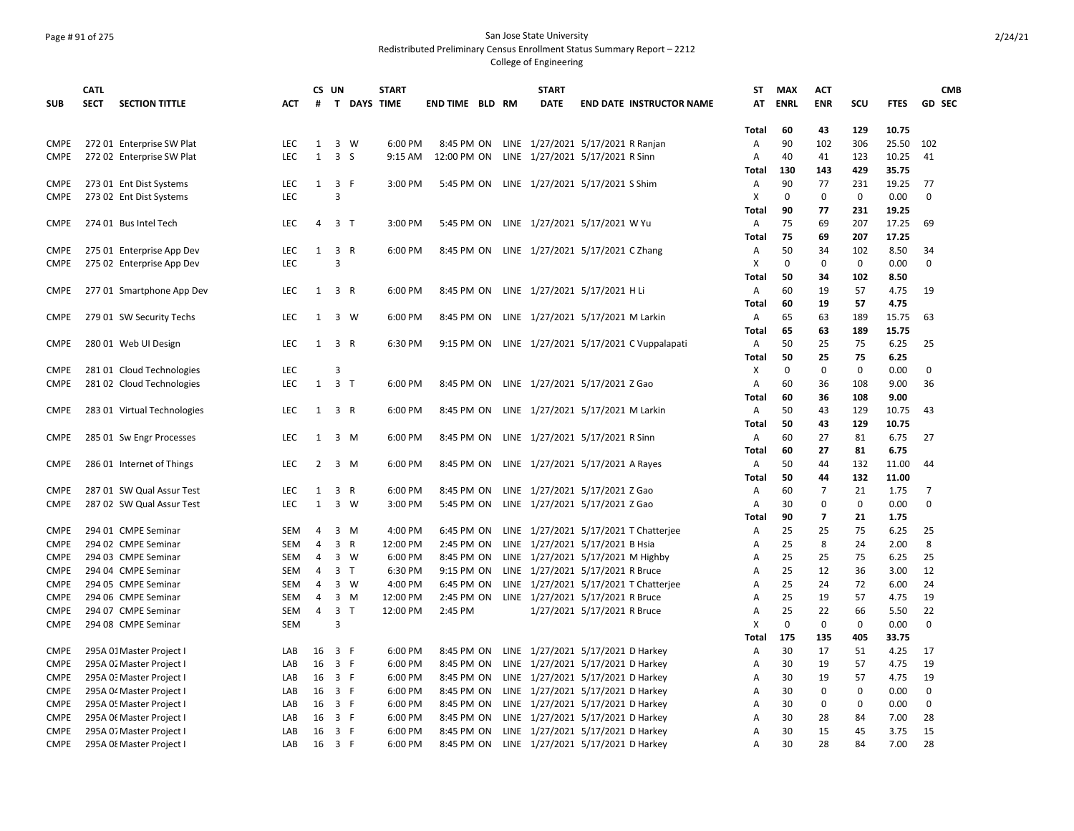### Page # 91 of 275 San Jose State University Redistributed Preliminary Census Enrollment Status Summary Report – 2212

|             | <b>CATL</b> |                             |            | CS UN        |                                         | <b>START</b> |                 |  | <b>START</b>                               |                             |                                        | ST           | <b>MAX</b>  | <b>ACT</b>     |             |             | <b>CMB</b>     |
|-------------|-------------|-----------------------------|------------|--------------|-----------------------------------------|--------------|-----------------|--|--------------------------------------------|-----------------------------|----------------------------------------|--------------|-------------|----------------|-------------|-------------|----------------|
| <b>SUB</b>  | <b>SECT</b> | <b>SECTION TITTLE</b>       | <b>ACT</b> | #            |                                         | T DAYS TIME  | END TIME BLD RM |  | <b>DATE</b>                                |                             | <b>END DATE INSTRUCTOR NAME</b>        | AT           | <b>ENRL</b> | <b>ENR</b>     | SCU         | <b>FTES</b> | <b>GD SEC</b>  |
|             |             |                             |            |              |                                         |              |                 |  |                                            |                             |                                        |              |             |                |             |             |                |
|             |             |                             |            |              |                                         |              |                 |  |                                            |                             |                                        | Total        | 60          | 43             | 129         | 10.75       |                |
| <b>CMPE</b> |             | 272 01 Enterprise SW Plat   | <b>LEC</b> | 1            | $\overline{3}$<br>W                     | 6:00 PM      | 8:45 PM ON      |  | LINE 1/27/2021 5/17/2021 R Ranjan          |                             |                                        | A            | 90          | 102            | 306         | 25.50       | 102            |
| <b>CMPE</b> |             | 272 02 Enterprise SW Plat   | <b>LEC</b> | $\mathbf{1}$ | 3 <sub>5</sub>                          | 9:15 AM      | 12:00 PM ON     |  | LINE 1/27/2021 5/17/2021 R Sinn            |                             |                                        | Α            | 40          | 41             | 123         | 10.25       | 41             |
|             |             |                             |            |              |                                         |              |                 |  |                                            |                             |                                        | Total        | 130         | 143            | 429         | 35.75       |                |
| <b>CMPE</b> |             | 273 01 Ent Dist Systems     | <b>LEC</b> | $\mathbf{1}$ | 3 F                                     | 3:00 PM      |                 |  | 5:45 PM ON LINE 1/27/2021 5/17/2021 S Shim |                             |                                        | Α            | 90          | 77             | 231         | 19.25       | 77             |
| <b>CMPE</b> |             | 273 02 Ent Dist Systems     | <b>LEC</b> |              | 3                                       |              |                 |  |                                            |                             |                                        | X            | 0           | 0              | 0           | 0.00        | 0              |
|             |             |                             |            |              |                                         |              |                 |  |                                            |                             |                                        | Total        | 90          | 77             | 231         | 19.25       |                |
| <b>CMPE</b> |             | 274 01 Bus Intel Tech       | <b>LEC</b> | 4            | 3 <sub>T</sub>                          | 3:00 PM      |                 |  | 5:45 PM ON LINE 1/27/2021 5/17/2021 W Yu   |                             |                                        | Α            | 75          | 69             | 207         | 17.25       | 69             |
|             |             |                             |            |              |                                         |              |                 |  |                                            |                             |                                        | Total        | 75          | 69             | 207         | 17.25       |                |
| <b>CMPE</b> |             | 275 01 Enterprise App Dev   | LEC        | $\mathbf{1}$ | $\overline{\mathbf{3}}$<br>$\mathsf{R}$ | 6:00 PM      | 8:45 PM ON      |  | LINE 1/27/2021 5/17/2021 C Zhang           |                             |                                        | A            | 50          | 34             | 102         | 8.50        | 34             |
| <b>CMPE</b> |             | 275 02 Enterprise App Dev   | LEC        |              | 3                                       |              |                 |  |                                            |                             |                                        | х            | $\mathbf 0$ | $\mathbf 0$    | 0           | 0.00        | $\mathbf 0$    |
|             |             |                             |            |              |                                         |              |                 |  |                                            |                             |                                        | Total        | 50          | 34             | 102         | 8.50        |                |
| <b>CMPE</b> |             | 277 01 Smartphone App Dev   | <b>LEC</b> |              | 1 3 R                                   | 6:00 PM      |                 |  | 8:45 PM ON LINE 1/27/2021 5/17/2021 H Li   |                             |                                        | A            | 60          | 19             | 57          | 4.75        | 19             |
|             |             |                             |            |              |                                         |              |                 |  |                                            |                             |                                        | Total        | 60          | 19             | 57          | 4.75        |                |
| <b>CMPE</b> |             | 279 01 SW Security Techs    | <b>LEC</b> | $\mathbf{1}$ | 3 W                                     | 6:00 PM      | 8:45 PM ON      |  | LINE 1/27/2021 5/17/2021 M Larkin          |                             |                                        | Α            | 65          | 63             | 189         | 15.75       | 63             |
|             |             |                             |            |              |                                         |              |                 |  |                                            |                             |                                        | <b>Total</b> | 65          | 63             | 189         | 15.75       |                |
| <b>CMPE</b> |             | 280 01 Web UI Design        | <b>LEC</b> | $\mathbf{1}$ | 3 R                                     | 6:30 PM      | 9:15 PM ON      |  |                                            |                             | LINE 1/27/2021 5/17/2021 C Vuppalapati | A            | 50          | 25             | 75          | 6.25        | 25             |
|             |             |                             |            |              |                                         |              |                 |  |                                            |                             |                                        | Total        | 50          | 25             | 75          | 6.25        |                |
| <b>CMPE</b> |             | 281 01 Cloud Technologies   | <b>LEC</b> |              | 3                                       |              |                 |  |                                            |                             |                                        | х            | 0           | $\mathbf 0$    | 0           | 0.00        | 0              |
| <b>CMPE</b> |             | 281 02 Cloud Technologies   | <b>LEC</b> | $\mathbf{1}$ | $\overline{\mathbf{3}}$<br>$\top$       | 6:00 PM      | 8:45 PM ON      |  | LINE 1/27/2021 5/17/2021 Z Gao             |                             |                                        | A            | 60          | 36             | 108         | 9.00        | 36             |
|             |             |                             |            |              |                                         |              |                 |  |                                            |                             |                                        | Total        | 60          | 36             | 108         | 9.00        |                |
| <b>CMPE</b> |             | 283 01 Virtual Technologies | LEC.       | 1            | 3 R                                     | 6:00 PM      | 8:45 PM ON      |  | LINE 1/27/2021 5/17/2021 M Larkin          |                             |                                        | A            | 50          | 43             | 129         | 10.75       | 43             |
|             |             |                             |            |              |                                         |              |                 |  |                                            |                             |                                        | Total        | 50          | 43             | 129         | 10.75       |                |
| <b>CMPE</b> |             | 285 01 Sw Engr Processes    | <b>LEC</b> | 1            | 3<br>M                                  | 6:00 PM      | 8:45 PM ON      |  | LINE 1/27/2021 5/17/2021 R Sinn            |                             |                                        | Α            | 60          | 27             | 81          | 6.75        | 27             |
|             |             |                             |            |              |                                         |              |                 |  |                                            |                             |                                        | Total        | 60          | 27             | 81          | 6.75        |                |
| <b>CMPE</b> |             | 286 01 Internet of Things   | <b>LEC</b> | 2            | $\overline{3}$<br>M                     | 6:00 PM      | 8:45 PM ON      |  | LINE 1/27/2021 5/17/2021 A Rayes           |                             |                                        | A            | 50          | 44             | 132         | 11.00       | 44             |
|             |             |                             |            |              |                                         |              |                 |  |                                            |                             |                                        | Total        | 50          | 44             | 132         | 11.00       |                |
| <b>CMPE</b> |             | 287 01 SW Qual Assur Test   | <b>LEC</b> | 1            | 3<br>R                                  | 6:00 PM      | 8:45 PM ON      |  | LINE 1/27/2021 5/17/2021 Z Gao             |                             |                                        | Α            | 60          | $\overline{7}$ | 21          | 1.75        | $\overline{7}$ |
| <b>CMPE</b> |             | 287 02 SW Qual Assur Test   | <b>LEC</b> | $\mathbf{1}$ | $\overline{\mathbf{3}}$<br>W            | 3:00 PM      | 5:45 PM ON      |  | LINE 1/27/2021 5/17/2021 Z Gao             |                             |                                        | A            | 30          | $\mathbf 0$    | $\mathbf 0$ | 0.00        | $\mathbf 0$    |
|             |             |                             |            |              |                                         |              |                 |  |                                            |                             |                                        | Total        | 90          | $\overline{7}$ | 21          | 1.75        |                |
| <b>CMPE</b> |             | 294 01 CMPE Seminar         | SEM        | 4            | 3<br>M                                  | 4:00 PM      | 6:45 PM ON      |  |                                            |                             | LINE 1/27/2021 5/17/2021 T Chatterjee  | Α            | 25          | 25             | 75          | 6.25        | 25             |
| <b>CMPE</b> |             | 294 02 CMPE Seminar         | SEM        | 4            | 3<br>R                                  | 12:00 PM     | 2:45 PM ON      |  | LINE 1/27/2021 5/17/2021 B Hsia            |                             |                                        | Α            | 25          | 8              | 24          | 2.00        | 8              |
| <b>CMPE</b> |             | 294 03 CMPE Seminar         | SEM        | 4            | 3<br>W                                  | 6:00 PM      | 8:45 PM ON      |  | LINE 1/27/2021 5/17/2021 M Highby          |                             |                                        | Α            | 25          | 25             | 75          | 6.25        | 25             |
| <b>CMPE</b> |             | 294 04 CMPE Seminar         | SEM        | 4            | 3<br>$\top$                             | 6:30 PM      | 9:15 PM ON      |  | LINE 1/27/2021 5/17/2021 R Bruce           |                             |                                        | A            | 25          | 12             | 36          | 3.00        | 12             |
| <b>CMPE</b> |             | 294 05 CMPE Seminar         | SEM        | 4            | 3 W                                     | 4:00 PM      | 6:45 PM ON      |  |                                            |                             | LINE 1/27/2021 5/17/2021 T Chatterjee  | Α            | 25          | 24             | 72          | 6.00        | 24             |
| <b>CMPE</b> |             | 294 06 CMPE Seminar         | SEM        | 4            | 3<br>M                                  | 12:00 PM     | 2:45 PM ON      |  | LINE 1/27/2021 5/17/2021 R Bruce           |                             |                                        | A            | 25          | 19             | 57          | 4.75        | 19             |
| <b>CMPE</b> |             | 294 07 CMPE Seminar         | SEM        | 4            | 3<br>T                                  | 12:00 PM     | 2:45 PM         |  |                                            | 1/27/2021 5/17/2021 R Bruce |                                        | A            | 25          | 22             | 66          | 5.50        | 22             |
| <b>CMPE</b> |             | 294 08 CMPE Seminar         | SEM        |              | 3                                       |              |                 |  |                                            |                             |                                        | X            | $\mathbf 0$ | $\mathbf 0$    | 0           | 0.00        | 0              |
|             |             |                             |            |              |                                         |              |                 |  |                                            |                             |                                        | Total        | 175         | 135            | 405         | 33.75       |                |
| <b>CMPE</b> |             | 295A 01 Master Project I    | LAB        | 16           | 3 F                                     | 6:00 PM      | 8:45 PM ON      |  | LINE 1/27/2021 5/17/2021 D Harkey          |                             |                                        | A            | 30          | 17             | 51          | 4.25        | 17             |
| <b>CMPE</b> |             | 295A 02 Master Project I    | LAB        | 16           | $\overline{3}$<br>$\mathsf{F}$          | 6:00 PM      | 8:45 PM ON      |  | LINE 1/27/2021 5/17/2021 D Harkey          |                             |                                        | Α            | 30          | 19             | 57          | 4.75        | 19             |
| CMPE        |             | 295A 0: Master Project I    | LAB        | 16           | 3 F                                     | 6:00 PM      | 8:45 PM ON      |  | LINE 1/27/2021 5/17/2021 D Harkey          |                             |                                        | A            | 30          | 19             | 57          | 4.75        | 19             |
| <b>CMPE</b> |             | 295A 04 Master Project I    | LAB        | 16           | 3 F                                     | 6:00 PM      | 8:45 PM ON      |  | LINE 1/27/2021 5/17/2021 D Harkey          |                             |                                        | Α            | 30          | 0              | 0           | 0.00        | $\mathbf 0$    |
| <b>CMPE</b> |             | 295A 05 Master Project I    | LAB        | 16           | 3 F                                     | 6:00 PM      | 8:45 PM ON      |  | LINE 1/27/2021 5/17/2021 D Harkey          |                             |                                        | A            | 30          | 0              | 0           | 0.00        | 0              |
| <b>CMPE</b> |             | 295A Of Master Project I    | LAB        | 16           | 3 F                                     | 6:00 PM      | 8:45 PM ON      |  | LINE 1/27/2021 5/17/2021 D Harkey          |                             |                                        | A            | 30          | 28             | 84          | 7.00        | 28             |
| <b>CMPE</b> |             | 295A 07 Master Project I    | LAB        | 16           | 3 F                                     | 6:00 PM      | 8:45 PM ON      |  | LINE 1/27/2021 5/17/2021 D Harkey          |                             |                                        | A            | 30          | 15             | 45          | 3.75        | 15             |
| <b>CMPE</b> |             | 295A 08 Master Project      | LAB        | 16           | $\overline{\mathbf{3}}$<br>-F           | 6:00 PM      | 8:45 PM ON      |  | LINE 1/27/2021 5/17/2021 D Harkey          |                             |                                        | A            | 30          | 28             | 84          | 7.00        | 28             |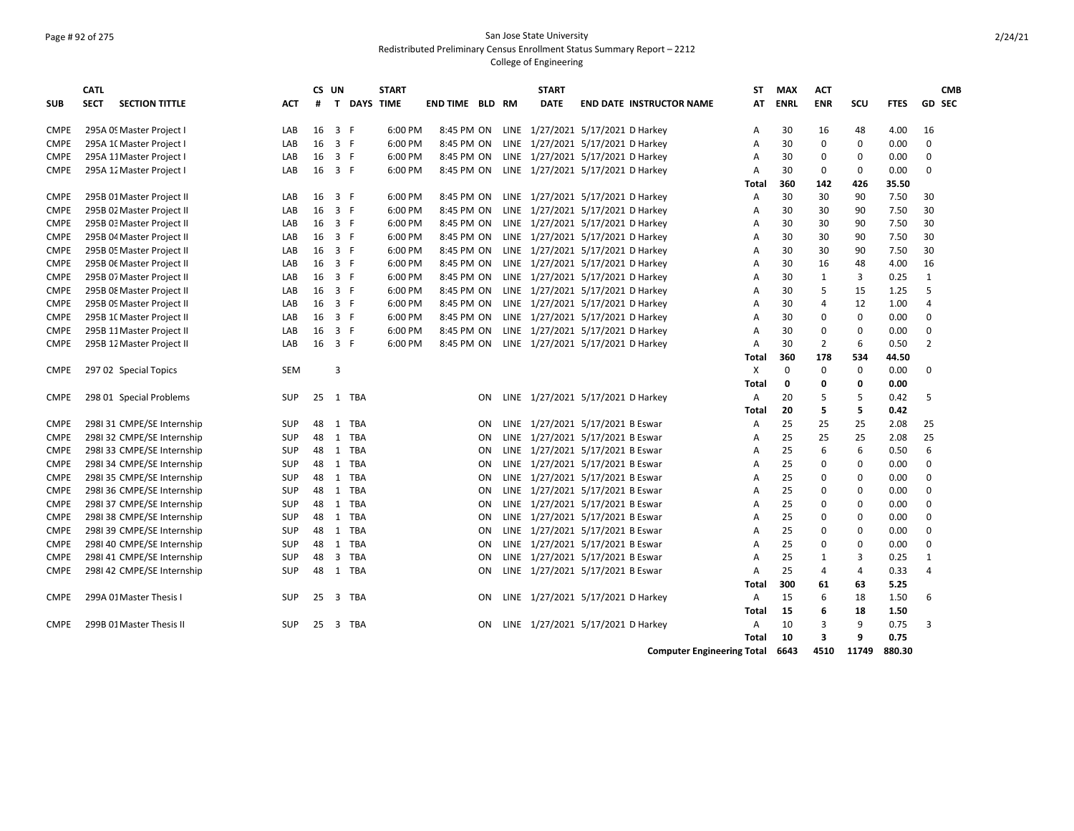## Page # 92 of 275 San Jose State University Redistributed Preliminary Census Enrollment Status Summary Report – 2212

### College of Engineering

|             | <b>CATL</b>                          |            |    | CS UN          |                  | <b>START</b> |              |    |    | <b>START</b>                                 |                                 | <b>ST</b> | <b>MAX</b>  | <b>ACT</b>   |     |             | <b>CMB</b>     |
|-------------|--------------------------------------|------------|----|----------------|------------------|--------------|--------------|----|----|----------------------------------------------|---------------------------------|-----------|-------------|--------------|-----|-------------|----------------|
| <b>SUB</b>  | <b>SECT</b><br><b>SECTION TITTLE</b> | <b>ACT</b> | #  | $\mathbf{T}$   | <b>DAYS TIME</b> |              | END TIME BLD |    | RM | <b>DATE</b>                                  | <b>END DATE INSTRUCTOR NAME</b> | AT        | <b>ENRL</b> | <b>ENR</b>   | SCU | <b>FTES</b> | <b>GD SEC</b>  |
|             |                                      |            |    |                |                  |              |              |    |    |                                              |                                 |           |             |              |     |             |                |
| <b>CMPE</b> | 295A 09 Master Project I             | LAB        | 16 | 3 F            |                  | 6:00 PM      | 8:45 PM ON   |    |    | LINE 1/27/2021 5/17/2021 D Harkey            |                                 | Α         | 30          | 16           | 48  | 4.00        | 16             |
| <b>CMPE</b> | 295A 1(Master Project I              | LAB        | 16 | 3 F            |                  | 6:00 PM      | 8:45 PM ON   |    |    | LINE 1/27/2021 5/17/2021 D Harkey            |                                 | A         | 30          | $\Omega$     | 0   | 0.00        | $\Omega$       |
| <b>CMPE</b> | 295A 11 Master Project I             | LAB        | 16 | $\overline{3}$ | F.               | 6:00 PM      | 8:45 PM ON   |    |    | LINE 1/27/2021 5/17/2021 D Harkey            |                                 | A         | 30          | $\Omega$     | 0   | 0.00        | 0              |
| <b>CMPE</b> | 295A 12 Master Project I             | LAB        | 16 | 3 F            |                  | 6:00 PM      | 8:45 PM ON   |    |    | LINE 1/27/2021 5/17/2021 D Harkey            |                                 | A         | 30          | 0            | 0   | 0.00        | 0              |
|             |                                      |            |    |                |                  |              |              |    |    |                                              |                                 | Total     | 360         | 142          | 426 | 35.50       |                |
| <b>CMPE</b> | 295B 01 Master Project II            | LAB        | 16 | 3              | F                | 6:00 PM      |              |    |    | 8:45 PM ON LINE 1/27/2021 5/17/2021 D Harkey |                                 | A         | 30          | 30           | 90  | 7.50        | 30             |
| <b>CMPE</b> | 295B 02 Master Project II            | LAB        | 16 | 3 F            |                  | 6:00 PM      | 8:45 PM ON   |    |    | LINE 1/27/2021 5/17/2021 D Harkey            |                                 | A         | 30          | 30           | 90  | 7.50        | 30             |
| <b>CMPE</b> | 295B 03 Master Project II            | LAB        | 16 | 3 F            |                  | 6:00 PM      | 8:45 PM ON   |    |    | LINE 1/27/2021 5/17/2021 D Harkey            |                                 | A         | 30          | 30           | 90  | 7.50        | 30             |
| CMPE        | 295B 04 Master Project II            | LAB        | 16 | 3 F            |                  | 6:00 PM      | 8:45 PM ON   |    |    | LINE 1/27/2021 5/17/2021 D Harkey            |                                 | A         | 30          | 30           | 90  | 7.50        | 30             |
| <b>CMPE</b> | 295B 05 Master Project II            | LAB        | 16 | 3 F            |                  | 6:00 PM      | 8:45 PM ON   |    |    | LINE 1/27/2021 5/17/2021 D Harkey            |                                 | A         | 30          | 30           | 90  | 7.50        | 30             |
| <b>CMPE</b> | 295B 06 Master Project II            | LAB        | 16 | 3 F            |                  | 6:00 PM      | 8:45 PM ON   |    |    | LINE 1/27/2021 5/17/2021 D Harkey            |                                 | A         | 30          | 16           | 48  | 4.00        | 16             |
| <b>CMPE</b> | 295B 07 Master Project II            | LAB        | 16 | $\overline{3}$ | -F               | 6:00 PM      | 8:45 PM ON   |    |    | LINE 1/27/2021 5/17/2021 D Harkey            |                                 | A         | 30          | $\mathbf{1}$ | 3   | 0.25        | $\mathbf{1}$   |
| <b>CMPE</b> | 295B 08 Master Project II            | LAB        | 16 | 3 F            |                  | 6:00 PM      | 8:45 PM ON   |    |    | LINE 1/27/2021 5/17/2021 D Harkey            |                                 | A         | 30          | 5            | 15  | 1.25        | 5              |
| <b>CMPE</b> | 295B 09 Master Project II            | LAB        | 16 | $\overline{3}$ | $-F$             | 6:00 PM      | 8:45 PM ON   |    |    | LINE 1/27/2021 5/17/2021 D Harkey            |                                 | А         | 30          | 4            | 12  | 1.00        | $\overline{4}$ |
| <b>CMPE</b> | 295B 1( Master Project II            | LAB        | 16 | 3 F            |                  | 6:00 PM      | 8:45 PM ON   |    |    | LINE 1/27/2021 5/17/2021 D Harkey            |                                 | A         | 30          | $\Omega$     | 0   | 0.00        | $\Omega$       |
| <b>CMPE</b> | 295B 11 Master Project II            | LAB        | 16 | 3 F            |                  | 6:00 PM      | 8:45 PM ON   |    |    | LINE 1/27/2021 5/17/2021 D Harkey            |                                 | A         | 30          | $\Omega$     | 0   | 0.00        | $\mathbf 0$    |
| CMPE        | 295B 12 Master Project II            | LAB        | 16 | 3 F            |                  | 6:00 PM      | 8:45 PM ON   |    |    | LINE 1/27/2021 5/17/2021 D Harkey            |                                 | A         | 30          | 2            | 6   | 0.50        | 2              |
|             |                                      |            |    |                |                  |              |              |    |    |                                              |                                 | Total     | 360         | 178          | 534 | 44.50       |                |
| <b>CMPE</b> | 297 02 Special Topics                | <b>SEM</b> |    | 3              |                  |              |              |    |    |                                              |                                 | X         | 0           | 0            | 0   | 0.00        | 0              |
|             |                                      |            |    |                |                  |              |              |    |    |                                              |                                 | Total     | 0           | 0            | 0   | 0.00        |                |
| <b>CMPE</b> | 298 01 Special Problems              | <b>SUP</b> | 25 | 1              | TBA              |              |              | ΟN |    | LINE 1/27/2021 5/17/2021 D Harkey            |                                 | Α         | 20          | .5           | 5   | 0.42        | 5              |
|             |                                      |            |    |                |                  |              |              |    |    |                                              |                                 | Total     | 20          | 5            | 5   | 0.42        |                |
| <b>CMPE</b> | 298131 CMPE/SE Internship            | <b>SUP</b> | 48 | 1              | TBA              |              |              | ON |    | LINE 1/27/2021 5/17/2021 B Eswar             |                                 | Α         | 25          | 25           | 25  | 2.08        | 25             |
| <b>CMPE</b> | 2981 32 CMPE/SE Internship           | <b>SUP</b> | 48 | 1              | <b>TBA</b>       |              |              | ON |    | LINE 1/27/2021 5/17/2021 B Eswar             |                                 | A         | 25          | 25           | 25  | 2.08        | 25             |
| <b>CMPE</b> | 2981 33 CMPE/SE Internship           | <b>SUP</b> | 48 | 1              | <b>TBA</b>       |              |              | ON |    | LINE 1/27/2021 5/17/2021 B Eswar             |                                 | A         | 25          | 6            | 6   | 0.50        | 6              |
| <b>CMPE</b> | 298I 34 CMPE/SE Internship           | <b>SUP</b> | 48 | 1              | TBA              |              |              | ON |    | LINE 1/27/2021 5/17/2021 B Eswar             |                                 | A         | 25          | $\Omega$     | 0   | 0.00        | 0              |
| <b>CMPE</b> | 2981 35 CMPE/SE Internship           | <b>SUP</b> | 48 | 1              | TBA              |              |              | ON |    | LINE 1/27/2021 5/17/2021 B Eswar             |                                 | A         | 25          | $\Omega$     | 0   | 0.00        | 0              |
| <b>CMPE</b> | 298136 CMPE/SE Internship            | <b>SUP</b> | 48 | 1              | TBA              |              |              | ON |    | LINE 1/27/2021 5/17/2021 B Eswar             |                                 | A         | 25          | 0            | 0   | 0.00        | $\Omega$       |
| <b>CMPE</b> | 2981 37 CMPE/SE Internship           | <b>SUP</b> | 48 | 1              | <b>TBA</b>       |              |              | ON |    | LINE 1/27/2021 5/17/2021 B Eswar             |                                 | A         | 25          | $\Omega$     | 0   | 0.00        | $\mathbf 0$    |
| <b>CMPE</b> | 2981 38 CMPE/SE Internship           | <b>SUP</b> | 48 | $\mathbf{1}$   | <b>TBA</b>       |              |              | ON |    | LINE 1/27/2021 5/17/2021 B Eswar             |                                 | A         | 25          | $\Omega$     | 0   | 0.00        | 0              |
| <b>CMPE</b> | 298I 39 CMPE/SE Internship           | <b>SUP</b> | 48 | 1              | <b>TBA</b>       |              |              | ON |    | LINE 1/27/2021 5/17/2021 B Eswar             |                                 | A         | 25          | $\Omega$     | 0   | 0.00        | 0              |
| <b>CMPE</b> | 298I 40 CMPE/SE Internship           | <b>SUP</b> | 48 | 1              | <b>TBA</b>       |              |              | ON |    | LINE 1/27/2021 5/17/2021 B Eswar             |                                 | A         | 25          | <sup>0</sup> | 0   | 0.00        | 0              |
| <b>CMPE</b> | 298I 41 CMPE/SE Internship           | <b>SUP</b> | 48 | 3              | <b>TBA</b>       |              |              | ON |    | LINE 1/27/2021 5/17/2021 B Eswar             |                                 | A         | 25          | 1            | 3   | 0.25        | $\mathbf{1}$   |
| <b>CMPE</b> | 298I 42 CMPE/SE Internship           | <b>SUP</b> | 48 |                | 1 TBA            |              |              | ΟN |    | LINE 1/27/2021 5/17/2021 B Eswar             |                                 | A         | 25          | 4            | 4   | 0.33        | $\overline{4}$ |
|             |                                      |            |    |                |                  |              |              |    |    |                                              |                                 | Total     | 300         | 61           | 63  | 5.25        |                |
| CMPE        | 299A 01 Master Thesis I              | <b>SUP</b> | 25 | 3              | TBA              |              |              | ΟN |    | LINE 1/27/2021 5/17/2021 D Harkey            |                                 | Α         | 15          | 6            | 18  | 1.50        | 6              |
|             |                                      |            |    |                |                  |              |              |    |    |                                              |                                 | Total     | 15          | 6            | 18  | 1.50        |                |
| <b>CMPE</b> | 299B 01 Master Thesis II             | <b>SUP</b> | 25 | $\overline{3}$ | <b>TBA</b>       |              |              | ON |    | LINE 1/27/2021 5/17/2021 D Harkey            |                                 | A         | 10          | 3            | 9   | 0.75        | 3              |
|             |                                      |            |    |                |                  |              |              |    |    |                                              |                                 | Total     | 10          | 3            | 9   | 0.75        |                |

**Computer Engineering Total 6643 4510 11749 880.30**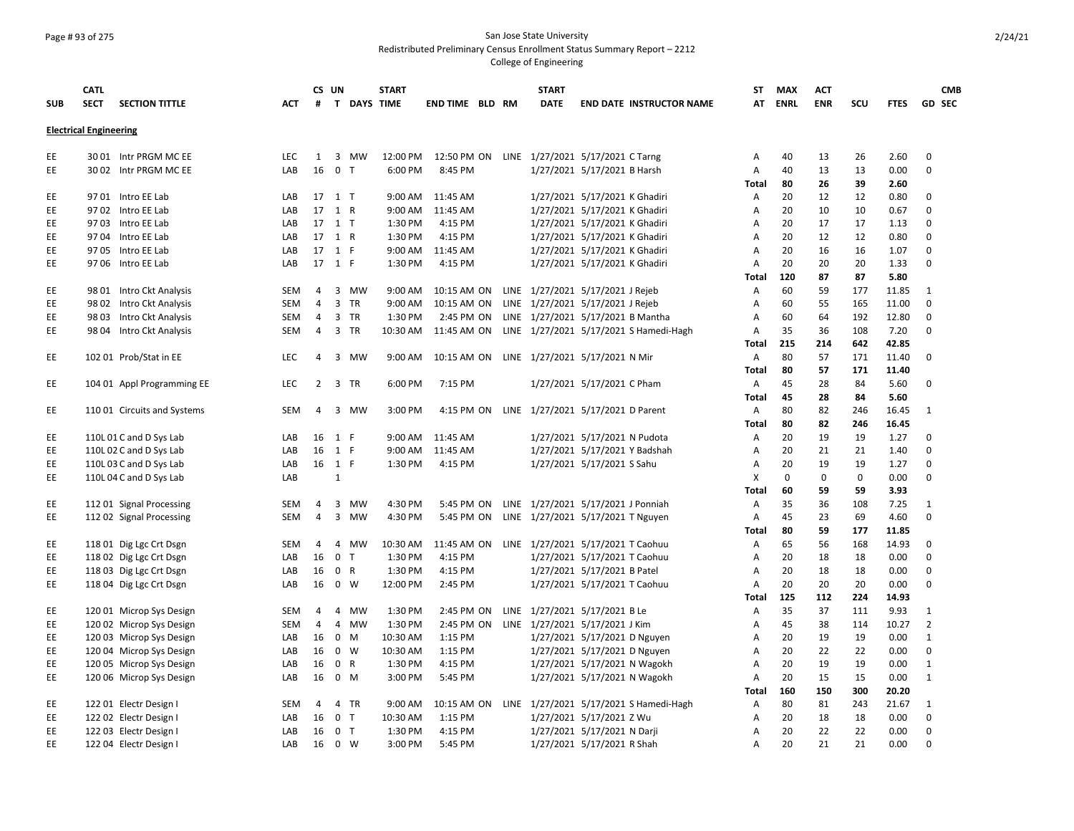### Page # 93 of 275 San Jose State University Redistributed Preliminary Census Enrollment Status Summary Report – 2212

|            | <b>CATL</b>                   |                             |            | CS UN          |                |             | <b>START</b> |                        |      | <b>START</b> |                                                    |                | ST | <b>MAX</b>  | <b>ACT</b> |     |             |                | <b>CMB</b>    |
|------------|-------------------------------|-----------------------------|------------|----------------|----------------|-------------|--------------|------------------------|------|--------------|----------------------------------------------------|----------------|----|-------------|------------|-----|-------------|----------------|---------------|
| <b>SUB</b> | <b>SECT</b>                   | <b>SECTION TITTLE</b>       | ACT        | #              |                | T DAYS TIME |              | <b>END TIME BLD RM</b> |      | <b>DATE</b>  | <b>END DATE INSTRUCTOR NAME</b>                    |                | AT | <b>ENRL</b> | <b>ENR</b> | SCU | <b>FTES</b> |                | <b>GD SEC</b> |
|            | <b>Electrical Engineering</b> |                             |            |                |                |             |              |                        |      |              |                                                    |                |    |             |            |     |             |                |               |
|            |                               |                             |            |                |                |             |              |                        |      |              |                                                    |                |    |             |            |     |             |                |               |
| EE         |                               | 30 01 Intr PRGM MC EE       | <b>LEC</b> | $\mathbf{1}$   |                | 3 MW        | 12:00 PM     |                        |      |              | 12:50 PM ON LINE 1/27/2021 5/17/2021 C Tarng       |                | Α  | 40          | 13         | 26  | 2.60        | $\mathbf 0$    |               |
| EE         |                               | 30 02 Intr PRGM MC EE       | LAB        | 16             | 0 <sub>T</sub> |             | 6:00 PM      | 8:45 PM                |      |              | 1/27/2021 5/17/2021 B Harsh                        |                | Α  | 40          | 13         | 13  | 0.00        | $\mathbf 0$    |               |
|            |                               |                             |            |                |                |             |              |                        |      |              |                                                    | Total          |    | 80          | 26         | 39  | 2.60        |                |               |
| EE         |                               | 97 01 Intro EE Lab          | LAB        |                | 17 1 T         |             | 9:00 AM      | 11:45 AM               |      |              | 1/27/2021 5/17/2021 K Ghadiri                      | A              |    | 20          | 12         | 12  | 0.80        | 0              |               |
| EE         |                               | 97 02 Intro EE Lab          | LAB        | 17 1 R         |                |             | 9:00 AM      | 11:45 AM               |      |              | 1/27/2021 5/17/2021 K Ghadiri                      | A              |    | 20          | 10         | 10  | 0.67        | $\Omega$       |               |
| EE         |                               | 97 03 Intro EE Lab          | LAB        |                | 17 1 T         |             | 1:30 PM      | 4:15 PM                |      |              | 1/27/2021 5/17/2021 K Ghadiri                      | Α              |    | 20          | 17         | 17  | 1.13        | $\Omega$       |               |
| EE         |                               | 97 04 Intro EE Lab          | LAB        | 17 1 R         |                |             | 1:30 PM      | 4:15 PM                |      |              | 1/27/2021 5/17/2021 K Ghadiri                      | A              |    | 20          | 12         | 12  | 0.80        | $\Omega$       |               |
| EE.        |                               | 97 05 Intro EE Lab          | LAB        |                | 17 1 F         |             | 9:00 AM      | 11:45 AM               |      |              | 1/27/2021 5/17/2021 K Ghadiri                      | A              |    | 20          | 16         | 16  | 1.07        | $\mathbf 0$    |               |
| EE         |                               | 97 06 Intro EE Lab          | LAB        |                | 17 1 F         |             | 1:30 PM      | 4:15 PM                |      |              | 1/27/2021 5/17/2021 K Ghadiri                      | A              |    | 20          | 20         | 20  | 1.33        | $\mathbf 0$    |               |
|            |                               |                             |            |                |                |             |              |                        |      |              |                                                    | Total          |    | 120         | 87         | 87  | 5.80        |                |               |
| EE.        |                               | 98 01 Intro Ckt Analysis    | <b>SEM</b> | $\overline{a}$ |                | 3 MW        | 9:00 AM      | 10:15 AM ON            |      |              | LINE 1/27/2021 5/17/2021 J Rejeb                   | A              |    | 60          | 59         | 177 | 11.85       | $\mathbf{1}$   |               |
| EE         |                               | 98 02 Intro Ckt Analysis    | SEM        | 4              | $\overline{3}$ | <b>TR</b>   | 9:00 AM      | 10:15 AM ON            |      |              | LINE 1/27/2021 5/17/2021 J Rejeb                   | A              |    | 60          | 55         | 165 | 11.00       | $\mathbf 0$    |               |
| EE         | 9803                          | Intro Ckt Analysis          | <b>SEM</b> | $\overline{a}$ | 3              | TR          | 1:30 PM      | 2:45 PM ON             |      |              | LINE 1/27/2021 5/17/2021 B Mantha                  | A              |    | 60          | 64         | 192 | 12.80       | $\mathbf 0$    |               |
| EE         |                               | 98 04 Intro Ckt Analysis    | <b>SEM</b> | 4              |                | 3 TR        | 10:30 AM     | 11:45 AM ON            |      |              | LINE 1/27/2021 5/17/2021 S Hamedi-Hagh             | Α              |    | 35          | 36         | 108 | 7.20        | 0              |               |
|            |                               |                             |            |                |                |             |              |                        |      |              |                                                    | Total          |    | 215         | 214        | 642 | 42.85       |                |               |
| EE         |                               | 102 01 Prob/Stat in EE      | LEC        | 4              |                | 3 MW        | 9:00 AM      | 10:15 AM ON            |      |              | LINE 1/27/2021 5/17/2021 N Mir                     | $\overline{A}$ |    | 80          | 57         | 171 | 11.40       | 0              |               |
|            |                               |                             |            |                |                |             |              |                        |      |              |                                                    | Total          |    | 80          | 57         | 171 | 11.40       |                |               |
| EE         |                               | 104 01 Appl Programming EE  | LEC        | 2              |                | 3 TR        | 6:00 PM      | 7:15 PM                |      |              | 1/27/2021 5/17/2021 C Pham                         | Α              |    | 45          | 28         | 84  | 5.60        | 0              |               |
|            |                               |                             |            |                |                |             |              |                        |      |              |                                                    | Total          |    | 45          | 28         | 84  | 5.60        |                |               |
| EE         |                               | 110 01 Circuits and Systems | SEM        | 4              | 3              | MW          | 3:00 PM      | 4:15 PM ON             | LINE |              | 1/27/2021 5/17/2021 D Parent                       |                | Α  | 80          | 82         | 246 | 16.45       | 1              |               |
|            |                               |                             |            |                |                |             |              |                        |      |              |                                                    | Total          |    | 80          | 82         | 246 | 16.45       |                |               |
| EE.        |                               | 110L 01 C and D Sys Lab     | LAB        | 16             | 1 F            |             | 9:00 AM      | 11:45 AM               |      |              | 1/27/2021 5/17/2021 N Pudota                       | A              |    | 20          | 19         | 19  | 1.27        | 0              |               |
| EE         |                               | 110L 02 C and D Sys Lab     | LAB        | 16             | 1 F            |             | 9:00 AM      | 11:45 AM               |      |              | 1/27/2021 5/17/2021 Y Badshah                      | А              |    | 20          | 21         | 21  | 1.40        | $\mathbf 0$    |               |
| EE         |                               | 110L 03 C and D Sys Lab     | LAB        | 16             | 1 F            |             | 1:30 PM      | 4:15 PM                |      |              | 1/27/2021 5/17/2021 S Sahu                         | Α              |    | 20          | 19         | 19  | 1.27        | $\mathbf 0$    |               |
| EE.        |                               | 110L 04 C and D Sys Lab     | LAB        |                | $\mathbf{1}$   |             |              |                        |      |              |                                                    | X              |    | 0           | 0          | 0   | 0.00        | $\mathbf 0$    |               |
|            |                               |                             |            |                |                |             |              |                        |      |              |                                                    | Total          |    | 60          | 59         | 59  | 3.93        |                |               |
| EE         |                               | 112 01 Signal Processing    | <b>SEM</b> | 4              | 3              | <b>MW</b>   | 4:30 PM      | 5:45 PM ON             |      |              | LINE 1/27/2021 5/17/2021 J Ponniah                 |                | Α  | 35          | 36         | 108 | 7.25        | $\mathbf{1}$   |               |
| EE         |                               | 112 02 Signal Processing    | <b>SEM</b> | 4              |                | 3 MW        | 4:30 PM      | 5:45 PM ON             |      |              | LINE 1/27/2021 5/17/2021 T Nguyen                  | Α              |    | 45          | 23         | 69  | 4.60        | $\mathbf 0$    |               |
|            |                               |                             |            |                |                |             |              |                        |      |              |                                                    | Total          |    | 80          | 59         | 177 | 11.85       |                |               |
| EE         |                               | 118 01 Dig Lgc Crt Dsgn     | <b>SEM</b> | 4              | 4              | MW          | 10:30 AM     |                        |      |              | 11:45 AM ON LINE 1/27/2021 5/17/2021 T Caohuu      | A              |    | 65          | 56         | 168 | 14.93       | 0              |               |
| EE         |                               | 118 02 Dig Lgc Crt Dsgn     | LAB        | 16             | $\mathbf 0$    | T           | 1:30 PM      | 4:15 PM                |      |              | 1/27/2021 5/17/2021 T Caohuu                       | Α              |    | 20          | 18         | 18  | 0.00        | $\mathbf 0$    |               |
| EE         |                               | 118 03 Dig Lgc Crt Dsgn     | LAB        | 16             | 0 R            |             | 1:30 PM      | 4:15 PM                |      |              | 1/27/2021 5/17/2021 B Patel                        | Α              |    | 20          | 18         | 18  | 0.00        | 0              |               |
| EE         |                               | 118 04 Dig Lgc Crt Dsgn     | LAB        | 16             | 0              | W           | 12:00 PM     | 2:45 PM                |      |              | 1/27/2021 5/17/2021 T Caohuu                       | Α              |    | 20          | 20         | 20  | 0.00        | $\Omega$       |               |
|            |                               |                             |            |                |                |             |              |                        |      |              |                                                    | Total          |    | 125         | 112        | 224 | 14.93       |                |               |
| EE         |                               | 120 01 Microp Sys Design    | SEM        | 4              | 4              | MW          | 1:30 PM      | 2:45 PM ON             |      |              | LINE 1/27/2021 5/17/2021 B Le                      | Α              |    | 35          | 37         | 111 | 9.93        | $\mathbf{1}$   |               |
| EE         |                               | 120 02 Microp Sys Design    | <b>SEM</b> | 4              | 4              | MW          | 1:30 PM      |                        |      |              | 2:45 PM ON LINE 1/27/2021 5/17/2021 J Kim          | Α              |    | 45          | 38         | 114 | 10.27       | $\overline{2}$ |               |
| EE         |                               | 120 03 Microp Sys Design    | LAB        | 16             | $\mathbf 0$    | M           | 10:30 AM     | 1:15 PM                |      |              | 1/27/2021 5/17/2021 D Nguyen                       | Α              |    | 20          | 19         | 19  | 0.00        | $\mathbf{1}$   |               |
| EE.        |                               | 120 04 Microp Sys Design    | LAB        | 16             | $\mathbf{0}$   | W           | 10:30 AM     | 1:15 PM                |      |              | 1/27/2021 5/17/2021 D Nguyen                       | A              |    | 20          | 22         | 22  | 0.00        | $\mathbf 0$    |               |
| EE         |                               | 120 05 Microp Sys Design    | LAB        | 16             | 0 R            |             | 1:30 PM      | 4:15 PM                |      |              | 1/27/2021 5/17/2021 N Wagokh                       | Α              |    | 20          | 19         | 19  | 0.00        | $\mathbf{1}$   |               |
| EE         |                               | 120 06 Microp Sys Design    | LAB        | 16             |                | $0 \quad M$ | 3:00 PM      | 5:45 PM                |      |              | 1/27/2021 5/17/2021 N Wagokh                       | A              |    | 20          | 15         | 15  | 0.00        | $\mathbf{1}$   |               |
|            |                               |                             |            |                |                |             |              |                        |      |              |                                                    | <b>Total</b>   |    | 160         | 150        | 300 | 20.20       |                |               |
| EE         |                               | 122 01 Electr Design I      | SEM        | 4              |                | 4 TR        | 9:00 AM      |                        |      |              | 10:15 AM ON LINE 1/27/2021 5/17/2021 S Hamedi-Hagh | Α              |    | 80          | 81         | 243 | 21.67       | 1              |               |
| EE         |                               | 122 02 Electr Design I      | LAB        | 16             | 0 <sub>T</sub> |             | 10:30 AM     | 1:15 PM                |      |              | 1/27/2021 5/17/2021 Z Wu                           | A              |    | 20          | 18         | 18  | 0.00        | 0              |               |
| EE         |                               | 122 03 Electr Design I      | LAB        | 16             | 0 <sub>T</sub> |             | 1:30 PM      | 4:15 PM                |      |              | 1/27/2021 5/17/2021 N Darji                        | Α              |    | 20          | 22         | 22  | 0.00        | 0              |               |
| EE.        |                               | 122 04 Electr Design I      | LAB        | 16             | $\overline{0}$ | W           | 3:00 PM      | 5:45 PM                |      |              | 1/27/2021 5/17/2021 R Shah                         | A              |    | 20          | 21         | 21  | 0.00        | $\mathbf 0$    |               |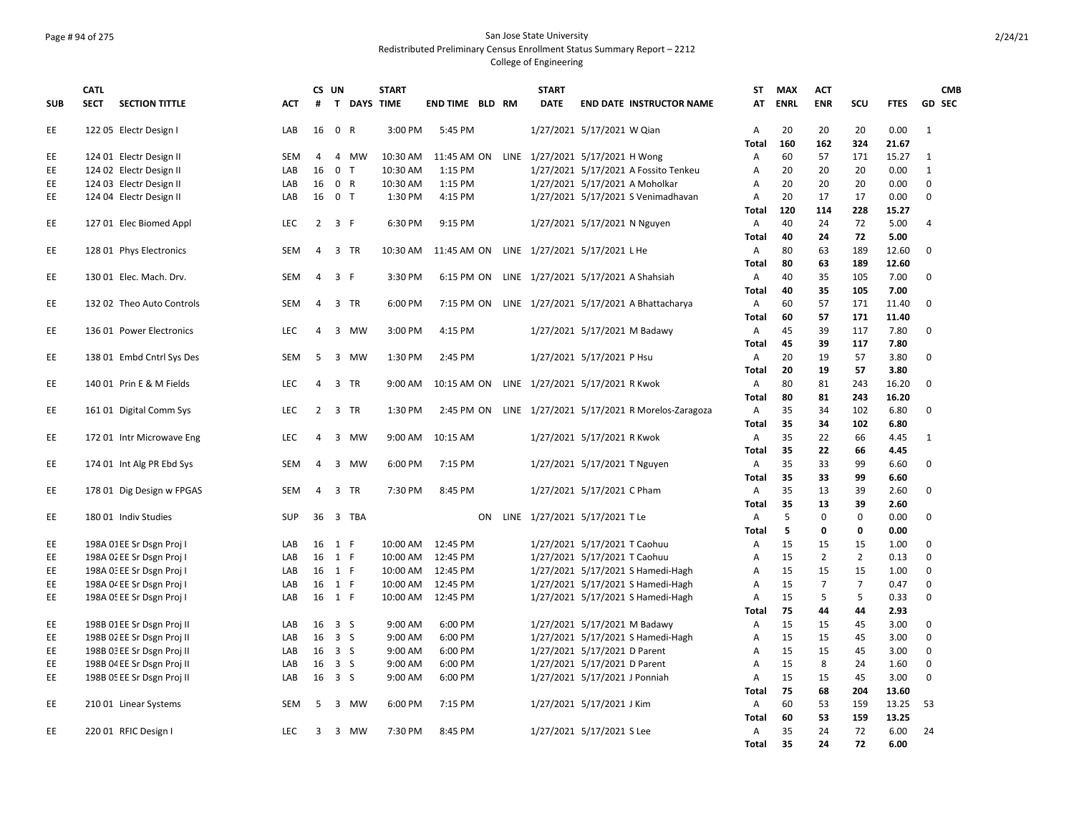# Page # 94 of 275 San Jose State University Redistributed Preliminary Census Enrollment Status Summary Report – 2212

|            | <b>CATL</b> |                            |            | CS UN          |                             | <b>START</b> |                        |    | <b>START</b>                                |                               |                                             | <b>ST</b>      | <b>MAX</b>  | <b>ACT</b>     |                |             |                | <b>CMB</b>    |
|------------|-------------|----------------------------|------------|----------------|-----------------------------|--------------|------------------------|----|---------------------------------------------|-------------------------------|---------------------------------------------|----------------|-------------|----------------|----------------|-------------|----------------|---------------|
| <b>SUB</b> | <b>SECT</b> | <b>SECTION TITTLE</b>      | <b>ACT</b> | #              |                             | T DAYS TIME  | <b>END TIME BLD RM</b> |    | <b>DATE</b>                                 |                               | <b>END DATE INSTRUCTOR NAME</b>             | AT             | <b>ENRL</b> | <b>ENR</b>     | SCU            | <b>FTES</b> |                | <b>GD SEC</b> |
| EE.        |             | 122 05 Electr Design I     | LAB        |                | 16 0 R                      | 3:00 PM      | 5:45 PM                |    |                                             | 1/27/2021 5/17/2021 W Qian    |                                             | A              | 20          | 20             | 20             | 0.00        | $\mathbf{1}$   |               |
|            |             |                            |            |                |                             |              |                        |    |                                             |                               |                                             | <b>Total</b>   | 160         | 162            | 324            | 21.67       |                |               |
| <b>EE</b>  |             | 124 01 Electr Design II    | <b>SEM</b> | 4              | $\overline{4}$<br><b>MW</b> | 10:30 AM     |                        |    | 11:45 AM ON LINE 1/27/2021 5/17/2021 H Wong |                               |                                             | A              | 60          | 57             | 171            | 15.27       | 1              |               |
| EE         |             | 124 02 Electr Design II    | LAB        | 16             | $\mathbf 0$<br>$\mathsf{T}$ | 10:30 AM     | 1:15 PM                |    |                                             |                               | 1/27/2021 5/17/2021 A Fossito Tenkeu        | A              | 20          | 20             | 20             | 0.00        | $\mathbf{1}$   |               |
| <b>EE</b>  |             | 124 03 Electr Design II    | LAB        | 16             | 0 R                         | 10:30 AM     | 1:15 PM                |    |                                             |                               | 1/27/2021 5/17/2021 A Moholkar              | A              | 20          | 20             | 20             | 0.00        | $\Omega$       |               |
| EE.        |             | 124 04 Electr Design II    | LAB        | 16             | 0 <sub>T</sub>              | 1:30 PM      | 4:15 PM                |    |                                             |                               | 1/27/2021 5/17/2021 S Venimadhavan          | A              | 20          | 17             | 17             | 0.00        | $\Omega$       |               |
|            |             |                            |            |                |                             |              |                        |    |                                             |                               |                                             | Total          | 120         | 114            | 228            | 15.27       |                |               |
| EE.        |             | 127 01 Elec Biomed Appl    | LEC        | 2              | 3 F                         | 6:30 PM      | 9:15 PM                |    |                                             | 1/27/2021 5/17/2021 N Nguyen  |                                             | A              | 40          | 24             | 72             | 5.00        | $\overline{4}$ |               |
|            |             |                            |            |                |                             |              |                        |    |                                             |                               |                                             | <b>Total</b>   | 40          | 24             | 72             | 5.00        |                |               |
| EE.        |             | 128 01 Phys Electronics    | SEM        | 4              | $\overline{3}$<br>TR        | 10:30 AM     | 11:45 AM ON            |    | LINE 1/27/2021 5/17/2021 L He               |                               |                                             | $\overline{A}$ | 80          | 63             | 189            | 12.60       | $\mathbf 0$    |               |
|            |             |                            |            |                |                             |              |                        |    |                                             |                               |                                             | <b>Total</b>   | 80          | 63             | 189            | 12.60       |                |               |
| EE.        |             | 130 01 Elec. Mach. Drv.    | <b>SEM</b> | 4              | $\overline{3}$<br>F         | 3:30 PM      | 6:15 PM ON             |    |                                             |                               | LINE 1/27/2021 5/17/2021 A Shahsiah         | A              | 40          | 35             | 105            | 7.00        | $\Omega$       |               |
|            |             |                            |            |                |                             |              |                        |    |                                             |                               |                                             | <b>Total</b>   | 40          | 35             | 105            | 7.00        |                |               |
| EE.        |             | 132 02 Theo Auto Controls  | <b>SEM</b> | 4              | $\overline{3}$<br><b>TR</b> | 6:00 PM      | 7:15 PM ON             |    |                                             |                               | LINE 1/27/2021 5/17/2021 A Bhattacharya     | $\overline{A}$ | 60          | 57             | 171            | 11.40       | 0              |               |
|            |             |                            |            |                |                             |              |                        |    |                                             |                               |                                             | <b>Total</b>   | 60          | 57             | 171            | 11.40       |                |               |
| EE.        |             | 136 01 Power Electronics   | LEC        | 4              | $\overline{3}$<br><b>MW</b> | 3:00 PM      | 4:15 PM                |    |                                             | 1/27/2021 5/17/2021 M Badawy  |                                             | A              | 45          | 39             | 117            | 7.80        | $\mathbf 0$    |               |
|            |             |                            |            |                |                             |              |                        |    |                                             |                               |                                             | Total          | 45          | 39             | 117            | 7.80        |                |               |
| EE.        |             | 138 01 Embd Cntrl Sys Des  | <b>SEM</b> | 5              | $\overline{3}$<br><b>MW</b> | 1:30 PM      | 2:45 PM                |    |                                             | 1/27/2021 5/17/2021 P Hsu     |                                             | $\overline{A}$ | 20          | 19             | 57             | 3.80        | $\Omega$       |               |
|            |             |                            |            |                |                             |              |                        |    |                                             |                               |                                             | <b>Total</b>   | 20          | 19             | 57             | 3.80        |                |               |
| EE.        |             | 140 01 Prin E & M Fields   | <b>LEC</b> | 4              | $\overline{3}$<br><b>TR</b> | 9:00 AM      | 10:15 AM ON            |    | LINE 1/27/2021 5/17/2021 R Kwok             |                               |                                             | Α              | 80          | 81             | 243            | 16.20       | $\mathbf 0$    |               |
|            |             |                            |            |                |                             |              |                        |    |                                             |                               |                                             | <b>Total</b>   | 80          | 81             | 243            | 16.20       |                |               |
| EE.        |             | 161 01 Digital Comm Sys    | LEC        | $\overline{2}$ | $\overline{3}$<br><b>TR</b> | 1:30 PM      | 2:45 PM ON             |    |                                             |                               | LINE 1/27/2021 5/17/2021 R Morelos-Zaragoza | A              | 35          | 34             | 102            | 6.80        | $\mathbf 0$    |               |
|            |             |                            |            |                |                             |              |                        |    |                                             |                               |                                             | Total          | 35          | 34             | 102            | 6.80        |                |               |
| EE.        |             | 172 01 Intr Microwave Eng  | <b>LEC</b> | $\overline{a}$ | $\overline{3}$<br><b>MW</b> | 9:00 AM      | 10:15 AM               |    |                                             | 1/27/2021 5/17/2021 R Kwok    |                                             | A              | 35          | 22             | 66             | 4.45        | $\mathbf{1}$   |               |
|            |             |                            |            |                |                             |              |                        |    |                                             |                               |                                             | <b>Total</b>   | 35          | 22             | 66             | 4.45        |                |               |
| EE.        |             | 174 01 Int Alg PR Ebd Sys  | SEM        | 4              | $\overline{3}$<br><b>MW</b> | 6:00 PM      | 7:15 PM                |    |                                             | 1/27/2021 5/17/2021 T Nguyen  |                                             | Α              | 35          | 33             | 99             | 6.60        | $\mathbf 0$    |               |
|            |             |                            |            |                |                             |              |                        |    |                                             |                               |                                             | <b>Total</b>   | 35          | 33             | 99             | 6.60        |                |               |
| EE.        |             | 178 01 Dig Design w FPGAS  | SEM        | $\overline{4}$ | $\overline{3}$<br><b>TR</b> | 7:30 PM      | 8:45 PM                |    |                                             | 1/27/2021 5/17/2021 C Pham    |                                             | А              | 35          | 13             | 39             | 2.60        | $\mathbf 0$    |               |
|            |             |                            |            |                |                             |              |                        |    |                                             |                               |                                             | <b>Total</b>   | 35          | 13             | 39             | 2.60        |                |               |
| EE.        |             | 180 01 Indiv Studies       | <b>SUP</b> | 36             | 3 TBA                       |              |                        | ON | LINE 1/27/2021 5/17/2021 TLe                |                               |                                             | A              | 5           | $\Omega$       | 0              | 0.00        | $\mathbf 0$    |               |
|            |             |                            |            |                |                             |              |                        |    |                                             |                               |                                             | <b>Total</b>   | 5           | 0              | 0              | 0.00        |                |               |
| EE         |             | 198A 01EE Sr Dsgn Proj I   | LAB        |                | 16 1 F                      |              | 10:00 AM  12:45 PM     |    |                                             | 1/27/2021 5/17/2021 T Caohuu  |                                             | A              | 15          | 15             | 15             | 1.00        | 0              |               |
| EE         |             | 198A 02 EE Sr Dsgn Proj I  | LAB        |                | 16 1 F                      |              | 10:00 AM  12:45 PM     |    |                                             | 1/27/2021 5/17/2021 T Caohuu  |                                             | A              | 15          | $\overline{2}$ | $\overline{2}$ | 0.13        | $\Omega$       |               |
| EE         |             | 198A 0: EE Sr Dsgn Proj I  | LAB        |                | 16 1 F                      |              | 10:00 AM  12:45 PM     |    |                                             |                               | 1/27/2021 5/17/2021 S Hamedi-Hagh           | A              | 15          | 15             | 15             | 1.00        | $\mathbf 0$    |               |
| EE         |             | 198A 04 EE Sr Dsgn Proj I  | LAB        |                | 16 1 F                      |              | 10:00 AM  12:45 PM     |    |                                             |                               | 1/27/2021 5/17/2021 S Hamedi-Hagh           | A              | 15          | $\overline{7}$ | $\overline{7}$ | 0.47        | $\mathbf 0$    |               |
| EE.        |             | 198A 0! EE Sr Dsgn Proj I  | LAB        |                | 16 1 F                      |              | 10:00 AM  12:45 PM     |    |                                             |                               | 1/27/2021 5/17/2021 S Hamedi-Hagh           | A              | 15          | 5              | 5              | 0.33        | $\mathbf 0$    |               |
|            |             |                            |            |                |                             |              |                        |    |                                             |                               |                                             | <b>Total</b>   | 75          | 44             | 44             | 2.93        |                |               |
| EE         |             | 198B 01EE Sr Dsgn Proj II  | LAB        |                | 16 3 S                      | 9:00 AM      | 6:00 PM                |    |                                             | 1/27/2021 5/17/2021 M Badawy  |                                             | A              | 15          | 15             | 45             | 3.00        | 0              |               |
| EE.        |             | 198B 02 EE Sr Dsgn Proj II | LAB        |                | 16 3 S                      | 9:00 AM      | 6:00 PM                |    |                                             |                               | 1/27/2021 5/17/2021 S Hamedi-Hagh           | A              | 15          | 15             | 45             | 3.00        | $\Omega$       |               |
| EE         |             | 198B 03 EE Sr Dsgn Proj II | LAB        |                | 16 3 S                      | 9:00 AM      | 6:00 PM                |    |                                             | 1/27/2021 5/17/2021 D Parent  |                                             | A              | 15          | 15             | 45             | 3.00        | $\mathbf 0$    |               |
| EE         |             | 198B 04 EE Sr Dsgn Proj II | LAB        |                | 16 3 S                      | 9:00 AM      | 6:00 PM                |    |                                             | 1/27/2021 5/17/2021 D Parent  |                                             | A              | 15          | 8              | 24             | 1.60        | $\mathbf 0$    |               |
| <b>EE</b>  |             | 198B 05 EE Sr Dsgn Proj II | LAB        |                | 16 3 S                      | 9:00 AM      | 6:00 PM                |    |                                             | 1/27/2021 5/17/2021 J Ponniah |                                             | A              | 15          | 15             | 45             | 3.00        | $\Omega$       |               |
|            |             |                            |            |                |                             |              |                        |    |                                             |                               |                                             | <b>Total</b>   | 75          | 68             | 204            | 13.60       |                |               |
| EE.        |             | 210 01 Linear Systems      | <b>SEM</b> | 5              | 3<br>MW                     | 6:00 PM      | 7:15 PM                |    |                                             | 1/27/2021 5/17/2021 J Kim     |                                             | A              | 60          | 53             | 159            | 13.25       | 53             |               |
|            |             |                            |            |                |                             |              |                        |    |                                             |                               |                                             | <b>Total</b>   | 60          | 53             | 159            | 13.25       |                |               |
| EE.        |             | 220 01 RFIC Design I       | <b>LEC</b> | 3              | 3 MW                        | 7:30 PM      | 8:45 PM                |    |                                             | 1/27/2021 5/17/2021 S Lee     |                                             | Α              | 35          | 24             | 72             | 6.00        | 24             |               |
|            |             |                            |            |                |                             |              |                        |    |                                             |                               |                                             | <b>Total</b>   | 35          | 24             | 72             | 6.00        |                |               |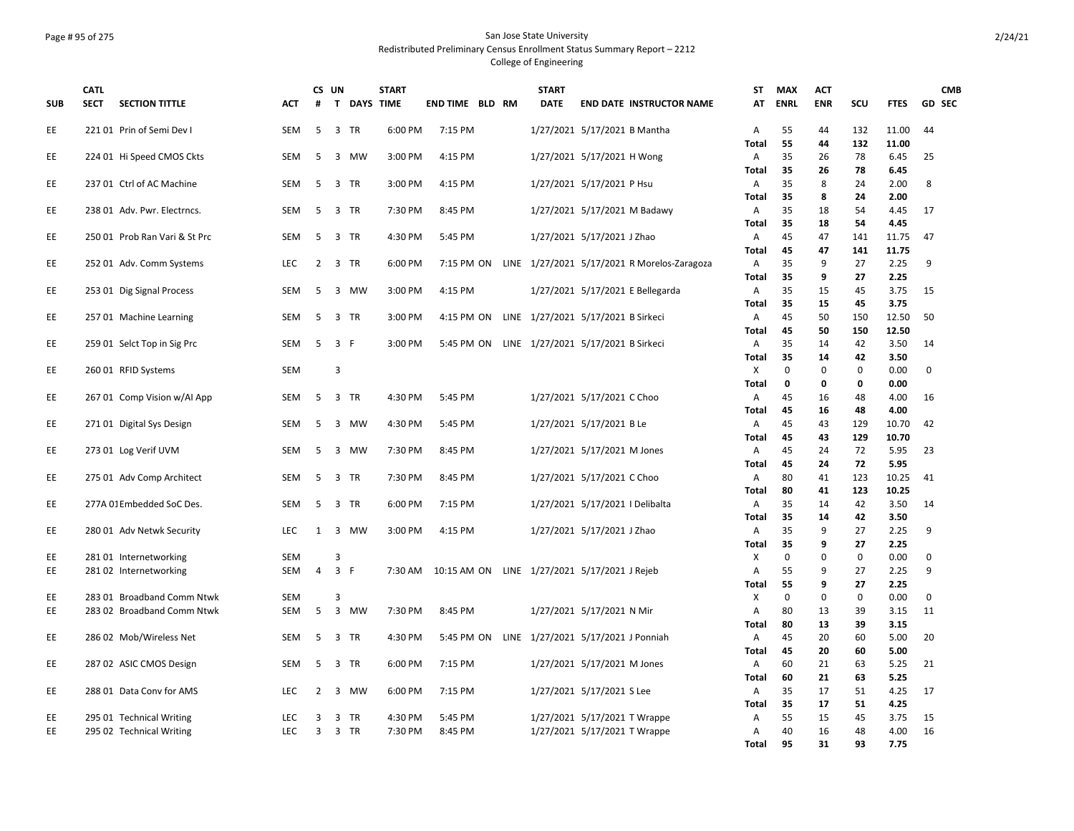### Page # 95 of 275 San Jose State University Redistributed Preliminary Census Enrollment Status Summary Report – 2212 College of Engineering

| <b>SUB</b> | <b>CATL</b><br><b>SECT</b> | <b>SECTION TITTLE</b>         | ACT        | CS UN<br>#     |                         | T DAYS TIME | <b>START</b> | <b>END TIME BLD RM</b> |  | <b>START</b><br><b>DATE</b> | <b>END DATE INSTRUCTOR NAME</b>               | <b>ST</b><br>AT   | <b>MAX</b><br><b>ENRL</b> | <b>ACT</b><br><b>ENR</b> | scu       | <b>FTES</b>   | <b>CMB</b><br>GD SEC |
|------------|----------------------------|-------------------------------|------------|----------------|-------------------------|-------------|--------------|------------------------|--|-----------------------------|-----------------------------------------------|-------------------|---------------------------|--------------------------|-----------|---------------|----------------------|
| EE         |                            | 221 01 Prin of Semi Dev I     | <b>SEM</b> | 5              | 3                       | <b>TR</b>   | 6:00 PM      | 7:15 PM                |  |                             | 1/27/2021 5/17/2021 B Mantha                  | Α                 | 55                        | 44                       | 132       | 11.00         | 44                   |
|            |                            |                               | <b>SEM</b> | 5              | 3                       | <b>MW</b>   | 3:00 PM      | 4:15 PM                |  |                             |                                               | <b>Total</b>      | 55<br>35                  | 44<br>26                 | 132<br>78 | 11.00<br>6.45 | 25                   |
| EE         |                            | 224 01 Hi Speed CMOS Ckts     |            |                |                         |             |              |                        |  |                             | 1/27/2021 5/17/2021 H Wong                    | Α<br><b>Total</b> | 35                        | 26                       | 78        | 6.45          |                      |
| EE         |                            | 237 01 Ctrl of AC Machine     | <b>SEM</b> | 5              | $\overline{3}$          | <b>TR</b>   | 3:00 PM      | 4:15 PM                |  |                             | 1/27/2021 5/17/2021 P Hsu                     | Α                 | 35                        | 8                        | 24        | 2.00          | 8                    |
|            |                            |                               |            |                |                         |             |              |                        |  |                             |                                               | <b>Total</b>      | 35                        | 8                        | 24        | 2.00          |                      |
| EE         |                            | 238 01 Adv. Pwr. Electrncs.   | <b>SEM</b> | 5              | $\overline{3}$          | <b>TR</b>   | 7:30 PM      | 8:45 PM                |  |                             | 1/27/2021 5/17/2021 M Badawy                  | Α                 | 35                        | 18                       | 54        | 4.45          | 17                   |
|            |                            |                               |            |                |                         |             |              |                        |  |                             |                                               | <b>Total</b>      | 35                        | 18                       | 54        | 4.45          |                      |
| EE         |                            | 250 01 Prob Ran Vari & St Prc | <b>SEM</b> | 5              | 3 TR                    |             | 4:30 PM      | 5:45 PM                |  |                             | 1/27/2021 5/17/2021 J Zhao                    | Α                 | 45                        | 47                       | 141       | 11.75         | 47                   |
|            |                            |                               |            |                |                         |             |              |                        |  |                             |                                               | <b>Total</b>      | 45                        | 47                       | 141       | 11.75         |                      |
| EE         |                            | 252 01 Adv. Comm Systems      | LEC        | $\overline{2}$ | 3 TR                    |             | 6:00 PM      | 7:15 PM ON             |  |                             | LINE 1/27/2021 5/17/2021 R Morelos-Zaragoza   | A                 | 35                        | 9                        | 27        | 2.25          | 9                    |
|            |                            |                               |            |                |                         |             |              |                        |  |                             |                                               | <b>Total</b>      | 35                        | 9                        | 27        | 2.25          |                      |
| EE         |                            | 253 01 Dig Signal Process     | <b>SEM</b> | 5              |                         | 3 MW        | 3:00 PM      | 4:15 PM                |  |                             | 1/27/2021 5/17/2021 E Bellegarda              | A                 | 35                        | 15                       | 45        | 3.75          | 15                   |
|            |                            |                               |            |                |                         |             |              |                        |  |                             |                                               | <b>Total</b>      | 35                        | 15                       | 45        | 3.75          |                      |
| EE         |                            | 257 01 Machine Learning       | <b>SEM</b> | 5              | 3 TR                    |             | 3:00 PM      | 4:15 PM ON             |  |                             | LINE 1/27/2021 5/17/2021 B Sirkeci            | Α                 | 45                        | 50                       | 150       | 12.50         | 50                   |
|            |                            |                               |            |                |                         |             |              |                        |  |                             |                                               | <b>Total</b>      | 45                        | 50                       | 150       | 12.50         |                      |
| EE         |                            | 259 01 Selct Top in Sig Prc   | <b>SEM</b> | 5              | 3 F                     |             | 3:00 PM      | 5:45 PM ON             |  |                             | LINE 1/27/2021 5/17/2021 B Sirkeci            | Α                 | 35                        | 14                       | 42        | 3.50          | 14                   |
|            |                            |                               |            |                |                         |             |              |                        |  |                             |                                               | <b>Total</b>      | 35                        | 14                       | 42        | 3.50          |                      |
| EE         |                            | 260 01 RFID Systems           | <b>SEM</b> |                | 3                       |             |              |                        |  |                             |                                               | Χ                 | 0                         | 0                        | 0         | 0.00          | 0                    |
|            |                            |                               |            |                |                         |             |              |                        |  |                             |                                               | <b>Total</b>      | 0                         | 0                        | 0         | 0.00          |                      |
| EE         |                            | 267 01 Comp Vision w/Al App   | <b>SEM</b> | 5              | 3 TR                    |             | 4:30 PM      | 5:45 PM                |  |                             | 1/27/2021 5/17/2021 C Choo                    | A                 | 45                        | 16                       | 48        | 4.00          | 16                   |
|            |                            |                               |            |                |                         |             |              |                        |  |                             |                                               | <b>Total</b>      | 45                        | 16                       | 48        | 4.00          |                      |
| EE         |                            | 271 01 Digital Sys Design     | SEM        | 5              | $\overline{3}$          | <b>MW</b>   | 4:30 PM      | 5:45 PM                |  |                             | 1/27/2021 5/17/2021 B Le                      | Α                 | 45                        | 43                       | 129       | 10.70         | 42                   |
|            |                            |                               |            |                |                         |             |              |                        |  |                             |                                               | <b>Total</b>      | 45                        | 43                       | 129       | 10.70         |                      |
| EE         |                            | 273 01 Log Verif UVM          | <b>SEM</b> | 5              |                         | 3 MW        | 7:30 PM      | 8:45 PM                |  |                             | 1/27/2021 5/17/2021 M Jones                   | A                 | 45                        | 24                       | 72        | 5.95          | 23                   |
|            |                            |                               | <b>SEM</b> | 5              | 3 TR                    |             | 7:30 PM      | 8:45 PM                |  |                             |                                               | <b>Total</b><br>A | 45<br>80                  | 24<br>41                 | 72<br>123 | 5.95<br>10.25 | 41                   |
| EE         |                            | 275 01 Adv Comp Architect     |            |                |                         |             |              |                        |  |                             | 1/27/2021 5/17/2021 C Choo                    | <b>Total</b>      | 80                        | 41                       | 123       | 10.25         |                      |
| EE         |                            | 277A 01 Embedded SoC Des.     | <b>SEM</b> | -5             | 3 TR                    |             | 6:00 PM      | 7:15 PM                |  |                             | 1/27/2021 5/17/2021   Delibalta               | A                 | 35                        | 14                       | 42        | 3.50          | 14                   |
|            |                            |                               |            |                |                         |             |              |                        |  |                             |                                               | <b>Total</b>      | 35                        | 14                       | 42        | 3.50          |                      |
| EE         |                            | 280 01 Adv Netwk Security     | <b>LEC</b> | $\mathbf{1}$   | $\overline{3}$          | <b>MW</b>   | 3:00 PM      | 4:15 PM                |  |                             | 1/27/2021 5/17/2021 J Zhao                    | A                 | 35                        | 9                        | 27        | 2.25          | 9                    |
|            |                            |                               |            |                |                         |             |              |                        |  |                             |                                               | <b>Total</b>      | 35                        | 9                        | 27        | 2.25          |                      |
| EE         |                            | 28101 Internetworking         | <b>SEM</b> |                | 3                       |             |              |                        |  |                             |                                               | Х                 | 0                         | 0                        | 0         | 0.00          | 0                    |
| EE         |                            | 281 02 Internetworking        | <b>SEM</b> | 4              | 3 F                     |             | 7:30 AM      |                        |  |                             | 10:15 AM ON LINE 1/27/2021 5/17/2021 J Rejeb  | А                 | 55                        | 9                        | 27        | 2.25          | 9                    |
|            |                            |                               |            |                |                         |             |              |                        |  |                             |                                               | Total             | 55                        | 9                        | 27        | 2.25          |                      |
| EE         |                            | 283 01 Broadband Comm Ntwk    | <b>SEM</b> |                | 3                       |             |              |                        |  |                             |                                               | X                 | $\mathbf 0$               | 0                        | 0         | 0.00          | 0                    |
| EE         |                            | 283 02 Broadband Comm Ntwk    | <b>SEM</b> | 5              | $\overline{\mathbf{3}}$ | MW          | 7:30 PM      | 8:45 PM                |  |                             | 1/27/2021 5/17/2021 N Mir                     | A                 | 80                        | 13                       | 39        | 3.15          | 11                   |
|            |                            |                               |            |                |                         |             |              |                        |  |                             |                                               | <b>Total</b>      | 80                        | 13                       | 39        | 3.15          |                      |
| EE         |                            | 286 02 Mob/Wireless Net       | <b>SEM</b> | 5              | 3 TR                    |             | 4:30 PM      |                        |  |                             | 5:45 PM ON LINE 1/27/2021 5/17/2021 J Ponniah | A                 | 45                        | 20                       | 60        | 5.00          | 20                   |
|            |                            |                               |            |                |                         |             |              |                        |  |                             |                                               | <b>Total</b>      | 45                        | 20                       | 60        | 5.00          |                      |
| EE         |                            | 287 02 ASIC CMOS Design       | <b>SEM</b> | 5              | 3 TR                    |             | 6:00 PM      | 7:15 PM                |  |                             | 1/27/2021 5/17/2021 M Jones                   | Α                 | 60                        | 21                       | 63        | 5.25          | 21                   |
|            |                            |                               |            |                |                         |             |              |                        |  |                             |                                               | <b>Total</b>      | 60                        | 21                       | 63        | 5.25          |                      |
| EE         |                            | 288 01 Data Conv for AMS      | <b>LEC</b> | $\overline{2}$ | $\overline{3}$          | <b>MW</b>   | 6:00 PM      | 7:15 PM                |  |                             | 1/27/2021 5/17/2021 S Lee                     | Α                 | 35                        | 17                       | 51        | 4.25          | 17                   |
|            |                            |                               |            |                |                         |             |              |                        |  |                             |                                               | <b>Total</b>      | 35                        | 17                       | 51        | 4.25          |                      |
| EE         |                            | 295 01 Technical Writing      | <b>LEC</b> | 3              | 3                       | <b>TR</b>   | 4:30 PM      | 5:45 PM                |  |                             | 1/27/2021 5/17/2021 T Wrappe                  | Α                 | 55                        | 15                       | 45        | 3.75          | 15                   |
| EE         |                            | 295 02 Technical Writing      | LEC.       | 3              | 3 TR                    |             | 7:30 PM      | 8:45 PM                |  |                             | 1/27/2021 5/17/2021 T Wrappe                  | Α                 | 40                        | 16                       | 48        | 4.00          | 16                   |
|            |                            |                               |            |                |                         |             |              |                        |  |                             |                                               | Total             | 95                        | 31                       | 93        | 7.75          |                      |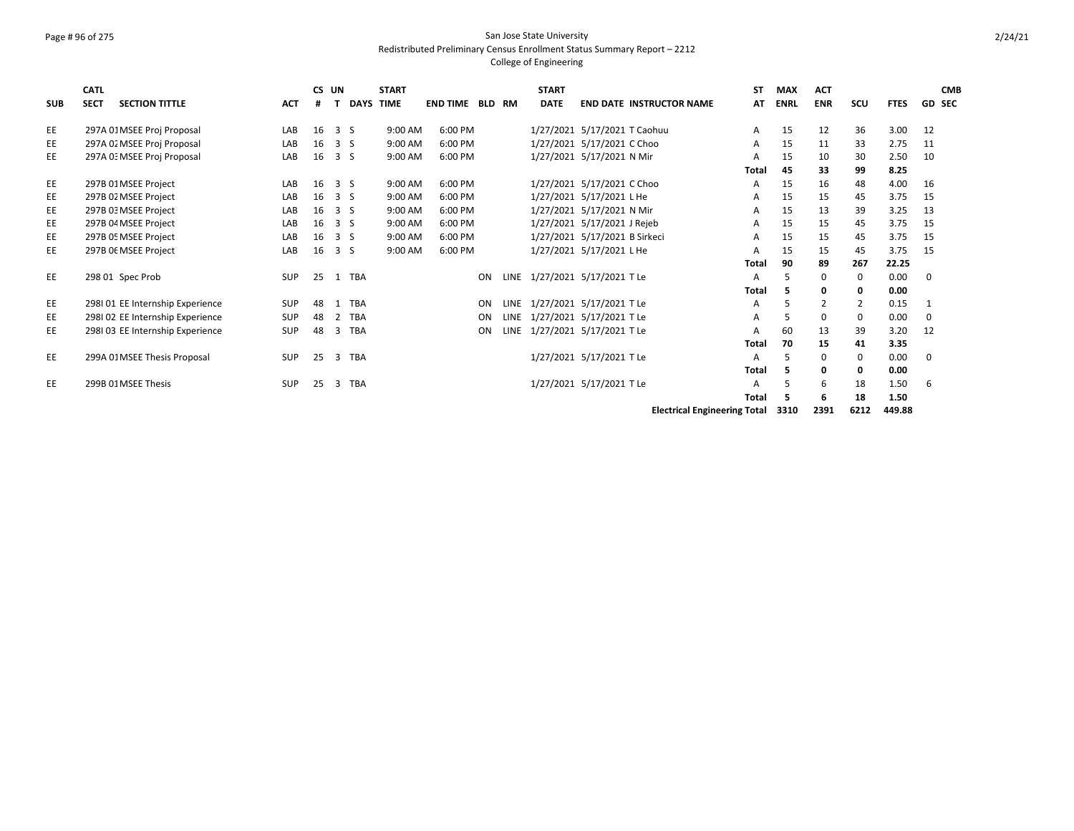# Page # 96 of 275 San Jose State University Redistributed Preliminary Census Enrollment Status Summary Report – 2212

### College of Engineering

|            | <b>CATL</b> |                                  |            | CS UN |                 | <b>START</b> |                 |     |             | <b>START</b>                  |                          |                                 | SΤ           | <b>MAX</b>  | <b>ACT</b> |             |                          | <b>CMB</b>    |
|------------|-------------|----------------------------------|------------|-------|-----------------|--------------|-----------------|-----|-------------|-------------------------------|--------------------------|---------------------------------|--------------|-------------|------------|-------------|--------------------------|---------------|
| <b>SUB</b> | <b>SECT</b> | <b>SECTION TITTLE</b>            | <b>ACT</b> | #     | <b>DAYS</b>     | <b>TIME</b>  | <b>END TIME</b> | BLD | RM          | <b>DATE</b>                   |                          | <b>END DATE INSTRUCTOR NAME</b> | AT           | <b>ENRL</b> | <b>ENR</b> | SCU         | <b>FTES</b>              | <b>GD SEC</b> |
| EE         |             | 297A 01 MSEE Proj Proposal       | LAB        | 16    | 3 <sub>5</sub>  | 9:00 AM      | 6:00 PM         |     |             | 1/27/2021 5/17/2021 T Caohuu  |                          |                                 | A            | 15          | 12         | 36          | 3.00                     | 12            |
| EE         |             | 297A 02 MSEE Proj Proposal       | LAB        | 16    | 3 <sub>5</sub>  | 9:00 AM      | 6:00 PM         |     |             | 1/27/2021 5/17/2021 C Choo    |                          |                                 | A            | 15          | 11         | 33          | 2.75                     | 11            |
| EE         |             | 297A 0: MSEE Proj Proposal       | LAB        | 16    | 3 <sub>5</sub>  | 9:00 AM      | 6:00 PM         |     |             | 1/27/2021 5/17/2021 N Mir     |                          |                                 | A            | 15          | 10         | 30          | 2.50                     | 10            |
|            |             |                                  |            |       |                 |              |                 |     |             |                               |                          |                                 | <b>Total</b> | 45          | 33         | 99          | 8.25                     |               |
| EE         |             | 297B 01 MSEE Project             | LAB        | 16    | 3S              | 9:00 AM      | 6:00 PM         |     |             | 1/27/2021 5/17/2021 C Choo    |                          |                                 | Α            | 15          | 16         | 48          | 4.00                     | 16            |
| EE         |             | 297B 02 MSEE Project             | LAB        | 16    | 3S              | 9:00 AM      | 6:00 PM         |     |             | 1/27/2021 5/17/2021 L He      |                          |                                 | A            | 15          | 15         | 45          | 3.75                     | 15            |
| EE         |             | 297B 03 MSEE Project             | LAB        | 16    | 3 <sub>5</sub>  | 9:00 AM      | 6:00 PM         |     |             | 1/27/2021 5/17/2021 N Mir     |                          |                                 | A            | 15          | 13         | 39          | 3.25                     | 13            |
| EE         |             | 297B 04 MSEE Project             | LAB        | 16    | 3 <sub>5</sub>  | 9:00 AM      | 6:00 PM         |     |             | 1/27/2021 5/17/2021 J Rejeb   |                          |                                 | A            | 15          | 15         | 45          | 3.75                     | 15            |
| EE         |             | 297B 05 MSEE Project             | LAB        | 16    | 3S              | 9:00 AM      | 6:00 PM         |     |             | 1/27/2021 5/17/2021 B Sirkeci |                          |                                 | A            | 15          | 15         | 45          | 3.75                     | 15            |
| EE         |             | 297B 06 MSEE Project             | LAB        | 16    | 3 <sub>5</sub>  | 9:00 AM      | 6:00 PM         |     |             |                               | 1/27/2021 5/17/2021 L He |                                 | A            | 15          | 15         | 45          | 3.75                     | 15            |
|            |             |                                  |            |       |                 |              |                 |     |             |                               |                          |                                 | <b>Total</b> | 90          | 89         | 267         | 22.25                    |               |
| EE         |             | 298 01 Spec Prob                 | <b>SUP</b> | 25    | <b>TBA</b><br>1 |              |                 | ON  | LINE        | 1/27/2021 5/17/2021 T Le      |                          |                                 | А            | 5           | 0          | $\mathbf 0$ | 0.00                     | $\Omega$      |
|            |             |                                  |            |       |                 |              |                 |     |             |                               |                          |                                 | <b>Total</b> | 5           | 0          | 0           | 0.00                     |               |
| EE         |             | 298101 EE Internship Experience  | SUP        | 48    | <b>TBA</b>      |              |                 | ON  | <b>LINE</b> | 1/27/2021 5/17/2021 T Le      |                          |                                 | Α            | 5           | 2          | 2           | 0.15                     | 1             |
| EE         |             | 2981 02 EE Internship Experience | <b>SUP</b> | 48    | <b>TBA</b>      |              |                 | ON  | <b>LINE</b> | 1/27/2021 5/17/2021 T Le      |                          |                                 | Α            | 5           | 0          | 0           | 0.00                     | $\mathbf 0$   |
| EЕ         |             | 298I 03 EE Internship Experience | <b>SUP</b> | 48    | <b>TBA</b><br>3 |              |                 | ON  | <b>LINE</b> | 1/27/2021 5/17/2021 T Le      |                          |                                 | А            | 60          | 13         | 39          | 3.20                     | 12            |
|            |             |                                  |            |       |                 |              |                 |     |             |                               |                          |                                 | <b>Total</b> | 70          | 15         | 41          | 3.35                     |               |
| EE         |             | 299A 01 MSEE Thesis Proposal     | <b>SUP</b> | 25    | TBA<br>3        |              |                 |     |             | 1/27/2021 5/17/2021 T Le      |                          |                                 | А            | 5           | 0          | 0           | 0.00                     | $\Omega$      |
|            |             |                                  |            |       |                 |              |                 |     |             |                               |                          |                                 | <b>Total</b> | 5           | 0          | 0           | 0.00                     |               |
| EE         |             | 299B 01 MSEE Thesis              | <b>SUP</b> | 25    | TBA<br>3        |              |                 |     |             | 1/27/2021 5/17/2021 T Le      |                          |                                 | А            | 5           | 6          | 18          | 1.50                     | 6             |
|            |             |                                  |            |       |                 |              |                 |     |             |                               |                          |                                 | <b>Total</b> |             | 6          | 18          | 1.50                     |               |
|            |             |                                  |            |       |                 |              |                 |     |             |                               |                          |                                 |              |             | $\sim$     | ----        | $\overline{\phantom{a}}$ |               |

**Electrical Engineering Total 3310 2391 6212 449.88**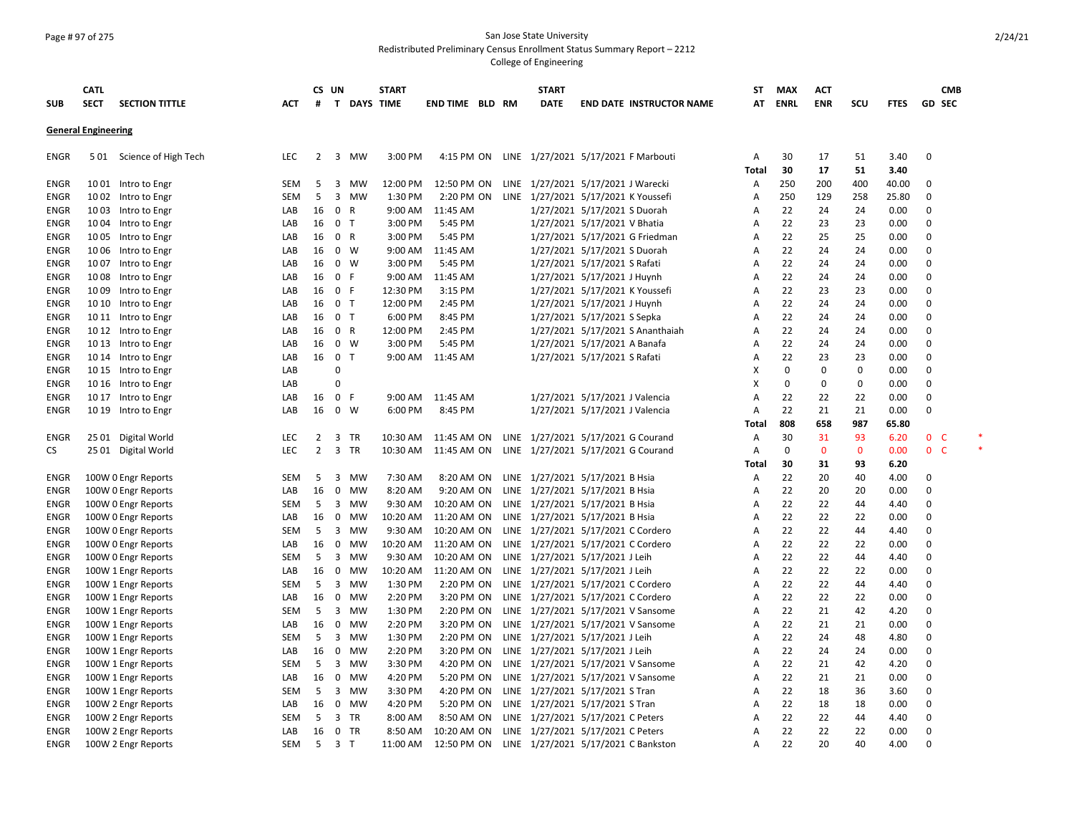### Page # 97 of 275 San Jose State University Redistributed Preliminary Census Enrollment Status Summary Report – 2212

|             | <b>CATL</b>                |                       |            | CS UN          |                          | <b>START</b> |                     |    |      | <b>START</b>                        |                                |                                     | ST         | <b>MAX</b>  | <b>ACT</b>   |              |              |                    | <b>CMB</b> |
|-------------|----------------------------|-----------------------|------------|----------------|--------------------------|--------------|---------------------|----|------|-------------------------------------|--------------------------------|-------------------------------------|------------|-------------|--------------|--------------|--------------|--------------------|------------|
| <b>SUB</b>  | <b>SECT</b>                | <b>SECTION TITTLE</b> | <b>ACT</b> | #              | T DAYS TIME              |              | <b>END TIME BLD</b> | RM |      | <b>DATE</b>                         |                                | <b>END DATE INSTRUCTOR NAME</b>     | AT         | <b>ENRL</b> | <b>ENR</b>   | scu          | <b>FTES</b>  | GD SEC             |            |
|             | <b>General Engineering</b> |                       |            |                |                          |              |                     |    |      |                                     |                                |                                     |            |             |              |              |              |                    |            |
| ENGR        | 5 0 1                      | Science of High Tech  | LEC        | 2              | 3<br>MW                  | 3:00 PM      | 4:15 PM ON          |    |      | LINE 1/27/2021 5/17/2021 F Marbouti |                                |                                     | Α<br>Total | 30<br>30    | 17<br>17     | 51<br>51     | 3.40<br>3.40 | 0                  |            |
| ENGR        |                            | 1001 Intro to Engr    | SEM        | 5              | 3<br>MW                  | 12:00 PM     | 12:50 PM ON         |    |      | LINE 1/27/2021 5/17/2021 J Warecki  |                                |                                     | Α          | 250         | 200          | 400          | 40.00        | 0                  |            |
| <b>ENGR</b> | 10 02                      | Intro to Engr         | <b>SEM</b> | 5              | $\overline{3}$<br>MW     | 1:30 PM      | 2:20 PM ON          |    |      | LINE 1/27/2021 5/17/2021 K Youssefi |                                |                                     | A          | 250         | 129          | 258          | 25.80        | 0                  |            |
| ENGR        |                            | 1003 Intro to Engr    | LAB        | 16             | 0 R                      | 9:00 AM      | 11:45 AM            |    |      |                                     | 1/27/2021 5/17/2021 S Duorah   |                                     | Α          | 22          | 24           | 24           | 0.00         | 0                  |            |
| ENGR        |                            | 10 04 Intro to Engr   | LAB        | 16             | 0 <sub>T</sub>           | 3:00 PM      | 5:45 PM             |    |      |                                     | 1/27/2021 5/17/2021 V Bhatia   |                                     | A          | 22          | 23           | 23           | 0.00         | 0                  |            |
| <b>ENGR</b> |                            | 1005 Intro to Engr    | LAB        | 16             | 0 R                      | 3:00 PM      | 5:45 PM             |    |      |                                     |                                | 1/27/2021 5/17/2021 G Friedman      | Α          | 22          | 25           | 25           | 0.00         | 0                  |            |
| ENGR        |                            | 1006 Intro to Engr    | LAB        | 16             | $0 \quad W$              | 9:00 AM      | 11:45 AM            |    |      |                                     | 1/27/2021 5/17/2021 S Duorah   |                                     | A          | 22          | 24           | 24           | 0.00         | 0                  |            |
| <b>ENGR</b> |                            | 1007 Intro to Engr    | LAB        | 16             | $0 \quad W$              | 3:00 PM      | 5:45 PM             |    |      |                                     | 1/27/2021 5/17/2021 S Rafati   |                                     | A          | 22          | 24           | 24           | 0.00         | 0                  |            |
| ENGR        | 1008                       | Intro to Engr         | LAB        | 16             | 0 F                      | 9:00 AM      | 11:45 AM            |    |      |                                     | 1/27/2021 5/17/2021 J Huynh    |                                     | A          | 22          | 24           | 24           | 0.00         | 0                  |            |
| ENGR        |                            | 1009 Intro to Engr    | LAB        | 16             | 0 F                      | 12:30 PM     | 3:15 PM             |    |      |                                     | 1/27/2021 5/17/2021 K Youssefi |                                     | A          | 22          | 23           | 23           | 0.00         | 0                  |            |
| <b>ENGR</b> |                            | 10 10 Intro to Engr   | LAB        | 16             | 0 <sub>T</sub>           | 12:00 PM     | 2:45 PM             |    |      |                                     | 1/27/2021 5/17/2021 J Huynh    |                                     | A          | 22          | 24           | 24           | 0.00         | 0                  |            |
| ENGR        |                            | 10 11 Intro to Engr   | LAB        | 16             | 0 <sub>T</sub>           | 6:00 PM      | 8:45 PM             |    |      |                                     | 1/27/2021 5/17/2021 S Sepka    |                                     | A          | 22          | 24           | 24           | 0.00         | 0                  |            |
| <b>ENGR</b> |                            | 10 12 Intro to Engr   | LAB        | 16             | 0 R                      | 12:00 PM     | 2:45 PM             |    |      |                                     |                                | 1/27/2021 5/17/2021 S Ananthaiah    | A          | 22          | 24           | 24           | 0.00         | 0                  |            |
| ENGR        |                            | 10 13 Intro to Engr   | LAB        | 16             | 0 W                      | 3:00 PM      | 5:45 PM             |    |      |                                     | 1/27/2021 5/17/2021 A Banafa   |                                     | A          | 22          | 24           | 24           | 0.00         | 0                  |            |
| <b>ENGR</b> |                            | 10 14 Intro to Engr   | LAB        | 16             | 0 <sub>T</sub>           | 9:00 AM      | 11:45 AM            |    |      |                                     | 1/27/2021 5/17/2021 S Rafati   |                                     | A          | 22          | 23           | 23           | 0.00         | 0                  |            |
| <b>ENGR</b> |                            | 10 15 Intro to Engr   | LAB        |                | $\mathbf 0$              |              |                     |    |      |                                     |                                |                                     | х          | $\Omega$    | 0            | 0            | 0.00         | 0                  |            |
| ENGR        |                            | 10 16 Intro to Engr   | LAB        |                | $\Omega$                 |              |                     |    |      |                                     |                                |                                     | x          | $\Omega$    | 0            | 0            | 0.00         | 0                  |            |
| ENGR        |                            | 10 17 Intro to Engr   | LAB        | 16             | 0 F                      | 9:00 AM      | 11:45 AM            |    |      |                                     | 1/27/2021 5/17/2021 J Valencia |                                     | A          | 22          | 22           | 22           | 0.00         | 0                  |            |
| ENGR        |                            | 10 19 Intro to Engr   | LAB        | 16             | $0 \quad W$              | 6:00 PM      | 8:45 PM             |    |      |                                     | 1/27/2021 5/17/2021 J Valencia |                                     | A          | 22          | 21           | 21           | 0.00         | 0                  |            |
|             |                            |                       |            |                |                          |              |                     |    |      |                                     |                                |                                     | Total      | 808         | 658          | 987          | 65.80        |                    |            |
| <b>ENGR</b> |                            | 25 01 Digital World   | <b>LEC</b> | 2              | 3<br>TR                  | 10:30 AM     | 11:45 AM ON         |    |      | LINE 1/27/2021 5/17/2021 G Courand  |                                |                                     | A          | 30          | 31           | 93           | 6.20         | $\mathbf 0$<br>- C |            |
| CS.         |                            | 25 01 Digital World   | <b>LEC</b> | $\overline{2}$ | 3 TR                     | 10:30 AM     | 11:45 AM ON         |    |      | LINE 1/27/2021 5/17/2021 G Courand  |                                |                                     | A          | 0           | $\mathbf{0}$ | $\mathbf{0}$ | 0.00         | 0 <sup>o</sup>     |            |
|             |                            |                       |            |                |                          |              |                     |    |      |                                     |                                |                                     | Total      | 30          | 31           | 93           | 6.20         |                    |            |
| ENGR        |                            | 100W 0 Engr Reports   | SEM        | 5              | 3<br>MW                  | 7:30 AM      | 8:20 AM ON          |    |      | LINE 1/27/2021 5/17/2021 B Hsia     |                                |                                     | Α          | 22          | 20           | 40           | 4.00         | 0                  |            |
| <b>ENGR</b> |                            | 100W 0 Engr Reports   | LAB        | 16             | 0<br>MW                  | 8:20 AM      | 9:20 AM ON          |    | LINE | 1/27/2021 5/17/2021 B Hsia          |                                |                                     | A          | 22          | 20           | 20           | 0.00         | 0                  |            |
| ENGR        |                            | 100W 0 Engr Reports   | SEM        | 5              | 3 MW                     | 9:30 AM      | 10:20 AM ON         |    |      | LINE 1/27/2021 5/17/2021 B Hsia     |                                |                                     | A          | 22          | 22           | 44           | 4.40         | 0                  |            |
| <b>ENGR</b> |                            | 100W 0 Engr Reports   | LAB        | 16             | 0<br>MW                  | 10:20 AM     | 11:20 AM ON         |    |      | LINE 1/27/2021 5/17/2021 B Hsia     |                                |                                     | A          | 22          | 22           | 22           | 0.00         | 0                  |            |
| ENGR        |                            | 100W 0 Engr Reports   | SEM        | 5              | 3<br>MW                  | 9:30 AM      | 10:20 AM ON         |    |      | LINE 1/27/2021 5/17/2021 C Cordero  |                                |                                     | A          | 22          | 22           | 44           | 4.40         | 0                  |            |
| ENGR        |                            | 100W 0 Engr Reports   | LAB        | 16             | 0<br>MW                  | 10:20 AM     | 11:20 AM ON         |    |      | LINE 1/27/2021 5/17/2021 C Cordero  |                                |                                     | A          | 22          | 22           | 22           | 0.00         | $\pmb{0}$          |            |
| ENGR        |                            | 100W 0 Engr Reports   | SEM        | 5              | 3 MW                     | 9:30 AM      | 10:20 AM ON         |    |      | LINE 1/27/2021 5/17/2021 J Leih     |                                |                                     | A          | 22          | 22           | 44           | 4.40         | 0                  |            |
| ENGR        |                            | 100W 1 Engr Reports   | LAB        | 16             | 0<br>MW                  | 10:20 AM     | 11:20 AM ON         |    |      | LINE 1/27/2021 5/17/2021 J Leih     |                                |                                     | A          | 22          | 22           | 22           | 0.00         | 0                  |            |
| ENGR        |                            | 100W 1 Engr Reports   | SEM        | 5              | 3<br>MW                  | 1:30 PM      | 2:20 PM ON          |    |      | LINE 1/27/2021 5/17/2021 C Cordero  |                                |                                     | A          | 22          | 22           | 44           | 4.40         | 0                  |            |
| <b>ENGR</b> |                            | 100W 1 Engr Reports   | LAB        | 16             | $\mathbf 0$<br><b>MW</b> | 2:20 PM      | 3:20 PM ON          |    |      | LINE 1/27/2021 5/17/2021 C Cordero  |                                |                                     | A          | 22          | 22           | 22           | 0.00         | 0                  |            |
| ENGR        |                            | 100W 1 Engr Reports   | SEM        | 5              | 3<br>MW                  | 1:30 PM      | 2:20 PM ON          |    |      | LINE 1/27/2021 5/17/2021 V Sansome  |                                |                                     | A          | 22          | 21           | 42           | 4.20         | 0                  |            |
| ENGR        |                            | 100W 1 Engr Reports   | LAB        | 16             | 0<br>MW                  | 2:20 PM      | 3:20 PM ON          |    |      | LINE 1/27/2021 5/17/2021 V Sansome  |                                |                                     | A          | 22          | 21           | 21           | 0.00         | 0                  |            |
| ENGR        |                            | 100W 1 Engr Reports   | SEM        | 5              | 3<br>MW                  | 1:30 PM      | 2:20 PM ON          |    |      | LINE 1/27/2021 5/17/2021 J Leih     |                                |                                     | A          | 22          | 24           | 48           | 4.80         | 0                  |            |
| ENGR        |                            | 100W 1 Engr Reports   | LAB        | 16             | 0<br>MW                  | 2:20 PM      | 3:20 PM ON          |    |      | LINE 1/27/2021 5/17/2021 J Leih     |                                |                                     | A          | 22          | 24           | 24           | 0.00         | 0                  |            |
| ENGR        |                            | 100W 1 Engr Reports   | SEM        | 5              | 3<br>MW                  | 3:30 PM      | 4:20 PM ON          |    |      | LINE 1/27/2021 5/17/2021 V Sansome  |                                |                                     | A          | 22          | 21           | 42           | 4.20         | 0                  |            |
| ENGR        |                            | 100W 1 Engr Reports   | LAB        | 16             | 0<br>MW                  | 4:20 PM      | 5:20 PM ON          |    |      | LINE 1/27/2021 5/17/2021 V Sansome  |                                |                                     | A          | 22          | 21           | 21           | 0.00         | 0                  |            |
| <b>ENGR</b> |                            | 100W 1 Engr Reports   | SEM        | 5              | 3<br>MW                  | 3:30 PM      | 4:20 PM ON          |    |      | LINE 1/27/2021 5/17/2021 S Tran     |                                |                                     | A          | 22          | 18           | 36           | 3.60         | 0                  |            |
| ENGR        |                            | 100W 2 Engr Reports   | LAB        | 16             | $\mathbf 0$<br>MW        | 4:20 PM      | 5:20 PM ON          |    |      | LINE 1/27/2021 5/17/2021 S Tran     |                                |                                     | A          | 22          | 18           | 18           | 0.00         | 0                  |            |
| ENGR        |                            | 100W 2 Engr Reports   | <b>SEM</b> | 5              | 3<br>TR                  | 8:00 AM      | 8:50 AM ON          |    |      | LINE 1/27/2021 5/17/2021 C Peters   |                                |                                     | A          | 22          | 22           | 44           | 4.40         | 0                  |            |
| <b>ENGR</b> |                            | 100W 2 Engr Reports   | LAB        | 16             | $\mathbf{0}$<br>TR       | 8:50 AM      | 10:20 AM ON         |    |      | LINE 1/27/2021 5/17/2021 C Peters   |                                |                                     | Α          | 22          | 22           | 22           | 0.00         | 0                  |            |
| <b>ENGR</b> |                            | 100W 2 Engr Reports   | <b>SEM</b> | 5              | 3 <sub>T</sub>           | 11:00 AM     | 12:50 PM ON         |    |      |                                     |                                | LINE 1/27/2021 5/17/2021 C Bankston | A          | 22          | 20           | 40           | 4.00         | $\Omega$           |            |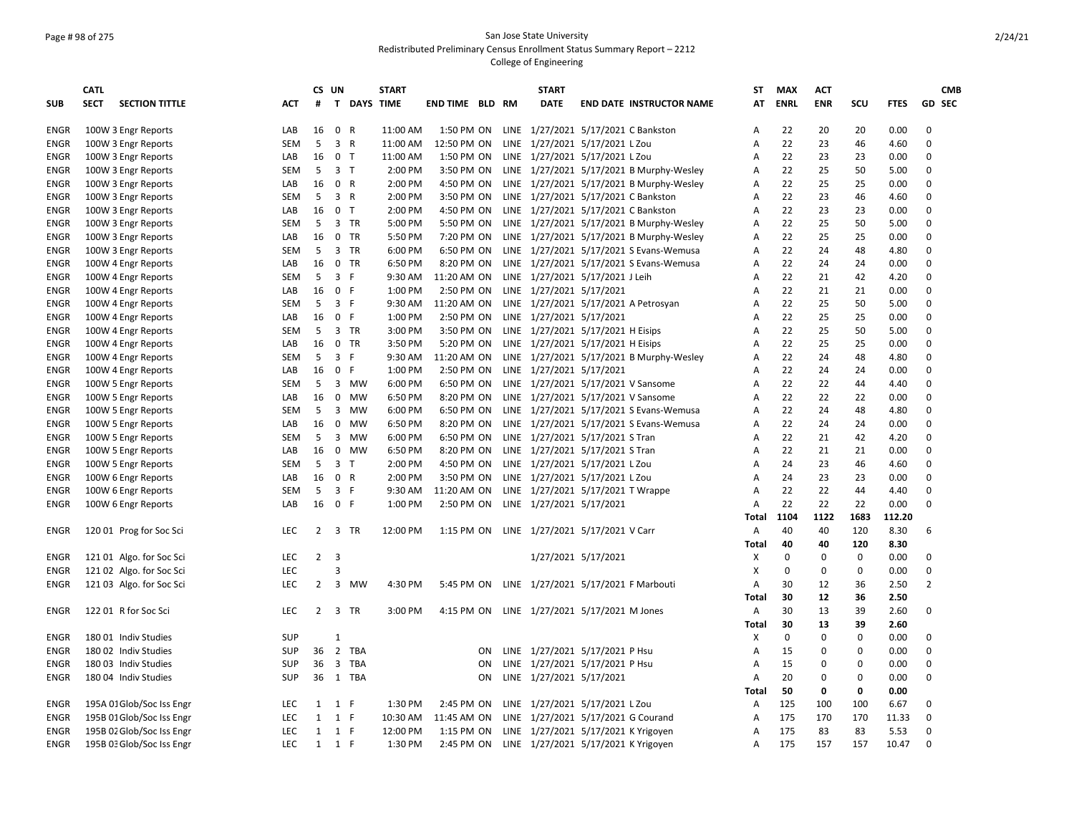## Page # 98 of 275 San Jose State University Redistributed Preliminary Census Enrollment Status Summary Report – 2212

|             | <b>CATL</b> |                           |            | CS UN          |                                |            | <b>START</b>       |                        |                | <b>START</b>                      |                                          | ST    | <b>MAX</b>  | <b>ACT</b>  |             |             | <b>CMB</b>     |
|-------------|-------------|---------------------------|------------|----------------|--------------------------------|------------|--------------------|------------------------|----------------|-----------------------------------|------------------------------------------|-------|-------------|-------------|-------------|-------------|----------------|
| <b>SUB</b>  | <b>SECT</b> | <b>SECTION TITTLE</b>     | <b>ACT</b> | #              |                                |            | <b>T DAYS TIME</b> | <b>END TIME BLD RM</b> |                | <b>DATE</b>                       | <b>END DATE INSTRUCTOR NAME</b>          | AT    | <b>ENRL</b> | <b>ENR</b>  | SCU         | <b>FTES</b> | GD SEC         |
| ENGR        |             | 100W 3 Engr Reports       | LAB        | 16             | 0 R                            |            | 11:00 AM           | 1:50 PM ON             |                |                                   | LINE 1/27/2021 5/17/2021 C Bankston      | Α     | 22          | 20          | 20          | 0.00        | 0              |
| ENGR        |             | 100W 3 Engr Reports       | <b>SEM</b> | 5              | $\overline{3}$<br>$\mathsf{R}$ |            | 11:00 AM           | 12:50 PM ON            |                | LINE 1/27/2021 5/17/2021 L Zou    |                                          | Α     | 22          | 23          | 46          | 4.60        | 0              |
| ENGR        |             | 100W 3 Engr Reports       | LAB        | 16             | 0 <sub>T</sub>                 |            | 11:00 AM           | 1:50 PM ON             |                | LINE 1/27/2021 5/17/2021 L Zou    |                                          | A     | 22          | 23          | 23          | 0.00        | 0              |
| ENGR        |             | 100W 3 Engr Reports       | <b>SEM</b> | 5              | 3 <sub>T</sub>                 |            | 2:00 PM            | 3:50 PM ON             |                |                                   | LINE 1/27/2021 5/17/2021 B Murphy-Wesley | Α     | 22          | 25          | 50          | 5.00        | 0              |
| ENGR        |             | 100W 3 Engr Reports       | LAB        | 16             | 0 R                            |            | 2:00 PM            | 4:50 PM ON             |                |                                   | LINE 1/27/2021 5/17/2021 B Murphy-Wesley | A     | 22          | 25          | 25          | 0.00        | 0              |
| ENGR        |             | 100W 3 Engr Reports       | <b>SEM</b> | 5              | $\overline{3}$<br>$\mathsf{R}$ |            | 2:00 PM            | 3:50 PM ON             |                |                                   | LINE 1/27/2021 5/17/2021 C Bankston      | A     | 22          | 23          | 46          | 4.60        | 0              |
| ENGR        |             | 100W 3 Engr Reports       | LAB        | 16             | $\mathsf{o}$<br>T              |            | 2:00 PM            | 4:50 PM ON             |                |                                   | LINE 1/27/2021 5/17/2021 C Bankston      | Α     | 22          | 23          | 23          | 0.00        | 0              |
| ENGR        |             | 100W 3 Engr Reports       | SEM        | 5              | 3                              | <b>TR</b>  | 5:00 PM            | 5:50 PM ON             |                |                                   | LINE 1/27/2021 5/17/2021 B Murphy-Wesley | A     | 22          | 25          | 50          | 5.00        | 0              |
| ENGR        |             | 100W 3 Engr Reports       | LAB        | 16             | $\mathbf 0$                    | TR         | 5:50 PM            | 7:20 PM ON             |                |                                   | LINE 1/27/2021 5/17/2021 B Murphy-Wesley | A     | 22          | 25          | 25          | 0.00        | 0              |
| ENGR        |             | 100W 3 Engr Reports       | <b>SEM</b> | 5              | 3                              | TR         | 6:00 PM            | 6:50 PM ON             |                |                                   | LINE 1/27/2021 5/17/2021 S Evans-Wemusa  | Α     | 22          | 24          | 48          | 4.80        | 0              |
| ENGR        |             | 100W 4 Engr Reports       | LAB        | 16             | 0                              | <b>TR</b>  | 6:50 PM            | 8:20 PM ON             |                |                                   | LINE 1/27/2021 5/17/2021 S Evans-Wemusa  | А     | 22          | 24          | 24          | 0.00        | 0              |
| ENGR        |             | 100W 4 Engr Reports       | <b>SEM</b> | 5              | $\overline{3}$<br>F            |            | 9:30 AM            | 11:20 AM ON            |                | LINE 1/27/2021 5/17/2021 J Leih   |                                          | A     | 22          | 21          | 42          | 4.20        | 0              |
| ENGR        |             | 100W 4 Engr Reports       | LAB        | 16             | $\mathbf 0$<br>$\mathsf{F}$    |            | 1:00 PM            | 2:50 PM ON             |                | LINE 1/27/2021 5/17/2021          |                                          | A     | 22          | 21          | 21          | 0.00        | $\Omega$       |
| ENGR        |             | 100W 4 Engr Reports       | <b>SEM</b> | 5              | $\overline{\mathbf{3}}$<br>F   |            | 9:30 AM            | 11:20 AM ON            |                |                                   | LINE 1/27/2021 5/17/2021 A Petrosyan     | A     | 22          | 25          | 50          | 5.00        | 0              |
| ENGR        |             | 100W 4 Engr Reports       | LAB        | 16             | $\mathbf 0$<br>$\mathsf{F}$    |            | 1:00 PM            | 2:50 PM ON             |                | LINE 1/27/2021 5/17/2021          |                                          | A     | 22          | 25          | 25          | 0.00        | 0              |
| ENGR        |             | 100W 4 Engr Reports       | <b>SEM</b> | 5              | 3                              | TR         | 3:00 PM            | 3:50 PM ON             |                | LINE 1/27/2021 5/17/2021 H Eisips |                                          | A     | 22          | 25          | 50          | 5.00        | 0              |
| ENGR        |             | 100W 4 Engr Reports       | LAB        | 16             | $\mathbf 0$                    | TR         | 3:50 PM            | 5:20 PM ON             |                | LINE 1/27/2021 5/17/2021 H Eisips |                                          | A     | 22          | 25          | 25          | 0.00        | 0              |
| ENGR        |             | 100W 4 Engr Reports       | <b>SEM</b> | 5              | $\overline{3}$<br>F            |            | 9:30 AM            | 11:20 AM ON            |                |                                   | LINE 1/27/2021 5/17/2021 B Murphy-Wesley | A     | 22          | 24          | 48          | 4.80        | 0              |
| ENGR        |             | 100W 4 Engr Reports       | LAB        | 16             | $\mathsf{F}$<br>$\mathbf 0$    |            | 1:00 PM            | 2:50 PM ON             |                | LINE 1/27/2021 5/17/2021          |                                          | A     | 22          | 24          | 24          | 0.00        | 0              |
| ENGR        |             | 100W 5 Engr Reports       | SEM        | 5              | $\overline{3}$                 | MW         | 6:00 PM            | 6:50 PM ON             |                |                                   | LINE 1/27/2021 5/17/2021 V Sansome       | A     | 22          | 22          | 44          | 4.40        | 0              |
| ENGR        |             | 100W 5 Engr Reports       | LAB        | 16             | 0                              | MW         | 6:50 PM            | 8:20 PM ON             |                |                                   | LINE 1/27/2021 5/17/2021 V Sansome       | A     | 22          | 22          | 22          | 0.00        | 0              |
| ENGR        |             | 100W 5 Engr Reports       | <b>SEM</b> | 5              | $\overline{3}$                 | <b>MW</b>  | 6:00 PM            | 6:50 PM ON             |                |                                   | LINE 1/27/2021 5/17/2021 S Evans-Wemusa  | A     | 22          | 24          | 48          | 4.80        | 0              |
| <b>ENGR</b> |             | 100W 5 Engr Reports       | LAB        | 16             | 0                              | <b>MW</b>  | 6:50 PM            | 8:20 PM ON             |                |                                   | LINE 1/27/2021 5/17/2021 S Evans-Wemusa  | A     | 22          | 24          | 24          | 0.00        | 0              |
| ENGR        |             | 100W 5 Engr Reports       | <b>SEM</b> | 5              | 3                              | <b>MW</b>  | 6:00 PM            | 6:50 PM ON             |                | LINE 1/27/2021 5/17/2021 S Tran   |                                          | A     | 22          | 21          | 42          | 4.20        | 0              |
| ENGR        |             | 100W 5 Engr Reports       | LAB        | 16             | $\mathbf 0$                    | MW         | 6:50 PM            | 8:20 PM ON             |                | LINE 1/27/2021 5/17/2021 S Tran   |                                          | A     | 22          | 21          | 21          | 0.00        | 0              |
| ENGR        |             | 100W 5 Engr Reports       | <b>SEM</b> | 5              | $\overline{3}$<br>$\mathsf{T}$ |            | 2:00 PM            | 4:50 PM ON             |                | LINE 1/27/2021 5/17/2021 L Zou    |                                          | A     | 24          | 23          | 46          | 4.60        | 0              |
| ENGR        |             | 100W 6 Engr Reports       | LAB        | 16             | $\mathbf 0$<br>$\mathsf{R}$    |            | 2:00 PM            | 3:50 PM ON             |                | LINE 1/27/2021 5/17/2021 L Zou    |                                          | A     | 24          | 23          | 23          | 0.00        | 0              |
| ENGR        |             | 100W 6 Engr Reports       | <b>SEM</b> | 5              | $\overline{3}$<br>F            |            | 9:30 AM            | 11:20 AM ON            |                | LINE 1/27/2021 5/17/2021 T Wrappe |                                          | A     | 22          | 22          | 44          | 4.40        | 0              |
| ENGR        |             | 100W 6 Engr Reports       | LAB        | 16             | $\mathbf 0$<br>$\mathsf{F}$    |            | 1:00 PM            | 2:50 PM ON             |                | LINE 1/27/2021 5/17/2021          |                                          | Α     | 22          | 22          | 22          | 0.00        | $\Omega$       |
|             |             |                           |            |                |                                |            |                    |                        |                |                                   |                                          | Total | 1104        | 1122        | 1683        | 112.20      |                |
| ENGR        |             | 120 01 Prog for Soc Sci   | <b>LEC</b> | $\overline{2}$ | $\overline{3}$                 | <b>TR</b>  | 12:00 PM           | 1:15 PM ON             |                | LINE 1/27/2021 5/17/2021 V Carr   |                                          | Α     | 40          | 40          | 120         | 8.30        | 6              |
|             |             |                           |            |                |                                |            |                    |                        |                |                                   |                                          | Total | 40          | 40          | 120         | 8.30        |                |
| ENGR        |             | 121 01 Algo. for Soc Sci  | LEC        | $\overline{2}$ | 3                              |            |                    |                        |                | 1/27/2021 5/17/2021               |                                          | х     | 0           | $\mathbf 0$ | 0           | 0.00        | 0              |
| ENGR        |             | 121 02 Algo. for Soc Sci  | <b>LEC</b> |                | $\overline{3}$                 |            |                    |                        |                |                                   |                                          | X     | 0           | 0           | $\mathbf 0$ | 0.00        | 0              |
| ENGR        |             | 121 03 Algo. for Soc Sci  | <b>LEC</b> | $\overline{2}$ | $\overline{3}$                 | <b>MW</b>  | 4:30 PM            | 5:45 PM ON             |                |                                   | LINE 1/27/2021 5/17/2021 F Marbouti      | A     | 30          | 12          | 36          | 2.50        | $\overline{2}$ |
|             |             |                           |            |                |                                |            |                    |                        |                |                                   |                                          | Total | 30          | 12          | 36          | 2.50        |                |
| ENGR        |             | 122 01 R for Soc Sci      | LEC        |                | 2 3 TR                         |            | 3:00 PM            | 4:15 PM ON             |                | LINE 1/27/2021 5/17/2021 M Jones  |                                          | Α     | 30          | 13          | 39          | 2.60        | 0              |
|             |             |                           |            |                |                                |            |                    |                        |                |                                   |                                          | Total | 30          | 13          | 39          | 2.60        |                |
| ENGR        |             | 180 01 Indiv Studies      | <b>SUP</b> |                | $\mathbf{1}$                   |            |                    |                        |                |                                   |                                          | X     | 0           | 0           | $\mathbf 0$ | 0.00        | 0              |
| ENGR        |             | 180 02 Indiv Studies      | <b>SUP</b> | 36             | $\overline{2}$                 | <b>TBA</b> |                    |                        | 0 <sub>N</sub> | LINE 1/27/2021 5/17/2021 P Hsu    |                                          | А     | 15          | 0           | 0           | 0.00        | 0              |
| ENGR        |             | 180 03 Indiv Studies      | <b>SUP</b> | 36             | $\overline{\mathbf{3}}$        | TBA        |                    |                        | ON             | LINE 1/27/2021 5/17/2021 P Hsu    |                                          | А     | 15          | 0           | 0           | 0.00        | 0              |
| <b>ENGR</b> |             | 180 04 Indiv Studies      | <b>SUP</b> | 36             | 1 TBA                          |            |                    |                        | ON             | LINE 1/27/2021 5/17/2021          |                                          | Α     | 20          | 0           | $\mathbf 0$ | 0.00        | 0              |
|             |             |                           |            |                |                                |            |                    |                        |                |                                   |                                          | Total | 50          | 0           | 0           | 0.00        |                |
| ENGR        |             | 195A 01 Glob/Soc Iss Engr | LEC        | 1              | F<br>1                         |            | 1:30 PM            | 2:45 PM ON             |                | LINE 1/27/2021 5/17/2021 L Zou    |                                          | A     | 125         | 100         | 100         | 6.67        | 0              |
| ENGR        |             | 195B 01 Glob/Soc Iss Engr | LEC        | $\mathbf{1}$   | $\mathbf{1}$<br>E              |            | 10:30 AM           | 11:45 AM ON            |                |                                   | LINE 1/27/2021 5/17/2021 G Courand       | Α     | 175         | 170         | 170         | 11.33       | 0              |
| ENGR        |             | 195B 02 Glob/Soc Iss Engr | LEC        | 1              | 1<br>F                         |            | 12:00 PM           | 1:15 PM ON             |                |                                   | LINE 1/27/2021 5/17/2021 K Yrigoyen      | А     | 175         | 83          | 83          | 5.53        | 0              |
| <b>ENGR</b> |             | 195B 03 Glob/Soc Iss Engr | <b>LEC</b> | $\mathbf{1}$   | 1<br>E                         |            | 1:30 PM            | 2:45 PM ON             |                |                                   | LINE 1/27/2021 5/17/2021 K Yrigoyen      | A     | 175         | 157         | 157         | 10.47       | $\Omega$       |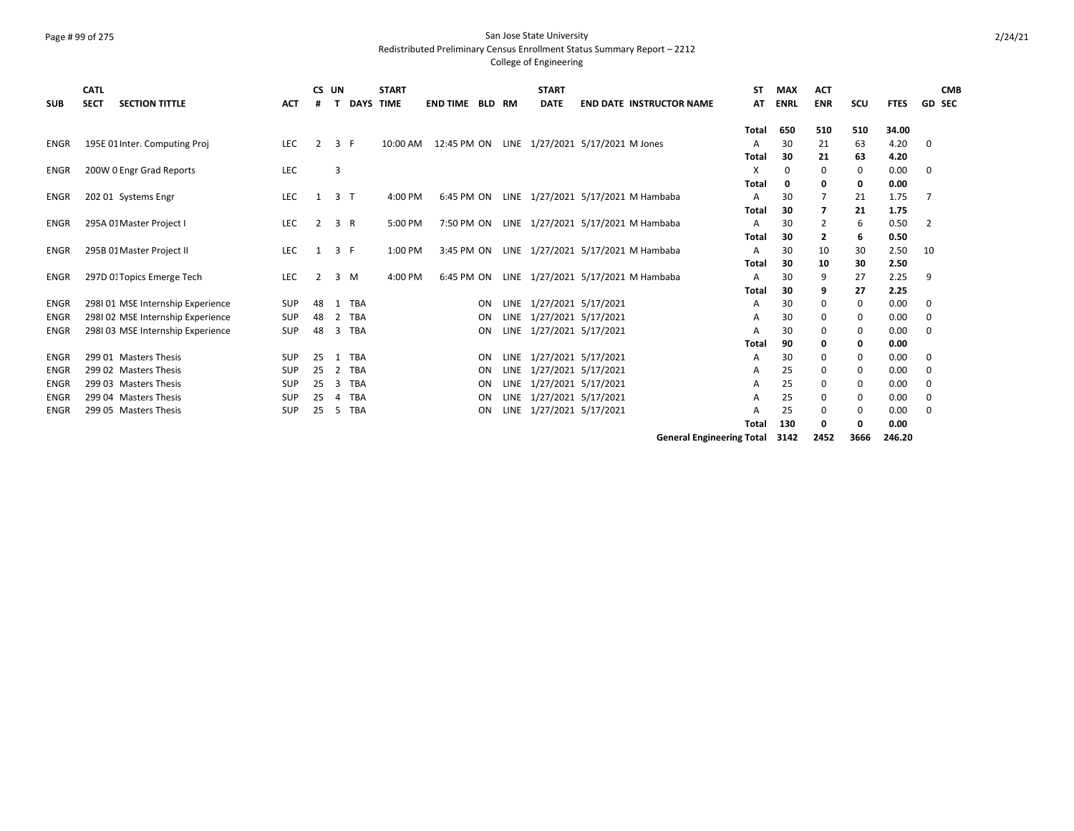#### Page # 99 of 275 San Jose State University Redistributed Preliminary Census Enrollment Status Summary Report – 2212

### College of Engineering

|             | <b>CATL</b><br><b>SECT</b> | <b>SECTION TITTLE</b>            |            | CS UN          | <b>DAYS</b>       | <b>START</b><br><b>TIME</b> | <b>END TIME</b> | <b>BLD</b> |      | <b>START</b><br><b>DATE</b> | <b>END DATE INSTRUCTOR NAME</b>    | SΤ<br>AT | <b>MAX</b>  | <b>ACT</b><br><b>ENR</b> |     |             | <b>GD SEC</b> | <b>CMB</b> |
|-------------|----------------------------|----------------------------------|------------|----------------|-------------------|-----------------------------|-----------------|------------|------|-----------------------------|------------------------------------|----------|-------------|--------------------------|-----|-------------|---------------|------------|
| <b>SUB</b>  |                            |                                  | <b>ACT</b> |                |                   |                             |                 |            | RM   |                             |                                    |          | <b>ENRL</b> |                          | SCU | <b>FTES</b> |               |            |
|             |                            |                                  |            |                |                   |                             |                 |            |      |                             |                                    | Total    | 650         | 510                      | 510 | 34.00       |               |            |
| ENGR        |                            | 195E 01 Inter. Computing Proj    | <b>LEC</b> | $\mathcal{P}$  | 3<br>F            | 10:00 AM                    | 12:45 PM ON     |            |      |                             | LINE 1/27/2021 5/17/2021 M Jones   |          | 30          | 21                       | 63  | 4.20        | 0             |            |
|             |                            |                                  |            |                |                   |                             |                 |            |      |                             |                                    | Total    | 30          | 21                       | 63  | 4.20        |               |            |
| <b>ENGR</b> |                            | 200W 0 Engr Grad Reports         | LEC        |                | 3                 |                             |                 |            |      |                             |                                    | x        | $\Omega$    | $\Omega$                 | 0   | 0.00        | 0             |            |
|             |                            |                                  |            |                |                   |                             |                 |            |      |                             |                                    | Total    | 0           | 0                        | 0   | 0.00        |               |            |
| <b>ENGR</b> |                            | 202 01 Systems Engr              | <b>LEC</b> | 1              | 3<br>$\mathsf{T}$ | 4:00 PM                     | 6:45 PM ON      |            |      |                             | LINE 1/27/2021 5/17/2021 M Hambaba |          | 30          |                          | 21  | 1.75        |               |            |
|             |                            |                                  |            |                |                   |                             |                 |            |      |                             |                                    | Total    | 30          |                          | 21  | 1.75        |               |            |
| <b>ENGR</b> |                            | 295A 01 Master Project I         | <b>LEC</b> | 2              | 3<br>R            | 5:00 PM                     | 7:50 PM ON      |            |      |                             | LINE 1/27/2021 5/17/2021 M Hambaba |          | 30          | 2                        | 6   | 0.50        | 2             |            |
|             |                            |                                  |            |                |                   |                             |                 |            |      |                             |                                    | Total    | 30          | 2                        | 6   | 0.50        |               |            |
| ENGR        |                            | 295B 01 Master Project II        | <b>LEC</b> | 1              | 3<br>F            | 1:00 PM                     | 3:45 PM ON      |            |      |                             | LINE 1/27/2021 5/17/2021 M Hambaba |          | 30          | 10                       | 30  | 2.50        | 10            |            |
|             |                            |                                  |            |                |                   |                             |                 |            |      |                             |                                    | Total    | 30          | 10                       | 30  | 2.50        |               |            |
| <b>ENGR</b> |                            | 297D 0: Topics Emerge Tech       | <b>LEC</b> | $\overline{2}$ | 3<br>M            | 4:00 PM                     | 6:45 PM ON      |            |      |                             | LINE 1/27/2021 5/17/2021 M Hambaba |          | 30          | 9                        | 27  | 2.25        | 9             |            |
|             |                            |                                  |            |                |                   |                             |                 |            |      |                             |                                    | Total    | 30          | 9                        | 27  | 2.25        |               |            |
| <b>ENGR</b> |                            | 298101 MSE Internship Experience | <b>SUP</b> | 48             | TBA<br>-1         |                             |                 | ON         |      | LINE 1/27/2021 5/17/2021    |                                    | A        | 30          | $\Omega$                 | 0   | 0.00        | 0             |            |
| <b>ENGR</b> |                            | 298102 MSE Internship Experience | <b>SUP</b> | 48             | <b>TBA</b><br>2   |                             |                 | ON         | LINE | 1/27/2021 5/17/2021         |                                    |          | 30          | $\Omega$                 | 0   | 0.00        | 0             |            |
| <b>ENGR</b> |                            | 298103 MSE Internship Experience | <b>SUP</b> | 48             | <b>TBA</b><br>3   |                             |                 | ON         |      | LINE 1/27/2021 5/17/2021    |                                    |          | 30          | 0                        | 0   | 0.00        | 0             |            |
|             |                            |                                  |            |                |                   |                             |                 |            |      |                             |                                    | Total    | 90          | 0                        | 0   | 0.00        |               |            |
| <b>ENGR</b> |                            | 299 01 Masters Thesis            | <b>SUP</b> | 25             | TBA               |                             |                 | ON         |      | LINE 1/27/2021 5/17/2021    |                                    | A        | 30          | 0                        | 0   | 0.00        | 0             |            |
| <b>ENGR</b> |                            | 299 02 Masters Thesis            | <b>SUP</b> | 25             | <b>TBA</b><br>2   |                             |                 | ON         | LINE | 1/27/2021 5/17/2021         |                                    | A        | 25          | $\Omega$                 | 0   | 0.00        | 0             |            |
| <b>ENGR</b> |                            | 299 03 Masters Thesis            | <b>SUP</b> | 25             | <b>TBA</b><br>3   |                             |                 | ON         | LINE | 1/27/2021 5/17/2021         |                                    |          | 25          | $\Omega$                 | 0   | 0.00        | 0             |            |
| <b>ENGR</b> |                            | 299 04 Masters Thesis            | <b>SUP</b> | 25             | <b>TBA</b>        |                             |                 | ON         |      | LINE 1/27/2021 5/17/2021    |                                    | A        | 25          | 0                        | 0   | 0.00        | 0             |            |
| <b>ENGR</b> |                            | 299 05 Masters Thesis            | <b>SUP</b> | 25             | <b>TBA</b><br>-5  |                             |                 | ON         | LINE | 1/27/2021 5/17/2021         |                                    |          | 25          | $\Omega$                 | 0   | 0.00        | $\Omega$      |            |
|             |                            |                                  |            |                |                   |                             |                 |            |      |                             |                                    | Total    | 130         | O                        | 0   | 0.00        |               |            |

**General Engineering Total 3142 2452 3666 246.20**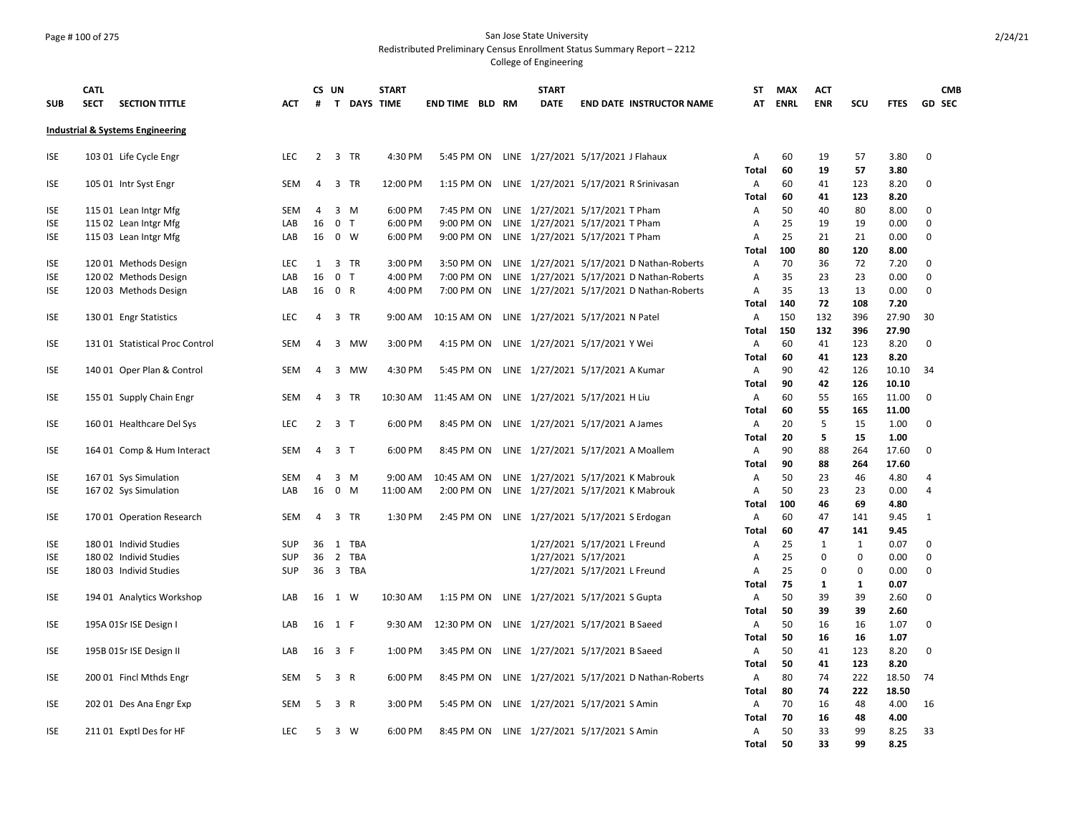### Page # 100 of 275 San Jose State University Redistributed Preliminary Census Enrollment Status Summary Report – 2212

| <b>SUB</b>               | <b>CATL</b><br><b>SECT</b> | <b>SECTION TITTLE</b>                       | ACT        | #              | CS UN                   |            | <b>START</b><br>T DAYS TIME | <b>END TIME BLD RM</b> |  | <b>START</b><br><b>DATE</b>                | <b>END DATE INSTRUCTOR NAME</b>           | ST<br>AT       | <b>MAX</b><br><b>ENRL</b> | <b>ACT</b><br><b>ENR</b>    | SCU               | <b>FTES</b>  |                  | <b>CMB</b><br><b>GD SEC</b> |
|--------------------------|----------------------------|---------------------------------------------|------------|----------------|-------------------------|------------|-----------------------------|------------------------|--|--------------------------------------------|-------------------------------------------|----------------|---------------------------|-----------------------------|-------------------|--------------|------------------|-----------------------------|
|                          |                            | <b>Industrial &amp; Systems Engineering</b> |            |                |                         |            |                             |                        |  |                                            |                                           |                |                           |                             |                   |              |                  |                             |
| ISE                      |                            | 103 01 Life Cycle Engr                      | <b>LEC</b> | 2              | 3 TR                    |            | 4:30 PM                     | 5:45 PM ON             |  | LINE 1/27/2021 5/17/2021 J Flahaux         |                                           | A              | 60                        | 19                          | 57                | 3.80         | $\mathbf 0$      |                             |
|                          |                            |                                             |            |                |                         |            |                             |                        |  |                                            |                                           | <b>Total</b>   | 60                        | 19                          | 57                | 3.80         |                  |                             |
| ISE                      |                            | 105 01 Intr Syst Engr                       | SEM        | 4              | 3 TR                    |            | 12:00 PM                    | 1:15 PM ON             |  |                                            | LINE 1/27/2021 5/17/2021 R Srinivasan     | Α<br>Total     | 60<br>60                  | 41<br>41                    | 123<br>123        | 8.20<br>8.20 | 0                |                             |
| <b>ISE</b>               |                            | 115 01 Lean Intgr Mfg                       | SEM        | 4              | $3 \, M$                |            | 6:00 PM                     | 7:45 PM ON             |  | LINE 1/27/2021 5/17/2021 T Pham            |                                           | Α              | 50                        | 40                          | 80                | 8.00         | $\mathbf 0$      |                             |
| <b>ISE</b>               |                            | 115 02 Lean Intgr Mfg                       | LAB        | 16             | $\mathbf 0$<br>T        |            | 6:00 PM                     | 9:00 PM ON             |  | LINE 1/27/2021 5/17/2021 T Pham            |                                           | $\overline{A}$ | 25                        | 19                          | 19                | 0.00         | $\mathbf 0$      |                             |
| <b>ISE</b>               |                            | 115 03 Lean Intgr Mfg                       | LAB        | 16             | $0 \quad W$             |            | 6:00 PM                     | 9:00 PM ON             |  | LINE 1/27/2021 5/17/2021 T Pham            |                                           | Α              | 25                        | 21                          | 21                | 0.00         | $\mathbf 0$      |                             |
|                          |                            |                                             |            |                |                         |            |                             |                        |  |                                            |                                           | <b>Total</b>   | 100                       | 80                          | 120               | 8.00         |                  |                             |
| <b>ISE</b>               |                            | 120 01 Methods Design                       | <b>LEC</b> | 1              | 3 TR                    |            | 3:00 PM                     | 3:50 PM ON             |  |                                            | LINE 1/27/2021 5/17/2021 D Nathan-Roberts | A              | 70                        | 36                          | 72                | 7.20         | $\mathbf 0$      |                             |
| <b>ISE</b>               |                            | 120 02 Methods Design                       | LAB        | 16             | $\mathbf 0$<br>T        |            | 4:00 PM                     | 7:00 PM ON             |  |                                            | LINE 1/27/2021 5/17/2021 D Nathan-Roberts | Α              | 35                        | 23                          | 23                | 0.00         | $\mathbf 0$      |                             |
| <b>ISE</b>               |                            | 120 03 Methods Design                       | LAB        | 16             | 0 R                     |            | 4:00 PM                     | 7:00 PM ON             |  |                                            | LINE 1/27/2021 5/17/2021 D Nathan-Roberts | $\overline{A}$ | 35                        | 13                          | 13                | 0.00         | $\Omega$         |                             |
|                          |                            |                                             |            |                |                         |            |                             |                        |  |                                            |                                           | <b>Total</b>   | 140                       | 72                          | 108               | 7.20         |                  |                             |
| <b>ISE</b>               |                            | 130 01 Engr Statistics                      | LEC        | 4              | 3 TR                    |            | 9:00 AM                     | 10:15 AM ON            |  | LINE 1/27/2021 5/17/2021 N Patel           |                                           | Α              | 150                       | 132                         | 396               | 27.90        | 30               |                             |
|                          |                            |                                             |            |                |                         |            |                             |                        |  |                                            |                                           | <b>Total</b>   | 150                       | 132                         | 396               | 27.90        |                  |                             |
| <b>ISE</b>               |                            | 131 01 Statistical Proc Control             | SEM        | 4              | 3 MW                    |            | 3:00 PM                     | 4:15 PM ON             |  | LINE 1/27/2021 5/17/2021 Y Wei             |                                           | A              | 60                        | 41                          | 123               | 8.20         | $\Omega$         |                             |
|                          |                            |                                             |            |                |                         |            |                             |                        |  |                                            |                                           | <b>Total</b>   | 60                        | 41                          | 123               | 8.20         |                  |                             |
| <b>ISE</b>               |                            | 140 01 Oper Plan & Control                  | SEM        | 4              | 3 MW                    |            | 4:30 PM                     | 5:45 PM ON             |  | LINE 1/27/2021 5/17/2021 A Kumar           |                                           | A              | 90                        | 42                          | 126               | 10.10        | 34               |                             |
|                          |                            |                                             |            |                |                         |            |                             |                        |  |                                            |                                           | <b>Total</b>   | 90                        | 42                          | 126               | 10.10        |                  |                             |
| <b>ISE</b>               |                            | 155 01 Supply Chain Engr                    | <b>SEM</b> | $\overline{4}$ | 3 TR                    |            | 10:30 AM                    | 11:45 AM ON            |  | LINE 1/27/2021 5/17/2021 H Liu             |                                           | $\mathsf{A}$   | 60                        | 55                          | 165               | 11.00        | $\Omega$         |                             |
|                          |                            |                                             |            |                |                         |            |                             |                        |  |                                            |                                           | <b>Total</b>   | 60                        | 55                          | 165               | 11.00        |                  |                             |
| <b>ISE</b>               |                            | 160 01 Healthcare Del Sys                   | <b>LEC</b> | 2              | 3 T                     |            | 6:00 PM                     | 8:45 PM ON             |  | LINE 1/27/2021 5/17/2021 A James           |                                           | Α              | 20                        | 5                           | 15                | 1.00         | $\Omega$         |                             |
|                          |                            |                                             |            |                |                         |            |                             |                        |  |                                            |                                           | <b>Total</b>   | 20                        | 5                           | 15                | 1.00         |                  |                             |
| <b>ISE</b>               |                            | 164 01 Comp & Hum Interact                  | SEM        |                | 4 3 T                   |            | 6:00 PM                     | 8:45 PM ON             |  |                                            | LINE 1/27/2021 5/17/2021 A Moallem        | Α              | 90                        | 88                          | 264               | 17.60        | 0                |                             |
|                          |                            |                                             |            |                |                         |            |                             |                        |  |                                            |                                           | <b>Total</b>   | 90                        | 88                          | 264               | 17.60        |                  |                             |
| ISE                      |                            | 167 01 Sys Simulation                       | <b>SEM</b> | 4              | 3<br>M                  |            | 9:00 AM                     | 10:45 AM ON            |  |                                            | LINE 1/27/2021 5/17/2021 K Mabrouk        | Α              | 50                        | 23                          | 46                | 4.80         | 4                |                             |
| <b>ISE</b>               |                            | 167 02 Sys Simulation                       | LAB        | 16             | $\mathbf 0$<br>M        |            | 11:00 AM                    | 2:00 PM ON             |  |                                            | LINE 1/27/2021 5/17/2021 K Mabrouk        | $\overline{A}$ | 50                        | 23                          | 23                | 0.00         | $\overline{4}$   |                             |
|                          |                            |                                             |            |                |                         |            |                             |                        |  |                                            |                                           | <b>Total</b>   | 100                       | 46                          | 69                | 4.80         |                  |                             |
| <b>ISE</b>               |                            | 17001 Operation Research                    | SEM        | 4              | $\overline{3}$          | <b>TR</b>  | 1:30 PM                     | 2:45 PM ON             |  | LINE 1/27/2021 5/17/2021 S Erdogan         |                                           | A              | 60                        | 47                          | 141               | 9.45         | 1                |                             |
|                          |                            |                                             |            |                |                         |            |                             |                        |  |                                            |                                           | Total          | 60                        | 47                          | 141               | 9.45         |                  |                             |
| <b>ISE</b>               |                            | 180 01 Individ Studies                      | SUP        | 36             | 1                       | <b>TBA</b> |                             |                        |  | 1/27/2021 5/17/2021 L Freund               |                                           | Α              | 25<br>25                  | $\mathbf{1}$<br>$\mathbf 0$ | $\mathbf{1}$<br>0 | 0.07         | 0<br>$\mathbf 0$ |                             |
| <b>ISE</b><br><b>ISE</b> |                            | 180 02 Individ Studies                      | <b>SUP</b> | 36             | $\overline{2}$<br>3 TBA | TBA        |                             |                        |  | 1/27/2021 5/17/2021                        |                                           | A<br>A         | 25                        | $\Omega$                    | $\Omega$          | 0.00<br>0.00 | $\mathbf 0$      |                             |
|                          |                            | 180 03 Individ Studies                      | SUP        | 36             |                         |            |                             |                        |  | 1/27/2021 5/17/2021 L Freund               |                                           | <b>Total</b>   | 75                        | $\mathbf{1}$                | $\mathbf{1}$      | 0.07         |                  |                             |
| ISE                      |                            | 194 01 Analytics Workshop                   | LAB        | 16             | 1 W                     |            | 10:30 AM                    | 1:15 PM ON             |  | LINE 1/27/2021 5/17/2021 S Gupta           |                                           | Α              | 50                        | 39                          | 39                | 2.60         | 0                |                             |
|                          |                            |                                             |            |                |                         |            |                             |                        |  |                                            |                                           | <b>Total</b>   | 50                        | 39                          | 39                | 2.60         |                  |                             |
| <b>ISE</b>               |                            | 195A 01Sr ISE Design I                      | LAB        | 16             | 1 F                     |            | 9:30 AM                     | 12:30 PM ON            |  | LINE 1/27/2021 5/17/2021 B Saeed           |                                           | Α              | 50                        | 16                          | 16                | 1.07         | 0                |                             |
|                          |                            |                                             |            |                |                         |            |                             |                        |  |                                            |                                           | <b>Total</b>   | 50                        | 16                          | 16                | 1.07         |                  |                             |
| <b>ISE</b>               |                            | 195B 01Sr ISE Design II                     | LAB        | 16             | 3 F                     |            | 1:00 PM                     | 3:45 PM ON             |  | LINE 1/27/2021 5/17/2021 B Saeed           |                                           | Α              | 50                        | 41                          | 123               | 8.20         | 0                |                             |
|                          |                            |                                             |            |                |                         |            |                             |                        |  |                                            |                                           | <b>Total</b>   | 50                        | 41                          | 123               | 8.20         |                  |                             |
| ISE                      |                            | 200 01 Fincl Mthds Engr                     | SEM        | -5             | 3 R                     |            | 6:00 PM                     | 8:45 PM ON             |  |                                            | LINE 1/27/2021 5/17/2021 D Nathan-Roberts | Α              | 80                        | 74                          | 222               | 18.50        | 74               |                             |
|                          |                            |                                             |            |                |                         |            |                             |                        |  |                                            |                                           | <b>Total</b>   | 80                        | 74                          | 222               | 18.50        |                  |                             |
| ISE                      |                            | 202 01 Des Ana Engr Exp                     | SEM        | 5              | 3 R                     |            | 3:00 PM                     | 5:45 PM ON             |  | LINE 1/27/2021 5/17/2021 S Amin            |                                           | Α              | 70                        | 16                          | 48                | 4.00         | 16               |                             |
|                          |                            |                                             |            |                |                         |            |                             |                        |  |                                            |                                           | <b>Total</b>   | 70                        | 16                          | 48                | 4.00         |                  |                             |
| <b>ISE</b>               |                            | 211 01 Exptl Des for HF                     | <b>LEC</b> | 5              | 3 W                     |            | 6:00 PM                     |                        |  | 8:45 PM ON LINE 1/27/2021 5/17/2021 S Amin |                                           | Α              | 50                        | 33                          | 99                | 8.25         | 33               |                             |
|                          |                            |                                             |            |                |                         |            |                             |                        |  |                                            |                                           | Total          | 50                        | 33                          | 99                | 8.25         |                  |                             |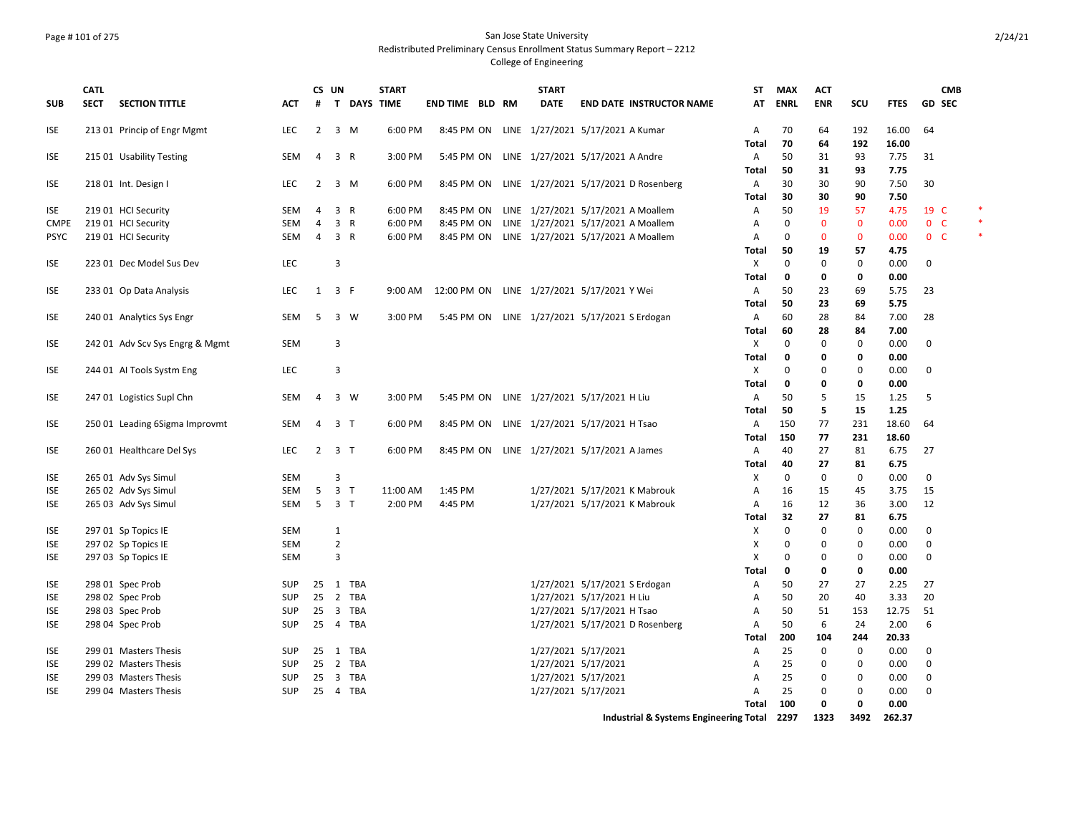# Page # 101 of 275 San Jose State University Redistributed Preliminary Census Enrollment Status Summary Report – 2212

## College of Engineering

|             | <b>CATL</b> |                                            |            |                | CS UN          |             | <b>START</b> |                        |  | <b>START</b>                                  |                               |                                               | ST                | <b>MAX</b>   | <b>ACT</b>   |                   |              | <b>CMB</b>     |  |
|-------------|-------------|--------------------------------------------|------------|----------------|----------------|-------------|--------------|------------------------|--|-----------------------------------------------|-------------------------------|-----------------------------------------------|-------------------|--------------|--------------|-------------------|--------------|----------------|--|
| <b>SUB</b>  | <b>SECT</b> | <b>SECTION TITTLE</b>                      | <b>ACT</b> | #              |                | T DAYS TIME |              | <b>END TIME BLD RM</b> |  | <b>DATE</b>                                   |                               | <b>END DATE INSTRUCTOR NAME</b>               | AT                | <b>ENRL</b>  | <b>ENR</b>   | SCU               | <b>FTES</b>  | <b>GD SEC</b>  |  |
| <b>ISE</b>  |             | 213 01 Princip of Engr Mgmt                | LEC        | $\overline{2}$ | 3 M            |             | 6:00 PM      | 8:45 PM ON             |  | LINE 1/27/2021 5/17/2021 A Kumar              |                               |                                               | Α                 | 70           | 64           | 192               | 16.00        | 64             |  |
|             |             |                                            |            |                |                |             |              |                        |  |                                               |                               |                                               | <b>Total</b>      | 70           | 64           | 192               | 16.00        |                |  |
| <b>ISE</b>  |             | 215 01 Usability Testing                   | SEM        | 4              | 3 R            |             | 3:00 PM      | 5:45 PM ON             |  | LINE 1/27/2021 5/17/2021 A Andre              |                               |                                               | $\overline{A}$    | 50           | 31           | 93                | 7.75         | 31             |  |
|             |             |                                            |            |                |                |             |              |                        |  |                                               |                               |                                               | Total             | 50           | 31           | 93                | 7.75         |                |  |
| <b>ISE</b>  |             | 218 01 Int. Design I                       | <b>LEC</b> | $\overline{2}$ | $3 \, M$       |             | 6:00 PM      | 8:45 PM ON             |  |                                               |                               | LINE 1/27/2021 5/17/2021 D Rosenberg          | Α                 | 30           | 30           | 90                | 7.50         | 30             |  |
|             |             |                                            |            |                |                |             |              |                        |  |                                               |                               |                                               | <b>Total</b>      | 30           | 30           | 90                | 7.50         |                |  |
| <b>ISE</b>  |             | 219 01 HCI Security                        | <b>SEM</b> | 4              | 3 R            |             | 6:00 PM      | 8:45 PM ON             |  |                                               |                               | LINE 1/27/2021 5/17/2021 A Moallem            | Α                 | 50           | 19           | 57                | 4.75         | 19 C           |  |
| <b>CMPE</b> |             | 219 01 HCI Security                        | <b>SEM</b> | $\overline{4}$ | 3 R            |             | 6:00 PM      | 8:45 PM ON             |  |                                               |                               | LINE 1/27/2021 5/17/2021 A Moallem            | A                 | $\Omega$     | $\mathbf{0}$ | $\mathbf{0}$      | 0.00         | $0-$           |  |
| <b>PSYC</b> |             | 219 01 HCI Security                        | SEM        | 4              | 3 R            |             | 6:00 PM      |                        |  |                                               |                               | 8:45 PM ON LINE 1/27/2021 5/17/2021 A Moallem | Α                 | 0            | $\mathbf{0}$ | $\mathbf 0$       | 0.00         | 0 <sub>c</sub> |  |
|             |             |                                            |            |                |                |             |              |                        |  |                                               |                               |                                               | <b>Total</b>      | 50           | 19           | 57                | 4.75         |                |  |
| <b>ISE</b>  |             | 223 01 Dec Model Sus Dev                   | <b>LEC</b> |                | 3              |             |              |                        |  |                                               |                               |                                               | $\times$          | $\Omega$     | $\mathbf 0$  | 0                 | 0.00         | 0              |  |
|             |             |                                            |            |                |                |             |              |                        |  |                                               |                               |                                               | <b>Total</b>      | 0            | 0            | 0                 | 0.00         |                |  |
| <b>ISE</b>  |             | 233 01 Op Data Analysis                    | LEC        | 1              | 3 F            |             | 9:00 AM      |                        |  | 12:00 PM ON LINE 1/27/2021 5/17/2021 Y Wei    |                               |                                               | Α                 | 50           | 23           | 69                | 5.75         | 23             |  |
|             |             |                                            |            |                |                |             |              |                        |  |                                               |                               |                                               | <b>Total</b>      | 50           | 23           | 69                | 5.75         |                |  |
| <b>ISE</b>  |             | 240 01 Analytics Sys Engr                  | SEM        | 5              |                | 3 W         | 3:00 PM      |                        |  | 5:45 PM ON LINE 1/27/2021 5/17/2021 S Erdogan |                               |                                               | Α                 | 60           | 28           | 84                | 7.00         | 28             |  |
|             |             |                                            |            |                |                |             |              |                        |  |                                               |                               |                                               | <b>Total</b>      | 60           | 28           | 84                | 7.00         |                |  |
| <b>ISE</b>  |             | 242 01 Adv Scv Sys Engrg & Mgmt            | <b>SEM</b> |                | 3              |             |              |                        |  |                                               |                               |                                               | X                 | $\Omega$     | 0            | 0                 | 0.00         | 0              |  |
|             |             |                                            |            |                |                |             |              |                        |  |                                               |                               |                                               | Total             | $\mathbf 0$  | 0            | 0                 | 0.00         |                |  |
| <b>ISE</b>  |             | 244 01 Al Tools Systm Eng                  | LEC        |                | 3              |             |              |                        |  |                                               |                               |                                               | X                 | 0            | $\mathbf 0$  | $\mathbf 0$       | 0.00         | 0              |  |
|             |             |                                            |            |                |                |             |              |                        |  |                                               |                               |                                               | <b>Total</b>      | $\mathbf{0}$ | $\mathbf 0$  | 0                 | 0.00         |                |  |
| <b>ISE</b>  |             | 247 01 Logistics Supl Chn                  | SEM        | 4              | 3 W            |             | 3:00 PM      |                        |  | 5:45 PM ON LINE 1/27/2021 5/17/2021 H Liu     |                               |                                               | A                 | 50           | 5            | 15                | 1.25         | 5              |  |
|             |             |                                            |            |                |                |             |              |                        |  |                                               |                               |                                               | Total             | 50           | 5            | 15                | 1.25         |                |  |
| <b>ISE</b>  |             | 250 01 Leading 6Sigma Improvmt             | SEM        | $\overline{4}$ | 3 <sub>7</sub> |             | 6:00 PM      | 8:45 PM ON             |  | LINE 1/27/2021 5/17/2021 H Tsao               |                               |                                               | Α                 | 150          | 77           | 231               | 18.60        | 64             |  |
|             |             |                                            |            |                |                |             |              |                        |  |                                               |                               |                                               | <b>Total</b>      | 150<br>40    | 77           | 231               | 18.60        |                |  |
| <b>ISE</b>  |             | 260 01 Healthcare Del Sys                  | <b>LEC</b> | $\overline{2}$ | 3 <sub>T</sub> |             | 6:00 PM      | 8:45 PM ON             |  | LINE 1/27/2021 5/17/2021 A James              |                               |                                               | $\overline{A}$    |              | 27           | 81                | 6.75         | 27             |  |
|             |             |                                            |            |                | 3              |             |              |                        |  |                                               |                               |                                               | <b>Total</b>      | 40           | 27           | 81                | 6.75         |                |  |
| <b>ISE</b>  |             | 265 01 Adv Sys Simul                       | <b>SEM</b> |                |                |             |              |                        |  |                                               |                               |                                               | X                 | 0            | 0            | 0                 | 0.00         | 0              |  |
| <b>ISE</b>  |             | 265 02 Adv Sys Simul                       | SEM        | 5<br>5         | 3 <sub>T</sub> |             | 11:00 AM     | 1:45 PM                |  |                                               |                               | 1/27/2021 5/17/2021 K Mabrouk                 | Α                 | 16<br>16     | 15<br>12     | 45                | 3.75         | 15<br>12       |  |
| <b>ISE</b>  |             | 265 03 Adv Sys Simul                       | SEM        |                | 3 <sub>7</sub> |             | 2:00 PM      | 4:45 PM                |  |                                               |                               | 1/27/2021 5/17/2021 K Mabrouk                 | Α                 | 32           | 27           | 36                | 3.00<br>6.75 |                |  |
| <b>ISE</b>  |             |                                            | <b>SEM</b> |                | 1              |             |              |                        |  |                                               |                               |                                               | <b>Total</b><br>X | $\Omega$     | $\mathbf 0$  | 81<br>$\mathbf 0$ | 0.00         | 0              |  |
| <b>ISE</b>  |             | 297 01 Sp Topics IE<br>297 02 Sp Topics IE | SEM        |                | $\overline{2}$ |             |              |                        |  |                                               |                               |                                               | X                 | $\mathbf 0$  | $\mathbf 0$  | 0                 | 0.00         | 0              |  |
| <b>ISE</b>  |             | 297 03 Sp Topics IE                        | SEM        |                | 3              |             |              |                        |  |                                               |                               |                                               | X                 | 0            | $\mathbf 0$  | 0                 | 0.00         | 0              |  |
|             |             |                                            |            |                |                |             |              |                        |  |                                               |                               |                                               | <b>Total</b>      | 0            | 0            | 0                 | 0.00         |                |  |
| <b>ISE</b>  |             | 298 01 Spec Prob                           | <b>SUP</b> |                |                | 25 1 TBA    |              |                        |  |                                               | 1/27/2021 5/17/2021 S Erdogan |                                               | Α                 | 50           | 27           | 27                | 2.25         | 27             |  |
| <b>ISE</b>  |             | 298 02 Spec Prob                           | <b>SUP</b> |                |                | 25 2 TBA    |              |                        |  |                                               | 1/27/2021 5/17/2021 H Liu     |                                               | Α                 | 50           | 20           | 40                | 3.33         | 20             |  |
| <b>ISE</b>  |             | 298 03 Spec Prob                           | SUP        |                |                | 25 3 TBA    |              |                        |  |                                               | 1/27/2021 5/17/2021 H Tsao    |                                               | Α                 | 50           | 51           | 153               | 12.75        | 51             |  |
| <b>ISE</b>  |             | 298 04 Spec Prob                           | SUP        |                |                | 25  4  TBA  |              |                        |  |                                               |                               | 1/27/2021 5/17/2021 D Rosenberg               | Α                 | 50           | 6            | 24                | 2.00         | 6              |  |
|             |             |                                            |            |                |                |             |              |                        |  |                                               |                               |                                               | <b>Total</b>      | 200          | 104          | 244               | 20.33        |                |  |
| <b>ISE</b>  |             | 299 01 Masters Thesis                      | <b>SUP</b> |                |                | 25 1 TBA    |              |                        |  |                                               | 1/27/2021 5/17/2021           |                                               | Α                 | 25           | 0            | 0                 | 0.00         | 0              |  |
| <b>ISE</b>  |             | 299 02 Masters Thesis                      | <b>SUP</b> |                |                | 25 2 TBA    |              |                        |  |                                               | 1/27/2021 5/17/2021           |                                               | Α                 | 25           | 0            | 0                 | 0.00         | 0              |  |
| <b>ISE</b>  |             | 299 03 Masters Thesis                      | <b>SUP</b> | 25             |                | 3 TBA       |              |                        |  |                                               | 1/27/2021 5/17/2021           |                                               | A                 | 25           | $\mathbf 0$  | $\mathbf 0$       | 0.00         | 0              |  |
| <b>ISE</b>  |             | 299 04 Masters Thesis                      | SUP        |                |                | 25 4 TBA    |              |                        |  |                                               | 1/27/2021 5/17/2021           |                                               | Α                 | 25           | $\mathbf 0$  | $\mathbf 0$       | 0.00         | 0              |  |
|             |             |                                            |            |                |                |             |              |                        |  |                                               |                               |                                               | <b>Total</b>      | 100          | $\mathbf 0$  | 0                 | 0.00         |                |  |
|             |             |                                            |            |                |                |             |              |                        |  |                                               |                               |                                               |                   |              |              |                   |              |                |  |

**Industrial & Systems Engineering Total 2297 1323 3492 262.37**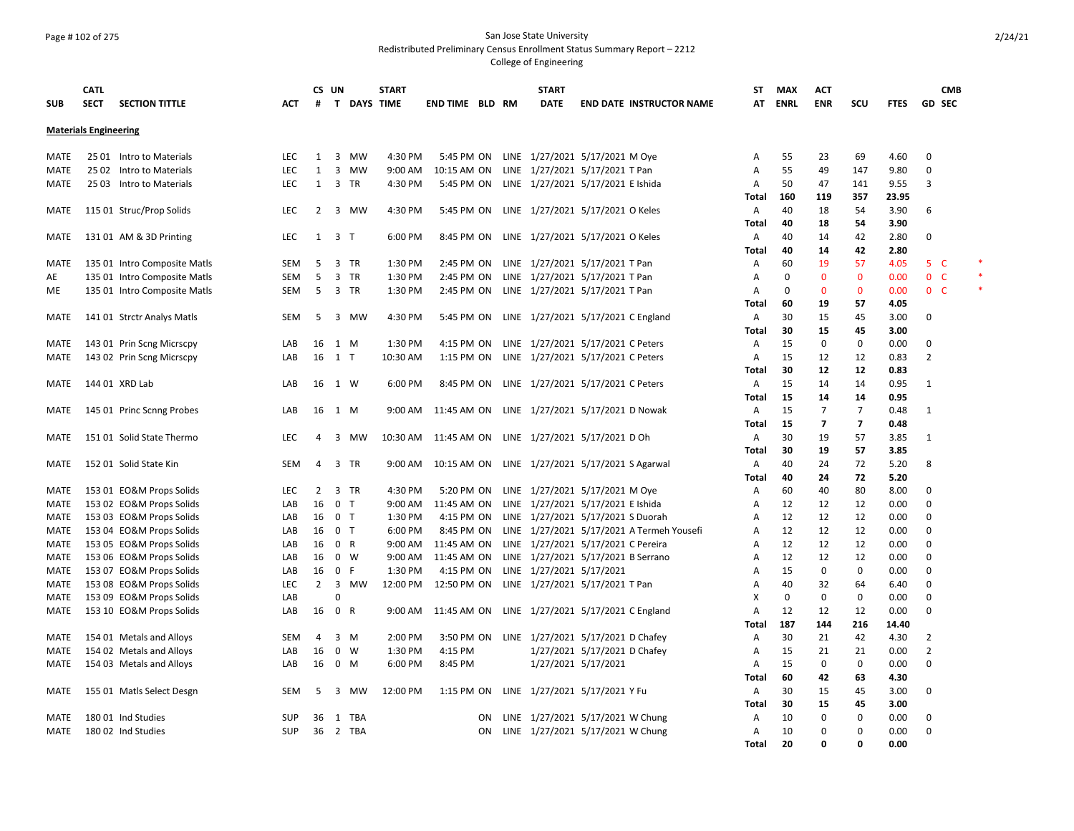#### Page # 102 of 275 San Jose State University Redistributed Preliminary Census Enrollment Status Summary Report – 2212

|              | <b>CATL</b>                  |                                                      |                   | CS UN                |                |           | <b>START</b>       |                           |           | <b>START</b>                                               |                              |                                           | ST         | <b>MAX</b>  | ACT            |                |              |                | <b>CMB</b> |  |
|--------------|------------------------------|------------------------------------------------------|-------------------|----------------------|----------------|-----------|--------------------|---------------------------|-----------|------------------------------------------------------------|------------------------------|-------------------------------------------|------------|-------------|----------------|----------------|--------------|----------------|------------|--|
| <b>SUB</b>   | <b>SECT</b>                  | <b>SECTION TITTLE</b>                                | ACT               | #                    |                |           | T DAYS TIME        | <b>END TIME BLD RM</b>    |           | <b>DATE</b>                                                |                              | <b>END DATE INSTRUCTOR NAME</b>           | AT         | <b>ENRL</b> | <b>ENR</b>     | scu            | <b>FTES</b>  | <b>GD SEC</b>  |            |  |
|              | <b>Materials Engineering</b> |                                                      |                   |                      |                |           |                    |                           |           |                                                            |                              |                                           |            |             |                |                |              |                |            |  |
| MATE         |                              | 25 01 Intro to Materials                             | LEC.              | $\mathbf{1}$         | 3 MW           |           | 4:30 PM            | 5:45 PM ON                |           | LINE 1/27/2021 5/17/2021 M Oye                             |                              |                                           | Α          | 55          | 23             | 69             | 4.60         | 0              |            |  |
| MATE         |                              | 25 02 Intro to Materials                             | <b>LEC</b>        | 1                    | 3              | <b>MW</b> | 9:00 AM            | 10:15 AM ON               |           | LINE 1/27/2021 5/17/2021 T Pan                             |                              |                                           | Α          | 55          | 49             | 147            | 9.80         | 0              |            |  |
| MATE         |                              | 25 03 Intro to Materials                             | <b>LEC</b>        | 1 3 TR               |                |           | 4:30 PM            | 5:45 PM ON                |           | LINE 1/27/2021 5/17/2021 E Ishida                          |                              |                                           | Α          | 50          | 47             | 141            | 9.55         | 3              |            |  |
|              |                              |                                                      |                   |                      |                |           |                    |                           |           |                                                            |                              |                                           | Total      | 160         | 119            | 357            | 23.95        |                |            |  |
| MATE         |                              | 115 01 Struc/Prop Solids                             | <b>LEC</b>        | $\overline{2}$       | 3 MW           |           | 4:30 PM            | 5:45 PM ON                |           | LINE 1/27/2021 5/17/2021 O Keles                           |                              |                                           | A          | 40          | 18             | 54             | 3.90         | 6              |            |  |
|              |                              |                                                      |                   |                      |                |           |                    |                           |           |                                                            |                              |                                           | Total      | 40          | 18             | 54             | 3.90         |                |            |  |
| MATE         |                              | 131 01 AM & 3D Printing                              | LEC               | $1 \quad 3 \quad T$  |                |           | 6:00 PM            | 8:45 PM ON                |           | LINE 1/27/2021 5/17/2021 O Keles                           |                              |                                           | A          | 40          | 14             | 42             | 2.80         | 0              |            |  |
|              |                              |                                                      |                   |                      |                |           |                    |                           |           |                                                            |                              |                                           | Total      | 40          | 14             | 42             | 2.80         |                |            |  |
| MATE         |                              | 135 01 Intro Composite Matls                         | <b>SEM</b>        | 5                    | 3 TR           |           | 1:30 PM            | 2:45 PM ON                |           | LINE 1/27/2021 5/17/2021 T Pan                             |                              |                                           | Α          | 60          | 19             | 57             | 4.05         | 5 <sub>C</sub> |            |  |
| AE           |                              | 135 01 Intro Composite Matls                         | <b>SEM</b>        | 5                    | 3 TR           |           | 1:30 PM            | 2:45 PM ON                |           | LINE 1/27/2021 5/17/2021 T Pan                             |                              |                                           | A          | 0           | $\mathbf 0$    | $\mathbf{0}$   | 0.00         | 0 <sup>o</sup> |            |  |
| ME           |                              | 135 01 Intro Composite Matls                         | SEM               | -5                   | 3 TR           |           | 1:30 PM            | 2:45 PM ON                |           | LINE 1/27/2021 5/17/2021 T Pan                             |                              |                                           | A          | 0           | $\mathbf{0}$   | $\mathbf{0}$   | 0.00         | 0 <sup>o</sup> |            |  |
|              |                              |                                                      |                   |                      |                |           |                    |                           |           |                                                            |                              |                                           | Total      | 60          | 19             | 57             | 4.05         |                |            |  |
| MATE         |                              | 141 01 Strctr Analys Matls                           | SEM               | 5                    | 3 MW           |           | 4:30 PM            | 5:45 PM ON                |           | LINE 1/27/2021 5/17/2021 C England                         |                              |                                           | A<br>Total | 30<br>30    | 15<br>15       | 45<br>45       | 3.00<br>3.00 | 0              |            |  |
| MATE         |                              | 143 01 Prin Scng Micrscpy                            | LAB               | 16                   | 1 M            |           | 1:30 PM            | 4:15 PM ON                |           | LINE 1/27/2021 5/17/2021 C Peters                          |                              |                                           | A          | 15          | $\mathbf 0$    | 0              | 0.00         | 0              |            |  |
| MATE         |                              | 143 02 Prin Scng Micrscpy                            | LAB               | 16                   | $1$ T          |           | 10:30 AM           | 1:15 PM ON                |           | LINE 1/27/2021 5/17/2021 C Peters                          |                              |                                           | Α          | 15          | 12             | 12             | 0.83         | $\overline{2}$ |            |  |
|              |                              |                                                      |                   |                      |                |           |                    |                           |           |                                                            |                              |                                           | Total      | 30          | 12             | 12             | 0.83         |                |            |  |
| MATE         | 144 01 XRD Lab               |                                                      | LAB               | 16                   | 1 W            |           | 6:00 PM            | 8:45 PM ON                |           | LINE 1/27/2021 5/17/2021 C Peters                          |                              |                                           | A          | 15          | 14             | 14             | 0.95         | 1              |            |  |
|              |                              |                                                      |                   |                      |                |           |                    |                           |           |                                                            |                              |                                           | Total      | 15          | 14             | 14             | 0.95         |                |            |  |
| MATE         |                              | 145 01 Princ Scnng Probes                            | LAB               | 16                   | 1 M            |           | 9:00 AM            | 11:45 AM ON               |           | LINE 1/27/2021 5/17/2021 D Nowak                           |                              |                                           | A          | 15          | $\overline{7}$ | $\overline{7}$ | 0.48         | 1              |            |  |
|              |                              |                                                      |                   |                      |                |           |                    |                           |           |                                                            |                              |                                           | Total      | 15          | $\overline{7}$ | $\overline{7}$ | 0.48         |                |            |  |
| <b>MATE</b>  |                              | 151 01 Solid State Thermo                            | LEC               | 4                    | 3              | MW        | 10:30 AM           | 11:45 AM ON               |           | LINE 1/27/2021 5/17/2021 D Oh                              |                              |                                           | A          | 30          | 19             | 57             | 3.85         | 1              |            |  |
|              |                              |                                                      |                   |                      |                |           |                    |                           |           |                                                            |                              |                                           | Total      | 30          | 19             | 57             | 3.85         |                |            |  |
| MATE         |                              | 152 01 Solid State Kin                               | <b>SEM</b>        | 4                    | 3 TR           |           | 9:00 AM            | 10:15 AM ON               |           | LINE 1/27/2021 5/17/2021 S Agarwal                         |                              |                                           | Α          | 40          | 24             | 72             | 5.20         | 8              |            |  |
|              |                              |                                                      |                   |                      |                |           |                    |                           |           |                                                            |                              |                                           | Total      | 40          | 24             | 72             | 5.20         |                |            |  |
| MATE         |                              | 153 01 EO&M Props Solids                             | LEC               | 2                    | 3 TR           |           | 4:30 PM            | 5:20 PM ON                |           | LINE 1/27/2021 5/17/2021 M Oye                             |                              |                                           | Α          | 60          | 40             | 80             | 8.00         | 0              |            |  |
| MATE         |                              | 153 02 EO&M Props Solids                             | LAB               | 16                   | 0 <sub>T</sub> |           | 9:00 AM            | 11:45 AM ON               |           | LINE 1/27/2021 5/17/2021 E Ishida                          |                              |                                           | Α          | 12          | 12             | 12             | 0.00         | 0              |            |  |
| MATE         |                              | 153 03 EO&M Props Solids                             | LAB               | 16                   | 0 T            |           | 1:30 PM            | 4:15 PM ON                |           | LINE 1/27/2021 5/17/2021 S Duorah                          |                              |                                           | A          | 12          | 12             | 12             | 0.00         | $\Omega$       |            |  |
| MATE         |                              | 153 04 EO&M Props Solids                             | LAB               | 16                   | 0 <sub>T</sub> |           | 6:00 PM            | 8:45 PM ON                |           |                                                            |                              | LINE 1/27/2021 5/17/2021 A Termeh Yousefi | Α          | 12          | 12             | 12             | 0.00         | $\Omega$       |            |  |
| MATE         |                              | 153 05 EO&M Props Solids                             | LAB               | 16                   | 0 R            |           | 9:00 AM            | 11:45 AM ON               |           | LINE 1/27/2021 5/17/2021 C Pereira                         |                              |                                           | Α          | 12          | 12             | 12             | 0.00         | 0              |            |  |
| MATE         |                              | 153 06 EO&M Props Solids                             | LAB               | 16                   | 0 W<br>0 F     |           | 9:00 AM<br>1:30 PM | 11:45 AM ON<br>4:15 PM ON |           | LINE 1/27/2021 5/17/2021 B Serrano                         |                              |                                           | Α          | 12<br>15    | 12<br>0        | 12<br>0        | 0.00         | 0<br>0         |            |  |
| MATE<br>MATE |                              | 153 07 EO&M Props Solids<br>153 08 EO&M Props Solids | LAB<br><b>LEC</b> | 16<br>$\overline{2}$ |                | 3 MW      | 12:00 PM           | 12:50 PM ON               |           | LINE 1/27/2021 5/17/2021<br>LINE 1/27/2021 5/17/2021 T Pan |                              |                                           | A<br>Α     | 40          | 32             | 64             | 0.00<br>6.40 | 0              |            |  |
| MATE         |                              | 153 09 EO&M Props Solids                             | LAB               |                      | $\Omega$       |           |                    |                           |           |                                                            |                              |                                           | X          | 0           | 0              | 0              | 0.00         | 0              |            |  |
| MATE         |                              | 153 10 EO&M Props Solids                             | LAB               | 16                   | 0 R            |           | 9:00 AM            | 11:45 AM ON               |           | LINE 1/27/2021 5/17/2021 C England                         |                              |                                           | Α          | 12          | 12             | 12             | 0.00         | 0              |            |  |
|              |                              |                                                      |                   |                      |                |           |                    |                           |           |                                                            |                              |                                           | Total      | 187         | 144            | 216            | 14.40        |                |            |  |
| MATE         |                              | 154 01 Metals and Alloys                             | SEM               | 4                    | 3 M            |           | 2:00 PM            | 3:50 PM ON                |           | LINE 1/27/2021 5/17/2021 D Chafey                          |                              |                                           | Α          | 30          | 21             | 42             | 4.30         | $\overline{2}$ |            |  |
| MATE         |                              | 154 02 Metals and Alloys                             | LAB               | 16                   | $0 \quad W$    |           | 1:30 PM            | 4:15 PM                   |           |                                                            | 1/27/2021 5/17/2021 D Chafey |                                           | Α          | 15          | 21             | 21             | 0.00         | $\overline{2}$ |            |  |
| MATE         |                              | 154 03 Metals and Alloys                             | LAB               | 16                   | 0 M            |           | 6:00 PM            | 8:45 PM                   |           |                                                            | 1/27/2021 5/17/2021          |                                           | A          | 15          | 0              | 0              | 0.00         | 0              |            |  |
|              |                              |                                                      |                   |                      |                |           |                    |                           |           |                                                            |                              |                                           | Total      | 60          | 42             | 63             | 4.30         |                |            |  |
| MATE         |                              | 155 01 Matls Select Desgn                            | SEM               | 5                    | 3              | MW        | 12:00 PM           | 1:15 PM ON                |           | LINE 1/27/2021 5/17/2021 Y Fu                              |                              |                                           | Α          | 30          | 15             | 45             | 3.00         | 0              |            |  |
|              |                              |                                                      |                   |                      |                |           |                    |                           |           |                                                            |                              |                                           | Total      | 30          | 15             | 45             | 3.00         |                |            |  |
| MATE         | 180 01 Ind Studies           |                                                      | <b>SUP</b>        | 36                   | 1 TBA          |           |                    |                           | ΟN        | LINE 1/27/2021 5/17/2021 W Chung                           |                              |                                           | Α          | 10          | 0              | 0              | 0.00         | 0              |            |  |
| MATE         | 180 02 Ind Studies           |                                                      | <b>SUP</b>        | 36                   | 2 TBA          |           |                    |                           | <b>ON</b> | LINE 1/27/2021 5/17/2021 W Chung                           |                              |                                           | Α          | 10          | 0              | 0              | 0.00         | 0              |            |  |
|              |                              |                                                      |                   |                      |                |           |                    |                           |           |                                                            |                              |                                           | Total      | 20          | $\Omega$       | O              | 0.00         |                |            |  |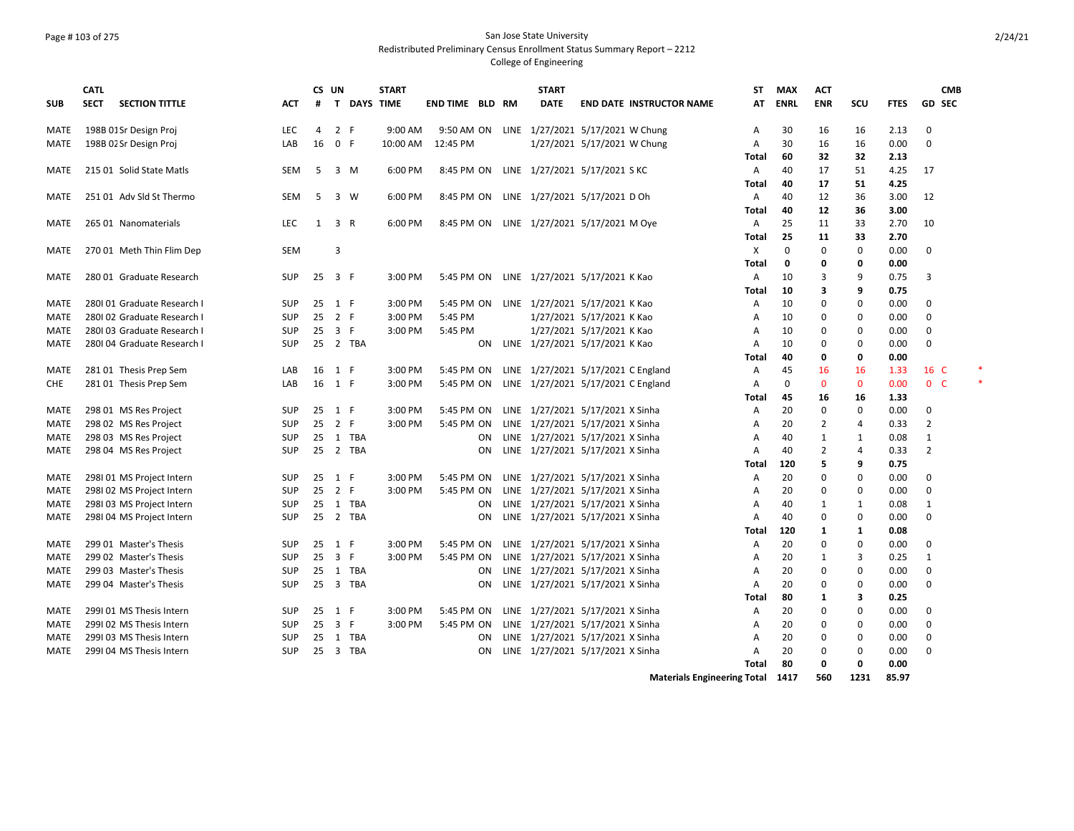# Page # 103 of 275 San Jose State University Redistributed Preliminary Census Enrollment Status Summary Report – 2212

|                     | <b>CATL</b>                                         |                          |    | CS UN         |             | <b>START</b>       |                          |    | <b>START</b>                                                         |                                    | ST           | <b>MAX</b>   | <b>ACT</b>     |               |              | <b>CMB</b>     |  |
|---------------------|-----------------------------------------------------|--------------------------|----|---------------|-------------|--------------------|--------------------------|----|----------------------------------------------------------------------|------------------------------------|--------------|--------------|----------------|---------------|--------------|----------------|--|
| <b>SUB</b>          | <b>SECTION TITTLE</b><br><b>SECT</b>                | ACT                      | #  |               | T DAYS TIME |                    | <b>END TIME BLD RM</b>   |    | DATE                                                                 | <b>END DATE INSTRUCTOR NAME</b>    | AT           | <b>ENRL</b>  | <b>ENR</b>     | scu           | <b>FTES</b>  | <b>GD SEC</b>  |  |
| MATE                | 198B 01Sr Design Proj                               | <b>LEC</b>               | 4  | 2 F           |             | 9:00 AM            |                          |    | 9:50 AM ON LINE 1/27/2021 5/17/2021 W Chung                          |                                    | A            | 30           | 16             | 16            | 2.13         | 0              |  |
| MATE                | 198B 02 Sr Design Proj                              | LAB                      | 16 | 0 F           |             |                    | 10:00 AM  12:45 PM       |    | 1/27/2021 5/17/2021 W Chung                                          |                                    | A            | 30           | 16             | 16            | 0.00         | 0              |  |
|                     |                                                     |                          |    |               |             |                    |                          |    |                                                                      |                                    | Total        | 60           | 32             | 32            | 2.13         |                |  |
| MATE                | 215 01 Solid State Matls                            | SEM                      | 5  |               | 3 M         | 6:00 PM            |                          |    | 8:45 PM ON LINE 1/27/2021 5/17/2021 SKC                              |                                    | A            | 40           | 17             | 51            | 4.25         | 17             |  |
|                     |                                                     |                          |    |               |             |                    |                          |    |                                                                      |                                    | Total        | 40           | 17             | 51            | 4.25         |                |  |
| MATE                | 251 01 Adv Sld St Thermo                            | SEM                      | 5  |               | 3 W         | 6:00 PM            |                          |    | 8:45 PM ON LINE 1/27/2021 5/17/2021 D Oh                             |                                    | A            | 40           | 12             | 36            | 3.00         | 12             |  |
|                     |                                                     |                          |    |               |             |                    |                          |    |                                                                      |                                    | Total        | 40           | 12             | 36            | 3.00         |                |  |
| MATE                | 265 01 Nanomaterials                                | <b>LEC</b>               | 1  | 3 R           |             | 6:00 PM            |                          |    | 8:45 PM ON LINE 1/27/2021 5/17/2021 M Oye                            |                                    | A            | 25           | 11             | 33            | 2.70         | 10             |  |
|                     |                                                     | <b>SEM</b>               |    | 3             |             |                    |                          |    |                                                                      |                                    | Total<br>X   | 25<br>0      | 11<br>0        | 33<br>0       | 2.70         | 0              |  |
| MATE                | 270 01 Meth Thin Flim Dep                           |                          |    |               |             |                    |                          |    |                                                                      |                                    | <b>Total</b> | $\mathbf{0}$ | 0              | 0             | 0.00<br>0.00 |                |  |
| MATE                | 280 01 Graduate Research                            | SUP                      | 25 | 3 F           |             | 3:00 PM            |                          |    | 5:45 PM ON LINE 1/27/2021 5/17/2021 K Kao                            |                                    | A            | 10           | 3              | 9             | 0.75         | 3              |  |
|                     |                                                     |                          |    |               |             |                    |                          |    |                                                                      |                                    | Total        | 10           | 3              | 9             | 0.75         |                |  |
| MATE                | 280101 Graduate Research I                          | <b>SUP</b>               | 25 | 1 F           |             | 3:00 PM            |                          |    | 5:45 PM ON LINE 1/27/2021 5/17/2021 K Kao                            |                                    | Α            | 10           | 0              | 0             | 0.00         | 0              |  |
| <b>MATE</b>         | 280102 Graduate Research I                          | <b>SUP</b>               | 25 | 2 F           |             | 3:00 PM            | 5:45 PM                  |    | 1/27/2021 5/17/2021 K Kao                                            |                                    | Α            | 10           | 0              | 0             | 0.00         | 0              |  |
| MATE                | 280103 Graduate Research I                          | <b>SUP</b>               | 25 | 3 F           |             | 3:00 PM            | 5:45 PM                  |    | 1/27/2021 5/17/2021 K Kao                                            |                                    | A            | 10           | 0              | 0             | 0.00         | 0              |  |
| MATE                | 280104 Graduate Research I                          | SUP                      |    |               | 25 2 TBA    |                    |                          | ON | LINE 1/27/2021 5/17/2021 K Kao                                       |                                    | A            | 10           | $\mathbf 0$    | $\mathbf 0$   | 0.00         | 0              |  |
|                     |                                                     |                          |    |               |             |                    |                          |    |                                                                      |                                    | Total        | 40           | 0              | 0             | 0.00         |                |  |
| MATE                | 281 01 Thesis Prep Sem                              | LAB                      | 16 | 1 F           |             | 3:00 PM            | 5:45 PM ON               |    | LINE 1/27/2021 5/17/2021 C England                                   |                                    | Α            | 45           | 16             | 16            | 1.33         | 16 C           |  |
| CHE                 | 281 01 Thesis Prep Sem                              | LAB                      | 16 | 1 F           |             | 3:00 PM            | 5:45 PM ON               |    | LINE 1/27/2021 5/17/2021 C England                                   |                                    | A            | $\Omega$     | $\mathbf{0}$   | $\mathbf{0}$  | 0.00         | 0 <sup>o</sup> |  |
|                     |                                                     |                          |    |               |             |                    |                          |    |                                                                      |                                    | Total        | 45           | 16             | 16            | 1.33         |                |  |
| MATE                | 298 01 MS Res Project                               | <b>SUP</b>               |    | 25 1 F        |             | 3:00 PM            | 5:45 PM ON               |    | LINE 1/27/2021 5/17/2021 X Sinha                                     |                                    | Α            | 20           | 0              | 0             | 0.00         | 0              |  |
| MATE                | 298 02 MS Res Project                               | SUP                      | 25 | 2 F           |             | 3:00 PM            | 5:45 PM ON               |    | LINE 1/27/2021 5/17/2021 X Sinha                                     |                                    | A            | 20           | 2              | 4             | 0.33         | $\overline{2}$ |  |
| MATE                | 298 03 MS Res Project                               | SUP                      | 25 |               | 1 TBA       |                    |                          | ON | LINE 1/27/2021 5/17/2021 X Sinha                                     |                                    | A            | 40           | 1              | 1             | 0.08         | 1              |  |
| MATE                | 298 04 MS Res Project                               | <b>SUP</b>               | 25 |               | 2 TBA       |                    |                          | ON | LINE 1/27/2021 5/17/2021 X Sinha                                     |                                    | A            | 40           | $\overline{2}$ | 4             | 0.33         | 2              |  |
|                     |                                                     |                          |    |               |             |                    |                          |    |                                                                      |                                    | Total        | 120          | 5              | 9             | 0.75         |                |  |
| MATE                | 298101 MS Project Intern                            | <b>SUP</b>               | 25 | 1 F           |             | 3:00 PM            | 5:45 PM ON               |    | LINE 1/27/2021 5/17/2021 X Sinha                                     |                                    | A            | 20           | 0              | $\mathbf 0$   | 0.00         | 0              |  |
| MATE                | 298102 MS Project Intern                            | <b>SUP</b>               | 25 | 2 F           |             | 3:00 PM            | 5:45 PM ON               |    | LINE 1/27/2021 5/17/2021 X Sinha                                     |                                    | A            | 20           | 0              | 0             | 0.00         | 0              |  |
| MATE                | 298103 MS Project Intern                            | <b>SUP</b>               | 25 |               | 1 TBA       |                    |                          | ON | LINE 1/27/2021 5/17/2021 X Sinha                                     |                                    | A            | 40           | 1              | 1             | 0.08         | 1              |  |
| MATE                | 298104 MS Project Intern                            | <b>SUP</b>               | 25 |               | 2 TBA       |                    |                          | ON | LINE 1/27/2021 5/17/2021 X Sinha                                     |                                    | A            | 40           | $\mathbf 0$    | $\mathbf 0$   | 0.00         | 0              |  |
|                     |                                                     |                          |    |               |             |                    |                          |    |                                                                      |                                    | Total        | 120          | 1              | 1             | 0.08         |                |  |
| <b>MATE</b>         | 299 01 Master's Thesis                              | <b>SUP</b>               | 25 | 1 F           |             | 3:00 PM            | 5:45 PM ON               |    | LINE 1/27/2021 5/17/2021 X Sinha                                     |                                    | Α            | 20           | 0              | 0             | 0.00         | 0              |  |
| MATE                | 299 02 Master's Thesis                              | <b>SUP</b>               | 25 | 3 F           |             | 3:00 PM            | 5:45 PM ON               |    | LINE 1/27/2021 5/17/2021 X Sinha                                     |                                    | A            | 20           | $\mathbf{1}$   | 3             | 0.25         | $\mathbf{1}$   |  |
| MATE                | 299 03 Master's Thesis                              | SUP                      |    |               | 25 1 TBA    |                    |                          | ON | LINE 1/27/2021 5/17/2021 X Sinha                                     |                                    | A            | 20           | 0              | 0             | 0.00         | 0              |  |
| <b>MATE</b>         | 299 04 Master's Thesis                              | <b>SUP</b>               | 25 |               | 3 TBA       |                    |                          | ON | LINE 1/27/2021 5/17/2021 X Sinha                                     |                                    | A            | 20           | $\mathbf 0$    | $\mathbf 0$   | 0.00         | 0              |  |
|                     |                                                     |                          |    |               |             |                    |                          |    |                                                                      |                                    | Total        | 80           | 1              | 3<br>$\Omega$ | 0.25         |                |  |
| MATE<br>MATE        | 299101 MS Thesis Intern<br>2991 02 MS Thesis Intern | <b>SUP</b><br><b>SUP</b> | 25 | 1 F<br>25 3 F |             | 3:00 PM<br>3:00 PM | 5:45 PM ON<br>5:45 PM ON |    | LINE 1/27/2021 5/17/2021 X Sinha<br>LINE 1/27/2021 5/17/2021 X Sinha |                                    | A            | 20<br>20     | 0<br>0         | 0             | 0.00<br>0.00 | 0              |  |
|                     | 299103 MS Thesis Intern                             | SUP                      | 25 |               | 1 TBA       |                    |                          | ON | LINE 1/27/2021 5/17/2021 X Sinha                                     |                                    | A            | 20           | 0              | 0             |              | 0<br>0         |  |
| MATE<br><b>MATE</b> | 299104 MS Thesis Intern                             | <b>SUP</b>               |    |               | 25 3 TBA    |                    |                          | ON | LINE 1/27/2021 5/17/2021 X Sinha                                     |                                    | A<br>A       | 20           | 0              | $\Omega$      | 0.00<br>0.00 | 0              |  |
|                     |                                                     |                          |    |               |             |                    |                          |    |                                                                      |                                    | Total        | 80           | $\mathbf 0$    | 0             | 0.00         |                |  |
|                     |                                                     |                          |    |               |             |                    |                          |    |                                                                      | <b>Materials Engineering Total</b> |              | 1417         | 560            | 1231          | 85.97        |                |  |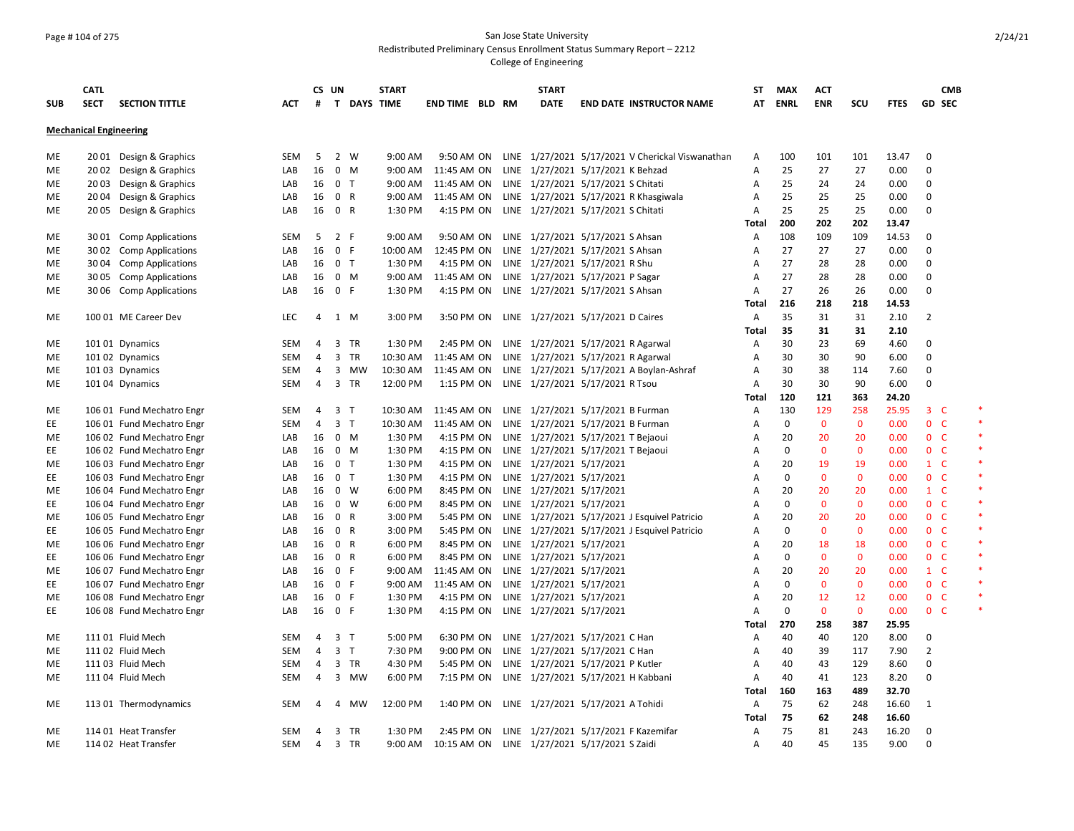### Page # 104 of 275 San Jose State University Redistributed Preliminary Census Enrollment Status Summary Report – 2212

|            | <b>CATL</b>                   |                           |            | CS UN          |                |    | <b>START</b> |                        | <b>START</b>             |                                                   | ST                | <b>MAX</b>  | <b>ACT</b>   |              |             | <b>CMB</b>     |        |
|------------|-------------------------------|---------------------------|------------|----------------|----------------|----|--------------|------------------------|--------------------------|---------------------------------------------------|-------------------|-------------|--------------|--------------|-------------|----------------|--------|
| <b>SUB</b> | <b>SECT</b>                   | <b>SECTION TITTLE</b>     | <b>ACT</b> | #              |                |    | T DAYS TIME  | <b>END TIME BLD RM</b> | <b>DATE</b>              | <b>END DATE INSTRUCTOR NAME</b>                   | AT                | <b>ENRL</b> | <b>ENR</b>   | SCU          | <b>FTES</b> | GD SEC         |        |
|            | <b>Mechanical Engineering</b> |                           |            |                |                |    |              |                        |                          |                                                   |                   |             |              |              |             |                |        |
|            |                               |                           |            |                |                |    |              |                        |                          |                                                   |                   |             |              |              |             |                |        |
| ME         |                               | 2001 Design & Graphics    | SEM        | 5              | 2 W            |    | 9:00 AM      | 9:50 AM ON             |                          | LINE 1/27/2021 5/17/2021 V Cherickal Viswanathan  | Α                 | 100         | 101          | 101          | 13.47       | $\mathbf 0$    |        |
| ME         |                               | 2002 Design & Graphics    | LAB        | 16             | $0 \quad M$    |    | 9:00 AM      | 11:45 AM ON            |                          | LINE 1/27/2021 5/17/2021 K Behzad                 | Α                 | 25          | 27           | 27           | 0.00        | 0              |        |
| ME         |                               | 2003 Design & Graphics    | LAB        | 16             | 0 <sub>T</sub> |    | 9:00 AM      | 11:45 AM ON            |                          | LINE 1/27/2021 5/17/2021 S Chitati                | Α                 | 25          | 24           | 24           | 0.00        | 0              |        |
| ME         |                               | 2004 Design & Graphics    | LAB        | 16             | 0 R            |    | 9:00 AM      |                        |                          | 11:45 AM ON LINE 1/27/2021 5/17/2021 R Khasgiwala | A                 | 25          | 25           | 25           | 0.00        | 0              |        |
| ME         | 20 05                         | Design & Graphics         | LAB        | 16             | 0 R            |    | 1:30 PM      |                        |                          | 4:15 PM ON LINE 1/27/2021 5/17/2021 S Chitati     | Α                 | 25          | 25           | 25           | 0.00        | 0              |        |
|            |                               |                           |            |                |                |    |              |                        |                          |                                                   | Total             | 200         | 202          | 202          | 13.47       |                |        |
| ME         |                               | 30 01 Comp Applications   | <b>SEM</b> | 5              | 2 F            |    | 9:00 AM      |                        |                          | 9:50 AM ON LINE 1/27/2021 5/17/2021 S Ahsan       | Α                 | 108         | 109          | 109          | 14.53       | 0              |        |
| ME         |                               | 30 02 Comp Applications   | LAB        | 16             | 0 F            |    | 10:00 AM     | 12:45 PM ON            |                          | LINE 1/27/2021 5/17/2021 S Ahsan                  | Α                 | 27          | 27           | 27           | 0.00        | 0              |        |
| ME         |                               | 30 04 Comp Applications   | LAB        | 16             | 0 <sub>T</sub> |    | 1:30 PM      |                        |                          | 4:15 PM ON LINE 1/27/2021 5/17/2021 R Shu         | Α                 | 27          | 28           | 28           | 0.00        | 0              |        |
| ME         |                               | 30 05 Comp Applications   | LAB        | 16             | 0 M            |    | 9:00 AM      |                        |                          | 11:45 AM ON LINE 1/27/2021 5/17/2021 P Sagar      | Α                 | 27          | 28           | 28           | 0.00        | 0              |        |
| ME         |                               | 30 06 Comp Applications   | LAB        | 16             | 0 F            |    | 1:30 PM      |                        |                          | 4:15 PM ON LINE 1/27/2021 5/17/2021 S Ahsan       | Α                 | 27          | 26           | 26           | 0.00        | 0              |        |
|            |                               |                           |            |                |                |    |              |                        |                          |                                                   | <b>Total</b>      | 216         | 218          | 218          | 14.53       |                |        |
| ME         |                               | 100 01 ME Career Dev      | <b>LEC</b> | 4              | 1 M            |    | 3:00 PM      |                        |                          | 3:50 PM ON LINE 1/27/2021 5/17/2021 D Caires      | Α                 | 35          | 31           | 31           | 2.10        | $\overline{2}$ |        |
|            |                               |                           |            |                |                |    |              |                        |                          |                                                   | Total             | 35          | 31           | 31           | 2.10        |                |        |
| ME         |                               | 101 01 Dynamics           | <b>SEM</b> | $\overline{4}$ | 3 TR           |    | 1:30 PM      |                        |                          | 2:45 PM ON LINE 1/27/2021 5/17/2021 R Agarwal     | Α                 | 30          | 23           | 69           | 4.60        | 0              |        |
| ME         |                               | 101 02 Dynamics           | <b>SEM</b> | $\overline{4}$ | 3 TR           |    | 10:30 AM     | 11:45 AM ON            |                          | LINE 1/27/2021 5/17/2021 R Agarwal                | Α                 | 30          | 30           | 90           | 6.00        | 0              |        |
| ME         |                               | 101 03 Dynamics           | <b>SEM</b> | 4              | 3 MW           |    | 10:30 AM     | 11:45 AM ON            |                          | LINE 1/27/2021 5/17/2021 A Boylan-Ashraf          | Α                 | 30          | 38           | 114          | 7.60        | 0              |        |
| <b>ME</b>  |                               | 101 04 Dynamics           | <b>SEM</b> | 4              | 3 TR           |    | 12:00 PM     | 1:15 PM ON             |                          | LINE 1/27/2021 5/17/2021 R Tsou                   | A                 | 30          | 30           | 90           | 6.00        | $\mathbf 0$    |        |
|            |                               |                           |            |                |                |    |              |                        |                          |                                                   | Total             | 120         | 121          | 363          | 24.20       |                |        |
| ME         |                               | 106 01 Fund Mechatro Engr | <b>SEM</b> | 4              | 3 <sub>1</sub> |    | 10:30 AM     | 11:45 AM ON            |                          | LINE 1/27/2021 5/17/2021 B Furman                 | A                 | 130         | 129          | 258          | 25.95       | $3-$           | $\ast$ |
| EE         |                               | 106 01 Fund Mechatro Engr | <b>SEM</b> | $\overline{4}$ | 3 <sub>T</sub> |    | 10:30 AM     | 11:45 AM ON            |                          | LINE 1/27/2021 5/17/2021 B Furman                 | Α                 | $\mathbf 0$ | $\mathbf{0}$ | $\mathbf{0}$ | 0.00        | 0 <sup>o</sup> |        |
| ME         |                               | 106 02 Fund Mechatro Engr | LAB        | 16             | 0 M            |    | 1:30 PM      | 4:15 PM ON             |                          | LINE 1/27/2021 5/17/2021 T Bejaoui                | A                 | 20          | 20           | 20           | 0.00        | 0 <sup>o</sup> |        |
| EE         |                               | 106 02 Fund Mechatro Engr | LAB        | 16             | 0 M            |    | 1:30 PM      | 4:15 PM ON             |                          | LINE 1/27/2021 5/17/2021 T Bejaoui                | Α                 | $\Omega$    | $\mathbf 0$  | $\mathbf 0$  | 0.00        | 0 <sup>o</sup> |        |
| ME         |                               | 106 03 Fund Mechatro Engr | LAB        | 16             | 0 <sub>T</sub> |    | 1:30 PM      | 4:15 PM ON             | LINE 1/27/2021 5/17/2021 |                                                   | A                 | 20          | 19           | 19           | 0.00        | $1 \quad C$    |        |
| EE         |                               | 106 03 Fund Mechatro Engr | LAB        | 16             | 0 <sub>T</sub> |    | 1:30 PM      | 4:15 PM ON             | LINE 1/27/2021 5/17/2021 |                                                   | A                 | $\Omega$    | $\mathbf{0}$ | $\mathbf{0}$ | 0.00        | 0 <sup>o</sup> |        |
| ME         |                               | 106 04 Fund Mechatro Engr | LAB        | 16             | $0 \quad W$    |    | 6:00 PM      | 8:45 PM ON             | LINE 1/27/2021 5/17/2021 |                                                   | Α                 | 20          | 20           | 20           | 0.00        | $1\quad C$     |        |
| EE         |                               | 106 04 Fund Mechatro Engr | LAB        | 16             | 0 W            |    | 6:00 PM      | 8:45 PM ON             | LINE 1/27/2021 5/17/2021 |                                                   | Α                 | $\mathbf 0$ | $\mathbf{0}$ | $\mathbf{0}$ | 0.00        | $0-$           |        |
| ME         |                               | 106 05 Fund Mechatro Engr | LAB        | 16             | 0 R            |    | 3:00 PM      | 5:45 PM ON             |                          | LINE 1/27/2021 5/17/2021 J Esquivel Patricio      | Α                 | 20          | 20           | 20           | 0.00        | 0 <sup>o</sup> |        |
| EE         |                               | 106 05 Fund Mechatro Engr | LAB        | 16             | 0 R            |    | 3:00 PM      | 5:45 PM ON             |                          | LINE 1/27/2021 5/17/2021 J Esquivel Patricio      | Α                 | $\mathbf 0$ | $\mathbf{0}$ | $\mathbf{0}$ | 0.00        | 0 <sup>o</sup> |        |
| ME         |                               | 106 06 Fund Mechatro Engr | LAB        | 16             | 0 R            |    | 6:00 PM      | 8:45 PM ON             | LINE 1/27/2021 5/17/2021 |                                                   | A                 | 20          | 18           | 18           | 0.00        | 0 <sup>o</sup> |        |
| EE         |                               | 106 06 Fund Mechatro Engr | LAB        | 16             | 0 R            |    | 6:00 PM      | 8:45 PM ON             | LINE 1/27/2021 5/17/2021 |                                                   | Α                 | $\mathbf 0$ | $\mathbf 0$  | $\mathbf 0$  | 0.00        | $0-$           |        |
| ME         |                               | 106 07 Fund Mechatro Engr | LAB        | 16             | 0 F            |    | 9:00 AM      | 11:45 AM ON            | LINE 1/27/2021 5/17/2021 |                                                   | Α                 | 20          | 20           | 20           | 0.00        | $1 \quad C$    |        |
| EE         |                               | 106 07 Fund Mechatro Engr | LAB        | 16             | 0 F            |    | 9:00 AM      | 11:45 AM ON            | LINE 1/27/2021 5/17/2021 |                                                   | Α                 | $\Omega$    | $\mathbf{0}$ | $\mathbf{0}$ | 0.00        | 0 <sup>o</sup> |        |
| ME         |                               | 106 08 Fund Mechatro Engr | LAB        | 16             | 0 F            |    | 1:30 PM      | 4:15 PM ON             | LINE 1/27/2021 5/17/2021 |                                                   | Α                 | 20          | 12           | 12           | 0.00        | $0-$           |        |
| EE         |                               | 106 08 Fund Mechatro Engr | LAB        | 16             | 0 F            |    | 1:30 PM      | 4:15 PM ON             | LINE 1/27/2021 5/17/2021 |                                                   | Α                 | $\Omega$    | $\mathbf{0}$ | $\mathbf{0}$ | 0.00        | 0 <sup>o</sup> |        |
|            |                               |                           |            |                |                |    |              |                        |                          |                                                   | Total             | 270         | 258          | 387          | 25.95       |                |        |
| ME         |                               | 111 01 Fluid Mech         | <b>SEM</b> | 4              | 3 <sub>7</sub> |    | 5:00 PM      | 6:30 PM ON             |                          | LINE 1/27/2021 5/17/2021 C Han                    | Α                 | 40          | 40           | 120          | 8.00        | 0              |        |
| ME         |                               | 111 02 Fluid Mech         | <b>SEM</b> | 4              | 3 <sub>1</sub> |    | 7:30 PM      | 9:00 PM ON             |                          | LINE 1/27/2021 5/17/2021 C Han                    | Α                 | 40          | 39           | 117          | 7.90        | $\overline{2}$ |        |
| ME         |                               | 111 03 Fluid Mech         | <b>SEM</b> | 4              | 3 TR           |    | 4:30 PM      | 5:45 PM ON             |                          | LINE 1/27/2021 5/17/2021 P Kutler                 | Α                 | 40          | 43           | 129          | 8.60        | 0              |        |
| ME         |                               | 111 04 Fluid Mech         | <b>SEM</b> | 4              | 3 MW           |    | 6:00 PM      | 7:15 PM ON             |                          | LINE 1/27/2021 5/17/2021 H Kabbani                | Α                 | 40          | 41           | 123          | 8.20        | 0              |        |
|            |                               |                           |            |                |                |    |              |                        |                          |                                                   | <b>Total</b>      | 160         |              | 489          | 32.70       |                |        |
|            |                               |                           |            |                |                |    |              |                        |                          |                                                   |                   | 75          | 163          | 248          |             |                |        |
| ME         |                               | 11301 Thermodynamics      | SEM        | 4              | 4              | MW | 12:00 PM     | 1:40 PM ON             |                          | LINE 1/27/2021 5/17/2021 A Tohidi                 | Α<br><b>Total</b> | 75          | 62<br>62     | 248          | 16.60       | 1              |        |
|            |                               |                           |            |                |                |    |              |                        |                          |                                                   |                   | 75          |              |              | 16.60       |                |        |
| ME         |                               | 114 01 Heat Transfer      | <b>SEM</b> | 4              | 3 TR           |    | 1:30 PM      |                        |                          | 2:45 PM ON LINE 1/27/2021 5/17/2021 F Kazemifar   | Α                 |             | 81           | 243          | 16.20       | 0              |        |
| ME         |                               | 114 02 Heat Transfer      | <b>SEM</b> | $\overline{4}$ | 3 TR           |    | 9:00 AM      |                        |                          | 10:15 AM ON LINE 1/27/2021 5/17/2021 S Zaidi      | A                 | 40          | 45           | 135          | 9.00        | $\Omega$       |        |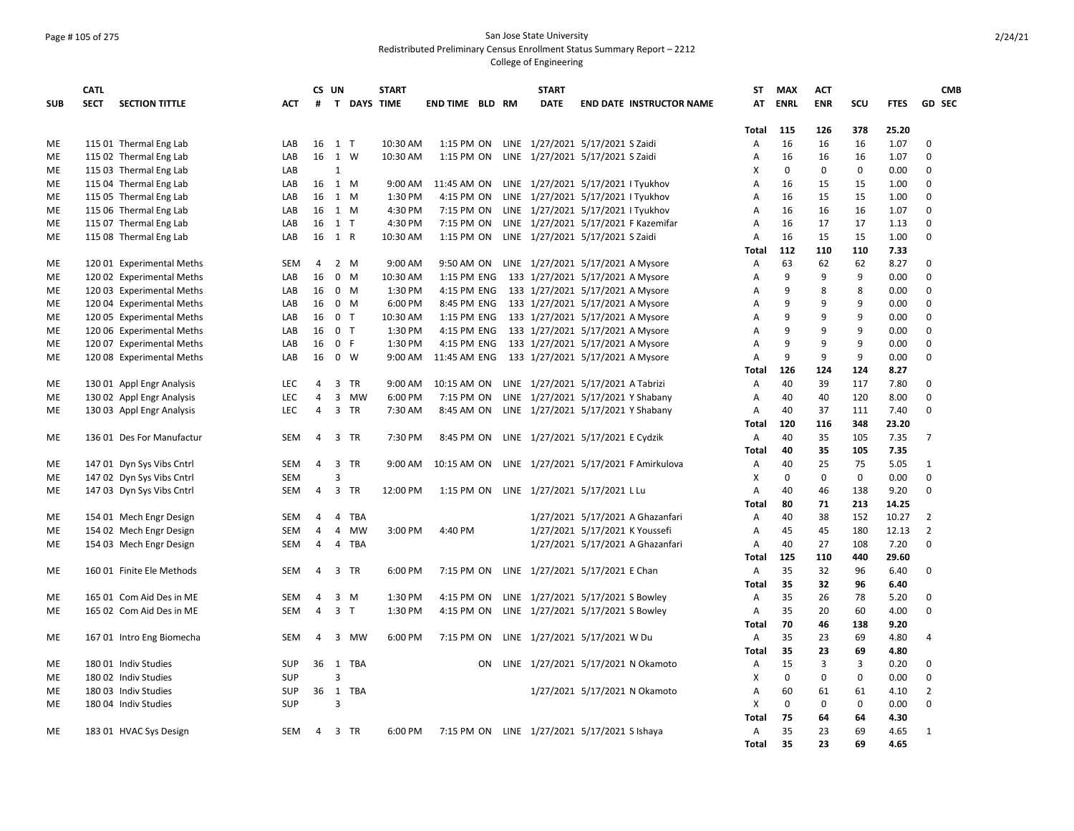### Page # 105 of 275 San Jose State University Redistributed Preliminary Census Enrollment Status Summary Report – 2212

|            | <b>CATL</b> |                           |            | CS UN |                |              | <b>START</b>       |                        |    | <b>START</b>                                   |                                       | ST           | <b>MAX</b>  | <b>ACT</b>     |     |             |                  | <b>CMB</b> |
|------------|-------------|---------------------------|------------|-------|----------------|--------------|--------------------|------------------------|----|------------------------------------------------|---------------------------------------|--------------|-------------|----------------|-----|-------------|------------------|------------|
| <b>SUB</b> | <b>SECT</b> | <b>SECTION TITTLE</b>     | <b>ACT</b> | #     |                |              | <b>T DAYS TIME</b> | <b>END TIME BLD RM</b> |    | <b>DATE</b>                                    | <b>END DATE INSTRUCTOR NAME</b>       | AT           | <b>ENRL</b> | <b>ENR</b>     | SCU | <b>FTES</b> | <b>GD SEC</b>    |            |
|            |             |                           |            |       |                |              |                    |                        |    |                                                |                                       |              |             |                |     |             |                  |            |
|            |             |                           |            |       |                |              |                    |                        |    |                                                |                                       | Total        | 115<br>16   | 126            | 378 | 25.20       |                  |            |
| ME         |             | 115 01 Thermal Eng Lab    | LAB        |       | 16 1 T         |              | 10:30 AM           | 1:15 PM ON             |    | LINE 1/27/2021 5/17/2021 S Zaidi               |                                       | A            | 16          | 16             | 16  | 1.07        | 0<br>$\mathbf 0$ |            |
| <b>ME</b>  |             | 115 02 Thermal Eng Lab    | LAB        |       | 16 1 W         |              | 10:30 AM           |                        |    | 1:15 PM ON LINE 1/27/2021 5/17/2021 S Zaidi    |                                       | A<br>X       |             | 16<br>$\Omega$ | 16  | 1.07        |                  |            |
| ME         |             | 115 03 Thermal Eng Lab    | LAB        |       | $\mathbf{1}$   |              |                    |                        |    |                                                |                                       |              | 0           |                | 0   | 0.00        | 0                |            |
| ME         |             | 115 04 Thermal Eng Lab    | LAB        |       | 16 1 M         |              | 9:00 AM            |                        |    | 11:45 AM ON LINE 1/27/2021 5/17/2021 I Tyukhov |                                       | A            | 16          | 15             | 15  | 1.00        | $\mathbf 0$      |            |
| ME         |             | 115 05 Thermal Eng Lab    | LAB        |       | 16 1 M         |              | 1:30 PM            | 4:15 PM ON             |    | LINE 1/27/2021 5/17/2021 I Tyukhov             |                                       | A            | 16          | 15             | 15  | 1.00        | $\mathbf 0$      |            |
| ME         |             | 115 06 Thermal Eng Lab    | LAB        | 16    | 1 M            |              | 4:30 PM            | 7:15 PM ON             |    | LINE 1/27/2021 5/17/2021 I Tyukhov             |                                       | A            | 16          | 16             | 16  | 1.07        | $\Omega$         |            |
| ME         |             | 115 07 Thermal Eng Lab    | LAB        | 16    | $1$ T          |              | 4:30 PM            | 7:15 PM ON             |    |                                                | LINE 1/27/2021 5/17/2021 F Kazemifar  | A            | 16          | 17             | 17  | 1.13        | $\mathbf 0$      |            |
| ME         |             | 115 08 Thermal Eng Lab    | LAB        |       | 16 1 R         |              | 10:30 AM           |                        |    | 1:15 PM ON LINE 1/27/2021 5/17/2021 S Zaidi    |                                       | A            | 16          | 15             | 15  | 1.00        | $\mathbf 0$      |            |
|            |             |                           |            |       |                |              |                    |                        |    |                                                |                                       | Total        | 112         | 110            | 110 | 7.33        |                  |            |
| ME         |             | 120 01 Experimental Meths | <b>SEM</b> | 4     | $2 \mathsf{M}$ |              | 9:00 AM            | 9:50 AM ON             |    | LINE 1/27/2021 5/17/2021 A Mysore              |                                       | Α            | 63          | 62             | 62  | 8.27        | $\mathbf 0$      |            |
| ME         |             | 120 02 Experimental Meths | LAB        | 16    | $\mathbf 0$    | M            | 10:30 AM           | 1:15 PM ENG            |    | 133 1/27/2021 5/17/2021 A Mysore               |                                       | A            | 9           | 9              | 9   | 0.00        | $\mathbf 0$      |            |
| ME         |             | 120 03 Experimental Meths | LAB        | 16    | $0 \t M$       |              | 1:30 PM            | 4:15 PM ENG            |    | 133 1/27/2021 5/17/2021 A Mysore               |                                       | A            | 9           | 8              | 8   | 0.00        | $\mathbf 0$      |            |
| МE         |             | 120 04 Experimental Meths | LAB        | 16    | $\mathbf 0$    | M            | 6:00 PM            | 8:45 PM ENG            |    | 133 1/27/2021 5/17/2021 A Mysore               |                                       | A            | 9           | 9              | 9   | 0.00        | $\mathbf 0$      |            |
| ME         |             | 120 05 Experimental Meths | LAB        | 16    | $\mathbf 0$    | $\mathsf{T}$ | 10:30 AM           | 1:15 PM ENG            |    | 133 1/27/2021 5/17/2021 A Mysore               |                                       | A            | 9           | 9              | 9   | 0.00        | $\mathbf 0$      |            |
| ME         |             | 120 06 Experimental Meths | LAB        | 16    | $\mathbf 0$    | T            | 1:30 PM            | 4:15 PM ENG            |    | 133 1/27/2021 5/17/2021 A Mysore               |                                       | A            | 9           | 9              | 9   | 0.00        | $\mathbf 0$      |            |
| ME         |             | 120 07 Experimental Meths | LAB        | 16    | $\mathsf{o}$   | $\mathsf F$  | 1:30 PM            | 4:15 PM ENG            |    | 133 1/27/2021 5/17/2021 A Mysore               |                                       | Α            | 9           | 9              | 9   | 0.00        | $\mathbf 0$      |            |
| ME         |             | 12008 Experimental Meths  | LAB        | 16    | $\mathbf 0$    | w            | 9:00 AM            | 11:45 AM ENG           |    | 133 1/27/2021 5/17/2021 A Mysore               |                                       | A            | 9           | 9              | 9   | 0.00        | 0                |            |
|            |             |                           |            |       |                |              |                    |                        |    |                                                |                                       | Total        | 126         | 124            | 124 | 8.27        |                  |            |
| ME         |             | 130 01 Appl Engr Analysis | <b>LEC</b> | 4     | 3              | TR           | 9:00 AM            | 10:15 AM ON            |    | LINE 1/27/2021 5/17/2021 A Tabrizi             |                                       | Α            | 40          | 39             | 117 | 7.80        | 0                |            |
| ME         |             | 130 02 Appl Engr Analysis | <b>LEC</b> | 4     | 3              | MW           | 6:00 PM            | 7:15 PM ON             |    | LINE 1/27/2021 5/17/2021 Y Shabany             |                                       | Α            | 40          | 40             | 120 | 8.00        | $\mathbf 0$      |            |
| ME         |             | 130 03 Appl Engr Analysis | <b>LEC</b> | 4     | 3              | TR           | 7:30 AM            | 8:45 AM ON             |    | LINE 1/27/2021 5/17/2021 Y Shabany             |                                       | A            | 40          | 37             | 111 | 7.40        | $\mathbf 0$      |            |
|            |             |                           |            |       |                |              |                    |                        |    |                                                |                                       | <b>Total</b> | 120         | 116            | 348 | 23.20       |                  |            |
| ME         |             | 136 01 Des For Manufactur | <b>SEM</b> | 4     | 3              | TR           | 7:30 PM            | 8:45 PM ON             |    | LINE 1/27/2021 5/17/2021 E Cydzik              |                                       | Α            | 40          | 35             | 105 | 7.35        | $\overline{7}$   |            |
|            |             |                           |            |       |                |              |                    |                        |    |                                                |                                       | Total        | 40          | 35             | 105 | 7.35        |                  |            |
| ME         |             | 147 01 Dyn Sys Vibs Cntrl | <b>SEM</b> | 4     | $\overline{3}$ | <b>TR</b>    | 9:00 AM            | 10:15 AM ON            |    |                                                | LINE 1/27/2021 5/17/2021 F Amirkulova | A            | 40          | 25             | 75  | 5.05        | $\mathbf{1}$     |            |
| ME         |             | 147 02 Dyn Sys Vibs Cntrl | <b>SEM</b> |       | 3              |              |                    |                        |    |                                                |                                       | X            | 0           | 0              | 0   | 0.00        | 0                |            |
| ME         |             | 147 03 Dyn Sys Vibs Cntrl | <b>SEM</b> | 4     | 3              | TR           | 12:00 PM           |                        |    | 1:15 PM ON LINE 1/27/2021 5/17/2021 L Lu       |                                       | A            | 40          | 46             | 138 | 9.20        | 0                |            |
|            |             |                           |            |       |                |              |                    |                        |    |                                                |                                       | <b>Total</b> | 80          | 71             | 213 | 14.25       |                  |            |
| ME         |             | 154 01 Mech Engr Design   | <b>SEM</b> | 4     | 4              | TBA          |                    |                        |    |                                                | 1/27/2021 5/17/2021 A Ghazanfari      | Α            | 40          | 38             | 152 | 10.27       | $\overline{2}$   |            |
| ME         |             | 154 02 Mech Engr Design   | <b>SEM</b> | 4     | $\overline{4}$ | <b>MW</b>    | 3:00 PM            | 4:40 PM                |    | 1/27/2021 5/17/2021 K Youssefi                 |                                       | Α            | 45          | 45             | 180 | 12.13       | $\overline{2}$   |            |
| ME         |             | 154 03 Mech Engr Design   | <b>SEM</b> | 4     | $\overline{4}$ | TBA          |                    |                        |    |                                                | 1/27/2021 5/17/2021 A Ghazanfari      | A            | 40          | 27             | 108 | 7.20        | $\Omega$         |            |
|            |             |                           |            |       |                |              |                    |                        |    |                                                |                                       | <b>Total</b> | 125         | 110            | 440 | 29.60       |                  |            |
| ME         |             | 160 01 Finite Ele Methods | <b>SEM</b> | 4     | 3              | TR           | 6:00 PM            |                        |    | 7:15 PM ON LINE 1/27/2021 5/17/2021 E Chan     |                                       | Α            | 35          | 32             | 96  | 6.40        | 0                |            |
|            |             |                           |            |       |                |              |                    |                        |    |                                                |                                       | <b>Total</b> | 35          | 32             | 96  | 6.40        |                  |            |
| ME         |             | 165 01 Com Aid Des in ME  | <b>SEM</b> | 4     | 3              | M            | 1:30 PM            | 4:15 PM ON             |    | LINE 1/27/2021 5/17/2021 S Bowley              |                                       | Α            | 35          | 26             | 78  | 5.20        | 0                |            |
| ME         |             | 165 02 Com Aid Des in ME  | <b>SEM</b> | 4     | $\overline{3}$ | T            | 1:30 PM            | 4:15 PM ON             |    | LINE 1/27/2021 5/17/2021 S Bowley              |                                       | Α            | 35          | 20             | 60  | 4.00        | $\mathbf 0$      |            |
|            |             |                           |            |       |                |              |                    |                        |    |                                                |                                       | Total        | 70          | 46             | 138 | 9.20        |                  |            |
| ME         |             | 167 01 Intro Eng Biomecha | <b>SEM</b> | 4     | 3              | MW           | 6:00 PM            | 7:15 PM ON             |    | LINE 1/27/2021 5/17/2021 W Du                  |                                       | Α            | 35          | 23             | 69  | 4.80        | $\overline{4}$   |            |
|            |             |                           |            |       |                |              |                    |                        |    |                                                |                                       | Total        | 35          | 23             | 69  | 4.80        |                  |            |
| ME         |             | 180 01 Indiv Studies      | <b>SUP</b> | 36 1  |                | <b>TBA</b>   |                    |                        | ON |                                                | LINE 1/27/2021 5/17/2021 N Okamoto    | Α            | 15          | 3              | 3   | 0.20        | 0                |            |
| <b>ME</b>  |             | 180 02 Indiv Studies      | <b>SUP</b> |       | $\overline{3}$ |              |                    |                        |    |                                                |                                       | X            | $\mathbf 0$ | $\Omega$       | 0   | 0.00        | $\mathbf 0$      |            |
| ME         |             | 180 03 Indiv Studies      | <b>SUP</b> | 36 1  |                | TBA          |                    |                        |    |                                                | 1/27/2021 5/17/2021 N Okamoto         | Α            | 60          | 61             | 61  | 4.10        | $\overline{2}$   |            |
| ME         |             | 180 04 Indiv Studies      | <b>SUP</b> |       | 3              |              |                    |                        |    |                                                |                                       | X            | $\mathbf 0$ | $\mathbf 0$    | 0   | 0.00        | 0                |            |
|            |             |                           |            |       |                |              |                    |                        |    |                                                |                                       | <b>Total</b> | 75          | 64             | 64  | 4.30        |                  |            |
| ME         |             | 183 01 HVAC Sys Design    | SEM        | 4     | 3 TR           |              | 6:00 PM            |                        |    | 7:15 PM ON LINE 1/27/2021 5/17/2021 S Ishaya   |                                       | Α            | 35          | 23             | 69  | 4.65        | $\mathbf{1}$     |            |
|            |             |                           |            |       |                |              |                    |                        |    |                                                |                                       | <b>Total</b> | 35          | 23             | 69  | 4.65        |                  |            |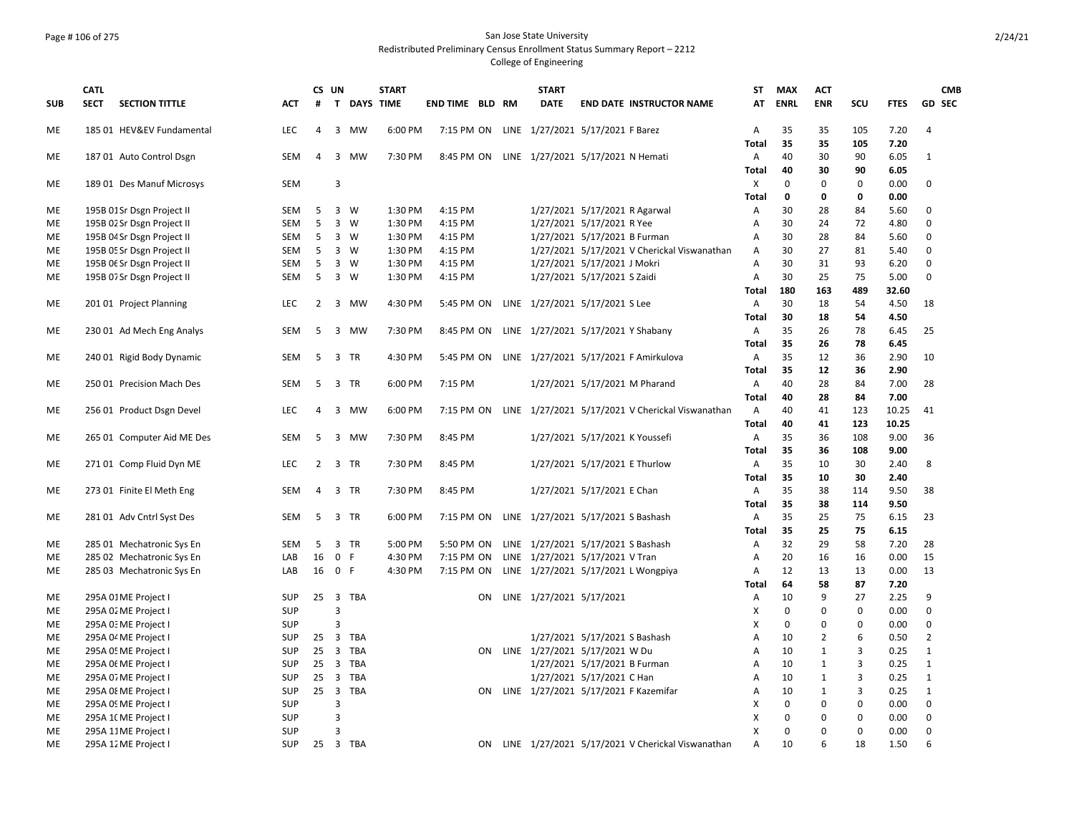# Page # 106 of 275 San Jose State University Redistributed Preliminary Census Enrollment Status Summary Report – 2212

|            | <b>CATL</b> |                            |            | CS UN          |                         |             | <b>START</b> |                        |    | <b>START</b>             |                                                  | ST                             | <b>MAX</b>  | <b>ACT</b>     |             |              | <b>CMB</b>     |
|------------|-------------|----------------------------|------------|----------------|-------------------------|-------------|--------------|------------------------|----|--------------------------|--------------------------------------------------|--------------------------------|-------------|----------------|-------------|--------------|----------------|
| <b>SUB</b> | <b>SECT</b> | <b>SECTION TITTLE</b>      | <b>ACT</b> | #              |                         | T DAYS TIME |              | <b>END TIME BLD RM</b> |    | <b>DATE</b>              | <b>END DATE INSTRUCTOR NAME</b>                  | AT                             | <b>ENRL</b> | <b>ENR</b>     | SCU         | <b>FTES</b>  | <b>GD SEC</b>  |
| ME         |             | 185 01 HEV&EV Fundamental  | <b>LEC</b> | 4              |                         | 3 MW        | 6:00 PM      |                        |    |                          | 7:15 PM ON LINE 1/27/2021 5/17/2021 F Barez      | Α                              | 35          | 35             | 105         | 7.20         | 4              |
|            |             |                            |            |                |                         |             |              |                        |    |                          |                                                  | <b>Total</b>                   | 35          | 35             | 105         | 7.20         |                |
| ME         |             | 187 01 Auto Control Dsgn   | SEM        | 4              | $\overline{3}$          | <b>MW</b>   | 7:30 PM      | 8:45 PM ON             |    |                          | LINE 1/27/2021 5/17/2021 N Hemati                | Α                              | 40          | 30             | 90          | 6.05         | $\mathbf{1}$   |
|            |             |                            |            |                |                         |             |              |                        |    |                          |                                                  | <b>Total</b>                   | 40          | 30             | 90          | 6.05         |                |
| ME         |             | 189 01 Des Manuf Microsys  | <b>SEM</b> |                | 3                       |             |              |                        |    |                          |                                                  | Χ                              | $\mathbf 0$ | $\Omega$       | $\mathbf 0$ | 0.00         | 0              |
|            |             |                            |            |                |                         |             |              |                        |    |                          |                                                  | <b>Total</b>                   | $\mathbf 0$ | 0              | 0           | 0.00         |                |
| ME         |             | 195B 01Sr Dsgn Project II  | SEM        | 5              | 3 W                     |             | 1:30 PM      | 4:15 PM                |    |                          | 1/27/2021 5/17/2021 R Agarwal                    | Α                              | 30          | 28             | 84          | 5.60         | 0              |
| ME         |             | 195B 02 Sr Dsgn Project II | <b>SEM</b> | 5              | $\overline{3}$          | W           | 1:30 PM      | 4:15 PM                |    |                          | 1/27/2021 5/17/2021 R Yee                        | Α                              | 30          | 24             | 72          | 4.80         | $\Omega$       |
| ME         |             | 195B 04 Sr Dsgn Project II | SEM        | 5              | 3 W                     |             | 1:30 PM      | 4:15 PM                |    |                          | 1/27/2021 5/17/2021 B Furman                     | Α                              | 30          | 28             | 84          | 5.60         | 0              |
| ME         |             | 195B 05 Sr Dsgn Project II | SEM        | 5              | $\overline{\mathbf{3}}$ | W           | 1:30 PM      | 4:15 PM                |    |                          | 1/27/2021 5/17/2021 V Cherickal Viswanathan      | Α                              | 30          | 27             | 81          | 5.40         | 0              |
| ME         |             | 195B Of Sr Dsgn Project II | SEM        | 5              | 3 W                     |             | 1:30 PM      | 4:15 PM                |    |                          | 1/27/2021 5/17/2021 J Mokri                      | А                              | 30          | 31             | 93          | 6.20         | 0              |
| ME         |             | 195B 07 Sr Dsgn Project II | SEM        | 5              | $\overline{3}$          | W           | 1:30 PM      | 4:15 PM                |    |                          | 1/27/2021 5/17/2021 S Zaidi                      | Α                              | 30          | 25             | 75          | 5.00         | 0              |
|            |             |                            |            |                |                         |             |              |                        |    |                          |                                                  | <b>Total</b>                   | 180         | 163            | 489         | 32.60        |                |
| ME         |             | 201 01 Project Planning    | <b>LEC</b> | $\overline{2}$ | $\overline{\mathbf{3}}$ | <b>MW</b>   | 4:30 PM      |                        |    |                          | 5:45 PM ON LINE 1/27/2021 5/17/2021 S Lee        | A                              | 30          | 18             | 54          | 4.50         | 18             |
|            |             |                            |            |                |                         |             |              |                        |    |                          |                                                  | <b>Total</b>                   | 30          | 18             | 54          | 4.50         |                |
| ME         |             | 230 01 Ad Mech Eng Analys  | SEM        | 5              | 3                       | <b>MW</b>   | 7:30 PM      | 8:45 PM ON             |    |                          | LINE 1/27/2021 5/17/2021 Y Shabany               | Α                              | 35          | 26             | 78          | 6.45         | 25             |
|            |             |                            |            |                |                         |             |              |                        |    |                          |                                                  | <b>Total</b>                   | 35          | 26             | 78          | 6.45         |                |
| ME         |             | 240 01 Rigid Body Dynamic  | SEM        | 5              | $\overline{\mathbf{3}}$ | <b>TR</b>   | 4:30 PM      | 5:45 PM ON             |    |                          | LINE 1/27/2021 5/17/2021 F Amirkulova            | Α                              | 35          | 12<br>12       | 36          | 2.90         | 10             |
|            |             | 250 01 Precision Mach Des  | <b>SEM</b> | 5              | 3                       | <b>TR</b>   | 6:00 PM      | 7:15 PM                |    |                          |                                                  | <b>Total</b><br>$\overline{A}$ | 35<br>40    | 28             | 36<br>84    | 2.90<br>7.00 | 28             |
| МE         |             |                            |            |                |                         |             |              |                        |    |                          | 1/27/2021 5/17/2021 M Pharand                    | <b>Total</b>                   | 40          | 28             | 84          | 7.00         |                |
|            |             |                            |            | 4              | 3                       | <b>MW</b>   | 6:00 PM      |                        |    |                          |                                                  | Α                              | 40          | 41             | 123         | 10.25        | 41             |
| ME         |             | 256 01 Product Dsgn Devel  | <b>LEC</b> |                |                         |             |              | 7:15 PM ON             |    |                          | LINE 1/27/2021 5/17/2021 V Cherickal Viswanathan | <b>Total</b>                   | 40          | 41             | 123         | 10.25        |                |
| МE         |             | 265 01 Computer Aid ME Des | <b>SEM</b> | 5              | 3                       | <b>MW</b>   | 7:30 PM      | 8:45 PM                |    |                          | 1/27/2021 5/17/2021 K Youssefi                   | Α                              | 35          | 36             | 108         | 9.00         | 36             |
|            |             |                            |            |                |                         |             |              |                        |    |                          |                                                  | Total                          | 35          | 36             | 108         | 9.00         |                |
| ME         |             | 271 01 Comp Fluid Dyn ME   | <b>LEC</b> | 2              | $\overline{\mathbf{3}}$ | <b>TR</b>   | 7:30 PM      | 8:45 PM                |    |                          | 1/27/2021 5/17/2021 E Thurlow                    | A                              | 35          | 10             | 30          | 2.40         | 8              |
|            |             |                            |            |                |                         |             |              |                        |    |                          |                                                  | <b>Total</b>                   | 35          | 10             | 30          | 2.40         |                |
| МE         |             | 273 01 Finite El Meth Eng  | SEM        | 4              | 3                       | TR          | 7:30 PM      | 8:45 PM                |    |                          | 1/27/2021 5/17/2021 E Chan                       | A                              | 35          | 38             | 114         | 9.50         | 38             |
|            |             |                            |            |                |                         |             |              |                        |    |                          |                                                  | <b>Total</b>                   | 35          | 38             | 114         | 9.50         |                |
| ME         |             | 281 01 Adv Cntrl Syst Des  | SEM        | 5              | $\overline{\mathbf{3}}$ | <b>TR</b>   | 6:00 PM      | 7:15 PM ON             |    |                          | LINE 1/27/2021 5/17/2021 S Bashash               | Α                              | 35          | 25             | 75          | 6.15         | 23             |
|            |             |                            |            |                |                         |             |              |                        |    |                          |                                                  | <b>Total</b>                   | 35          | 25             | 75          | 6.15         |                |
| ME         |             | 285 01 Mechatronic Sys En  | <b>SEM</b> | 5              | 3                       | <b>TR</b>   | 5:00 PM      | 5:50 PM ON             |    |                          | LINE 1/27/2021 5/17/2021 S Bashash               | $\overline{A}$                 | 32          | 29             | 58          | 7.20         | 28             |
| ME         |             | 285 02 Mechatronic Sys En  | LAB        | 16             | $\mathbf 0$             | F           | 4:30 PM      | 7:15 PM ON             |    |                          | LINE 1/27/2021 5/17/2021 V Tran                  | А                              | 20          | 16             | 16          | 0.00         | 15             |
| ME         |             | 285 03 Mechatronic Sys En  | LAB        |                | 16 0 F                  |             | 4:30 PM      | 7:15 PM ON             |    |                          | LINE 1/27/2021 5/17/2021 L Wongpiya              | A                              | 12          | 13             | 13          | 0.00         | 13             |
|            |             |                            |            |                |                         |             |              |                        |    |                          |                                                  | <b>Total</b>                   | 64          | 58             | 87          | 7.20         |                |
| ME         |             | 295A 01ME Project I        | <b>SUP</b> | 25             | $\overline{\mathbf{3}}$ | TBA         |              |                        | ON | LINE 1/27/2021 5/17/2021 |                                                  | Α                              | 10          | 9              | 27          | 2.25         | 9              |
| ME         |             | 295A 02 ME Project I       | <b>SUP</b> |                | $\overline{3}$          |             |              |                        |    |                          |                                                  | х                              | 0           | 0              | $\mathsf 0$ | 0.00         | 0              |
| ME         |             | 295A 0: ME Project I       | <b>SUP</b> |                | 3                       |             |              |                        |    |                          |                                                  | X                              | 0           | 0              | $\mathbf 0$ | 0.00         | 0              |
| ME         |             | 295A 04 ME Project I       | <b>SUP</b> | 25             | 3                       | <b>TBA</b>  |              |                        |    |                          | 1/27/2021 5/17/2021 S Bashash                    | Α                              | 10          | $\overline{2}$ | 6           | 0.50         | $\overline{2}$ |
| ME         |             | 295A 05 ME Project I       | <b>SUP</b> | 25             | $\overline{\mathbf{3}}$ | <b>TBA</b>  |              |                        | ON |                          | LINE 1/27/2021 5/17/2021 W Du                    | Α                              | 10          | $\mathbf{1}$   | 3           | 0.25         | $\mathbf{1}$   |
| ME         |             | 295A Of ME Project I       | <b>SUP</b> | $25 \quad 3$   |                         | TBA         |              |                        |    |                          | 1/27/2021 5/17/2021 B Furman                     | A                              | 10          | $\mathbf{1}$   | 3           | 0.25         | $\mathbf{1}$   |
| ME         |             | 295A 07 ME Project I       | <b>SUP</b> | 25             | $\overline{\mathbf{3}}$ | TBA         |              |                        |    |                          | 1/27/2021 5/17/2021 C Han                        | А                              | 10          | $\mathbf{1}$   | 3           | 0.25         | $\mathbf{1}$   |
| ME         |             | 295A 08 ME Project I       | <b>SUP</b> | $25 \quad 3$   |                         | <b>TBA</b>  |              |                        | ON |                          | LINE 1/27/2021 5/17/2021 F Kazemifar             | Α                              | 10          | $\mathbf{1}$   | 3           | 0.25         | $\mathbf{1}$   |
| ME         |             | 295A 09 ME Project I       | <b>SUP</b> |                | 3                       |             |              |                        |    |                          |                                                  | X                              | 0           | 0              | 0           | 0.00         | 0              |
| ME         |             | 295A 1(ME Project I        | <b>SUP</b> |                | 3                       |             |              |                        |    |                          |                                                  | X                              | 0           | 0              | 0           | 0.00         | 0              |
| ME         |             | 295A 11ME Project I        | <b>SUP</b> |                | 3                       |             |              |                        |    |                          |                                                  | X                              | 0           | 0              | $\mathbf 0$ | 0.00         | 0              |
| ME         |             | 295A 12 ME Project I       | SUP        |                | 25 3 TBA                |             |              |                        | ON |                          | LINE 1/27/2021 5/17/2021 V Cherickal Viswanathan | A                              | 10          | 6              | 18          | 1.50         | 6              |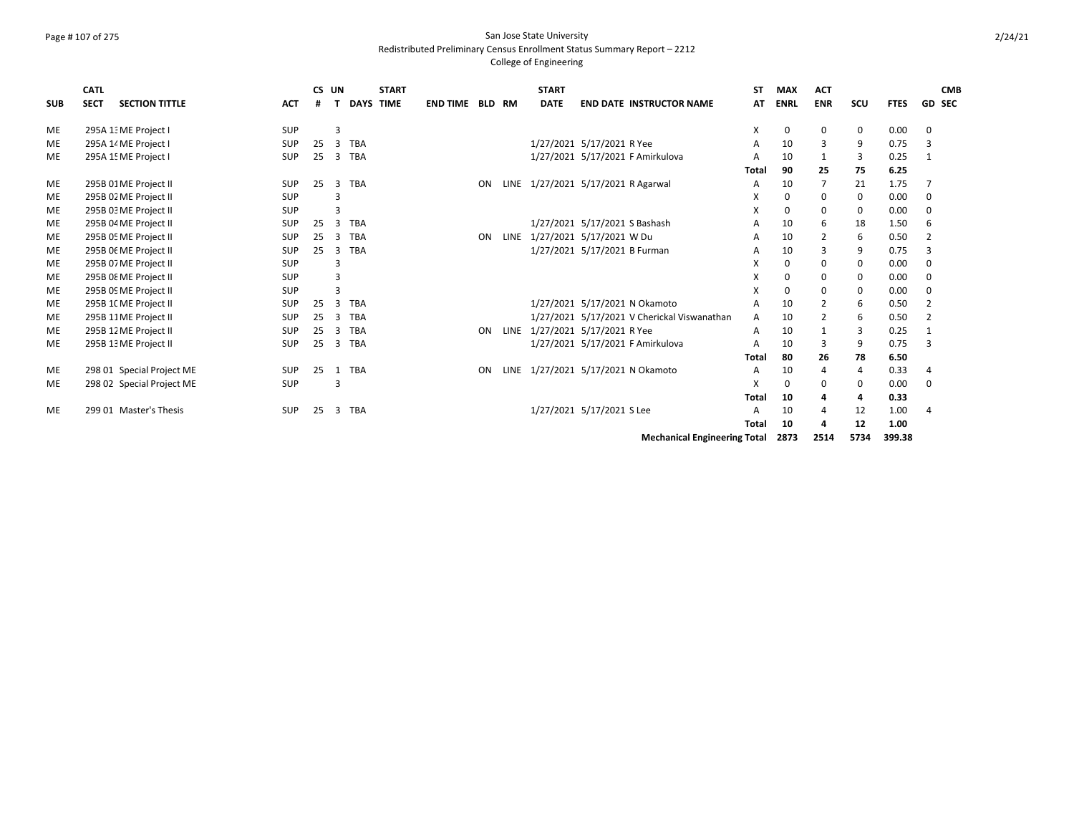## Page # 107 of 275 San Jose State University Redistributed Preliminary Census Enrollment Status Summary Report – 2212

### College of Engineering

|            | <b>CATL</b> |                           |            |    | CS UN           | <b>START</b>     |                 |               |      | <b>START</b> |                                             | <b>ST</b>    | <b>MAX</b>  | <b>ACT</b>     |     |             | <b>CMB</b>     |
|------------|-------------|---------------------------|------------|----|-----------------|------------------|-----------------|---------------|------|--------------|---------------------------------------------|--------------|-------------|----------------|-----|-------------|----------------|
| <b>SUB</b> | <b>SECT</b> | <b>SECTION TITTLE</b>     | <b>ACT</b> | #  |                 | <b>DAYS TIME</b> | <b>END TIME</b> | <b>BLD RM</b> |      | <b>DATE</b>  | <b>END DATE INSTRUCTOR NAME</b>             | AT           | <b>ENRL</b> | <b>ENR</b>     | scu | <b>FTES</b> | <b>GD SEC</b>  |
| <b>ME</b>  |             | 295A 1: ME Project I      | SUP        |    | 3               |                  |                 |               |      |              |                                             | X            | 0           | 0              | 0   | 0.00        | 0              |
| <b>ME</b>  |             | 295A 14 ME Project I      | <b>SUP</b> | 25 | <b>TBA</b><br>3 |                  |                 |               |      |              | 1/27/2021 5/17/2021 R Yee                   | A            | 10          | 3              | 9   | 0.75        | 3              |
| <b>ME</b>  |             | 295A 15 ME Project I      | <b>SUP</b> | 25 | <b>TBA</b><br>3 |                  |                 |               |      |              | 1/27/2021 5/17/2021 F Amirkulova            | A            | 10          |                | 3   | 0.25        | 1              |
|            |             |                           |            |    |                 |                  |                 |               |      |              |                                             | <b>Total</b> | 90          | 25             | 75  | 6.25        |                |
| <b>ME</b>  |             | 295B 01ME Project II      | SUP        | 25 | <b>TBA</b><br>3 |                  |                 | ON            |      |              | LINE 1/27/2021 5/17/2021 R Agarwal          | A            | 10          | $\overline{7}$ | 21  | 1.75        |                |
| ME         |             | 295B 02 ME Project II     | <b>SUP</b> |    | 3               |                  |                 |               |      |              |                                             | X            | $\Omega$    | 0              | 0   | 0.00        | 0              |
| <b>ME</b>  |             | 295B 03 ME Project II     | <b>SUP</b> |    | 3               |                  |                 |               |      |              |                                             | X            | $\Omega$    | 0              | 0   | 0.00        | $\Omega$       |
| <b>ME</b>  |             | 295B 04 ME Project II     | <b>SUP</b> | 25 | <b>TBA</b><br>3 |                  |                 |               |      |              | 1/27/2021 5/17/2021 S Bashash               | A            | 10          | 6              | 18  | 1.50        | 6              |
| <b>ME</b>  |             | 295B 05 ME Project II     | <b>SUP</b> | 25 | <b>TBA</b><br>3 |                  |                 | ON            | LINE |              | 1/27/2021 5/17/2021 W Du                    | A            | 10          | 2              | 6   | 0.50        | 2              |
| <b>ME</b>  |             | 295B 06 ME Project II     | SUP        | 25 | <b>TBA</b><br>3 |                  |                 |               |      |              | 1/27/2021 5/17/2021 B Furman                | A            | 10          | 3              | 9   | 0.75        | 3              |
| <b>ME</b>  |             | 295B 07 ME Project II     | SUP        |    | 3               |                  |                 |               |      |              |                                             | X            | $\Omega$    | $\Omega$       | 0   | 0.00        | $\Omega$       |
| <b>ME</b>  |             | 295B 08 ME Project II     | <b>SUP</b> |    | 3               |                  |                 |               |      |              |                                             | X            | $\Omega$    | 0              | 0   | 0.00        | 0              |
| ME         |             | 295B 09 ME Project II     | <b>SUP</b> |    | 3               |                  |                 |               |      |              |                                             | X            |             | 0              | 0   | 0.00        | $\Omega$       |
| <b>ME</b>  |             | 295B 1( ME Project II     | <b>SUP</b> | 25 | 3<br><b>TBA</b> |                  |                 |               |      |              | 1/27/2021 5/17/2021 N Okamoto               | A            | 10          | 2              | 6   | 0.50        |                |
| ME         |             | 295B 11ME Project II      | <b>SUP</b> | 25 | <b>TBA</b><br>3 |                  |                 |               |      |              | 1/27/2021 5/17/2021 V Cherickal Viswanathan | A            | 10          | $\overline{2}$ | 6   | 0.50        | 2              |
| <b>ME</b>  |             | 295B 12 ME Project II     | <b>SUP</b> | 25 | <b>TBA</b><br>3 |                  |                 | ON            | LINE |              | 1/27/2021 5/17/2021 R Yee                   | A            | 10          |                | 3   | 0.25        |                |
| <b>ME</b>  |             | 295B 13 ME Project II     | <b>SUP</b> | 25 | <b>TBA</b><br>3 |                  |                 |               |      |              | 1/27/2021 5/17/2021 F Amirkulova            | A            | 10          | 3              | 9   | 0.75        | 3              |
|            |             |                           |            |    |                 |                  |                 |               |      |              |                                             | <b>Total</b> | 80          | 26             | 78  | 6.50        |                |
| <b>ME</b>  |             | 298 01 Special Project ME | <b>SUP</b> | 25 | <b>TBA</b><br>1 |                  |                 | ON            | LINE |              | 1/27/2021 5/17/2021 N Okamoto               | A            | 10          | 4              | 4   | 0.33        | $\overline{4}$ |
| <b>ME</b>  |             | 298 02 Special Project ME | SUP        |    | 3               |                  |                 |               |      |              |                                             | x            | $\Omega$    | 0              | 0   | 0.00        | $\Omega$       |
|            |             |                           |            |    |                 |                  |                 |               |      |              |                                             | <b>Total</b> | 10          | 4              | 4   | 0.33        |                |
| <b>ME</b>  |             | 299 01 Master's Thesis    | <b>SUP</b> | 25 | <b>TBA</b><br>3 |                  |                 |               |      |              | 1/27/2021 5/17/2021 S Lee                   | А            | 10          | Δ              | 12  | 1.00        |                |
|            |             |                           |            |    |                 |                  |                 |               |      |              |                                             | Total        | 10          | 4              | 12  | 1.00        |                |

**Mechanical Engineering Total 2873 2514 5734 399.38**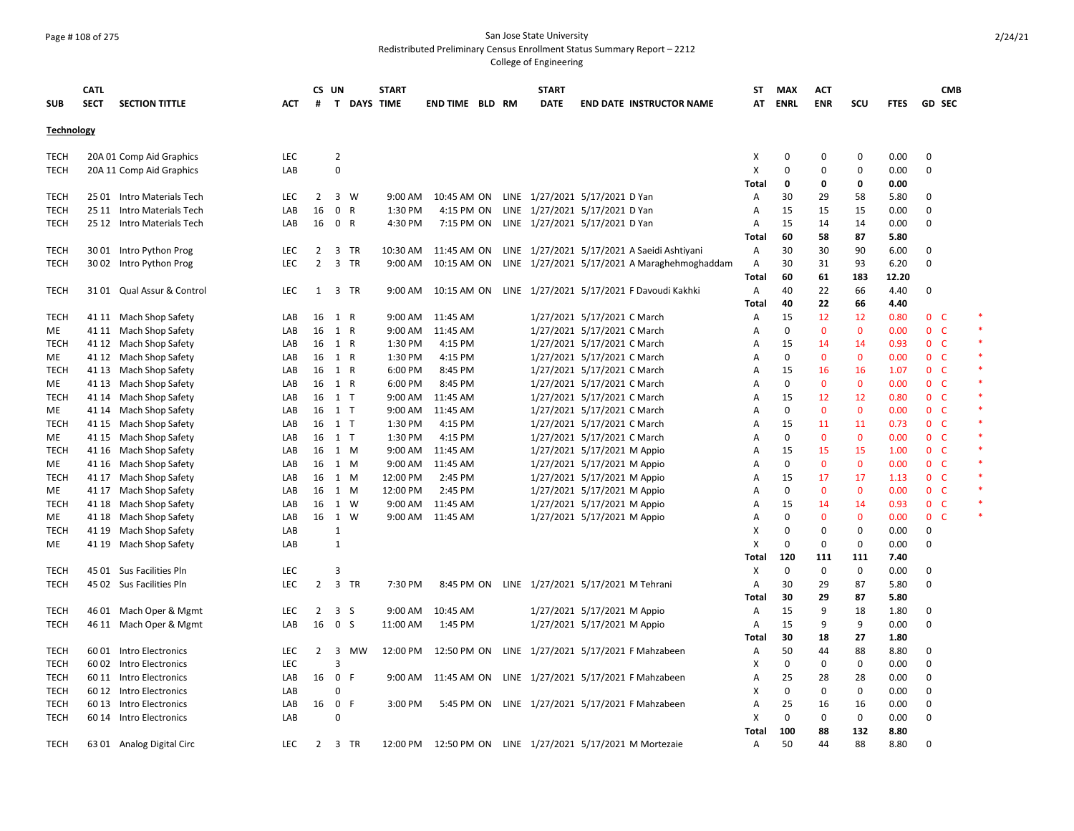#### Page # 108 of 275 San Jose State University Redistributed Preliminary Census Enrollment Status Summary Report – 2212

|                   | <b>CATL</b> |                            |            | CS UN          |                |    | <b>START</b>       |                        |  | <b>START</b>                                  |                             |                                                       | ST                        | <b>MAX</b>  | <b>ACT</b>        |              |             |                | <b>CMB</b> |
|-------------------|-------------|----------------------------|------------|----------------|----------------|----|--------------------|------------------------|--|-----------------------------------------------|-----------------------------|-------------------------------------------------------|---------------------------|-------------|-------------------|--------------|-------------|----------------|------------|
| <b>SUB</b>        | <b>SECT</b> | <b>SECTION TITTLE</b>      | <b>ACT</b> | #              |                |    | <b>T DAYS TIME</b> | <b>END TIME BLD RM</b> |  | <b>DATE</b>                                   |                             | <b>END DATE INSTRUCTOR NAME</b>                       | AT                        | <b>ENRL</b> | <b>ENR</b>        | SCU          | <b>FTES</b> | <b>GD SEC</b>  |            |
| <b>Technology</b> |             |                            |            |                |                |    |                    |                        |  |                                               |                             |                                                       |                           |             |                   |              |             |                |            |
| TECH              |             | 20A 01 Comp Aid Graphics   | <b>LEC</b> |                | $\overline{2}$ |    |                    |                        |  |                                               |                             |                                                       | X                         | 0           | 0                 | 0            | 0.00        | 0              |            |
| TECH              |             | 20A 11 Comp Aid Graphics   | LAB        |                | $\mathbf 0$    |    |                    |                        |  |                                               |                             |                                                       | X                         | 0           | $\Omega$          | 0            | 0.00        | 0              |            |
|                   |             |                            |            |                |                |    |                    |                        |  |                                               |                             |                                                       | Total                     | 0           | 0                 | 0            | 0.00        |                |            |
| TECH              |             | 25 01 Intro Materials Tech | <b>LEC</b> | 2              | 3 W            |    | 9:00 AM            | 10:45 AM ON            |  | LINE 1/27/2021 5/17/2021 D Yan                |                             |                                                       | A                         | 30          | 29                | 58           | 5.80        | 0              |            |
| TECH              |             | 25 11 Intro Materials Tech | LAB        | 16             | 0 R            |    | 1:30 PM            | 4:15 PM ON             |  | LINE 1/27/2021 5/17/2021 D Yan                |                             |                                                       | Α                         | 15          | 15                | 15           | 0.00        | 0              |            |
| TECH              |             | 25 12 Intro Materials Tech | LAB        | 16             | 0 R            |    | 4:30 PM            | 7:15 PM ON             |  | LINE 1/27/2021 5/17/2021 D Yan                |                             |                                                       | Α                         | 15          | 14                | 14           | 0.00        | 0              |            |
|                   |             |                            |            |                |                |    |                    |                        |  |                                               |                             |                                                       | Total                     | 60          | 58                | 87           | 5.80        |                |            |
| <b>TECH</b>       |             | 30 01 Intro Python Prog    | LEC        | 2              | 3 TR           |    | 10:30 AM           | 11:45 AM ON            |  |                                               |                             | LINE 1/27/2021 5/17/2021 A Saeidi Ashtiyani           | A                         | 30          | 30                | 90           | 6.00        | 0              |            |
| <b>TECH</b>       |             | 30 02 Intro Python Prog    | LEC        | $\overline{2}$ | 3 TR           |    | 9:00 AM            | 10:15 AM ON            |  |                                               |                             | LINE 1/27/2021 5/17/2021 A Maraghehmoghaddam          | Α                         | 30          | 31                | 93           | 6.20        | 0              |            |
|                   |             |                            |            |                |                |    |                    |                        |  |                                               |                             |                                                       | Total                     | 60          | 61                | 183          | 12.20       |                |            |
| <b>TECH</b>       |             | 3101 Qual Assur & Control  | <b>LEC</b> | 1              | 3 TR           |    | 9:00 AM            |                        |  |                                               |                             | 10:15 AM ON LINE 1/27/2021 5/17/2021 F Davoudi Kakhki | Α                         | 40          | 22                | 66           | 4.40        | $\Omega$       |            |
|                   |             |                            |            |                |                |    |                    |                        |  |                                               |                             |                                                       | Total                     | 40          | 22                | 66           | 4.40        |                |            |
| <b>TECH</b>       |             | 41 11 Mach Shop Safety     | LAB        | 16             | 1 R            |    |                    | 9:00 AM 11:45 AM       |  |                                               | 1/27/2021 5/17/2021 C March |                                                       | Α                         | 15          | 12                | 12           | 0.80        | 0 <sub>c</sub> | *          |
| ME                |             | 41 11 Mach Shop Safety     | LAB        | 16             | 1 R            |    | 9:00 AM            | 11:45 AM               |  |                                               | 1/27/2021 5/17/2021 C March |                                                       | Α                         | $\Omega$    | $\mathbf{0}$      | $\mathbf{0}$ | 0.00        | 0 <sub>c</sub> | $\ast$     |
| <b>TECH</b>       |             | 41 12 Mach Shop Safety     | LAB        |                | 16 1 R         |    | 1:30 PM            | 4:15 PM                |  |                                               | 1/27/2021 5/17/2021 C March |                                                       | Α                         | 15          | 14                | 14           | 0.93        | 0 <sup>o</sup> | $\ast$     |
| ME                |             | 41 12 Mach Shop Safety     | LAB        | 16             | 1 R            |    | 1:30 PM            | 4:15 PM                |  |                                               | 1/27/2021 5/17/2021 C March |                                                       | Α                         | $\Omega$    | $\mathbf{0}$      | $\mathbf{0}$ | 0.00        | 0 <sub>c</sub> |            |
| <b>TECH</b>       |             | 41 13 Mach Shop Safety     | LAB        |                | 16 1 R         |    | 6:00 PM            | 8:45 PM                |  |                                               | 1/27/2021 5/17/2021 C March |                                                       | Α                         | 15          | 16                | 16           | 1.07        | 0 <sub>c</sub> | $\ast$     |
| ME                |             | 41 13 Mach Shop Safety     | LAB        | 16             | 1 R            |    | 6:00 PM            | 8:45 PM                |  |                                               | 1/27/2021 5/17/2021 C March |                                                       | Α                         | $\mathbf 0$ | $\mathbf 0$       | 0            | 0.00        | 0 <sup>o</sup> | $\ast$     |
| TECH              |             | 41 14 Mach Shop Safety     | LAB        |                | 16 1 T         |    | 9:00 AM            | 11:45 AM               |  |                                               | 1/27/2021 5/17/2021 C March |                                                       | Α                         | 15          | 12                | 12           | 0.80        | 0 <sub>c</sub> | $\ast$     |
| ME                |             | 41 14 Mach Shop Safety     | LAB        |                | 16 1 T         |    | 9:00 AM            | 11:45 AM               |  |                                               | 1/27/2021 5/17/2021 C March |                                                       | Α                         | $\Omega$    | $\Omega$          | 0            | 0.00        | 0 <sup>o</sup> |            |
| TECH              |             | 41 15 Mach Shop Safety     | LAB        |                | 16 1 T         |    | 1:30 PM            | 4:15 PM                |  |                                               | 1/27/2021 5/17/2021 C March |                                                       | Α                         | 15          | 11                | 11           | 0.73        | 0 <sup>o</sup> | $\ast$     |
| <b>ME</b>         | 41 15       | Mach Shop Safety           | LAB        | 16             | $1$ T          |    | 1:30 PM            | 4:15 PM                |  |                                               | 1/27/2021 5/17/2021 C March |                                                       | A                         | $\Omega$    | $\mathbf{0}$      | $\mathbf{0}$ | 0.00        | 0 <sub>c</sub> | $\ast$     |
| TECH              |             | 41 16 Mach Shop Safety     | LAB        | 16             | 1 M            |    | 9:00 AM            | 11:45 AM               |  |                                               | 1/27/2021 5/17/2021 M Appio |                                                       | A                         | 15          | 15                | 15           | 1.00        | 0 <sub>c</sub> | $\ast$     |
| ME                |             | 41 16 Mach Shop Safety     | LAB        | 16             | 1 M            |    | 9:00 AM            | 11:45 AM               |  |                                               | 1/27/2021 5/17/2021 M Appio |                                                       | Α                         | $\Omega$    | $\mathbf{0}$      | $\mathbf{0}$ | 0.00        | 0 <sub>c</sub> |            |
| TECH              |             | 41 17 Mach Shop Safety     | LAB        | 16             | 1 M            |    | 12:00 PM           | 2:45 PM                |  |                                               | 1/27/2021 5/17/2021 M Appio |                                                       | Α                         | 15          | 17                | 17           | 1.13        | 0 <sup>o</sup> | $\ast$     |
| ME                |             | 41 17 Mach Shop Safety     | LAB        | 16             | 1 M            |    | 12:00 PM           | 2:45 PM                |  |                                               | 1/27/2021 5/17/2021 M Appio |                                                       | Α                         | $\Omega$    | $\Omega$          | $\Omega$     | 0.00        | 0 <sup>o</sup> |            |
| TECH              |             | 41 18 Mach Shop Safety     | LAB        | 16             | 1 W            |    | 9:00 AM            | 11:45 AM               |  |                                               | 1/27/2021 5/17/2021 M Appio |                                                       | A                         | 15          | 14                | 14           | 0.93        | 0 <sub>c</sub> |            |
| <b>ME</b>         |             | 41 18 Mach Shop Safety     | LAB        | 16             | 1 W            |    |                    | 9:00 AM 11:45 AM       |  |                                               | 1/27/2021 5/17/2021 M Appio |                                                       | A                         | $\Omega$    | $\mathbf{0}$      | $\mathbf{0}$ | 0.00        | 0 <sup>o</sup> | $\ast$     |
| <b>TECH</b>       |             | 41 19 Mach Shop Safety     | LAB        |                | $\mathbf{1}$   |    |                    |                        |  |                                               |                             |                                                       | X                         | 0           | $\mathbf 0$       | 0            | 0.00        | 0              |            |
| <b>ME</b>         |             | 41 19 Mach Shop Safety     | LAB        |                | $\mathbf{1}$   |    |                    |                        |  |                                               |                             |                                                       | X                         | 0           | 0                 | 0            | 0.00        | 0              |            |
|                   |             |                            |            |                |                |    |                    |                        |  |                                               |                             |                                                       | Total                     | 120         | 111               | 111          | 7.40        |                |            |
| <b>TECH</b>       |             | 45 01 Sus Facilities Pln   | LEC        |                | 3              |    |                    |                        |  |                                               |                             |                                                       | X                         | 0           | 0                 | 0            | 0.00        | 0              |            |
| TECH              |             | 45 02 Sus Facilities Pln   | <b>LEC</b> | 2              | 3 TR           |    | 7:30 PM            |                        |  | 8:45 PM ON LINE 1/27/2021 5/17/2021 M Tehrani |                             |                                                       | A                         | 30          | 29                | 87           | 5.80        | $\Omega$       |            |
|                   |             |                            |            |                |                |    |                    |                        |  |                                               |                             |                                                       | Total                     | 30          | 29                | 87           | 5.80        |                |            |
| <b>TECH</b>       |             | 46 01 Mach Oper & Mgmt     | LEC        | $\overline{2}$ | 3 <sub>5</sub> |    | 9:00 AM            | 10:45 AM               |  |                                               | 1/27/2021 5/17/2021 M Appio |                                                       | Α                         | 15          | 9                 | 18           | 1.80        | 0              |            |
| <b>TECH</b>       |             | 46 11 Mach Oper & Mgmt     | LAB        | 16             | 0 <sup>5</sup> |    | 11:00 AM           | 1:45 PM                |  |                                               | 1/27/2021 5/17/2021 M Appio |                                                       | A                         | 15          | 9                 | 9            | 0.00        | 0              |            |
|                   |             |                            |            |                |                |    |                    |                        |  |                                               |                             |                                                       |                           | 30          |                   |              |             |                |            |
|                   |             |                            |            | $\overline{2}$ |                |    |                    |                        |  |                                               |                             |                                                       | Total                     | 50          | 18                | 27<br>88     | 1.80        |                |            |
| TECH              | 60 01       | Intro Electronics          | <b>LEC</b> |                | 3<br>3         | мw | 12:00 PM           | 12:50 PM ON            |  |                                               |                             | LINE 1/27/2021 5/17/2021 F Mahzabeen                  | A                         |             | 44<br>$\mathbf 0$ |              | 8.80        | 0              |            |
| TECH              |             | 60 02 Intro Electronics    | LEC        |                | 0 F            |    | 9:00 AM            |                        |  |                                               |                             |                                                       | Х                         | 0<br>25     |                   | 0            | 0.00        | 0              |            |
| <b>TECH</b>       |             | 60 11 Intro Electronics    | LAB        | 16             |                |    |                    | 11:45 AM ON            |  |                                               |                             | LINE 1/27/2021 5/17/2021 F Mahzabeen                  | Α                         |             | 28                | 28           | 0.00        | 0              |            |
| TECH              |             | 60 12 Intro Electronics    | LAB        |                | $\Omega$       |    |                    |                        |  |                                               |                             |                                                       | х                         | $\mathbf 0$ | $\mathbf 0$       | 0            | 0.00        | 0              |            |
| TECH              | 60 13       | Intro Electronics          | LAB        | 16             | 0<br>-F        |    | 3:00 PM            | 5:45 PM ON             |  |                                               |                             | LINE 1/27/2021 5/17/2021 F Mahzabeen                  | Α                         | 25          | 16                | 16           | 0.00        | 0              |            |
| <b>TECH</b>       |             | 60 14 Intro Electronics    | LAB        |                | $\Omega$       |    |                    |                        |  |                                               |                             |                                                       | $\boldsymbol{\mathsf{X}}$ | 0           | $\mathbf 0$       | 0            | 0.00        | 0              |            |
|                   |             |                            |            |                |                |    |                    |                        |  |                                               |                             |                                                       | Total                     | 100         | 88                | 132          | 8.80        |                |            |
| <b>TECH</b>       |             | 63 01 Analog Digital Circ  | <b>LEC</b> | $\overline{2}$ | 3 TR           |    | 12:00 PM           |                        |  |                                               |                             | 12:50 PM ON LINE 1/27/2021 5/17/2021 M Mortezaie      | Α                         | 50          | 44                | 88           | 8.80        | $\Omega$       |            |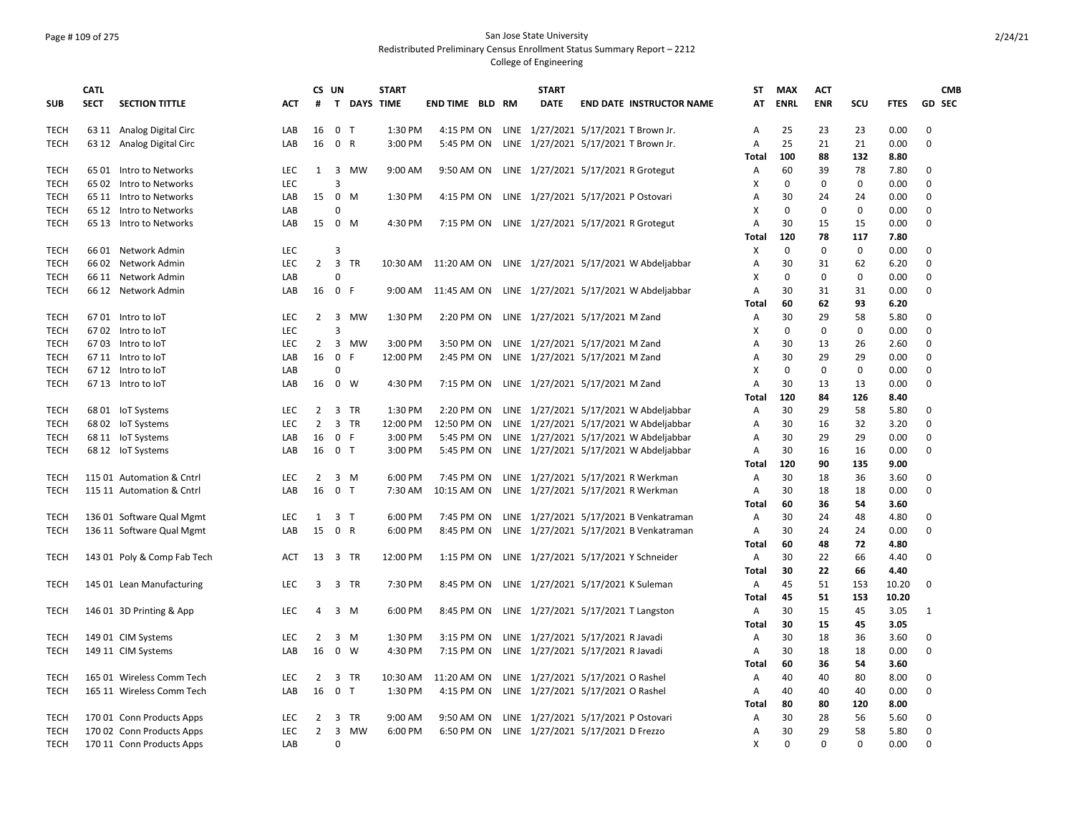# Page # 109 of 275 San Jose State University Redistributed Preliminary Census Enrollment Status Summary Report – 2212

|             | <b>CATL</b> |                             |            |                | CS UN                   |              | <b>START</b> |                        |  | <b>START</b>                        |                                                             | ST           | <b>MAX</b>  | <b>ACT</b> |             |             | <b>CMB</b>    |
|-------------|-------------|-----------------------------|------------|----------------|-------------------------|--------------|--------------|------------------------|--|-------------------------------------|-------------------------------------------------------------|--------------|-------------|------------|-------------|-------------|---------------|
| <b>SUB</b>  | <b>SECT</b> | <b>SECTION TITTLE</b>       | <b>ACT</b> | #              |                         | T DAYS TIME  |              | <b>END TIME BLD RM</b> |  | <b>DATE</b>                         | <b>END DATE INSTRUCTOR NAME</b>                             | AT           | <b>ENRL</b> | <b>ENR</b> | scu         | <b>FTES</b> | <b>GD SEC</b> |
| <b>TECH</b> |             | 63 11 Analog Digital Circ   | LAB        | 16             | 0 <sub>T</sub>          |              | 1:30 PM      | 4:15 PM ON             |  |                                     | LINE 1/27/2021 5/17/2021 T Brown Jr.                        | Α            | 25          | 23         | 23          | 0.00        | 0             |
| <b>TECH</b> |             | 63 12 Analog Digital Circ   | LAB        | 16             | $\mathbf 0$             | $\mathsf{R}$ | 3:00 PM      | 5:45 PM ON             |  |                                     | LINE 1/27/2021 5/17/2021 T Brown Jr.                        | A            | 25          | 21         | 21          | 0.00        | $\mathbf 0$   |
|             |             |                             |            |                |                         |              |              |                        |  |                                     |                                                             | <b>Total</b> | 100         | 88         | 132         | 8.80        |               |
| <b>TECH</b> |             | 65 01 Intro to Networks     | <b>LEC</b> | $\mathbf{1}$   | 3                       | MW           | $9:00$ AM    | 9:50 AM ON             |  |                                     | LINE 1/27/2021 5/17/2021 R Grotegut                         | A            | 60          | 39         | 78          | 7.80        | 0             |
| <b>TECH</b> |             | 65 02 Intro to Networks     | LEC        |                | 3                       |              |              |                        |  |                                     |                                                             | x            | $\Omega$    | $\Omega$   | $\Omega$    | 0.00        | $\Omega$      |
| <b>TECH</b> |             | 65 11 Intro to Networks     | LAB        | 15             | $\mathbf 0$             | M            | 1:30 PM      | 4:15 PM ON             |  | LINE 1/27/2021 5/17/2021 P Ostovari |                                                             | A            | 30          | 24         | 24          | 0.00        | 0             |
| <b>TECH</b> |             | 65 12 Intro to Networks     | LAB        |                | $\Omega$                |              |              |                        |  |                                     |                                                             | X            | $\Omega$    | $\Omega$   | $\mathbf 0$ | 0.00        | 0             |
| <b>TECH</b> |             | 65 13 Intro to Networks     | LAB        | 15             | 0                       | M            | 4:30 PM      | 7:15 PM ON             |  |                                     | LINE 1/27/2021 5/17/2021 R Grotegut                         | A            | 30          | 15         | 15          | 0.00        | $\Omega$      |
|             |             |                             |            |                |                         |              |              |                        |  |                                     |                                                             | Total        | 120         | 78         | 117         | 7.80        |               |
| <b>TECH</b> |             | 66 01 Network Admin         | <b>LEC</b> |                | 3                       |              |              |                        |  |                                     |                                                             | X            | $\Omega$    | $\Omega$   | $\mathbf 0$ | 0.00        | $\Omega$      |
| <b>TECH</b> |             | 66 02 Network Admin         | LEC        | $\overline{2}$ | 3                       | <b>TR</b>    |              |                        |  |                                     | 10:30 AM 11:20 AM ON LINE 1/27/2021 5/17/2021 W Abdeljabbar | Α            | 30          | 31         | 62          | 6.20        | 0             |
| TECH        |             | 66 11 Network Admin         | LAB        |                | 0                       |              |              |                        |  |                                     |                                                             | X            | $\Omega$    | 0          | $\mathbf 0$ | 0.00        | 0             |
| <b>TECH</b> |             | 66 12 Network Admin         | LAB        | 16             | $\mathbf 0$             | F            |              |                        |  |                                     | 9:00 AM 11:45 AM ON LINE 1/27/2021 5/17/2021 W Abdeljabbar  | A            | 30          | 31         | 31          | 0.00        | $\Omega$      |
|             |             |                             |            |                |                         |              |              |                        |  |                                     |                                                             | Total        | 60          | 62         | 93          | 6.20        |               |
| TECH        |             | 6701 Intro to loT           | <b>LEC</b> | 2              | 3                       | MW           | 1:30 PM      | 2:20 PM ON             |  | LINE 1/27/2021 5/17/2021 M Zand     |                                                             | A            | 30          | 29         | 58          | 5.80        | 0             |
| TECH        |             | 67 02 Intro to loT          | LEC        |                | $\overline{3}$          |              |              |                        |  |                                     |                                                             | X            | $\Omega$    | 0          | 0           | 0.00        | 0             |
| <b>TECH</b> |             | 67 03 Intro to loT          | <b>LEC</b> | 2              | 3                       | MW           | 3:00 PM      | 3:50 PM ON             |  | LINE 1/27/2021 5/17/2021 M Zand     |                                                             | А            | 30          | 13         | 26          | 2.60        | 0             |
| TECH        |             | 67 11 Intro to IoT          | LAB        | 16             | 0                       | F            | 12:00 PM     | 2:45 PM ON             |  | LINE 1/27/2021 5/17/2021 M Zand     |                                                             | A            | 30          | 29         | 29          | 0.00        | 0             |
| <b>TECH</b> |             | 67 12 Intro to IoT          | LAB        |                | 0                       |              |              |                        |  |                                     |                                                             | X            | 0           | 0          | 0           | 0.00        | 0             |
| TECH        |             | 67 13 Intro to loT          | LAB        | 16             | 0                       | W            | 4:30 PM      | 7:15 PM ON             |  | LINE 1/27/2021 5/17/2021 M Zand     |                                                             | A            | 30          | 13         | 13          | 0.00        | 0             |
|             |             |                             |            |                |                         |              |              |                        |  |                                     |                                                             | Total        | 120         | 84         | 126         | 8.40        |               |
| <b>TECH</b> |             | 68 01 IoT Systems           | <b>LEC</b> | 2              | 3                       | TR           | 1:30 PM      | 2:20 PM ON             |  |                                     | LINE 1/27/2021 5/17/2021 W Abdeljabbar                      | Α            | 30          | 29         | 58          | 5.80        | 0             |
| <b>TECH</b> |             | 68 02 IoT Systems           | LEC        | 2              | $\overline{3}$          | <b>TR</b>    | 12:00 PM     | 12:50 PM ON            |  |                                     | LINE 1/27/2021 5/17/2021 W Abdeljabbar                      | A            | 30          | 16         | 32          | 3.20        | 0             |
| <b>TECH</b> |             | 68 11 IoT Systems           | LAB        | 16             | $\mathbf 0$             | F            | 3:00 PM      | 5:45 PM ON             |  |                                     | LINE 1/27/2021 5/17/2021 W Abdeljabbar                      | A            | 30          | 29         | 29          | 0.00        | 0             |
| <b>TECH</b> |             | 68 12 IoT Systems           | LAB        |                | 16 0 T                  |              | 3:00 PM      | 5:45 PM ON             |  |                                     | LINE 1/27/2021 5/17/2021 W Abdeljabbar                      | Α            | 30          | 16         | 16          | 0.00        | 0             |
|             |             |                             |            |                |                         |              |              |                        |  |                                     |                                                             | Total        | 120         | 90         | 135         | 9.00        |               |
| <b>TECH</b> |             | 115 01 Automation & Cntrl   | <b>LEC</b> | 2              | 3                       | M            | 6:00 PM      | 7:45 PM ON             |  |                                     | LINE 1/27/2021 5/17/2021 R Werkman                          | Α            | 30          | 18         | 36          | 3.60        | 0             |
| <b>TECH</b> |             | 115 11 Automation & Cntrl   | LAB        | 16             | 0 <sub>T</sub>          |              | 7:30 AM      | 10:15 AM ON            |  |                                     | LINE 1/27/2021 5/17/2021 R Werkman                          | Α            | 30          | 18         | 18          | 0.00        | 0             |
|             |             |                             |            |                |                         |              |              |                        |  |                                     |                                                             | Total        | 60          | 36         | 54          | 3.60        |               |
| <b>TECH</b> |             | 136 01 Software Qual Mgmt   | LEC        | 1              | 3                       | $\top$       | 6:00 PM      | 7:45 PM ON             |  |                                     | LINE 1/27/2021 5/17/2021 B Venkatraman                      | Α            | 30          | 24         | 48          | 4.80        | 0             |
| <b>TECH</b> |             | 136 11 Software Qual Mgmt   | LAB        | 15             | 0 R                     |              | 6:00 PM      | 8:45 PM ON             |  |                                     | LINE 1/27/2021 5/17/2021 B Venkatraman                      | Α            | 30          | 24         | 24          | 0.00        | 0             |
|             |             |                             |            |                |                         |              |              |                        |  |                                     |                                                             | Total        | 60          | 48         | 72          | 4.80        |               |
| <b>TECH</b> |             | 143 01 Poly & Comp Fab Tech | ACT        | 13             | 3 TR                    |              | 12:00 PM     | 1:15 PM ON             |  |                                     | LINE 1/27/2021 5/17/2021 Y Schneider                        | Α            | 30          | 22         | 66          | 4.40        | 0             |
|             |             |                             |            |                |                         |              |              |                        |  |                                     |                                                             | Total        | 30          | 22         | 66          | 4.40        |               |
| <b>TECH</b> |             | 145 01 Lean Manufacturing   | <b>LEC</b> | 3              | $\overline{\mathbf{3}}$ | TR           | 7:30 PM      | 8:45 PM ON             |  | LINE 1/27/2021 5/17/2021 K Suleman  |                                                             | Α            | 45          | 51         | 153         | 10.20       | $\Omega$      |
|             |             |                             |            |                |                         |              |              |                        |  |                                     |                                                             | Total        | 45          | 51         | 153         | 10.20       |               |
| TECH        |             | 146 01 3D Printing & App    | <b>LEC</b> | 4              | $\overline{\mathbf{3}}$ | M            | 6:00 PM      | 8:45 PM ON             |  |                                     | LINE 1/27/2021 5/17/2021 T Langston                         | A            | 30          | 15         | 45          | 3.05        | 1             |
|             |             |                             |            |                |                         |              |              |                        |  |                                     |                                                             | Total        | 30          | 15         | 45          | 3.05        |               |
| <b>TECH</b> |             | 149 01 CIM Systems          | <b>LEC</b> | 2              | 3                       | M            | 1:30 PM      | 3:15 PM ON             |  | LINE 1/27/2021 5/17/2021 R Javadi   |                                                             | A            | 30          | 18         | 36          | 3.60        | 0             |
| <b>TECH</b> |             |                             | LAB        | 16             | $\mathbf 0$             | W            | 4:30 PM      | 7:15 PM ON             |  | LINE 1/27/2021 5/17/2021 R Javadi   |                                                             | A            | 30          | 18         | 18          | 0.00        | 0             |
|             |             | 149 11 CIM Systems          |            |                |                         |              |              |                        |  |                                     |                                                             | Total        | 60          | 36         | 54          | 3.60        |               |
| <b>TECH</b> |             | 165 01 Wireless Comm Tech   | <b>LEC</b> | 2              | 3                       | <b>TR</b>    | 10:30 AM     | 11:20 AM ON            |  | LINE 1/27/2021 5/17/2021 O Rashel   |                                                             | A            | 40          | 40         | 80          | 8.00        | 0             |
| <b>TECH</b> |             | 165 11 Wireless Comm Tech   |            | 16             | $\mathbf 0$             | $\mathsf{T}$ | 1:30 PM      |                        |  |                                     |                                                             |              | 40          | 40         | 40          | 0.00        | $\Omega$      |
|             |             |                             | LAB        |                |                         |              |              | 4:15 PM ON             |  | LINE 1/27/2021 5/17/2021 O Rashel   |                                                             | A            |             |            |             |             |               |
|             |             |                             |            |                |                         |              |              |                        |  |                                     |                                                             | Total        | 80          | 80         | 120         | 8.00        |               |
| <b>TECH</b> |             | 170 01 Conn Products Apps   | <b>LEC</b> | 2              | 3                       | TR           | $9:00$ AM    | 9:50 AM ON             |  | LINE 1/27/2021 5/17/2021 P Ostovari |                                                             | A            | 30          | 28         | 56          | 5.60        | 0             |
| TECH        |             | 170 02 Conn Products Apps   | <b>LEC</b> | 2              | 3                       | MW           | 6:00 PM      | 6:50 PM ON             |  | LINE 1/27/2021 5/17/2021 D Frezzo   |                                                             | Α            | 30          | 29         | 58          | 5.80        | 0             |
| TECH        |             | 170 11 Conn Products Apps   | LAB        |                | $\Omega$                |              |              |                        |  |                                     |                                                             | X            | 0           | $\Omega$   | $\Omega$    | 0.00        | $\Omega$      |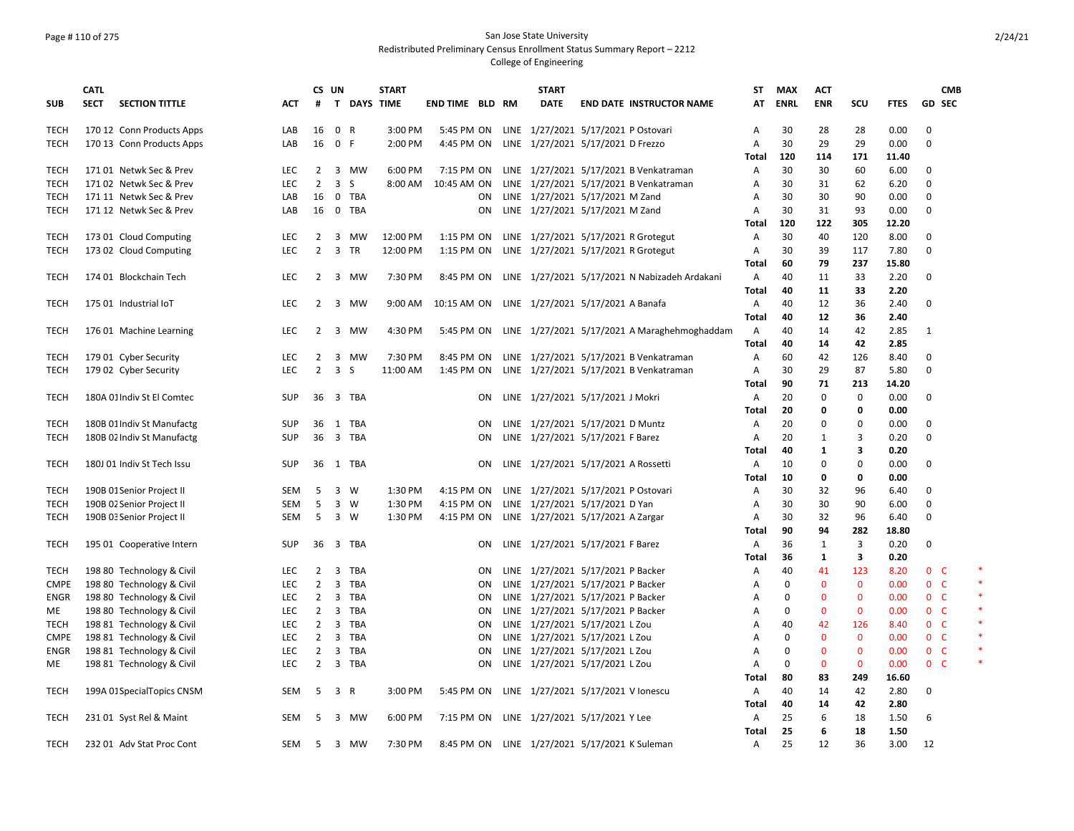## Page # 110 of 275 San Jose State University Redistributed Preliminary Census Enrollment Status Summary Report – 2212

|                            | <b>CATL</b> |                                                   |            | CS UN                            |                         |              | <b>START</b> |                        |           | <b>START</b>                                  |                                               | <b>ST</b>      | <b>MAX</b>  | <b>ACT</b>   |              |              |                | <b>CMB</b> |
|----------------------------|-------------|---------------------------------------------------|------------|----------------------------------|-------------------------|--------------|--------------|------------------------|-----------|-----------------------------------------------|-----------------------------------------------|----------------|-------------|--------------|--------------|--------------|----------------|------------|
| <b>SUB</b>                 | <b>SECT</b> | <b>SECTION TITTLE</b>                             | <b>ACT</b> | #                                |                         | T DAYS TIME  |              | <b>END TIME BLD RM</b> |           | <b>DATE</b>                                   | <b>END DATE INSTRUCTOR NAME</b>               | AT             | <b>ENRL</b> | <b>ENR</b>   | scu          | <b>FTES</b>  | GD SEC         |            |
| TECH                       |             | 170 12 Conn Products Apps                         | LAB        | 16                               | 0 R                     |              | 3:00 PM      | 5:45 PM ON             |           | LINE 1/27/2021 5/17/2021 P Ostovari           |                                               | A              | 30          | 28           | 28           | 0.00         | 0              |            |
| <b>TECH</b>                |             | 170 13 Conn Products Apps                         | LAB        | 16                               | 0 F                     |              | 2:00 PM      | 4:45 PM ON             |           | LINE 1/27/2021 5/17/2021 D Frezzo             |                                               | $\overline{A}$ | 30          | 29           | 29           | 0.00         | 0              |            |
|                            |             |                                                   |            |                                  |                         |              |              |                        |           |                                               |                                               | Total          | 120<br>30   | 114          | 171<br>60    | 11.40        |                |            |
| TECH                       |             | 17101 Netwk Sec & Prev                            | LEC        | $\overline{2}$<br>$\overline{2}$ | $\overline{\mathbf{3}}$ | 3 MW<br>S    | 6:00 PM      | 7:15 PM ON             |           |                                               | LINE 1/27/2021 5/17/2021 B Venkatraman        | Α              | 30          | 30           |              | 6.00         | 0<br>0         |            |
| <b>TECH</b><br><b>TECH</b> |             | 17102 Netwk Sec & Prev<br>171 11 Netwk Sec & Prev | LEC<br>LAB | 16                               |                         | 0 TBA        | 8:00 AM      | 10:45 AM ON            | ON        | LINE 1/27/2021 5/17/2021 M Zand               | LINE 1/27/2021 5/17/2021 B Venkatraman        | Α              | 30          | 31<br>30     | 62<br>90     | 6.20<br>0.00 | 0              |            |
| <b>TECH</b>                |             | 171 12 Netwk Sec & Prev                           | LAB        |                                  |                         | 16 0 TBA     |              |                        | ON        | LINE 1/27/2021 5/17/2021 M Zand               |                                               | A<br>A         | 30          | 31           | 93           | 0.00         | 0              |            |
|                            |             |                                                   |            |                                  |                         |              |              |                        |           |                                               |                                               | Total          | 120         | 122          | 305          | 12.20        |                |            |
| <b>TECH</b>                |             | 173 01 Cloud Computing                            | LEC        | $\overline{2}$                   |                         | 3 MW         | 12:00 PM     | 1:15 PM ON             |           |                                               | LINE 1/27/2021 5/17/2021 R Grotegut           | A              | 30          | 40           | 120          | 8.00         | 0              |            |
| <b>TECH</b>                |             | 173 02 Cloud Computing                            | <b>LEC</b> | $\overline{2}$                   | $\overline{3}$          | <b>TR</b>    | 12:00 PM     | 1:15 PM ON             |           |                                               | LINE 1/27/2021 5/17/2021 R Grotegut           | Α              | 30          | 39           | 117          | 7.80         | 0              |            |
|                            |             |                                                   |            |                                  |                         |              |              |                        |           |                                               |                                               | <b>Total</b>   | 60          | 79           | 237          | 15.80        |                |            |
| TECH                       |             | 174 01 Blockchain Tech                            | LEC        | 2                                | 3                       | MW           | 7:30 PM      | 8:45 PM ON             |           |                                               | LINE 1/27/2021 5/17/2021 N Nabizadeh Ardakani | $\overline{A}$ | 40          | 11           | 33           | 2.20         | 0              |            |
|                            |             |                                                   |            |                                  |                         |              |              |                        |           |                                               |                                               | <b>Total</b>   | 40          | 11           | 33           | 2.20         |                |            |
| TECH                       |             | 175 01 Industrial IoT                             | LEC        | $\overline{2}$                   | 3                       | MW           | 9:00 AM      | 10:15 AM ON            |           | LINE 1/27/2021 5/17/2021 A Banafa             |                                               | A              | 40          | 12           | 36           | 2.40         | 0              |            |
|                            |             |                                                   |            |                                  |                         |              |              |                        |           |                                               |                                               | <b>Total</b>   | 40          | 12           | 36           | 2.40         |                |            |
| <b>TECH</b>                |             | 176 01 Machine Learning                           | LEC        | 2                                | 3                       | MW           | 4:30 PM      | 5:45 PM ON             |           |                                               | LINE 1/27/2021 5/17/2021 A Maraghehmoghaddam  | $\overline{A}$ | 40          | 14           | 42           | 2.85         | 1              |            |
|                            |             |                                                   |            |                                  |                         |              |              |                        |           |                                               |                                               | <b>Total</b>   | 40          | 14           | 42           | 2.85         |                |            |
| <b>TECH</b>                |             | 179 01 Cyber Security                             | LEC        | 2                                | 3                       | <b>MW</b>    | 7:30 PM      | 8:45 PM ON             |           |                                               | LINE 1/27/2021 5/17/2021 B Venkatraman        | Α              | 60          | 42           | 126          | 8.40         | 0              |            |
| <b>TECH</b>                |             | 179 02 Cyber Security                             | <b>LEC</b> | $\overline{2}$                   | $\overline{3}$          | <sub>S</sub> | 11:00 AM     | 1:45 PM ON             |           |                                               | LINE 1/27/2021 5/17/2021 B Venkatraman        | Α              | 30          | 29           | 87           | 5.80         | 0              |            |
|                            |             |                                                   |            |                                  |                         |              |              |                        |           |                                               |                                               | Total          | 90          | 71           | 213          | 14.20        |                |            |
| <b>TECH</b>                |             | 180A 01 Indiv St El Comtec                        | <b>SUP</b> |                                  |                         | 36 3 TBA     |              |                        | ON        | LINE 1/27/2021 5/17/2021 J Mokri              |                                               | A              | 20          | 0            | 0            | 0.00         | 0              |            |
|                            |             |                                                   |            |                                  |                         |              |              |                        |           |                                               |                                               | Total          | 20          | 0            | 0            | 0.00         |                |            |
| <b>TECH</b>                |             | 180B 01 Indiv St Manufactg                        | SUP        | 36                               |                         | 1 TBA        |              |                        | ON        | LINE 1/27/2021 5/17/2021 D Muntz              |                                               | Α              | 20          | $\mathbf 0$  | $\Omega$     | 0.00         | 0              |            |
| <b>TECH</b>                |             | 180B 02 Indiv St Manufactg                        | <b>SUP</b> | 36                               | $\overline{3}$          | TBA          |              |                        | ON        | LINE 1/27/2021 5/17/2021 F Barez              |                                               | A              | 20          | $\mathbf{1}$ | 3            | 0.20         | 0              |            |
|                            |             |                                                   |            |                                  |                         |              |              |                        |           |                                               |                                               | <b>Total</b>   | 40          | $\mathbf{1}$ | 3            | 0.20         |                |            |
| <b>TECH</b>                |             | 180J 01 Indiv St Tech Issu                        | SUP        | 36                               |                         | 1 TBA        |              |                        | ON        | LINE 1/27/2021 5/17/2021 A Rossetti           |                                               | A              | 10          | 0            | $\Omega$     | 0.00         | 0              |            |
|                            |             |                                                   |            |                                  |                         |              |              |                        |           |                                               |                                               | Total          | 10          | 0            | 0            | 0.00         |                |            |
| TECH                       |             | 190B 01 Senior Project II                         | <b>SEM</b> | 5                                | $\overline{3}$          | W            | 1:30 PM      | 4:15 PM ON             |           | LINE 1/27/2021 5/17/2021 P Ostovari           |                                               | Α              | 30          | 32           | 96           | 6.40         | 0              |            |
| <b>TECH</b>                |             | 190B 02 Senior Project II                         | SEM        | 5                                | 3 W                     |              | 1:30 PM      | 4:15 PM ON             |           | LINE 1/27/2021 5/17/2021 D Yan                |                                               | Α              | 30          | 30           | 90           | 6.00         | 0              |            |
| <b>TECH</b>                |             | 190B 03 Senior Project II                         | SEM        | -5                               | 3 W                     |              | 1:30 PM      | 4:15 PM ON             |           | LINE 1/27/2021 5/17/2021 A Zargar             |                                               | A              | 30          | 32           | 96           | 6.40         | 0              |            |
|                            |             |                                                   |            |                                  |                         |              |              |                        |           |                                               |                                               | <b>Total</b>   | 90          | 94           | 282          | 18.80        |                |            |
| <b>TECH</b>                |             | 195 01 Cooperative Intern                         | <b>SUP</b> | 36                               | 3                       | TBA          |              |                        | <b>ON</b> | LINE 1/27/2021 5/17/2021 F Barez              |                                               | A              | 36          | 1            | 3            | 0.20         | 0              |            |
|                            |             |                                                   |            |                                  |                         |              |              |                        |           |                                               |                                               | Total          | 36          | $\mathbf{1}$ | 3            | 0.20         |                |            |
| <b>TECH</b>                |             | 198 80 Technology & Civil                         | <b>LEC</b> | 2                                | 3                       | <b>TBA</b>   |              |                        | ON.       | LINE 1/27/2021 5/17/2021 P Backer             |                                               | Α              | 40          | 41           | 123          | 8.20         | 0 <sub>c</sub> |            |
| <b>CMPE</b>                |             | 198 80 Technology & Civil                         | <b>LEC</b> | 2                                | 3                       | <b>TBA</b>   |              |                        | ON        | LINE 1/27/2021 5/17/2021 P Backer             |                                               | A              | 0           | $\mathbf 0$  | $\mathbf{0}$ | 0.00         | $0-$           |            |
| <b>ENGR</b>                |             | 198 80 Technology & Civil                         | <b>LEC</b> | 2                                | 3                       | <b>TBA</b>   |              |                        | ON        | LINE 1/27/2021 5/17/2021 P Backer             |                                               | A              | $\Omega$    | $\mathbf 0$  | $\mathbf 0$  | 0.00         | $0-$           |            |
| ME                         |             | 198 80 Technology & Civil                         | LEC        | $\overline{2}$                   | $\overline{\mathbf{3}}$ | TBA          |              |                        | ON.       | LINE 1/27/2021 5/17/2021 P Backer             |                                               | Α              | 0           | $\mathbf 0$  | $\mathbf 0$  | 0.00         | 0 <sup>o</sup> |            |
| <b>TECH</b>                |             | 198 81 Technology & Civil                         | LEC        | $\overline{2}$                   | $\overline{\mathbf{3}}$ | <b>TBA</b>   |              |                        | <b>ON</b> | LINE 1/27/2021 5/17/2021 L Zou                |                                               | Α              | 40          | 42           | 126          | 8.40         | 0 <sup>o</sup> |            |
| <b>CMPE</b>                |             | 198 81 Technology & Civil                         | <b>LEC</b> | $\overline{2}$                   | $\overline{3}$          | TBA          |              |                        | <b>ON</b> | LINE 1/27/2021 5/17/2021 L Zou                |                                               | A              | 0           | $\mathbf 0$  | $\mathbf{0}$ | 0.00         | $0-$           |            |
| ENGR                       |             | 198 81 Technology & Civil                         | LEC        | $\overline{2}$                   | 3                       | <b>TBA</b>   |              |                        | <b>ON</b> | LINE 1/27/2021 5/17/2021 L Zou                |                                               | A              | 0           | $\mathbf{0}$ | $\mathbf 0$  | 0.00         | 0 <sup>o</sup> |            |
| ME                         |             | 198 81 Technology & Civil                         | <b>LEC</b> | $\overline{2}$                   |                         | 3 TBA        |              |                        | ON        | LINE 1/27/2021 5/17/2021 L Zou                |                                               | Α              | 0           | $\mathbf 0$  | $\mathbf{0}$ | 0.00         | 0 <sub>c</sub> |            |
|                            |             |                                                   |            |                                  |                         |              |              |                        |           |                                               |                                               | Total          | 80          | 83           | 249          | 16.60        |                |            |
| <b>TECH</b>                |             | 199A 01 Special Topics CNSM                       | SEM        | 5                                | 3 R                     |              | 3:00 PM      | 5:45 PM ON             |           | LINE 1/27/2021 5/17/2021 V lonescu            |                                               | A              | 40          | 14           | 42           | 2.80         | 0              |            |
|                            |             |                                                   |            |                                  |                         |              |              |                        |           |                                               |                                               | Total          | 40          | 14           | 42           | 2.80         |                |            |
| <b>TECH</b>                |             | 231 01 Syst Rel & Maint                           | SEM        | -5                               |                         | 3 MW         | 6:00 PM      | 7:15 PM ON             |           | LINE 1/27/2021 5/17/2021 Y Lee                |                                               | A              | 25          | 6            | 18           | 1.50         | 6              |            |
|                            |             |                                                   |            |                                  |                         |              |              |                        |           |                                               |                                               | Total          | 25          | 6            | 18           | 1.50         |                |            |
| <b>TECH</b>                |             | 232 01 Adv Stat Proc Cont                         | SEM        | 5                                |                         | 3 MW         | 7:30 PM      |                        |           | 8:45 PM ON LINE 1/27/2021 5/17/2021 K Suleman |                                               | Α              | 25          | 12           | 36           | 3.00         | 12             |            |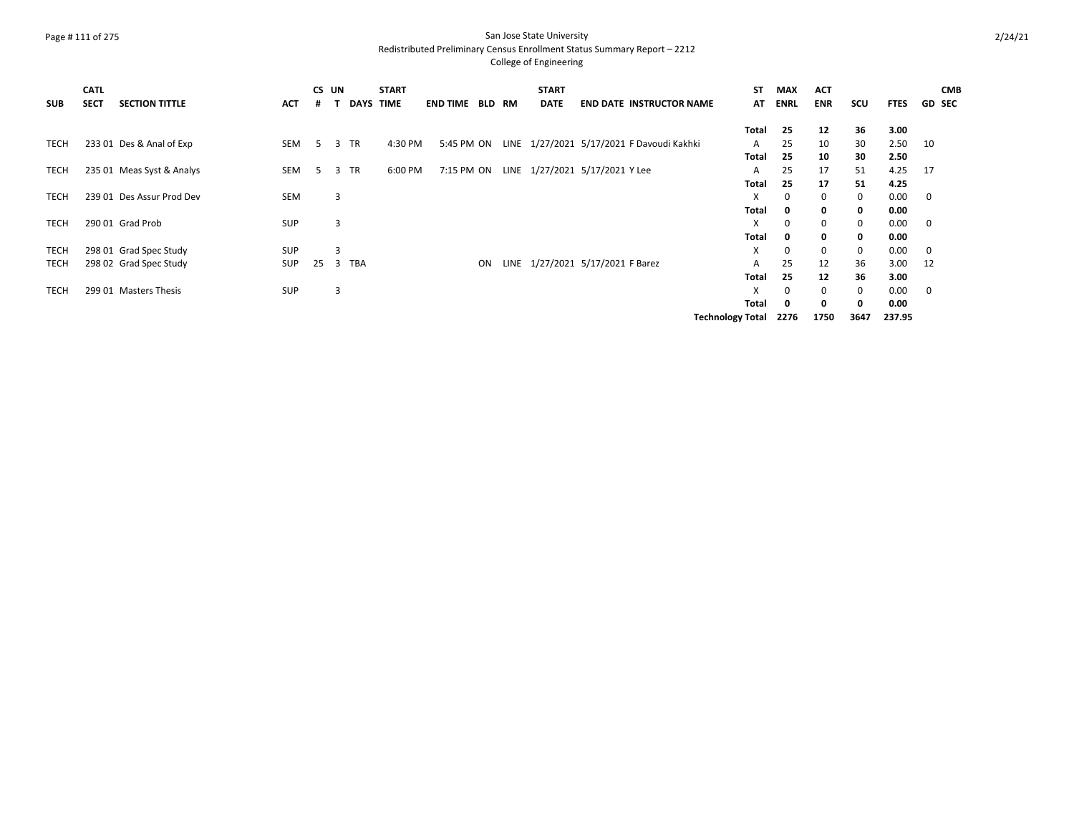### Page # 111 of 275 San Jose State University Redistributed Preliminary Census Enrollment Status Summary Report – 2212

| <b>SUB</b>  | <b>CATL</b><br><b>SECT</b> | <b>SECTION TITTLE</b>     | <b>ACT</b> |    | CS UN<br><b>DAYS</b> | <b>START</b><br><b>TIME</b> | <b>END TIME</b> | <b>BLD RM</b> | <b>START</b><br><b>DATE</b> | <b>END DATE INSTRUCTOR NAME</b>           | ST<br>AT                | <b>MAX</b><br><b>ENRL</b> | <b>ACT</b><br><b>ENR</b> | scu         | <b>FTES</b> | <b>CMB</b><br><b>GD SEC</b> |
|-------------|----------------------------|---------------------------|------------|----|----------------------|-----------------------------|-----------------|---------------|-----------------------------|-------------------------------------------|-------------------------|---------------------------|--------------------------|-------------|-------------|-----------------------------|
|             |                            |                           |            |    |                      |                             |                 |               |                             |                                           |                         |                           |                          |             |             |                             |
|             |                            |                           |            |    |                      |                             |                 |               |                             |                                           | Total                   | 25                        | 12                       | 36          | 3.00        |                             |
| <b>TECH</b> |                            | 233 01 Des & Anal of Exp  | SEM        | 5. | <b>TR</b><br>3       | 4:30 PM                     | 5:45 PM ON      |               |                             | LINE 1/27/2021 5/17/2021 F Davoudi Kakhki | A                       | 25                        | 10                       | 30          | 2.50        | -10                         |
|             |                            |                           |            |    |                      |                             |                 |               |                             |                                           | <b>Total</b>            | 25                        | 10                       | 30          | 2.50        |                             |
| TECH        |                            | 235 01 Meas Syst & Analys | SEM        | 5  | <b>TR</b><br>3       | 6:00 PM                     |                 |               |                             | 7:15 PM ON LINE 1/27/2021 5/17/2021 Y Lee | A                       | 25                        | 17                       | 51          | 4.25        | 17                          |
|             |                            |                           |            |    |                      |                             |                 |               |                             |                                           | Total                   | 25                        | 17                       | 51          | 4.25        |                             |
| <b>TECH</b> |                            | 239 01 Des Assur Prod Dev | SEM        |    | 3                    |                             |                 |               |                             |                                           | X                       | 0                         | 0                        | 0           | 0.00        | $\mathbf 0$                 |
|             |                            |                           |            |    |                      |                             |                 |               |                             |                                           | Total                   | 0                         | 0                        | 0           | 0.00        |                             |
| <b>TECH</b> |                            | 290 01 Grad Prob          | <b>SUP</b> |    | 3                    |                             |                 |               |                             |                                           | X                       | 0                         | 0                        | 0           | 0.00        | 0                           |
|             |                            |                           |            |    |                      |                             |                 |               |                             |                                           | <b>Total</b>            | 0                         | 0                        | $\mathbf 0$ | 0.00        |                             |
| TECH        |                            | 298 01 Grad Spec Study    | <b>SUP</b> |    | 3                    |                             |                 |               |                             |                                           | X                       | 0                         | $\mathbf 0$              | 0           | 0.00        | 0                           |
| TECH        |                            | 298 02 Grad Spec Study    | <b>SUP</b> | 25 | 3 TBA                |                             |                 | ON            |                             | LINE 1/27/2021 5/17/2021 F Barez          | A                       | 25                        | 12                       | 36          | 3.00        | -12                         |
|             |                            |                           |            |    |                      |                             |                 |               |                             |                                           | Total                   | 25                        | 12                       | 36          | 3.00        |                             |
| <b>TECH</b> |                            | 299 01 Masters Thesis     | <b>SUP</b> |    | 3                    |                             |                 |               |                             |                                           | X                       | $\Omega$                  | $\Omega$                 | 0           | 0.00        | $\mathbf 0$                 |
|             |                            |                           |            |    |                      |                             |                 |               |                             |                                           | <b>Total</b>            | 0                         | 0                        | 0           | 0.00        |                             |
|             |                            |                           |            |    |                      |                             |                 |               |                             |                                           | <b>Technology Total</b> | 2276                      | 1750                     | 3647        | 237.95      |                             |